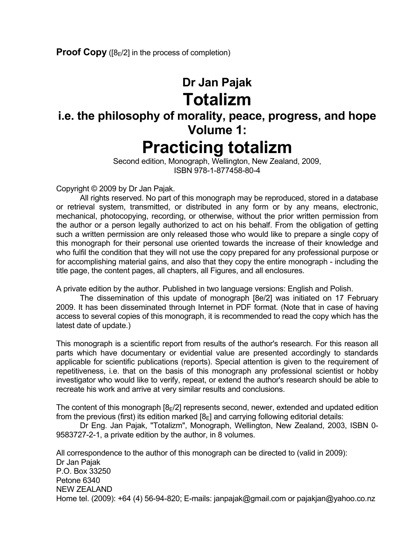## **Dr Jan Pajak Totalizm**

# **i.e. the philosophy of morality, peace, progress, and hope Volume 1: Practicing totalizm**

 Second edition, Monograph, Wellington, New Zealand, 2009, ISBN 978-1-877458-80-4

Copyright © 2009 by Dr Jan Pajak.

 All rights reserved. No part of this monograph may be reproduced, stored in a database or retrieval system, transmitted, or distributed in any form or by any means, electronic, mechanical, photocopying, recording, or otherwise, without the prior written permission from the author or a person legally authorized to act on his behalf. From the obligation of getting such a written permission are only released those who would like to prepare a single copy of this monograph for their personal use oriented towards the increase of their knowledge and who fulfil the condition that they will not use the copy prepared for any professional purpose or for accomplishing material gains, and also that they copy the entire monograph - including the title page, the content pages, all chapters, all Figures, and all enclosures.

A private edition by the author. Published in two language versions: English and Polish.

 The dissemination of this update of monograph [8e/2] was initiated on 17 February 2009. It has been disseminated through Internet in PDF format. (Note that in case of having access to several copies of this monograph, it is recommended to read the copy which has the latest date of update.)

This monograph is a scientific report from results of the author's research. For this reason all parts which have documentary or evidential value are presented accordingly to standards applicable for scientific publications (reports). Special attention is given to the requirement of repetitiveness, i.e. that on the basis of this monograph any professional scientist or hobby investigator who would like to verify, repeat, or extend the author's research should be able to recreate his work and arrive at very similar results and conclusions.

The content of this monograph  $[8E/2]$  represents second, newer, extended and updated edition from the previous (first) its edition marked  $[8<sub>E</sub>]$  and carrying following editorial details:

 Dr Eng. Jan Pajak, "Totalizm", Monograph, Wellington, New Zealand, 2003, ISBN 0- 9583727-2-1, a private edition by the author, in 8 volumes.

All correspondence to the author of this monograph can be directed to (valid in 2009): Dr Jan Pajak P.O. Box 33250 Petone 6340 NEW ZEALAND Home tel. (2009): +64 (4) 56-94-820; E-mails: janpajak@gmail.com or pajakjan@yahoo.co.nz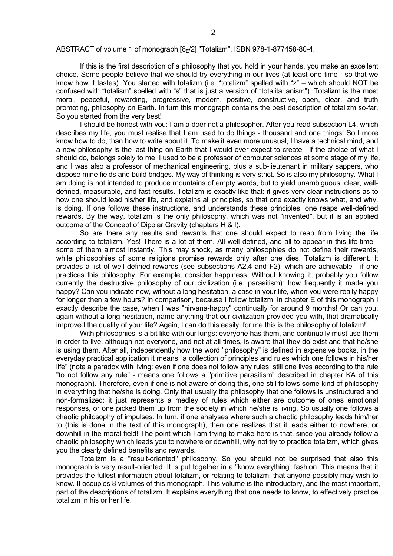#### ABSTRACT of volume 1 of monograph [8-/2] "Totalizm", ISBN 978-1-877458-80-4.

 If this is the first description of a philosophy that you hold in your hands, you make an excellent choice. Some people believe that we should try everything in our lives (at least one time - so that we know how it tastes). You started with totalizm (i.e. "totalizm" spelled with "z" – which should NOT be confused with "totalism" spelled with "s" that is just a version of "totalitarianism"). Totali**z**m is the most moral, peaceful, rewarding, progressive, modern, positive, constructive, open, clear, and truth promoting, philosophy on Earth. In turn this monograph contains the best description of totalizm so-far. So you started from the very best!

 I should be honest with you: I am a doer not a philosopher. After you read subsection L4, which describes my life, you must realise that I am used to do things - thousand and one things! So I more know how to do, than how to write about it. To make it even more unusual, I have a technical mind, and a new philosophy is the last thing on Earth that I would ever expect to create - if the choice of what I should do, belongs solely to me. I used to be a professor of computer sciences at some stage of my life, and I was also a professor of mechanical engineering, plus a sub-lieutenant in military sappers, who dispose mine fields and build bridges. My way of thinking is very strict. So is also my philosophy. What I am doing is not intended to produce mountains of empty words, but to yield unambiguous, clear, welldefined, measurable, and fast results. Totalizm is exactly like that: it gives very clear instructions as to how one should lead his/her life, and explains all principles, so that one exactly knows what, and why, is doing. If one follows these instructions, and understands these principles, one reaps well-defined rewards. By the way, totalizm is the only philosophy, which was not "invented", but it is an applied outcome of the Concept of Dipolar Gravity (chapters H & I).

 So are there any results and rewards that one should expect to reap from living the life according to totalizm. Yes! There is a lot of them. All well defined, and all to appear in this life-time some of them almost instantly. This may shock, as many philosophies do not define their rewards, while philosophies of some religions promise rewards only after one dies. Totalizm is different. It provides a list of well defined rewards (see subsections A2.4 and F2), which are achievable - if one practices this philosophy. For example, consider happiness. Without knowing it, probably you follow currently the destructive philosophy of our civilization (i.e. parasitism): how frequently it made you happy? Can you indicate now, without a long hesitation, a case in your life, when you were really happy for longer then a few hours? In comparison, because I follow totalizm, in chapter E of this monograph I exactly describe the case, when I was "nirvana-happy" continually for around 9 months! Or can you, again without a long hesitation, name anything that our civilization provided you with, that dramatically improved the quality of your life? Again, I can do this easily: for me this is the philosophy of totalizm!

With philosophies is a bit like with our lungs: everyone has them, and continually must use them in order to live, although not everyone, and not at all times, is aware that they do exist and that he/she is using them. After all, independently how the word "philosophy" is defined in expensive books, in the everyday practical application it means "a collection of principles and rules which one follows in his/her life" (note a paradox with living: even if one does not follow any rules, still one lives according to the rule "to not follow any rule" - means one follows a "primitive parasitism" described in chapter KA of this monograph). Therefore, even if one is not aware of doing this, one still follows some kind of philosophy in everything that he/she is doing. Only that usually the philosophy that one follows is unstructured and non-formalized: it just represents a medley of rules which either are outcome of ones emotional responses, or one picked them up from the society in which he/she is living. So usually one follows a chaotic philosophy of impulses. In turn, if one analyses where such a chaotic philosophy leads him/her to (this is done in the text of this monograph), then one realizes that it leads either to nowhere, or downhill in the moral field! The point which I am trying to make here is that, since you already follow a chaotic philosophy which leads you to nowhere or downhill, why not try to practice totalizm, which gives you the clearly defined benefits and rewards.

 Totalizm is a "result-oriented" philosophy. So you should not be surprised that also this monograph is very result-oriented. It is put together in a "know everything" fashion. This means that it provides the fullest information about totalizm, or relating to totalizm, that anyone possibly may wish to know. It occupies 8 volumes of this monograph. This volume is the introductory, and the most important, part of the descriptions of totalizm. It explains everything that one needs to know, to effectively practice totalizm in his or her life.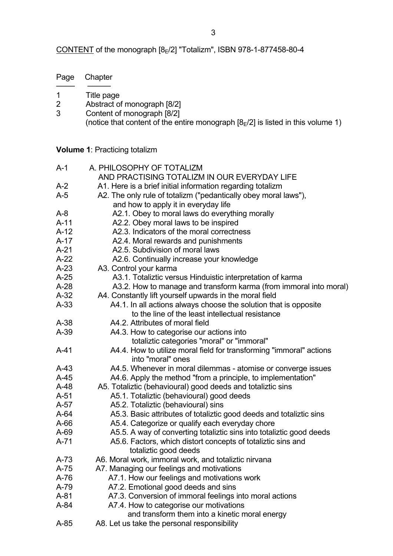CONTENT of the monograph [8E/2] "Totalizm", ISBN 978-1-877458-80-4

| Page | Chapter |
|------|---------|
|------|---------|

- ──── ───── 1 Title page<br>2 Abstract of
- 2 Abstract of monograph [8/2]<br>3 Content of monograph [8/2]
- Content of monograph [8/2] (notice that content of the entire monograph  $[8E/2]$  is listed in this volume 1)

**Volume 1**: Practicing totalizm

| $A-1$            | A. PHILOSOPHY OF TOTALIZM                                                                                  |
|------------------|------------------------------------------------------------------------------------------------------------|
|                  | AND PRACTISING TOTALIZM IN OUR EVERYDAY LIFE                                                               |
| $A-2$            | A1. Here is a brief initial information regarding totalizm                                                 |
| $A-5$            | A2. The only rule of totalizm ("pedantically obey moral laws"),                                            |
|                  | and how to apply it in everyday life                                                                       |
| $A-8$            | A2.1. Obey to moral laws do everything morally                                                             |
| $A-11$           | A2.2. Obey moral laws to be inspired                                                                       |
| $A-12$           | A2.3. Indicators of the moral correctness                                                                  |
| $A-17$           | A2.4. Moral rewards and punishments                                                                        |
| $A-21$           | A2.5. Subdivision of moral laws                                                                            |
| $A-22$           | A2.6. Continually increase your knowledge                                                                  |
| $A-23$           | A3. Control your karma                                                                                     |
| $A-25$           | A3.1. Totaliztic versus Hinduistic interpretation of karma                                                 |
| $A-28$           | A3.2. How to manage and transform karma (from immoral into moral)                                          |
| $A-32$           | A4. Constantly lift yourself upwards in the moral field                                                    |
| $A-33$           | A4.1. In all actions always choose the solution that is opposite                                           |
|                  | to the line of the least intellectual resistance                                                           |
| $A-38$           | A4.2. Attributes of moral field                                                                            |
| $A-39$           | A4.3. How to categorise our actions into                                                                   |
|                  | totaliztic categories "moral" or "immoral"                                                                 |
| $A-41$           | A4.4. How to utilize moral field for transforming "immoral" actions                                        |
|                  | into "moral" ones                                                                                          |
| $A-43$           | A4.5. Whenever in moral dilemmas - atomise or converge issues                                              |
| $A-45$           | A4.6. Apply the method "from a principle, to implementation"                                               |
| $A-48$           | A5. Totaliztic (behavioural) good deeds and totaliztic sins                                                |
| $A-51$<br>$A-57$ | A5.1. Totaliztic (behavioural) good deeds                                                                  |
| $A-64$           | A5.2. Totaliztic (behavioural) sins<br>A5.3. Basic attributes of totaliztic good deeds and totaliztic sins |
| $A-66$           | A5.4. Categorize or qualify each everyday chore                                                            |
| A-69             | A5.5. A way of converting totaliztic sins into totaliztic good deeds                                       |
| $A-71$           | A5.6. Factors, which distort concepts of totaliztic sins and                                               |
|                  | totaliztic good deeds                                                                                      |
| $A-73$           | A6. Moral work, immoral work, and totaliztic nirvana                                                       |
| $A-75$           | A7. Managing our feelings and motivations                                                                  |
| $A-76$           | A7.1. How our feelings and motivations work                                                                |
| A-79             | A7.2. Emotional good deeds and sins                                                                        |
| $A-81$           | A7.3. Conversion of immoral feelings into moral actions                                                    |
| A-84             | A7.4. How to categorise our motivations                                                                    |
|                  | and transform them into a kinetic moral energy                                                             |
| $A-85$           | A8. Let us take the personal responsibility                                                                |
|                  |                                                                                                            |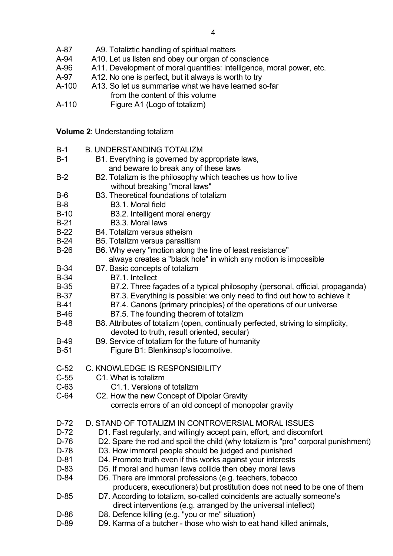- A-87 A9. Totaliztic handling of spiritual matters
- A-94 A10. Let us listen and obey our organ of conscience
- A-96 A11. Development of moral quantities: intelligence, moral power, etc.
- A-97 A12. No one is perfect, but it always is worth to try
- A-100 A13. So let us summarise what we have learned so-far from the content of this volume<br>A-110 Figure A1 (Logo of totalizm)
- Figure A1 (Logo of totalizm)

**Volume 2**: Understanding totalizm

| $B-1$  | <b>B. UNDERSTANDING TOTALIZM</b>                                                  |
|--------|-----------------------------------------------------------------------------------|
| $B-1$  | B1. Everything is governed by appropriate laws,                                   |
|        | and beware to break any of these laws                                             |
| $B-2$  | B2. Totalizm is the philosophy which teaches us how to live                       |
|        | without breaking "moral laws"                                                     |
| $B-6$  | B3. Theoretical foundations of totalizm                                           |
| $B-8$  | B <sub>3.1</sub> . Moral field                                                    |
| $B-10$ | B3.2. Intelligent moral energy                                                    |
| $B-21$ | B3.3. Moral laws                                                                  |
| $B-22$ | B4. Totalizm versus atheism                                                       |
| $B-24$ | B5. Totalizm versus parasitism                                                    |
| $B-26$ | B6. Why every "motion along the line of least resistance"                         |
|        | always creates a "black hole" in which any motion is impossible                   |
| $B-34$ | B7. Basic concepts of totalizm                                                    |
| $B-34$ | B7.1. Intellect                                                                   |
| $B-35$ | B7.2. Three façades of a typical philosophy (personal, official, propaganda)      |
| $B-37$ | B7.3. Everything is possible: we only need to find out how to achieve it          |
| $B-41$ | B7.4. Canons (primary principles) of the operations of our universe               |
| $B-46$ | B7.5. The founding theorem of totalizm                                            |
| $B-48$ | B8. Attributes of totalizm (open, continually perfected, striving to simplicity,  |
|        | devoted to truth, result oriented, secular)                                       |
| $B-49$ | B9. Service of totalizm for the future of humanity                                |
| $B-51$ | Figure B1: Blenkinsop's locomotive.                                               |
|        |                                                                                   |
| $C-52$ | C. KNOWLEDGE IS RESPONSIBILITY                                                    |
| $C-55$ | C1. What is totalizm                                                              |
| $C-63$ | C1.1. Versions of totalizm                                                        |
| $C-64$ | C2. How the new Concept of Dipolar Gravity                                        |
|        | corrects errors of an old concept of monopolar gravity                            |
| $D-72$ | D. STAND OF TOTALIZM IN CONTROVERSIAL MORAL ISSUES                                |
| $D-72$ | D1. Fast regularly, and willingly accept pain, effort, and discomfort             |
| $D-76$ | D2. Spare the rod and spoil the child (why totalizm is "pro" corporal punishment) |
| D-78   | D3. How immoral people should be judged and punished                              |
| $D-81$ | D4. Promote truth even if this works against your interests                       |
| D-83   | D5. If moral and human laws collide then obey moral laws                          |
| $D-84$ | D6. There are immoral professions (e.g. teachers, tobacco                         |
|        | producers, executioners) but prostitution does not need to be one of them         |
| D-85   | D7. According to totalizm, so-called coincidents are actually someone's           |
|        | direct interventions (e.g. arranged by the universal intellect)                   |
| D-86   | D8. Defence killing (e.g. "you or me" situation)                                  |
| ה פח   | DQ Karma of a butcher those who wish to eat hand killed animals                   |

D-89 D9. Karma of a butcher - those who wish to eat hand killed animals,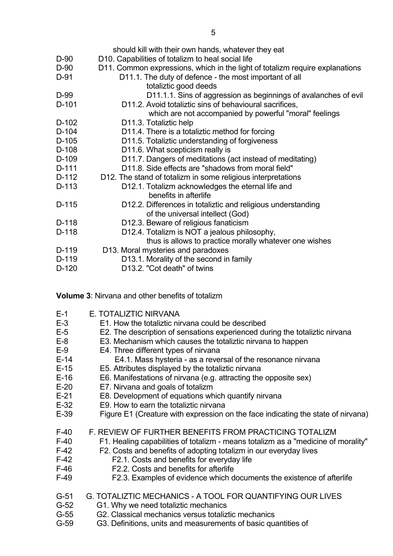|         | should kill with their own hands, whatever they eat                          |
|---------|------------------------------------------------------------------------------|
| D-90    | D10. Capabilities of totalizm to heal social life                            |
| D-90    | D11. Common expressions, which in the light of totalizm require explanations |
| D-91    | D11.1. The duty of defence - the most important of all                       |
|         | totaliztic good deeds                                                        |
| D-99    | D11.1.1. Sins of aggression as beginnings of avalanches of evil              |
| $D-101$ | D11.2. Avoid totaliztic sins of behavioural sacrifices,                      |
|         | which are not accompanied by powerful "moral" feelings                       |
| $D-102$ | D11.3. Totaliztic help                                                       |
| $D-104$ | D11.4. There is a totaliztic method for forcing                              |
| $D-105$ | D11.5. Totaliztic understanding of forgiveness                               |
| $D-108$ | D11.6. What scepticism really is                                             |
| D-109   | D11.7. Dangers of meditations (act instead of meditating)                    |
| D-111   | D11.8. Side effects are "shadows from moral field"                           |
| D-112   | D12. The stand of totalizm in some religious interpretations                 |
| D-113   | D12.1. Totalizm acknowledges the eternal life and                            |
|         | benefits in afterlife                                                        |
| $D-115$ | D12.2. Differences in totaliztic and religious understanding                 |
|         | of the universal intellect (God)                                             |
| D-118   | D12.3. Beware of religious fanaticism                                        |
| $D-118$ | D12.4. Totalizm is NOT a jealous philosophy,                                 |
|         | thus is allows to practice morally whatever one wishes                       |
| D-119   | D13. Moral mysteries and paradoxes                                           |
| D-119   | D13.1. Morality of the second in family                                      |
| $D-120$ | D13.2. "Cot death" of twins                                                  |
|         |                                                                              |

**Volume 3**: Nirvana and other benefits of totalizm

| $E-1$  | E. TOTALIZTIC NIRVANA                                                             |
|--------|-----------------------------------------------------------------------------------|
| $E-3$  | E1. How the totaliztic nirvana could be described                                 |
| $E-5$  | E2. The description of sensations experienced during the totaliztic nirvana       |
| $E-8$  | E3. Mechanism which causes the totaliztic nirvana to happen                       |
| $E-9$  | E4. Three different types of nirvana                                              |
| $E-14$ | E4.1. Mass hysteria - as a reversal of the resonance nirvana                      |
| $E-15$ | E5. Attributes displayed by the totaliztic nirvana                                |
| $E-16$ | E6. Manifestations of nirvana (e.g. attracting the opposite sex)                  |
| $E-20$ | E7. Nirvana and goals of totalizm                                                 |
| $E-21$ | E8. Development of equations which quantify nirvana                               |
| $E-32$ | E9. How to earn the totaliztic nirvana                                            |
|        |                                                                                   |
| $E-39$ | Figure E1 (Creature with expression on the face indicating the state of nirvana)  |
| $F-40$ | F. REVIEW OF FURTHER BENEFITS FROM PRACTICING TOTALIZM                            |
| $F-40$ | F1. Healing capabilities of totalizm - means totalizm as a "medicine of morality" |
| $F-42$ | F2. Costs and benefits of adopting totalizm in our everyday lives                 |
| $F-42$ | F2.1. Costs and benefits for everyday life                                        |
| $F-46$ | F2.2. Costs and benefits for afterlife                                            |
| $F-49$ | F2.3. Examples of evidence which documents the existence of afterlife             |
|        |                                                                                   |
| $G-51$ | <b>G. TOTALIZTIC MECHANICS - A TOOL FOR QUANTIFYING OUR LIVES</b>                 |
| $G-52$ | G1. Why we need totaliztic mechanics                                              |
| G-55   | G2. Classical mechanics versus totaliztic mechanics                               |

G-55 G2. Classical mechanics versus totaliztic mechanics<br>G-59 G3. Definitions, units and measurements of basic qu G3. Definitions, units and measurements of basic quantities of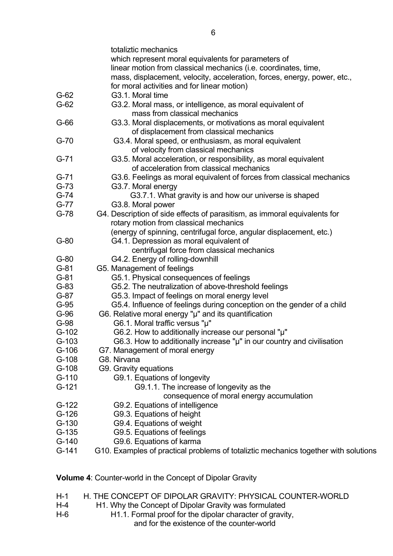|                  | totaliztic mechanics                                                                                                          |
|------------------|-------------------------------------------------------------------------------------------------------------------------------|
|                  | which represent moral equivalents for parameters of                                                                           |
|                  | linear motion from classical mechanics (i.e. coordinates, time,                                                               |
|                  | mass, displacement, velocity, acceleration, forces, energy, power, etc.,                                                      |
|                  | for moral activities and for linear motion)                                                                                   |
| $G-62$           | G3.1. Moral time                                                                                                              |
| $G-62$           | G3.2. Moral mass, or intelligence, as moral equivalent of                                                                     |
|                  | mass from classical mechanics                                                                                                 |
| $G-66$           | G3.3. Moral displacements, or motivations as moral equivalent                                                                 |
|                  | of displacement from classical mechanics                                                                                      |
| $G-70$           | G3.4. Moral speed, or enthusiasm, as moral equivalent                                                                         |
|                  | of velocity from classical mechanics                                                                                          |
| $G-71$           | G3.5. Moral acceleration, or responsibility, as moral equivalent                                                              |
|                  | of acceleration from classical mechanics                                                                                      |
| $G-71$           | G3.6. Feelings as moral equivalent of forces from classical mechanics                                                         |
| $G-73$           | G3.7. Moral energy                                                                                                            |
| $G-74$           | G3.7.1. What gravity is and how our universe is shaped                                                                        |
| $G-77$           | G3.8. Moral power                                                                                                             |
| $G-78$           | G4. Description of side effects of parasitism, as immoral equivalents for                                                     |
|                  | rotary motion from classical mechanics                                                                                        |
|                  | (energy of spinning, centrifugal force, angular displacement, etc.)                                                           |
| $G-80$           | G4.1. Depression as moral equivalent of                                                                                       |
|                  | centrifugal force from classical mechanics                                                                                    |
| $G-80$           | G4.2. Energy of rolling-downhill                                                                                              |
| $G-81$           | G5. Management of feelings                                                                                                    |
| $G-81$           | G5.1. Physical consequences of feelings                                                                                       |
| $G-83$           | G5.2. The neutralization of above-threshold feelings                                                                          |
| $G-87$           | G5.3. Impact of feelings on moral energy level                                                                                |
| $G-95$           | G5.4. Influence of feelings during conception on the gender of a child                                                        |
| $G-96$<br>$G-98$ | G6. Relative moral energy "µ" and its quantification                                                                          |
| $G-102$          | G6.1. Moral traffic versus "µ"                                                                                                |
| $G-103$          | G6.2. How to additionally increase our personal "µ"<br>G6.3. How to additionally increase "µ" in our country and civilisation |
| $G-106$          | G7. Management of moral energy                                                                                                |
| $G-108$          | G8. Nirvana                                                                                                                   |
| $G-108$          | G9. Gravity equations                                                                                                         |
| $G-110$          | G9.1. Equations of longevity                                                                                                  |
| $G-121$          | G9.1.1. The increase of longevity as the                                                                                      |
|                  | consequence of moral energy accumulation                                                                                      |
| $G-122$          | G9.2. Equations of intelligence                                                                                               |
| $G-126$          | G9.3. Equations of height                                                                                                     |
| $G-130$          | G9.4. Equations of weight                                                                                                     |
| $G-135$          | G9.5. Equations of feelings                                                                                                   |
| $G-140$          | G9.6. Equations of karma                                                                                                      |
| $G-141$          | G10. Examples of practical problems of totaliztic mechanics together with solutions                                           |
|                  |                                                                                                                               |
|                  |                                                                                                                               |

**Volume 4**: Counter-world in the Concept of Dipolar Gravity

- H-1 H. THE CONCEPT OF DIPOLAR GRAVITY: PHYSICAL COUNTER-WORLD
- H-4 H1. Why the Concept of Dipolar Gravity was formulated
- H-6 H1.1. Formal proof for the dipolar character of gravity, and for the existence of the counter-world

 $\sim$  6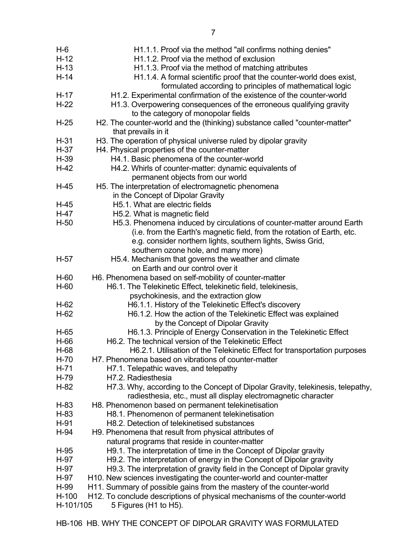| $H-12$<br>H <sub>1.1.2</sub> . Proof via the method of exclusion<br>$H-13$<br>H1.1.3. Proof via the method of matching attributes<br>$H-14$<br>H1.1.4. A formal scientific proof that the counter-world does exist,<br>formulated according to principles of mathematical logic<br>$H-17$<br>H1.2. Experimental confirmation of the existence of the counter-world<br>$H-22$<br>H1.3. Overpowering consequences of the erroneous qualifying gravity<br>to the category of monopolar fields<br>H2. The counter-world and the (thinking) substance called "counter-matter"<br>$H-25$<br>that prevails in it<br>H3. The operation of physical universe ruled by dipolar gravity<br>$H-31$<br>$H-37$<br>H4. Physical properties of the counter-matter<br>$H-39$<br>H4.1. Basic phenomena of the counter-world<br>$H-42$<br>H4.2. Whirls of counter-matter: dynamic equivalents of<br>permanent objects from our world<br>H5. The interpretation of electromagnetic phenomena<br>$H-45$<br>in the Concept of Dipolar Gravity<br>H <sub>5</sub> .1. What are electric fields<br>$H-45$<br>H-47<br>H5.2. What is magnetic field<br>$H-50$<br>H5.3. Phenomena induced by circulations of counter-matter around Earth<br>(i.e. from the Earth's magnetic field, from the rotation of Earth, etc.<br>e.g. consider northern lights, southern lights, Swiss Grid, |  |
|--------------------------------------------------------------------------------------------------------------------------------------------------------------------------------------------------------------------------------------------------------------------------------------------------------------------------------------------------------------------------------------------------------------------------------------------------------------------------------------------------------------------------------------------------------------------------------------------------------------------------------------------------------------------------------------------------------------------------------------------------------------------------------------------------------------------------------------------------------------------------------------------------------------------------------------------------------------------------------------------------------------------------------------------------------------------------------------------------------------------------------------------------------------------------------------------------------------------------------------------------------------------------------------------------------------------------------------------------------|--|
|                                                                                                                                                                                                                                                                                                                                                                                                                                                                                                                                                                                                                                                                                                                                                                                                                                                                                                                                                                                                                                                                                                                                                                                                                                                                                                                                                        |  |
|                                                                                                                                                                                                                                                                                                                                                                                                                                                                                                                                                                                                                                                                                                                                                                                                                                                                                                                                                                                                                                                                                                                                                                                                                                                                                                                                                        |  |
|                                                                                                                                                                                                                                                                                                                                                                                                                                                                                                                                                                                                                                                                                                                                                                                                                                                                                                                                                                                                                                                                                                                                                                                                                                                                                                                                                        |  |
|                                                                                                                                                                                                                                                                                                                                                                                                                                                                                                                                                                                                                                                                                                                                                                                                                                                                                                                                                                                                                                                                                                                                                                                                                                                                                                                                                        |  |
|                                                                                                                                                                                                                                                                                                                                                                                                                                                                                                                                                                                                                                                                                                                                                                                                                                                                                                                                                                                                                                                                                                                                                                                                                                                                                                                                                        |  |
|                                                                                                                                                                                                                                                                                                                                                                                                                                                                                                                                                                                                                                                                                                                                                                                                                                                                                                                                                                                                                                                                                                                                                                                                                                                                                                                                                        |  |
|                                                                                                                                                                                                                                                                                                                                                                                                                                                                                                                                                                                                                                                                                                                                                                                                                                                                                                                                                                                                                                                                                                                                                                                                                                                                                                                                                        |  |
|                                                                                                                                                                                                                                                                                                                                                                                                                                                                                                                                                                                                                                                                                                                                                                                                                                                                                                                                                                                                                                                                                                                                                                                                                                                                                                                                                        |  |
|                                                                                                                                                                                                                                                                                                                                                                                                                                                                                                                                                                                                                                                                                                                                                                                                                                                                                                                                                                                                                                                                                                                                                                                                                                                                                                                                                        |  |
|                                                                                                                                                                                                                                                                                                                                                                                                                                                                                                                                                                                                                                                                                                                                                                                                                                                                                                                                                                                                                                                                                                                                                                                                                                                                                                                                                        |  |
|                                                                                                                                                                                                                                                                                                                                                                                                                                                                                                                                                                                                                                                                                                                                                                                                                                                                                                                                                                                                                                                                                                                                                                                                                                                                                                                                                        |  |
|                                                                                                                                                                                                                                                                                                                                                                                                                                                                                                                                                                                                                                                                                                                                                                                                                                                                                                                                                                                                                                                                                                                                                                                                                                                                                                                                                        |  |
|                                                                                                                                                                                                                                                                                                                                                                                                                                                                                                                                                                                                                                                                                                                                                                                                                                                                                                                                                                                                                                                                                                                                                                                                                                                                                                                                                        |  |
|                                                                                                                                                                                                                                                                                                                                                                                                                                                                                                                                                                                                                                                                                                                                                                                                                                                                                                                                                                                                                                                                                                                                                                                                                                                                                                                                                        |  |
|                                                                                                                                                                                                                                                                                                                                                                                                                                                                                                                                                                                                                                                                                                                                                                                                                                                                                                                                                                                                                                                                                                                                                                                                                                                                                                                                                        |  |
|                                                                                                                                                                                                                                                                                                                                                                                                                                                                                                                                                                                                                                                                                                                                                                                                                                                                                                                                                                                                                                                                                                                                                                                                                                                                                                                                                        |  |
|                                                                                                                                                                                                                                                                                                                                                                                                                                                                                                                                                                                                                                                                                                                                                                                                                                                                                                                                                                                                                                                                                                                                                                                                                                                                                                                                                        |  |
|                                                                                                                                                                                                                                                                                                                                                                                                                                                                                                                                                                                                                                                                                                                                                                                                                                                                                                                                                                                                                                                                                                                                                                                                                                                                                                                                                        |  |
|                                                                                                                                                                                                                                                                                                                                                                                                                                                                                                                                                                                                                                                                                                                                                                                                                                                                                                                                                                                                                                                                                                                                                                                                                                                                                                                                                        |  |
|                                                                                                                                                                                                                                                                                                                                                                                                                                                                                                                                                                                                                                                                                                                                                                                                                                                                                                                                                                                                                                                                                                                                                                                                                                                                                                                                                        |  |
|                                                                                                                                                                                                                                                                                                                                                                                                                                                                                                                                                                                                                                                                                                                                                                                                                                                                                                                                                                                                                                                                                                                                                                                                                                                                                                                                                        |  |
|                                                                                                                                                                                                                                                                                                                                                                                                                                                                                                                                                                                                                                                                                                                                                                                                                                                                                                                                                                                                                                                                                                                                                                                                                                                                                                                                                        |  |
|                                                                                                                                                                                                                                                                                                                                                                                                                                                                                                                                                                                                                                                                                                                                                                                                                                                                                                                                                                                                                                                                                                                                                                                                                                                                                                                                                        |  |
| southern ozone hole, and many more)                                                                                                                                                                                                                                                                                                                                                                                                                                                                                                                                                                                                                                                                                                                                                                                                                                                                                                                                                                                                                                                                                                                                                                                                                                                                                                                    |  |
| $H-57$<br>H5.4. Mechanism that governs the weather and climate                                                                                                                                                                                                                                                                                                                                                                                                                                                                                                                                                                                                                                                                                                                                                                                                                                                                                                                                                                                                                                                                                                                                                                                                                                                                                         |  |
| on Earth and our control over it                                                                                                                                                                                                                                                                                                                                                                                                                                                                                                                                                                                                                                                                                                                                                                                                                                                                                                                                                                                                                                                                                                                                                                                                                                                                                                                       |  |
| $H-60$<br>H6. Phenomena based on self-mobility of counter-matter                                                                                                                                                                                                                                                                                                                                                                                                                                                                                                                                                                                                                                                                                                                                                                                                                                                                                                                                                                                                                                                                                                                                                                                                                                                                                       |  |
| $H-60$<br>H6.1. The Telekinetic Effect, telekinetic field, telekinesis,                                                                                                                                                                                                                                                                                                                                                                                                                                                                                                                                                                                                                                                                                                                                                                                                                                                                                                                                                                                                                                                                                                                                                                                                                                                                                |  |
| psychokinesis, and the extraction glow                                                                                                                                                                                                                                                                                                                                                                                                                                                                                                                                                                                                                                                                                                                                                                                                                                                                                                                                                                                                                                                                                                                                                                                                                                                                                                                 |  |
| $H-62$<br>H6.1.1. History of the Telekinetic Effect's discovery                                                                                                                                                                                                                                                                                                                                                                                                                                                                                                                                                                                                                                                                                                                                                                                                                                                                                                                                                                                                                                                                                                                                                                                                                                                                                        |  |
| H6.1.2. How the action of the Telekinetic Effect was explained<br>$H-62$                                                                                                                                                                                                                                                                                                                                                                                                                                                                                                                                                                                                                                                                                                                                                                                                                                                                                                                                                                                                                                                                                                                                                                                                                                                                               |  |
| by the Concept of Dipolar Gravity                                                                                                                                                                                                                                                                                                                                                                                                                                                                                                                                                                                                                                                                                                                                                                                                                                                                                                                                                                                                                                                                                                                                                                                                                                                                                                                      |  |
| $H-65$<br>H6.1.3. Principle of Energy Conservation in the Telekinetic Effect                                                                                                                                                                                                                                                                                                                                                                                                                                                                                                                                                                                                                                                                                                                                                                                                                                                                                                                                                                                                                                                                                                                                                                                                                                                                           |  |
| H6.2. The technical version of the Telekinetic Effect<br>H-66                                                                                                                                                                                                                                                                                                                                                                                                                                                                                                                                                                                                                                                                                                                                                                                                                                                                                                                                                                                                                                                                                                                                                                                                                                                                                          |  |
| H6.2.1. Utilisation of the Telekinetic Effect for transportation purposes<br>H-68                                                                                                                                                                                                                                                                                                                                                                                                                                                                                                                                                                                                                                                                                                                                                                                                                                                                                                                                                                                                                                                                                                                                                                                                                                                                      |  |
| $H-70$<br>H7. Phenomena based on vibrations of counter-matter                                                                                                                                                                                                                                                                                                                                                                                                                                                                                                                                                                                                                                                                                                                                                                                                                                                                                                                                                                                                                                                                                                                                                                                                                                                                                          |  |
| $H-71$<br>H7.1. Telepathic waves, and telepathy                                                                                                                                                                                                                                                                                                                                                                                                                                                                                                                                                                                                                                                                                                                                                                                                                                                                                                                                                                                                                                                                                                                                                                                                                                                                                                        |  |
| H-79<br>H7.2. Radiesthesia                                                                                                                                                                                                                                                                                                                                                                                                                                                                                                                                                                                                                                                                                                                                                                                                                                                                                                                                                                                                                                                                                                                                                                                                                                                                                                                             |  |
| $H-82$<br>H7.3. Why, according to the Concept of Dipolar Gravity, telekinesis, telepathy,                                                                                                                                                                                                                                                                                                                                                                                                                                                                                                                                                                                                                                                                                                                                                                                                                                                                                                                                                                                                                                                                                                                                                                                                                                                              |  |
| radiesthesia, etc., must all display electromagnetic character                                                                                                                                                                                                                                                                                                                                                                                                                                                                                                                                                                                                                                                                                                                                                                                                                                                                                                                                                                                                                                                                                                                                                                                                                                                                                         |  |
|                                                                                                                                                                                                                                                                                                                                                                                                                                                                                                                                                                                                                                                                                                                                                                                                                                                                                                                                                                                                                                                                                                                                                                                                                                                                                                                                                        |  |
|                                                                                                                                                                                                                                                                                                                                                                                                                                                                                                                                                                                                                                                                                                                                                                                                                                                                                                                                                                                                                                                                                                                                                                                                                                                                                                                                                        |  |
| H8. Phenomenon based on permanent telekinetisation<br>$H-83$                                                                                                                                                                                                                                                                                                                                                                                                                                                                                                                                                                                                                                                                                                                                                                                                                                                                                                                                                                                                                                                                                                                                                                                                                                                                                           |  |
| H8.1. Phenomenon of permanent telekinetisation<br>$H-83$                                                                                                                                                                                                                                                                                                                                                                                                                                                                                                                                                                                                                                                                                                                                                                                                                                                                                                                                                                                                                                                                                                                                                                                                                                                                                               |  |
| H8.2. Detection of telekinetised substances<br>$H-91$                                                                                                                                                                                                                                                                                                                                                                                                                                                                                                                                                                                                                                                                                                                                                                                                                                                                                                                                                                                                                                                                                                                                                                                                                                                                                                  |  |
| $H-94$<br>H9. Phenomena that result from physical attributes of                                                                                                                                                                                                                                                                                                                                                                                                                                                                                                                                                                                                                                                                                                                                                                                                                                                                                                                                                                                                                                                                                                                                                                                                                                                                                        |  |
| natural programs that reside in counter-matter                                                                                                                                                                                                                                                                                                                                                                                                                                                                                                                                                                                                                                                                                                                                                                                                                                                                                                                                                                                                                                                                                                                                                                                                                                                                                                         |  |
| $H-95$<br>H9.1. The interpretation of time in the Concept of Dipolar gravity                                                                                                                                                                                                                                                                                                                                                                                                                                                                                                                                                                                                                                                                                                                                                                                                                                                                                                                                                                                                                                                                                                                                                                                                                                                                           |  |
| H-97<br>H9.2. The interpretation of energy in the Concept of Dipolar gravity                                                                                                                                                                                                                                                                                                                                                                                                                                                                                                                                                                                                                                                                                                                                                                                                                                                                                                                                                                                                                                                                                                                                                                                                                                                                           |  |
| H-97<br>H9.3. The interpretation of gravity field in the Concept of Dipolar gravity                                                                                                                                                                                                                                                                                                                                                                                                                                                                                                                                                                                                                                                                                                                                                                                                                                                                                                                                                                                                                                                                                                                                                                                                                                                                    |  |
| H10. New sciences investigating the counter-world and counter-matter<br>H-97                                                                                                                                                                                                                                                                                                                                                                                                                                                                                                                                                                                                                                                                                                                                                                                                                                                                                                                                                                                                                                                                                                                                                                                                                                                                           |  |
| H11. Summary of possible gains from the mastery of the counter-world<br>H-99                                                                                                                                                                                                                                                                                                                                                                                                                                                                                                                                                                                                                                                                                                                                                                                                                                                                                                                                                                                                                                                                                                                                                                                                                                                                           |  |
| $H-100$<br>H <sub>12</sub> . To conclude descriptions of physical mechanisms of the counter-world                                                                                                                                                                                                                                                                                                                                                                                                                                                                                                                                                                                                                                                                                                                                                                                                                                                                                                                                                                                                                                                                                                                                                                                                                                                      |  |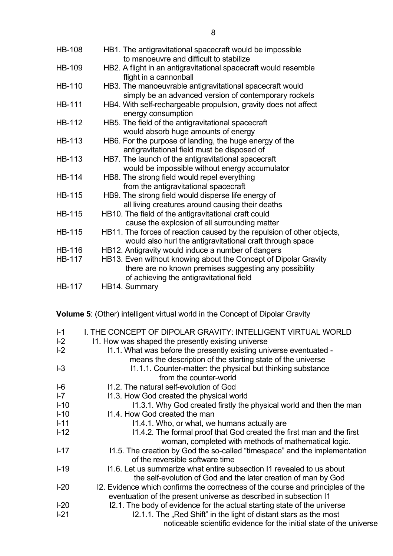| <b>HB-108</b>                  | HB1. The antigravitational spacecraft would be impossible<br>to manoeuvre and difficult to stabilize                                |
|--------------------------------|-------------------------------------------------------------------------------------------------------------------------------------|
| <b>HB-109</b>                  | HB2. A flight in an antigravitational spacecraft would resemble<br>flight in a cannonball                                           |
| <b>HB-110</b>                  | HB3. The manoeuvrable antigravitational spacecraft would<br>simply be an advanced version of contemporary rockets                   |
| <b>HB-111</b>                  | HB4. With self-rechargeable propulsion, gravity does not affect<br>energy consumption                                               |
| <b>HB-112</b>                  | HB5. The field of the antigravitational spacecraft<br>would absorb huge amounts of energy                                           |
| <b>HB-113</b>                  | HB6. For the purpose of landing, the huge energy of the<br>antigravitational field must be disposed of                              |
| <b>HB-113</b>                  | HB7. The launch of the antigravitational spacecraft<br>would be impossible without energy accumulator                               |
| <b>HB-114</b>                  | HB8. The strong field would repel everything<br>from the antigravitational spacecraft                                               |
| <b>HB-115</b>                  | HB9. The strong field would disperse life energy of<br>all living creatures around causing their deaths                             |
| <b>HB-115</b>                  | HB10. The field of the antigravitational craft could<br>cause the explosion of all surrounding matter                               |
| <b>HB-115</b>                  | HB11. The forces of reaction caused by the repulsion of other objects,<br>would also hurl the antigravitational craft through space |
| <b>HB-116</b><br><b>HB-117</b> | HB12. Antigravity would induce a number of dangers<br>HB13. Even without knowing about the Concept of Dipolar Gravity               |
| <b>HB-117</b>                  | there are no known premises suggesting any possibility<br>of achieving the antigravitational field<br>HB14. Summary                 |

**Volume 5**: (Other) intelligent virtual world in the Concept of Dipolar Gravity

| $I-1$    | I. THE CONCEPT OF DIPOLAR GRAVITY: INTELLIGENT VIRTUAL WORLD                                                                                         |
|----------|------------------------------------------------------------------------------------------------------------------------------------------------------|
| $I-2$    | 11. How was shaped the presently existing universe                                                                                                   |
| $I-2$    | 11.1. What was before the presently existing universe eventuated -<br>means the description of the starting state of the universe                    |
| $I-3$    | 11.1.1. Counter-matter: the physical but thinking substance<br>from the counter-world                                                                |
| $I-6$    | 11.2. The natural self-evolution of God                                                                                                              |
| $I - 7$  | 11.3. How God created the physical world                                                                                                             |
| $I-10$   | 11.3.1. Why God created firstly the physical world and then the man                                                                                  |
| $I-10$   | 11.4. How God created the man                                                                                                                        |
| $I - 11$ | 11.4.1. Who, or what, we humans actually are                                                                                                         |
| $I-12$   | 11.4.2. The formal proof that God created the first man and the first<br>woman, completed with methods of mathematical logic.                        |
| $I-17$   | 11.5. The creation by God the so-called "timespace" and the implementation<br>of the reversible software time                                        |
| $I-19$   | 11.6. Let us summarize what entire subsection 11 revealed to us about<br>the self-evolution of God and the later creation of man by God              |
| $I-20$   | 12. Evidence which confirms the correctness of the course and principles of the<br>eventuation of the present universe as described in subsection I1 |
| $I-20$   | I2.1. The body of evidence for the actual starting state of the universe                                                                             |
| $I-21$   | I2.1.1. The "Red Shift" in the light of distant stars as the most<br>noticeable scientific evidence for the initial state of the universe            |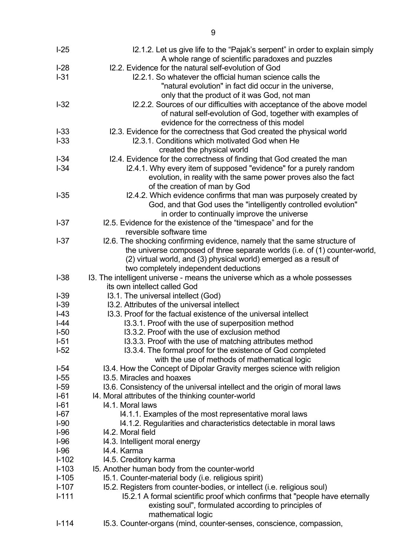| $I-25$  | 12.1.2. Let us give life to the "Pajak's serpent" in order to explain simply<br>A whole range of scientific paradoxes and puzzles |
|---------|-----------------------------------------------------------------------------------------------------------------------------------|
| $I-28$  | 12.2. Evidence for the natural self-evolution of God                                                                              |
| $I-31$  | 12.2.1. So whatever the official human science calls the                                                                          |
|         | "natural evolution" in fact did occur in the universe,                                                                            |
|         | only that the product of it was God, not man                                                                                      |
| $-32$   | 12.2.2. Sources of our difficulties with acceptance of the above model                                                            |
|         | of natural self-evolution of God, together with examples of                                                                       |
|         | evidence for the correctness of this model                                                                                        |
| $I-33$  | 12.3. Evidence for the correctness that God created the physical world                                                            |
| $I-33$  | 12.3.1. Conditions which motivated God when He                                                                                    |
|         | created the physical world                                                                                                        |
| $I-34$  | 12.4. Evidence for the correctness of finding that God created the man                                                            |
| $I-34$  | I2.4.1. Why every item of supposed "evidence" for a purely random                                                                 |
|         | evolution, in reality with the same power proves also the fact                                                                    |
|         | of the creation of man by God                                                                                                     |
| $I-35$  | I2.4.2. Which evidence confirms that man was purposely created by                                                                 |
|         | God, and that God uses the "intelligently controlled evolution"                                                                   |
|         | in order to continually improve the universe                                                                                      |
| $I-37$  | 12.5. Evidence for the existence of the "timespace" and for the                                                                   |
|         | reversible software time                                                                                                          |
| $I-37$  | I2.6. The shocking confirming evidence, namely that the same structure of                                                         |
|         | the universe composed of three separate worlds (i.e. of (1) counter-world,                                                        |
|         | (2) virtual world, and (3) physical world) emerged as a result of                                                                 |
|         | two completely independent deductions                                                                                             |
| $I-38$  | I3. The intelligent universe - means the universe which as a whole possesses                                                      |
|         | its own intellect called God                                                                                                      |
| $I-39$  | 13.1. The universal intellect (God)                                                                                               |
| $I-39$  | 13.2. Attributes of the universal intellect                                                                                       |
| $I-43$  | 13.3. Proof for the factual existence of the universal intellect                                                                  |
| $ -44$  | 13.3.1. Proof with the use of superposition method                                                                                |
| $I-50$  | 13.3.2. Proof with the use of exclusion method                                                                                    |
| $I-51$  | 13.3.3. Proof with the use of matching attributes method                                                                          |
| $I-52$  | 13.3.4. The formal proof for the existence of God completed                                                                       |
|         | with the use of methods of mathematical logic                                                                                     |
| $I-54$  | 13.4. How the Concept of Dipolar Gravity merges science with religion                                                             |
| $I-55$  | 13.5. Miracles and hoaxes                                                                                                         |
| $I-59$  | 13.6. Consistency of the universal intellect and the origin of moral laws                                                         |
| $I-61$  | 14. Moral attributes of the thinking counter-world                                                                                |
| $I-61$  | 14.1. Moral laws                                                                                                                  |
| $I-67$  | 14.1.1. Examples of the most representative moral laws                                                                            |
| $I-90$  | 14.1.2. Regularities and characteristics detectable in moral laws                                                                 |
| $I-96$  | 14.2. Moral field                                                                                                                 |
| $I-96$  | 14.3. Intelligent moral energy                                                                                                    |
| $I-96$  | 14.4. Karma                                                                                                                       |
| $I-102$ | 14.5. Creditory karma                                                                                                             |
| $I-103$ | 15. Another human body from the counter-world                                                                                     |
| $I-105$ | 15.1. Counter-material body (i.e. religious spirit)                                                                               |
| $I-107$ | 15.2. Registers from counter-bodies, or intellect (i.e. religious soul)                                                           |
| $I-111$ | 15.2.1 A formal scientific proof which confirms that "people have eternally                                                       |
|         | existing soul", formulated according to principles of                                                                             |
|         | mathematical logic                                                                                                                |
| $I-114$ | 15.3. Counter-organs (mind, counter-senses, conscience, compassion,                                                               |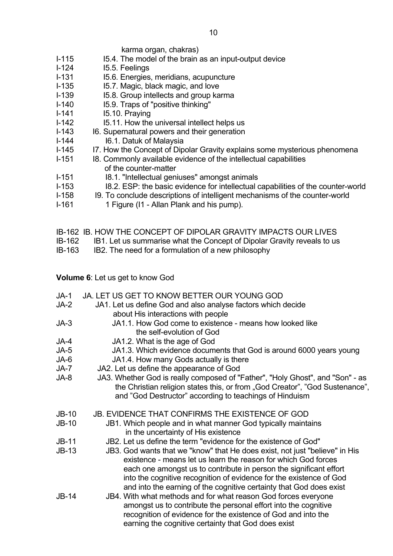### karma organ, chakras)

- I-115 I-115 I5.4. The model of the brain as an input-output device
- I-124 I5.5. Feelings
- I-131 I5.6. Energies, meridians, acupuncture
- I-135 I5.7. Magic, black magic, and love
- I-139 I5.8. Group intellects and group karma
- I-140 I5.9. Traps of "positive thinking"
- I-141 I5.10. Praying
- I-142 I5.11. How the universal intellect helps us
- I-143 I6. Supernatural powers and their generation
- I-144 I6.1. Datuk of Malaysia
- I-145 I7. How the Concept of Dipolar Gravity explains some mysterious phenomena
- I-151 I8. Commonly available evidence of the intellectual capabilities of the counter-matter
- I-151 I8.1. "Intellectual geniuses" amongst animals
- I-153 I8.2. ESP: the basic evidence for intellectual capabilities of the counter-world
- I-158 I9. To conclude descriptions of intelligent mechanisms of the counter-world
- I-161 1 Figure (I1 Allan Plank and his pump).
- IB-162 IB. HOW THE CONCEPT OF DIPOLAR GRAVITY IMPACTS OUR LIVES
- IB-162 IB1. Let us summarise what the Concept of Dipolar Gravity reveals to us
- IB-163 IB2. The need for a formulation of a new philosophy

**Volume 6**: Let us get to know God

| $JA-1$  | JA. LET US GET TO KNOW BETTER OUR YOUNG GOD                                                                                                                                                                                                                                                                                      |
|---------|----------------------------------------------------------------------------------------------------------------------------------------------------------------------------------------------------------------------------------------------------------------------------------------------------------------------------------|
| $JA-2$  | JA1. Let us define God and also analyse factors which decide<br>about His interactions with people                                                                                                                                                                                                                               |
| $JA-3$  | JA1.1. How God come to existence - means how looked like                                                                                                                                                                                                                                                                         |
|         | the self-evolution of God                                                                                                                                                                                                                                                                                                        |
| JA-4    | JA1.2. What is the age of God                                                                                                                                                                                                                                                                                                    |
| $JA-5$  | JA1.3. Which evidence documents that God is around 6000 years young                                                                                                                                                                                                                                                              |
| JA-6    | JA1.4. How many Gods actually is there                                                                                                                                                                                                                                                                                           |
| JA-7    | JA2. Let us define the appearance of God                                                                                                                                                                                                                                                                                         |
| JA-8    | JA3. Whether God is really composed of "Father", "Holy Ghost", and "Son" - as                                                                                                                                                                                                                                                    |
|         | the Christian religion states this, or from "God Creator", "God Sustenance",                                                                                                                                                                                                                                                     |
|         | and "God Destructor" according to teachings of Hinduism                                                                                                                                                                                                                                                                          |
| $JB-10$ | <b>JB. EVIDENCE THAT CONFIRMS THE EXISTENCE OF GOD</b>                                                                                                                                                                                                                                                                           |
| $JB-10$ | JB1. Which people and in what manner God typically maintains                                                                                                                                                                                                                                                                     |
|         | in the uncertainty of His existence                                                                                                                                                                                                                                                                                              |
| $JB-11$ | JB2. Let us define the term "evidence for the existence of God"                                                                                                                                                                                                                                                                  |
| $JB-13$ | JB3. God wants that we "know" that He does exist, not just "believe" in His<br>existence - means let us learn the reason for which God forces<br>each one amongst us to contribute in person the significant effort<br>into the cognitive recognition of evidence for the existence of God                                       |
| $JB-14$ | and into the earning of the cognitive certainty that God does exist<br>JB4. With what methods and for what reason God forces everyone<br>amongst us to contribute the personal effort into the cognitive<br>recognition of evidence for the existence of God and into the<br>earning the cognitive certainty that God does exist |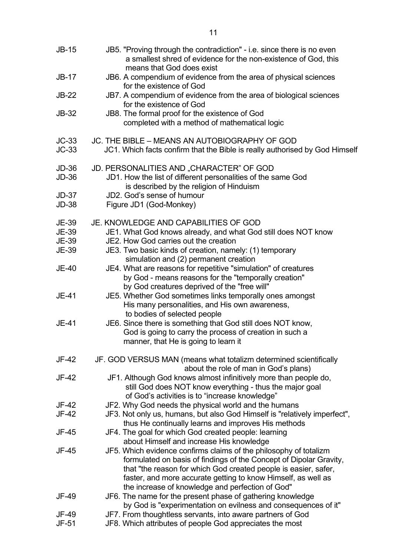| $JB-15$                      | JB5. "Proving through the contradiction" - i.e. since there is no even<br>a smallest shred of evidence for the non-existence of God, this<br>means that God does exist |
|------------------------------|------------------------------------------------------------------------------------------------------------------------------------------------------------------------|
| $JB-17$                      | JB6. A compendium of evidence from the area of physical sciences<br>for the existence of God                                                                           |
| <b>JB-22</b>                 | JB7. A compendium of evidence from the area of biological sciences<br>for the existence of God                                                                         |
| $JB-32$                      | JB8. The formal proof for the existence of God<br>completed with a method of mathematical logic                                                                        |
| $JC-33$<br>$JC-33$           | JC. THE BIBLE - MEANS AN AUTOBIOGRAPHY OF GOD<br>JC1. Which facts confirm that the Bible is really authorised by God Himself                                           |
| <b>JD-36</b><br><b>JD-36</b> | JD. PERSONALITIES AND "CHARACTER" OF GOD<br>JD1. How the list of different personalities of the same God<br>is described by the religion of Hinduism                   |
| $JD-37$<br><b>JD-38</b>      | JD2. God's sense of humour<br>Figure JD1 (God-Monkey)                                                                                                                  |
| <b>JE-39</b>                 | JE. KNOWLEDGE AND CAPABILITIES OF GOD                                                                                                                                  |
| <b>JE-39</b>                 | JE1. What God knows already, and what God still does NOT know<br>JE2. How God carries out the creation                                                                 |
| <b>JE-39</b><br><b>JE-39</b> | JE3. Two basic kinds of creation, namely: (1) temporary                                                                                                                |
|                              | simulation and (2) permanent creation                                                                                                                                  |
| <b>JE-40</b>                 | JE4. What are reasons for repetitive "simulation" of creatures                                                                                                         |
|                              | by God - means reasons for the "temporally creation"<br>by God creatures deprived of the "free will"                                                                   |
| JE-41                        | JE5. Whether God sometimes links temporally ones amongst                                                                                                               |
|                              | His many personalities, and His own awareness,                                                                                                                         |
|                              | to bodies of selected people                                                                                                                                           |
| JE-41                        | JE6. Since there is something that God still does NOT know,                                                                                                            |
|                              | God is going to carry the process of creation in such a<br>manner, that He is going to learn it                                                                        |
| JF-42                        | JF. GOD VERSUS MAN (means what totalizm determined scientifically                                                                                                      |
| JF-42                        | about the role of man in God's plans)<br>JF1. Although God knows almost infinitively more than people do,                                                              |
|                              | still God does NOT know everything - thus the major goal                                                                                                               |
|                              | of God's activities is to "increase knowledge"                                                                                                                         |
| JF-42                        | JF2. Why God needs the physical world and the humans                                                                                                                   |
| <b>JF-42</b>                 | JF3. Not only us, humans, but also God Himself is "relatively imperfect",                                                                                              |
| JF-45                        | thus He continually learns and improves His methods<br>JF4. The goal for which God created people: learning                                                            |
|                              | about Himself and increase His knowledge                                                                                                                               |
| JF-45                        | JF5. Which evidence confirms claims of the philosophy of totalizm                                                                                                      |
|                              | formulated on basis of findings of the Concept of Dipolar Gravity,                                                                                                     |
|                              | that "the reason for which God created people is easier, safer,<br>faster, and more accurate getting to know Himself, as well as                                       |
|                              | the increase of knowledge and perfection of God"                                                                                                                       |
| JF-49                        | JF6. The name for the present phase of gathering knowledge                                                                                                             |
|                              | by God is "experimentation on evilness and consequences of it"                                                                                                         |
| JF-49                        | JF7. From thoughtless servants, into aware partners of God                                                                                                             |
| JF-51                        | JF8. Which attributes of people God appreciates the most                                                                                                               |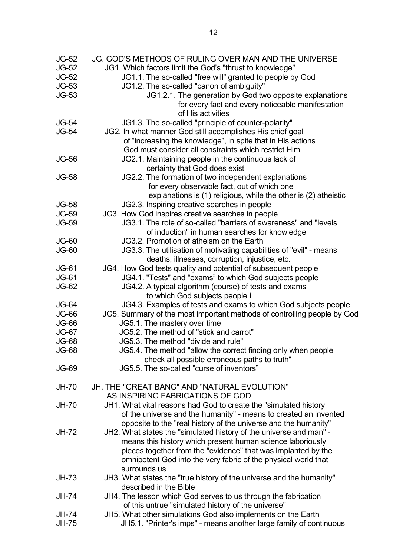| <b>JG-52</b> | JG. GOD'S METHODS OF RULING OVER MAN AND THE UNIVERSE                   |
|--------------|-------------------------------------------------------------------------|
| <b>JG-52</b> | JG1. Which factors limit the God's "thrust to knowledge"                |
| $JG-52$      | JG1.1. The so-called "free will" granted to people by God               |
| $JG-53$      | JG1.2. The so-called "canon of ambiguity"                               |
| $JG-53$      | JG1.2.1. The generation by God two opposite explanations                |
|              | for every fact and every noticeable manifestation                       |
|              | of His activities                                                       |
|              |                                                                         |
| <b>JG-54</b> | JG1.3. The so-called "principle of counter-polarity"                    |
| <b>JG-54</b> | JG2. In what manner God still accomplishes His chief goal               |
|              | of "increasing the knowledge", in spite that in His actions             |
|              | God must consider all constraints which restrict Him                    |
| <b>JG-56</b> | JG2.1. Maintaining people in the continuous lack of                     |
|              | certainty that God does exist                                           |
| <b>JG-58</b> | JG2.2. The formation of two independent explanations                    |
|              | for every observable fact, out of which one                             |
|              | explanations is (1) religious, while the other is (2) atheistic         |
| <b>JG-58</b> | JG2.3. Inspiring creative searches in people                            |
| <b>JG-59</b> | JG3. How God inspires creative searches in people                       |
| <b>JG-59</b> | JG3.1. The role of so-called "barriers of awareness" and "levels        |
|              | of induction" in human searches for knowledge                           |
| $JG-60$      | JG3.2. Promotion of atheism on the Earth                                |
| $JG-60$      | JG3.3. The utilisation of motivating capabilities of "evil" - means     |
|              | deaths, illnesses, corruption, injustice, etc.                          |
| $JG-61$      | JG4. How God tests quality and potential of subsequent people           |
| <b>JG-61</b> | JG4.1. "Tests" and "exams" to which God subjects people                 |
| <b>JG-62</b> | JG4.2. A typical algorithm (course) of tests and exams                  |
|              | to which God subjects people i                                          |
| <b>JG-64</b> | JG4.3. Examples of tests and exams to which God subjects people         |
| <b>JG-66</b> | JG5. Summary of the most important methods of controlling people by God |
| <b>JG-66</b> | JG5.1. The mastery over time                                            |
| <b>JG-67</b> | JG5.2. The method of "stick and carrot"                                 |
| <b>JG-68</b> | JG5.3. The method "divide and rule"                                     |
| <b>JG-68</b> | JG5.4. The method "allow the correct finding only when people           |
|              | check all possible erroneous paths to truth"                            |
| <b>JG-69</b> | JG5.5. The so-called "curse of inventors"                               |
|              |                                                                         |
| <b>JH-70</b> | <b>JH. THE "GREAT BANG" AND "NATURAL EVOLUTION"</b>                     |
|              |                                                                         |
|              | AS INSPIRING FABRICATIONS OF GOD                                        |
| <b>JH-70</b> | JH1. What vital reasons had God to create the "simulated history"       |
|              | of the universe and the humanity" - means to created an invented        |
|              | opposite to the "real history of the universe and the humanity"         |
| <b>JH-72</b> | JH2. What states the "simulated history of the universe and man" -      |
|              | means this history which present human science laboriously              |
|              | pieces together from the "evidence" that was implanted by the           |
|              | omnipotent God into the very fabric of the physical world that          |
|              | surrounds us                                                            |
| $JH-73$      | JH3. What states the "true history of the universe and the humanity"    |
|              | described in the Bible                                                  |
| <b>JH-74</b> | JH4. The lesson which God serves to us through the fabrication          |
|              | of this untrue "simulated history of the universe"                      |
| <b>JH-74</b> | JH5. What other simulations God also implements on the Earth            |
| <b>JH-75</b> | JH5.1. "Printer's imps" - means another large family of continuous      |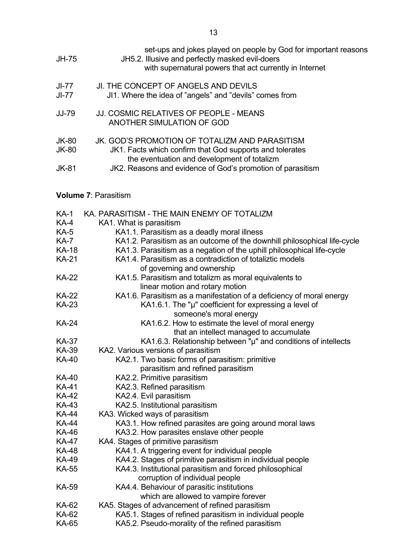| JH-75                        | set-ups and jokes played on people by God for important reasons<br>JH5.2. Illusive and perfectly masked evil-doers<br>with supernatural powers that act currently in Internet |
|------------------------------|-------------------------------------------------------------------------------------------------------------------------------------------------------------------------------|
| JI-77<br>$JI-77$             | JI. THE CONCEPT OF ANGELS AND DEVILS<br>JI1. Where the idea of "angels" and "devils" comes from                                                                               |
| <b>JJ-79</b>                 | JJ. COSMIC RELATIVES OF PEOPLE - MEANS<br>ANOTHER SIMULATION OF GOD                                                                                                           |
| <b>JK-80</b><br><b>JK-80</b> | JK. GOD'S PROMOTION OF TOTALIZM AND PARASITISM<br>JK1. Facts which confirm that God supports and tolerates<br>the eventuation and development of totalizm                     |
| <b>JK-81</b>                 | JK2. Reasons and evidence of God's promotion of parasitism                                                                                                                    |
|                              |                                                                                                                                                                               |

### **Volume 7**: Parasitism

| <b>KA-1</b>  | KA. PARASITISM - THE MAIN ENEMY OF TOTALIZM                                                 |
|--------------|---------------------------------------------------------------------------------------------|
| <b>KA-4</b>  | KA1. What is parasitism                                                                     |
| <b>KA-5</b>  | KA1.1. Parasitism as a deadly moral illness                                                 |
| <b>KA-7</b>  | KA1.2. Parasitism as an outcome of the downhill philosophical life-cycle                    |
| <b>KA-18</b> | KA1.3. Parasitism as a negation of the uphill philosophical life-cycle                      |
| <b>KA-21</b> | KA1.4. Parasitism as a contradiction of totaliztic models                                   |
|              | of governing and ownership                                                                  |
| <b>KA-22</b> | KA1.5. Parasitism and totalizm as moral equivalents to                                      |
|              | linear motion and rotary motion                                                             |
| <b>KA-22</b> | KA1.6. Parasitism as a manifestation of a deficiency of moral energy                        |
| <b>KA-23</b> | KA1.6.1. The "µ" coefficient for expressing a level of                                      |
|              | someone's moral energy                                                                      |
| <b>KA-24</b> | KA1.6.2. How to estimate the level of moral energy                                          |
|              | that an intellect managed to accumulate                                                     |
| <b>KA-37</b> | KA1.6.3. Relationship between "µ" and conditions of intellects                              |
| <b>KA-39</b> | KA2. Various versions of parasitism                                                         |
| <b>KA-40</b> | KA2.1. Two basic forms of parasitism: primitive                                             |
|              | parasitism and refined parasitism                                                           |
| KA-40        | KA2.2. Primitive parasitism                                                                 |
| <b>KA-41</b> | KA2.3. Refined parasitism                                                                   |
| KA-42        | KA2.4. Evil parasitism                                                                      |
| KA-43        | KA2.5. Institutional parasitism                                                             |
| <b>KA-44</b> | KA3. Wicked ways of parasitism                                                              |
| <b>KA-44</b> | KA3.1. How refined parasites are going around moral laws                                    |
| <b>KA-46</b> | KA3.2. How parasites enslave other people                                                   |
| <b>KA-47</b> | KA4. Stages of primitive parasitism                                                         |
| <b>KA-48</b> | KA4.1. A triggering event for individual people                                             |
| <b>KA-49</b> | KA4.2. Stages of primitive parasitism in individual people                                  |
| <b>KA-55</b> | KA4.3. Institutional parasitism and forced philosophical<br>corruption of individual people |
| KA-59        | KA4.4. Behaviour of parasitic institutions                                                  |
|              | which are allowed to vampire forever                                                        |
| KA-62        | KA5. Stages of advancement of refined parasitism                                            |
| KA-62        | KA5.1. Stages of refined parasitism in individual people                                    |
| <b>KA-65</b> | KA5.2. Pseudo-morality of the refined parasitism                                            |
|              |                                                                                             |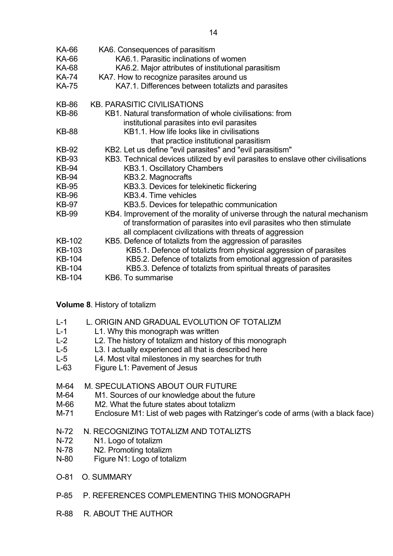| KA-66         | KA6. Consequences of parasitism                                                                                                                                                                                |
|---------------|----------------------------------------------------------------------------------------------------------------------------------------------------------------------------------------------------------------|
| KA-66         | KA6.1. Parasitic inclinations of women                                                                                                                                                                         |
| <b>KA-68</b>  | KA6.2. Major attributes of institutional parasitism                                                                                                                                                            |
| <b>KA-74</b>  | KA7. How to recognize parasites around us                                                                                                                                                                      |
| <b>KA-75</b>  | KA7.1. Differences between totalizts and parasites                                                                                                                                                             |
| <b>KB-86</b>  | <b>KB. PARASITIC CIVILISATIONS</b>                                                                                                                                                                             |
| <b>KB-86</b>  | KB1. Natural transformation of whole civilisations: from<br>institutional parasites into evil parasites                                                                                                        |
| <b>KB-88</b>  | KB1.1. How life looks like in civilisations                                                                                                                                                                    |
|               | that practice institutional parasitism                                                                                                                                                                         |
| <b>KB-92</b>  | KB2. Let us define "evil parasites" and "evil parasitism"                                                                                                                                                      |
| <b>KB-93</b>  | KB3. Technical devices utilized by evil parasites to enslave other civilisations                                                                                                                               |
| <b>KB-94</b>  | KB3.1. Oscillatory Chambers                                                                                                                                                                                    |
| <b>KB-94</b>  | KB3.2. Magnocrafts                                                                                                                                                                                             |
| <b>KB-95</b>  | KB3.3. Devices for telekinetic flickering                                                                                                                                                                      |
| <b>KB-96</b>  | KB3.4. Time vehicles                                                                                                                                                                                           |
| <b>KB-97</b>  | KB3.5. Devices for telepathic communication                                                                                                                                                                    |
| <b>KB-99</b>  | KB4. Improvement of the morality of universe through the natural mechanism<br>of transformation of parasites into evil parasites who then stimulate<br>all complacent civilizations with threats of aggression |
| KB-102        | KB5. Defence of totalizts from the aggression of parasites                                                                                                                                                     |
| <b>KB-103</b> | KB5.1. Defence of totalizts from physical aggression of parasites                                                                                                                                              |
| <b>KB-104</b> | KB5.2. Defence of totalizts from emotional aggression of parasites                                                                                                                                             |
| <b>KB-104</b> | KB5.3. Defence of totalizts from spiritual threats of parasites                                                                                                                                                |
| <b>KB-104</b> | KB6. To summarise                                                                                                                                                                                              |

### **Volume 8**. History of totalizm

- L-1 L1. Why this monograph was written
- L-2 L2. The history of totalizm and history of this monograph
- L-5 L3. I actually experienced all that is described here
- L-5 L4. Most vital milestones in my searches for truth
- L-63 Figure L1: Pavement of Jesus
- M-64 M. SPECULATIONS ABOUT OUR FUTURE
- M-64 M1. Sources of our knowledge about the future
- M-66 M2. What the future states about totalizm
- M-71 Enclosure M1: List of web pages with Ratzinger's code of arms (with a black face)
- N-72 N. RECOGNIZING TOTALIZM AND TOTALIZTS
- N-72 N1. Logo of totalizm
- N-78 N2. Promoting totalizm
- N-80 Figure N1: Logo of totalizm
- O-81 O. SUMMARY
- P-85 P. REFERENCES COMPLEMENTING THIS MONOGRAPH
- R-88 R. ABOUT THE AUTHOR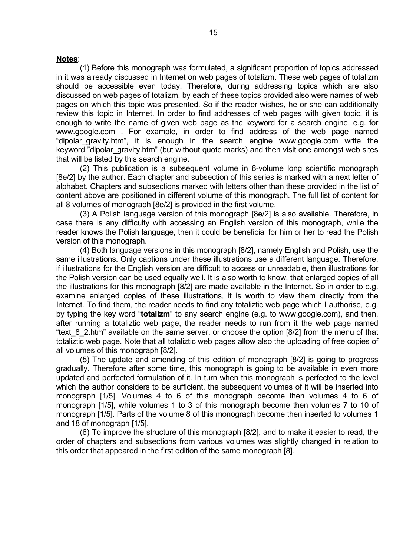### **Notes**:

 (1) Before this monograph was formulated, a significant proportion of topics addressed in it was already discussed in Internet on web pages of totalizm. These web pages of totalizm should be accessible even today. Therefore, during addressing topics which are also discussed on web pages of totalizm, by each of these topics provided also were names of web pages on which this topic was presented. So if the reader wishes, he or she can additionally review this topic in Internet. In order to find addresses of web pages with given topic, it is enough to write the name of given web page as the keyword for a search engine, e.g. for www.google.com . For example, in order to find address of the web page named "dipolar\_gravity.htm", it is enough in the search engine www.google.com write the keyword "dipolar gravity.htm" (but without quote marks) and then visit one amongst web sites that will be listed by this search engine.

 (2) This publication is a subsequent volume in 8-volume long scientific monograph [8e/2] by the author. Each chapter and subsection of this series is marked with a next letter of alphabet. Chapters and subsections marked with letters other than these provided in the list of content above are positioned in different volume of this monograph. The full list of content for all 8 volumes of monograph [8e/2] is provided in the first volume.

 (3) A Polish language version of this monograph [8e/2] is also available. Therefore, in case there is any difficulty with accessing an English version of this monograph, while the reader knows the Polish language, then it could be beneficial for him or her to read the Polish version of this monograph.

 (4) Both language versions in this monograph [8/2], namely English and Polish, use the same illustrations. Only captions under these illustrations use a different language. Therefore, if illustrations for the English version are difficult to access or unreadable, then illustrations for the Polish version can be used equally well. It is also worth to know, that enlarged copies of all the illustrations for this monograph [8/2] are made available in the Internet. So in order to e.g. examine enlarged copies of these illustrations, it is worth to view them directly from the Internet. To find them, the reader needs to find any totaliztic web page which I authorise, e.g. by typing the key word "**totalizm**" to any search engine (e.g. to www.google.com), and then, after running a totaliztic web page, the reader needs to run from it the web page named "text 8 2.htm" available on the same server, or choose the option [8/2] from the menu of that totaliztic web page. Note that all totaliztic web pages allow also the uploading of free copies of all volumes of this monograph [8/2].

 (5) The update and amending of this edition of monograph [8/2] is going to progress gradually. Therefore after some time, this monograph is going to be available in even more updated and perfected formulation of it. In turn when this monograph is perfected to the level which the author considers to be sufficient, the subsequent volumes of it will be inserted into monograph [1/5]. Volumes 4 to 6 of this monograph become then volumes 4 to 6 of monograph [1/5], while volumes 1 to 3 of this monograph become then volumes 7 to 10 of monograph [1/5]. Parts of the volume 8 of this monograph become then inserted to volumes 1 and 18 of monograph [1/5].

 (6) To improve the structure of this monograph [8/2], and to make it easier to read, the order of chapters and subsections from various volumes was slightly changed in relation to this order that appeared in the first edition of the same monograph [8].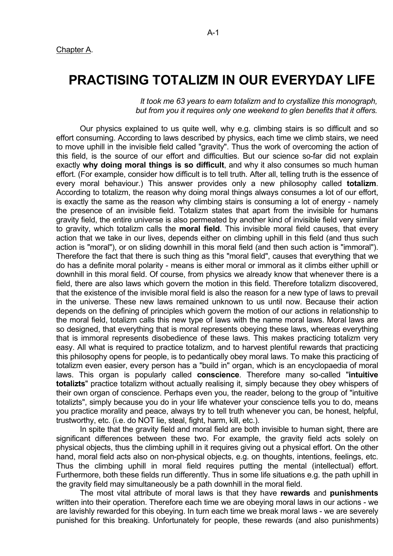## **PRACTISING TOTALIZM IN OUR EVERYDAY LIFE**

 *It took me 63 years to earn totalizm and to crystallize this monograph, but from you it requires only one weekend to glen benefits that it offers.*

 Our physics explained to us quite well, why e.g. climbing stairs is so difficult and so effort consuming. According to laws described by physics, each time we climb stairs, we need to move uphill in the invisible field called "gravity". Thus the work of overcoming the action of this field, is the source of our effort and difficulties. But our science so-far did not explain exactly **why doing moral things is so difficult**, and why it also consumes so much human effort. (For example, consider how difficult is to tell truth. After all, telling truth is the essence of every moral behaviour.) This answer provides only a new philosophy called **totalizm**. According to totalizm, the reason why doing moral things always consumes a lot of our effort, is exactly the same as the reason why climbing stairs is consuming a lot of energy - namely the presence of an invisible field. Totalizm states that apart from the invisible for humans gravity field, the entire universe is also permeated by another kind of invisible field very similar to gravity, which totalizm calls the **moral field**. This invisible moral field causes, that every action that we take in our lives, depends either on climbing uphill in this field (and thus such action is "moral"), or on sliding downhill in this moral field (and then such action is "immoral"). Therefore the fact that there is such thing as this "moral field", causes that everything that we do has a definite moral polarity - means is either moral or immoral as it climbs either uphill or downhill in this moral field. Of course, from physics we already know that whenever there is a field, there are also laws which govern the motion in this field. Therefore totalizm discovered, that the existence of the invisible moral field is also the reason for a new type of laws to prevail in the universe. These new laws remained unknown to us until now. Because their action depends on the defining of principles which govern the motion of our actions in relationship to the moral field, totalizm calls this new type of laws with the name moral laws. Moral laws are so designed, that everything that is moral represents obeying these laws, whereas everything that is immoral represents disobedience of these laws. This makes practicing totalizm very easy. All what is required to practice totalizm, and to harvest plentiful rewards that practicing this philosophy opens for people, is to pedantically obey moral laws. To make this practicing of totalizm even easier, every person has a "build in" organ, which is an encyclopaedia of moral laws. This organ is popularly called **conscience**. Therefore many so-called "**intuitive totalizts**" practice totalizm without actually realising it, simply because they obey whispers of their own organ of conscience. Perhaps even you, the reader, belong to the group of "intuitive totalizts", simply because you do in your life whatever your conscience tells you to do, means you practice morality and peace, always try to tell truth whenever you can, be honest, helpful, trustworthy, etc. (i.e. do NOT lie, steal, fight, harm, kill, etc.).

 In spite that the gravity field and moral field are both invisible to human sight, there are significant differences between these two. For example, the gravity field acts solely on physical objects, thus the climbing uphill in it requires giving out a physical effort. On the other hand, moral field acts also on non-physical objects, e.g. on thoughts, intentions, feelings, etc. Thus the climbing uphill in moral field requires putting the mental (intellectual) effort. Furthermore, both these fields run differently. Thus in some life situations e.g. the path uphill in the gravity field may simultaneously be a path downhill in the moral field.

 The most vital attribute of moral laws is that they have **rewards** and **punishments** written into their operation. Therefore each time we are obeying moral laws in our actions - we are lavishly rewarded for this obeying. In turn each time we break moral laws - we are severely punished for this breaking. Unfortunately for people, these rewards (and also punishments)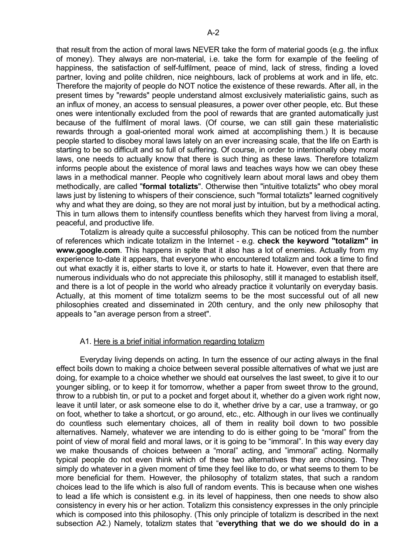that result from the action of moral laws NEVER take the form of material goods (e.g. the influx of money). They always are non-material, i.e. take the form for example of the feeling of happiness, the satisfaction of self-fulfilment, peace of mind, lack of stress, finding a loved partner, loving and polite children, nice neighbours, lack of problems at work and in life, etc. Therefore the majority of people do NOT notice the existence of these rewards. After all, in the present times by "rewards" people understand almost exclusively materialistic gains, such as an influx of money, an access to sensual pleasures, a power over other people, etc. But these ones were intentionally excluded from the pool of rewards that are granted automatically just because of the fulfilment of moral laws. (Of course, we can still gain these materialistic rewards through a goal-oriented moral work aimed at accomplishing them.) It is because people started to disobey moral laws lately on an ever increasing scale, that the life on Earth is starting to be so difficult and so full of suffering. Of course, in order to intentionally obey moral laws, one needs to actually know that there is such thing as these laws. Therefore totalizm informs people about the existence of moral laws and teaches ways how we can obey these laws in a methodical manner. People who cognitively learn about moral laws and obey them methodically, are called "**formal totalizts**". Otherwise then "intuitive totalizts" who obey moral laws just by listening to whispers of their conscience, such "formal totalizts" learned cognitively why and what they are doing, so they are not moral just by intuition, but by a methodical acting. This in turn allows them to intensify countless benefits which they harvest from living a moral, peaceful, and productive life.

 Totalizm is already quite a successful philosophy. This can be noticed from the number of references which indicate totalizm in the Internet - e.g. **check the keyword "totalizm" in www.google.com**. This happens in spite that it also has a lot of enemies. Actually from my experience to-date it appears, that everyone who encountered totalizm and took a time to find out what exactly it is, either starts to love it, or starts to hate it. However, even that there are numerous individuals who do not appreciate this philosophy, still it managed to establish itself, and there is a lot of people in the world who already practice it voluntarily on everyday basis. Actually, at this moment of time totalizm seems to be the most successful out of all new philosophies created and disseminated in 20th century, and the only new philosophy that appeals to "an average person from a street".

### A1. Here is a brief initial information regarding totalizm

 Everyday living depends on acting. In turn the essence of our acting always in the final effect boils down to making a choice between several possible alternatives of what we just are doing, for example to a choice whether we should eat ourselves the last sweet, to give it to our younger sibling, or to keep it for tomorrow, whether a paper from sweet throw to the ground, throw to a rubbish tin, or put to a pocket and forget about it, whether do a given work right now, leave it until later, or ask someone else to do it, whether drive by a car, use a tramway, or go on foot, whether to take a shortcut, or go around, etc., etc. Although in our lives we continually do countless such elementary choices, all of them in reality boil down to two possible alternatives. Namely, whatever we are intending to do is either going to be "moral" from the point of view of moral field and moral laws, or it is going to be "immoral". In this way every day we make thousands of choices between a "moral" acting, and "immoral" acting. Normally typical people do not even think which of these two alternatives they are choosing. They simply do whatever in a given moment of time they feel like to do, or what seems to them to be more beneficial for them. However, the philosophy of totalizm states, that such a random choices lead to the life which is also full of random events. This is because when one wishes to lead a life which is consistent e.g. in its level of happiness, then one needs to show also consistency in every his or her action. Totalizm this consistency expresses in the only principle which is composed into this philosophy. (This only principle of totalizm is described in the next subsection A2.) Namely, totalizm states that "**everything that we do we should do in a**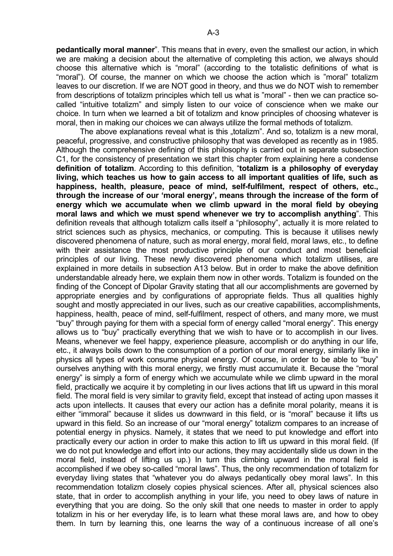**pedantically moral manner**". This means that in every, even the smallest our action, in which we are making a decision about the alternative of completing this action, we always should choose this alternative which is "moral" (according to the totalistic definitions of what is "moral"). Of course, the manner on which we choose the action which is "moral" totalizm leaves to our discretion. If we are NOT good in theory, and thus we do NOT wish to remember from descriptions of totalizm principles which tell us what is "moral" - then we can practice socalled "intuitive totalizm" and simply listen to our voice of conscience when we make our choice. In turn when we learned a bit of totalizm and know principles of choosing whatever is moral, then in making our choices we can always utilize the formal methods of totalizm.

The above explanations reveal what is this "totalizm". And so, totalizm is a new moral, peaceful, progressive, and constructive philosophy that was developed as recently as in 1985. Although the comprehensive defining of this philosophy is carried out in separate subsection C1, for the consistency of presentation we start this chapter from explaining here a condense **definition of totalizm**. According to this definition, "**totalizm is a philosophy of everyday living, which teaches us how to gain access to all important qualities of life, such as happiness, health, pleasure, peace of mind, self-fulfilment, respect of others, etc., through the increase of our 'moral energy', means through the increase of the form of energy which we accumulate when we climb upward in the moral field by obeying moral laws and which we must spend whenever we try to accomplish anything**". This definition reveals that although totalizm calls itself a "philosophy", actually it is more related to strict sciences such as physics, mechanics, or computing. This is because it utilises newly discovered phenomena of nature, such as moral energy, moral field, moral laws, etc., to define with their assistance the most productive principle of our conduct and most beneficial principles of our living. These newly discovered phenomena which totalizm utilises, are explained in more details in subsection A13 below. But in order to make the above definition understandable already here, we explain them now in other words. Totalizm is founded on the finding of the Concept of Dipolar Gravity stating that all our accomplishments are governed by appropriate energies and by configurations of appropriate fields. Thus all qualities highly sought and mostly appreciated in our lives, such as our creative capabilities, accomplishments, happiness, health, peace of mind, self-fulfilment, respect of others, and many more, we must "buy" through paying for them with a special form of energy called "moral energy". This energy allows us to "buy" practically everything that we wish to have or to accomplish in our lives. Means, whenever we feel happy, experience pleasure, accomplish or do anything in our life, etc., it always boils down to the consumption of a portion of our moral energy, similarly like in physics all types of work consume physical energy. Of course, in order to be able to "buy" ourselves anything with this moral energy, we firstly must accumulate it. Because the "moral energy" is simply a form of energy which we accumulate while we climb upward in the moral field, practically we acquire it by completing in our lives actions that lift us upward in this moral field. The moral field is very similar to gravity field, except that instead of acting upon masses it acts upon intellects. It causes that every our action has a definite moral polarity, means it is either "immoral" because it slides us downward in this field, or is "moral" because it lifts us upward in this field. So an increase of our "moral energy" totalizm compares to an increase of potential energy in physics. Namely, it states that we need to put knowledge and effort into practically every our action in order to make this action to lift us upward in this moral field. (If we do not put knowledge and effort into our actions, they may accidentally slide us down in the moral field, instead of lifting us up.) In turn this climbing upward in the moral field is accomplished if we obey so-called "moral laws". Thus, the only recommendation of totalizm for everyday living states that "whatever you do always pedantically obey moral laws". In this recommendation totalizm closely copies physical sciences. After all, physical sciences also state, that in order to accomplish anything in your life, you need to obey laws of nature in everything that you are doing. So the only skill that one needs to master in order to apply totalizm in his or her everyday life, is to learn what these moral laws are, and how to obey them. In turn by learning this, one learns the way of a continuous increase of all one's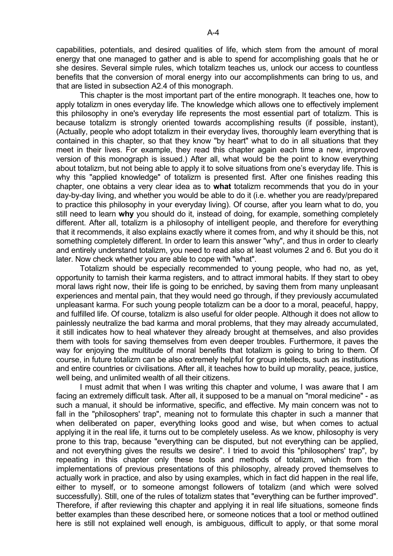capabilities, potentials, and desired qualities of life, which stem from the amount of moral energy that one managed to gather and is able to spend for accomplishing goals that he or she desires. Several simple rules, which totalizm teaches us, unlock our access to countless benefits that the conversion of moral energy into our accomplishments can bring to us, and that are listed in subsection A2.4 of this monograph.

 This chapter is the most important part of the entire monograph. It teaches one, how to apply totalizm in ones everyday life. The knowledge which allows one to effectively implement this philosophy in one's everyday life represents the most essential part of totalizm. This is because totalizm is strongly oriented towards accomplishing results (if possible, instant), (Actually, people who adopt totalizm in their everyday lives, thoroughly learn everything that is contained in this chapter, so that they know "by heart" what to do in all situations that they meet in their lives. For example, they read this chapter again each time a new, improved version of this monograph is issued.) After all, what would be the point to know everything about totalizm, but not being able to apply it to solve situations from one's everyday life. This is why this "applied knowledge" of totalizm is presented first. After one finishes reading this chapter, one obtains a very clear idea as to **what** totalizm recommends that you do in your day-by-day living, and whether you would be able to do it (i.e. whether you are ready/prepared to practice this philosophy in your everyday living). Of course, after you learn what to do, you still need to learn **why** you should do it, instead of doing, for example, something completely different. After all, totalizm is a philosophy of intelligent people, and therefore for everything that it recommends, it also explains exactly where it comes from, and why it should be this, not something completely different. In order to learn this answer "why", and thus in order to clearly and entirely understand totalizm, you need to read also at least volumes 2 and 6. But you do it later. Now check whether you are able to cope with "what".

 Totalizm should be especially recommended to young people, who had no, as yet, opportunity to tarnish their karma registers, and to attract immoral habits. If they start to obey moral laws right now, their life is going to be enriched, by saving them from many unpleasant experiences and mental pain, that they would need go through, if they previously accumulated unpleasant karma. For such young people totalizm can be a door to a moral, peaceful, happy, and fulfilled life. Of course, totalizm is also useful for older people. Although it does not allow to painlessly neutralize the bad karma and moral problems, that they may already accumulated, it still indicates how to heal whatever they already brought at themselves, and also provides them with tools for saving themselves from even deeper troubles. Furthermore, it paves the way for enjoying the multitude of moral benefits that totalizm is going to bring to them. Of course, in future totalizm can be also extremely helpful for group intellects, such as institutions and entire countries or civilisations. After all, it teaches how to build up morality, peace, justice, well being, and unlimited wealth of all their citizens.

 I must admit that when I was writing this chapter and volume, I was aware that I am facing an extremely difficult task. After all, it supposed to be a manual on "moral medicine" - as such a manual, it should be informative, specific, and effective. My main concern was not to fall in the "philosophers' trap", meaning not to formulate this chapter in such a manner that when deliberated on paper, everything looks good and wise, but when comes to actual applying it in the real life, it turns out to be completely useless. As we know, philosophy is very prone to this trap, because "everything can be disputed, but not everything can be applied, and not everything gives the results we desire". I tried to avoid this "philosophers' trap", by repeating in this chapter only these tools and methods of totalizm, which from the implementations of previous presentations of this philosophy, already proved themselves to actually work in practice, and also by using examples, which in fact did happen in the real life, either to myself, or to someone amongst followers of totalizm (and which were solved successfully). Still, one of the rules of totalizm states that "everything can be further improved". Therefore, if after reviewing this chapter and applying it in real life situations, someone finds better examples than these described here, or someone notices that a tool or method outlined here is still not explained well enough, is ambiguous, difficult to apply, or that some moral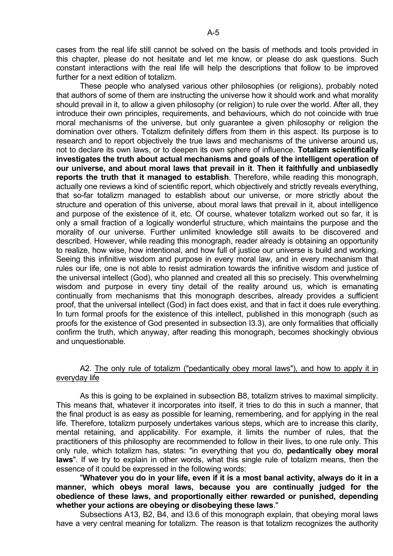cases from the real life still cannot be solved on the basis of methods and tools provided in this chapter, please do not hesitate and let me know, or please do ask questions. Such constant interactions with the real life will help the descriptions that follow to be improved further for a next edition of totalizm.

 These people who analysed various other philosophies (or religions), probably noted that authors of some of them are instructing the universe how it should work and what morality should prevail in it, to allow a given philosophy (or religion) to rule over the world. After all, they introduce their own principles, requirements, and behaviours, which do not coincide with true moral mechanisms of the universe, but only guarantee a given philosophy or religion the domination over others. Totalizm definitely differs from them in this aspect. Its purpose is to research and to report objectively the true laws and mechanisms of the universe around us, not to declare its own laws, or to deepen its own sphere of influence. **Totalizm scientifically investigates the truth about actual mechanisms and goals of the intelligent operation of our universe, and about moral laws that prevail in it**. **Then it faithfully and unbiasedly reports the truth that it managed to establish**. Therefore, while reading this monograph, actually one reviews a kind of scientific report, which objectively and strictly reveals everything, that so-far totalizm managed to establish about our universe, or more strictly about the structure and operation of this universe, about moral laws that prevail in it, about intelligence and purpose of the existence of it, etc. Of course, whatever totalizm worked out so far, it is only a small fraction of a logically wonderful structure, which maintains the purpose and the morality of our universe. Further unlimited knowledge still awaits to be discovered and described. However, while reading this monograph, reader already is obtaining an opportunity to realize, how wise, how intentional, and how full of justice our universe is build and working. Seeing this infinitive wisdom and purpose in every moral law, and in every mechanism that rules our life, one is not able to resist admiration towards the infinitive wisdom and justice of the universal intellect (God), who planned and created all this so precisely. This overwhelming wisdom and purpose in every tiny detail of the reality around us, which is emanating continually from mechanisms that this monograph describes, already provides a sufficient proof, that the universal intellect (God) in fact does exist, and that in fact it does rule everything. In turn formal proofs for the existence of this intellect, published in this monograph (such as proofs for the existence of God presented in subsection I3.3), are only formalities that officially confirm the truth, which anyway, after reading this monograph, becomes shockingly obvious and unquestionable.

### A2. The only rule of totalizm ("pedantically obey moral laws"), and how to apply it in everyday life

 As this is going to be explained in subsection B8, totalizm strives to maximal simplicity. This means that, whatever it incorporates into itself, it tries to do this in such a manner, that the final product is as easy as possible for learning, remembering, and for applying in the real life. Therefore, totalizm purposely undertakes various steps, which are to increase this clarity, mental retaining, and applicability. For example, it limits the number of rules, that the practitioners of this philosophy are recommended to follow in their lives, to one rule only. This only rule, which totalizm has, states: "in everything that you do, **pedantically obey moral laws**". If we try to explain in other words, what this single rule of totalizm means, then the essence of it could be expressed in the following words:

 "**Whatever you do in your life, even if it is a most banal activity, always do it in a manner, which obeys moral laws, because you are continually judged for the obedience of these laws, and proportionally either rewarded or punished, depending whether your actions are obeying or disobeying these laws**."

 Subsections A13, B2, B4, and I3.6 of this monograph explain, that obeying moral laws have a very central meaning for totalizm. The reason is that totalizm recognizes the authority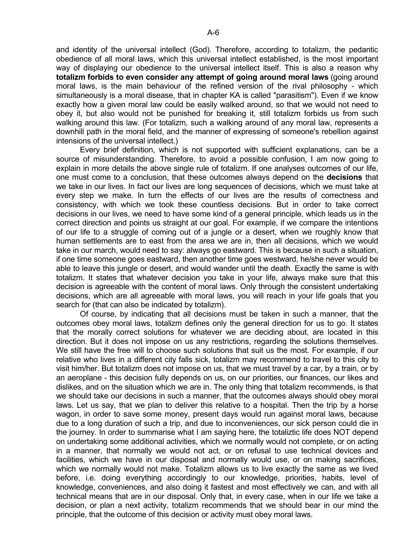and identity of the universal intellect (God). Therefore, according to totalizm, the pedantic obedience of all moral laws, which this universal intellect established, is the most important way of displaying our obedience to the universal intellect itself. This is also a reason why **totalizm forbids to even consider any attempt of going around moral laws** (going around moral laws, is the main behaviour of the refined version of the rival philosophy - which simultaneously is a moral disease, that in chapter KA is called "parasitism"). Even if we know exactly how a given moral law could be easily walked around, so that we would not need to obey it, but also would not be punished for breaking it, still totalizm forbids us from such walking around this law. (For totalizm, such a walking around of any moral law, represents a downhill path in the moral field, and the manner of expressing of someone's rebellion against intensions of the universal intellect.)

 Every brief definition, which is not supported with sufficient explanations, can be a source of misunderstanding. Therefore, to avoid a possible confusion, I am now going to explain in more details the above single rule of totalizm. If one analyses outcomes of our life, one must come to a conclusion, that these outcomes always depend on the **decisions** that we take in our lives. In fact our lives are long sequences of decisions, which we must take at every step we make. In turn the effects of our lives are the results of correctness and consistency, with which we took these countless decisions. But in order to take correct decisions in our lives, we need to have some kind of a general principle, which leads us in the correct direction and points us straight at our goal. For example, if we compare the intentions of our life to a struggle of coming out of a jungle or a desert, when we roughly know that human settlements are to east from the area we are in, then all decisions, which we would take in our march, would need to say: always go eastward. This is because in such a situation, if one time someone goes eastward, then another time goes westward, he/she never would be able to leave this jungle or desert, and would wander until the death. Exactly the same is with totalizm. It states that whatever decision you take in your life, always make sure that this decision is agreeable with the content of moral laws. Only through the consistent undertaking decisions, which are all agreeable with moral laws, you will reach in your life goals that you search for (that can also be indicated by totalizm).

 Of course, by indicating that all decisions must be taken in such a manner, that the outcomes obey moral laws, totalizm defines only the general direction for us to go. It states that the morally correct solutions for whatever we are deciding about, are located in this direction. But it does not impose on us any restrictions, regarding the solutions themselves. We still have the free will to choose such solutions that suit us the most. For example, if our relative who lives in a different city falls sick, totalizm may recommend to travel to this city to visit him/her. But totalizm does not impose on us, that we must travel by a car, by a train, or by an aeroplane - this decision fully depends on us, on our priorities, our finances, our likes and dislikes, and on the situation which we are in. The only thing that totalizm recommends, is that we should take our decisions in such a manner, that the outcomes always should obey moral laws. Let us say, that we plan to deliver this relative to a hospital. Then the trip by a horse wagon, in order to save some money, present days would run against moral laws, because due to a long duration of such a trip, and due to inconveniences, our sick person could die in the journey. In order to summarise what I am saying here, the totaliztic life does NOT depend on undertaking some additional activities, which we normally would not complete, or on acting in a manner, that normally we would not act, or on refusal to use technical devices and facilities, which we have in our disposal and normally would use, or on making sacrifices, which we normally would not make. Totalizm allows us to live exactly the same as we lived before, i.e. doing everything accordingly to our knowledge, priorities, habits, level of knowledge, conveniences, and also doing it fastest and most effectively we can, and with all technical means that are in our disposal. Only that, in every case, when in our life we take a decision, or plan a next activity, totalizm recommends that we should bear in our mind the principle, that the outcome of this decision or activity must obey moral laws.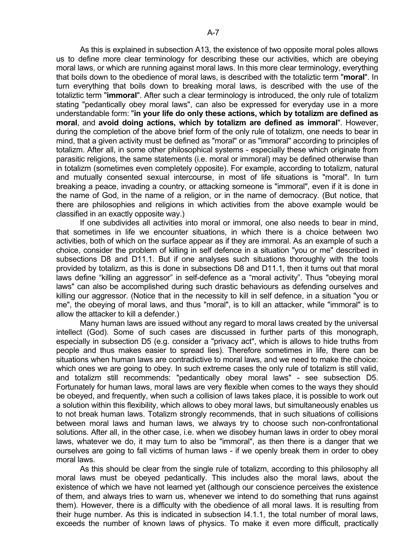As this is explained in subsection A13, the existence of two opposite moral poles allows us to define more clear terminology for describing these our activities, which are obeying moral laws, or which are running against moral laws. In this more clear terminology, everything that boils down to the obedience of moral laws, is described with the totaliztic term "**moral**". In turn everything that boils down to breaking moral laws, is described with the use of the totaliztic term "**immoral**". After such a clear terminology is introduced, the only rule of totalizm stating "pedantically obey moral laws", can also be expressed for everyday use in a more understandable form: "**in your life do only these actions, which by totalizm are defined as moral**, and **avoid doing actions, which by totalizm are defined as immoral**". However, during the completion of the above brief form of the only rule of totalizm, one needs to bear in mind, that a given activity must be defined as "moral" or as "immoral" according to principles of totalizm. After all, in some other philosophical systems - especially these which originate from parasitic religions, the same statements (i.e. moral or immoral) may be defined otherwise than in totalizm (sometimes even completely opposite). For example, according to totalizm, natural and mutually consented sexual intercourse, in most of life situations is "moral". In turn breaking a peace, invading a country, or attacking someone is "immoral", even if it is done in the name of God, in the name of a religion, or in the name of democracy. (But notice, that there are philosophies and religions in which activities from the above example would be classified in an exactly opposite way.)

 If one subdivides all activities into moral or immoral, one also needs to bear in mind, that sometimes in life we encounter situations, in which there is a choice between two activities, both of which on the surface appear as if they are immoral. As an example of such a choice, consider the problem of killing in self defence in a situation "you or me" described in subsections D8 and D11.1. But if one analyses such situations thoroughly with the tools provided by totalizm, as this is done in subsections D8 and D11.1, then it turns out that moral laws define "killing an aggressor" in self-defence as a "moral activity". Thus "obeying moral laws" can also be accomplished during such drastic behaviours as defending ourselves and killing our aggressor. (Notice that in the necessity to kill in self defence, in a situation "you or me", the obeying of moral laws, and thus "moral", is to kill an attacker, while "immoral" is to allow the attacker to kill a defender.)

 Many human laws are issued without any regard to moral laws created by the universal intellect (God). Some of such cases are discussed in further parts of this monograph, especially in subsection D5 (e.g. consider a "privacy act", which is allows to hide truths from people and thus makes easier to spread lies). Therefore sometimes in life, there can be situations when human laws are contradictive to moral laws, and we need to make the choice: which ones we are going to obey. In such extreme cases the only rule of totalizm is still valid, and totalizm still recommends: "pedantically obey moral laws" - see subsection D5. Fortunately for human laws, moral laws are very flexible when comes to the ways they should be obeyed, and frequently, when such a collision of laws takes place, it is possible to work out a solution within this flexibility, which allows to obey moral laws, but simultaneously enables us to not break human laws. Totalizm strongly recommends, that in such situations of collisions between moral laws and human laws, we always try to choose such non-confrontational solutions. After all, in the other case, i.e. when we disobey human laws in order to obey moral laws, whatever we do, it may turn to also be "immoral", as then there is a danger that we ourselves are going to fall victims of human laws - if we openly break them in order to obey moral laws.

 As this should be clear from the single rule of totalizm, according to this philosophy all moral laws must be obeyed pedantically. This includes also the moral laws, about the existence of which we have not learned yet (although our conscience perceives the existence of them, and always tries to warn us, whenever we intend to do something that runs against them). However, there is a difficulty with the obedience of all moral laws. It is resulting from their huge number. As this is indicated in subsection I4.1.1, the total number of moral laws, exceeds the number of known laws of physics. To make it even more difficult, practically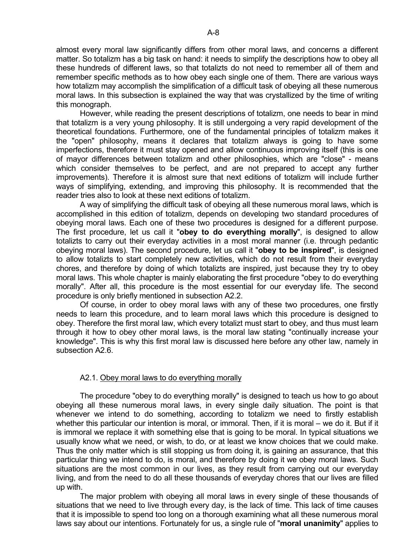almost every moral law significantly differs from other moral laws, and concerns a different matter. So totalizm has a big task on hand: it needs to simplify the descriptions how to obey all these hundreds of different laws, so that totalizts do not need to remember all of them and remember specific methods as to how obey each single one of them. There are various ways how totalizm may accomplish the simplification of a difficult task of obeying all these numerous moral laws. In this subsection is explained the way that was crystallized by the time of writing this monograph.

 However, while reading the present descriptions of totalizm, one needs to bear in mind that totalizm is a very young philosophy. It is still undergoing a very rapid development of the theoretical foundations. Furthermore, one of the fundamental principles of totalizm makes it the "open" philosophy, means it declares that totalizm always is going to have some imperfections, therefore it must stay opened and allow continuous improving itself (this is one of mayor differences between totalizm and other philosophies, which are "close" - means which consider themselves to be perfect, and are not prepared to accept any further improvements). Therefore it is almost sure that next editions of totalizm will include further ways of simplifying, extending, and improving this philosophy. It is recommended that the reader tries also to look at these next editions of totalizm.

 A way of simplifying the difficult task of obeying all these numerous moral laws, which is accomplished in this edition of totalizm, depends on developing two standard procedures of obeying moral laws. Each one of these two procedures is designed for a different purpose. The first procedure, let us call it "**obey to do everything morally**", is designed to allow totalizts to carry out their everyday activities in a most moral manner (i.e. through pedantic obeying moral laws). The second procedure, let us call it "**obey to be inspired**", is designed to allow totalizts to start completely new activities, which do not result from their everyday chores, and therefore by doing of which totalizts are inspired, just because they try to obey moral laws. This whole chapter is mainly elaborating the first procedure "obey to do everything morally". After all, this procedure is the most essential for our everyday life. The second procedure is only briefly mentioned in subsection A2.2.

 Of course, in order to obey moral laws with any of these two procedures, one firstly needs to learn this procedure, and to learn moral laws which this procedure is designed to obey. Therefore the first moral law, which every totalizt must start to obey, and thus must learn through it how to obey other moral laws, is the moral law stating "continually increase your knowledge". This is why this first moral law is discussed here before any other law, namely in subsection A2.6.

### A2.1. Obey moral laws to do everything morally

 The procedure "obey to do everything morally" is designed to teach us how to go about obeying all these numerous moral laws, in every single daily situation. The point is that whenever we intend to do something, according to totalizm we need to firstly establish whether this particular our intention is moral, or immoral. Then, if it is moral – we do it. But if it is immoral we replace it with something else that is going to be moral. In typical situations we usually know what we need, or wish, to do, or at least we know choices that we could make. Thus the only matter which is still stopping us from doing it, is gaining an assurance, that this particular thing we intend to do, is moral, and therefore by doing it we obey moral laws. Such situations are the most common in our lives, as they result from carrying out our everyday living, and from the need to do all these thousands of everyday chores that our lives are filled up with.

 The major problem with obeying all moral laws in every single of these thousands of situations that we need to live through every day, is the lack of time. This lack of time causes that it is impossible to spend too long on a thorough examining what all these numerous moral laws say about our intentions. Fortunately for us, a single rule of "**moral unanimity**" applies to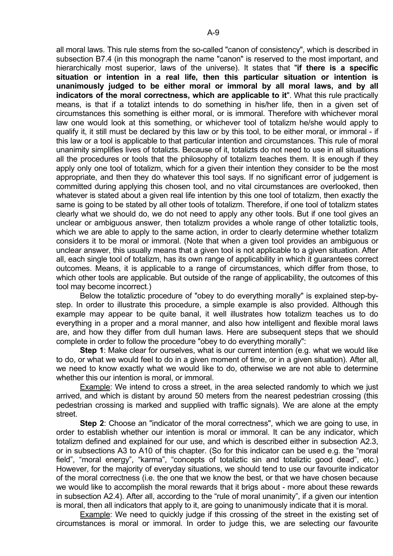all moral laws. This rule stems from the so-called "canon of consistency", which is described in subsection B7.4 (in this monograph the name "canon" is reserved to the most important, and hierarchically most superior, laws of the universe). It states that "**if there is a specific situation or intention in a real life, then this particular situation or intention is unanimously judged to be either moral or immoral by all moral laws, and by all indicators of the moral correctness, which are applicable to it**". What this rule practically means, is that if a totalizt intends to do something in his/her life, then in a given set of circumstances this something is either moral, or is immoral. Therefore with whichever moral law one would look at this something, or whichever tool of totalizm he/she would apply to qualify it, it still must be declared by this law or by this tool, to be either moral, or immoral - if this law or a tool is applicable to that particular intention and circumstances. This rule of moral unanimity simplifies lives of totalizts. Because of it, totalizts do not need to use in all situations all the procedures or tools that the philosophy of totalizm teaches them. It is enough if they apply only one tool of totalizm, which for a given their intention they consider to be the most appropriate, and then they do whatever this tool says. If no significant error of judgement is committed during applying this chosen tool, and no vital circumstances are overlooked, then whatever is stated about a given real life intention by this one tool of totalizm, then exactly the same is going to be stated by all other tools of totalizm. Therefore, if one tool of totalizm states clearly what we should do, we do not need to apply any other tools. But if one tool gives an unclear or ambiguous answer, then totalizm provides a whole range of other totaliztic tools, which we are able to apply to the same action, in order to clearly determine whether totalizm considers it to be moral or immoral. (Note that when a given tool provides an ambiguous or unclear answer, this usually means that a given tool is not applicable to a given situation. After all, each single tool of totalizm, has its own range of applicability in which it guarantees correct outcomes. Means, it is applicable to a range of circumstances, which differ from those, to which other tools are applicable. But outside of the range of applicability, the outcomes of this tool may become incorrect.)

 Below the totaliztic procedure of "obey to do everything morally" is explained step-bystep. In order to illustrate this procedure, a simple example is also provided. Although this example may appear to be quite banal, it well illustrates how totalizm teaches us to do everything in a proper and a moral manner, and also how intelligent and flexible moral laws are, and how they differ from dull human laws. Here are subsequent steps that we should complete in order to follow the procedure "obey to do everything morally":

**Step 1**: Make clear for ourselves, what is our current intention (e.g. what we would like to do, or what we would feel to do in a given moment of time, or in a given situation). After all, we need to know exactly what we would like to do, otherwise we are not able to determine whether this our intention is moral, or immoral.

 Example: We intend to cross a street, in the area selected randomly to which we just arrived, and which is distant by around 50 meters from the nearest pedestrian crossing (this pedestrian crossing is marked and supplied with traffic signals). We are alone at the empty street.

**Step 2**: Choose an "indicator of the moral correctness", which we are going to use, in order to establish whether our intention is moral or immoral. It can be any indicator, which totalizm defined and explained for our use, and which is described either in subsection A2.3, or in subsections A3 to A10 of this chapter. (So for this indicator can be used e.g. the "moral field", "moral energy", "karma", "concepts of totaliztic sin and totaliztic good dead", etc.) However, for the majority of everyday situations, we should tend to use our favourite indicator of the moral correctness (i.e. the one that we know the best, or that we have chosen because we would like to accomplish the moral rewards that it brigs about - more about these rewards in subsection A2.4). After all, according to the "rule of moral unanimity", if a given our intention is moral, then all indicators that apply to it, are going to unanimously indicate that it is moral.

 Example: We need to quickly judge if this crossing of the street in the existing set of circumstances is moral or immoral. In order to judge this, we are selecting our favourite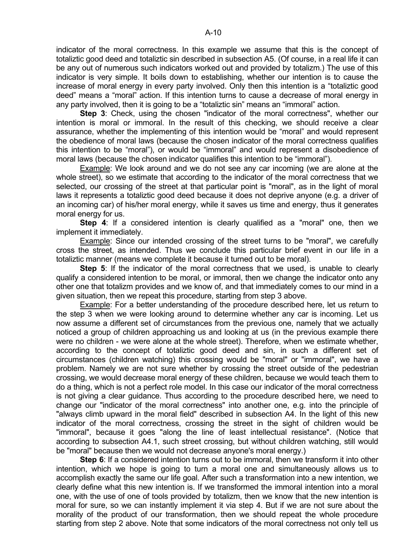indicator of the moral correctness. In this example we assume that this is the concept of totaliztic good deed and totaliztic sin described in subsection A5. (Of course, in a real life it can be any out of numerous such indicators worked out and provided by totalizm.) The use of this indicator is very simple. It boils down to establishing, whether our intention is to cause the increase of moral energy in every party involved. Only then this intention is a "totaliztic good deed" means a "moral" action. If this intention turns to cause a decrease of moral energy in any party involved, then it is going to be a "totaliztic sin" means an "immoral" action.

**Step 3**: Check, using the chosen "indicator of the moral correctness", whether our intention is moral or immoral. In the result of this checking, we should receive a clear assurance, whether the implementing of this intention would be "moral" and would represent the obedience of moral laws (because the chosen indicator of the moral correctness qualifies this intention to be "moral"), or would be "immoral" and would represent a disobedience of moral laws (because the chosen indicator qualifies this intention to be "immoral").

 Example: We look around and we do not see any car incoming (we are alone at the whole street), so we estimate that according to the indicator of the moral correctness that we selected, our crossing of the street at that particular point is "moral", as in the light of moral laws it represents a totaliztic good deed because it does not deprive anyone (e.g. a driver of an incoming car) of his/her moral energy, while it saves us time and energy, thus it generates moral energy for us.

**Step 4**: If a considered intention is clearly qualified as a "moral" one, then we implement it immediately.

 Example: Since our intended crossing of the street turns to be "moral", we carefully cross the street, as intended. Thus we conclude this particular brief event in our life in a totaliztic manner (means we complete it because it turned out to be moral).

 **Step 5**: If the indicator of the moral correctness that we used, is unable to clearly qualify a considered intention to be moral, or immoral, then we change the indicator onto any other one that totalizm provides and we know of, and that immediately comes to our mind in a given situation, then we repeat this procedure, starting from step 3 above.

 Example: For a better understanding of the procedure described here, let us return to the step 3 when we were looking around to determine whether any car is incoming. Let us now assume a different set of circumstances from the previous one, namely that we actually noticed a group of children approaching us and looking at us (in the previous example there were no children - we were alone at the whole street). Therefore, when we estimate whether, according to the concept of totaliztic good deed and sin, in such a different set of circumstances (children watching) this crossing would be "moral" or "immoral", we have a problem. Namely we are not sure whether by crossing the street outside of the pedestrian crossing, we would decrease moral energy of these children, because we would teach them to do a thing, which is not a perfect role model. In this case our indicator of the moral correctness is not giving a clear guidance. Thus according to the procedure described here, we need to change our "indicator of the moral correctness" into another one, e.g. into the principle of "always climb upward in the moral field" described in subsection A4. In the light of this new indicator of the moral correctness, crossing the street in the sight of children would be "immoral", because it goes "along the line of least intellectual resistance". (Notice that according to subsection A4.1, such street crossing, but without children watching, still would be "moral" because then we would not decrease anyone's moral energy.)

 **Step 6**: If a considered intention turns out to be immoral, then we transform it into other intention, which we hope is going to turn a moral one and simultaneously allows us to accomplish exactly the same our life goal. After such a transformation into a new intention, we clearly define what this new intention is. If we transformed the immoral intention into a moral one, with the use of one of tools provided by totalizm, then we know that the new intention is moral for sure, so we can instantly implement it via step 4. But if we are not sure about the morality of the product of our transformation, then we should repeat the whole procedure starting from step 2 above. Note that some indicators of the moral correctness not only tell us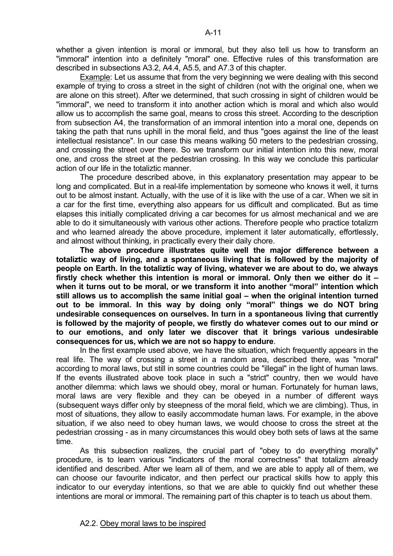whether a given intention is moral or immoral, but they also tell us how to transform an "immoral" intention into a definitely "moral" one. Effective rules of this transformation are described in subsections A3.2, A4.4, A5.5, and A7.3 of this chapter.

 Example: Let us assume that from the very beginning we were dealing with this second example of trying to cross a street in the sight of children (not with the original one, when we are alone on this street). After we determined, that such crossing in sight of children would be "immoral", we need to transform it into another action which is moral and which also would allow us to accomplish the same goal, means to cross this street. According to the description from subsection A4, the transformation of an immoral intention into a moral one, depends on taking the path that runs uphill in the moral field, and thus "goes against the line of the least intellectual resistance". In our case this means walking 50 meters to the pedestrian crossing, and crossing the street over there. So we transform our initial intention into this new, moral one, and cross the street at the pedestrian crossing. In this way we conclude this particular action of our life in the totaliztic manner.

 The procedure described above, in this explanatory presentation may appear to be long and complicated. But in a real-life implementation by someone who knows it well, it turns out to be almost instant. Actually, with the use of it is like with the use of a car. When we sit in a car for the first time, everything also appears for us difficult and complicated. But as time elapses this initially complicated driving a car becomes for us almost mechanical and we are able to do it simultaneously with various other actions. Therefore people who practice totalizm and who learned already the above procedure, implement it later automatically, effortlessly, and almost without thinking, in practically every their daily chore.

**The above procedure illustrates quite well the major difference between a totaliztic way of living, and a spontaneous living that is followed by the majority of people on Earth. In the totaliztic way of living, whatever we are about to do, we always firstly check whether this intention is moral or immoral. Only then we either do it – when it turns out to be moral, or we transform it into another "moral" intention which still allows us to accomplish the same initial goal – when the original intention turned out to be immoral. In this way by doing only "moral" things we do NOT bring undesirable consequences on ourselves. In turn in a spontaneous living that currently is followed by the majority of people, we firstly do whatever comes out to our mind or to our emotions, and only later we discover that it brings various undesirable consequences for us, which we are not so happy to endure**.

 In the first example used above, we have the situation, which frequently appears in the real life. The way of crossing a street in a random area, described there, was "moral" according to moral laws, but still in some countries could be "illegal" in the light of human laws. If the events illustrated above took place in such a "strict" country, then we would have another dilemma: which laws we should obey, moral or human. Fortunately for human laws, moral laws are very flexible and they can be obeyed in a number of different ways (subsequent ways differ only by steepness of the moral field, which we are climbing). Thus, in most of situations, they allow to easily accommodate human laws. For example, in the above situation, if we also need to obey human laws, we would choose to cross the street at the pedestrian crossing - as in many circumstances this would obey both sets of laws at the same time.

 As this subsection realizes, the crucial part of "obey to do everything morally" procedure, is to learn various "indicators of the moral correctness" that totalizm already identified and described. After we learn all of them, and we are able to apply all of them, we can choose our favourite indicator, and then perfect our practical skills how to apply this indicator to our everyday intentions, so that we are able to quickly find out whether these intentions are moral or immoral. The remaining part of this chapter is to teach us about them.

A-11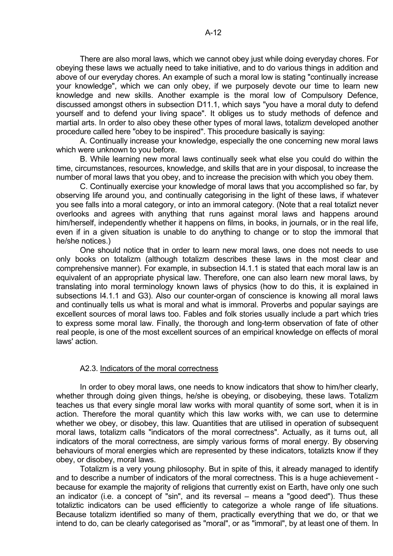There are also moral laws, which we cannot obey just while doing everyday chores. For obeying these laws we actually need to take initiative, and to do various things in addition and above of our everyday chores. An example of such a moral low is stating "continually increase your knowledge", which we can only obey, if we purposely devote our time to learn new knowledge and new skills. Another example is the moral low of Compulsory Defence, discussed amongst others in subsection D11.1, which says "you have a moral duty to defend yourself and to defend your living space". It obliges us to study methods of defence and martial arts. In order to also obey these other types of moral laws, totalizm developed another procedure called here "obey to be inspired". This procedure basically is saying:

 A. Continually increase your knowledge, especially the one concerning new moral laws which were unknown to you before.

 B. While learning new moral laws continually seek what else you could do within the time, circumstances, resources, knowledge, and skills that are in your disposal, to increase the number of moral laws that you obey, and to increase the precision with which you obey them.

 C. Continually exercise your knowledge of moral laws that you accomplished so far, by observing life around you, and continually categorising in the light of these laws, if whatever you see falls into a moral category, or into an immoral category. (Note that a real totalizt never overlooks and agrees with anything that runs against moral laws and happens around him/herself, independently whether it happens on films, in books, in journals, or in the real life, even if in a given situation is unable to do anything to change or to stop the immoral that he/she notices.)

 One should notice that in order to learn new moral laws, one does not needs to use only books on totalizm (although totalizm describes these laws in the most clear and comprehensive manner). For example, in subsection I4.1.1 is stated that each moral law is an equivalent of an appropriate physical law. Therefore, one can also learn new moral laws, by translating into moral terminology known laws of physics (how to do this, it is explained in subsections I4.1.1 and G3). Also our counter-organ of conscience is knowing all moral laws and continually tells us what is moral and what is immoral. Proverbs and popular sayings are excellent sources of moral laws too. Fables and folk stories usually include a part which tries to express some moral law. Finally, the thorough and long-term observation of fate of other real people, is one of the most excellent sources of an empirical knowledge on effects of moral laws' action.

### A2.3. Indicators of the moral correctness

 In order to obey moral laws, one needs to know indicators that show to him/her clearly, whether through doing given things, he/she is obeying, or disobeying, these laws. Totalizm teaches us that every single moral law works with moral quantity of some sort, when it is in action. Therefore the moral quantity which this law works with, we can use to determine whether we obey, or disobey, this law. Quantities that are utilised in operation of subsequent moral laws, totalizm calls "indicators of the moral correctness". Actually, as it turns out, all indicators of the moral correctness, are simply various forms of moral energy. By observing behaviours of moral energies which are represented by these indicators, totalizts know if they obey, or disobey, moral laws.

 Totalizm is a very young philosophy. But in spite of this, it already managed to identify and to describe a number of indicators of the moral correctness. This is a huge achievement because for example the majority of religions that currently exist on Earth, have only one such an indicator (i.e. a concept of "sin", and its reversal – means a "good deed"). Thus these totaliztic indicators can be used efficiently to categorize a whole range of life situations. Because totalizm identified so many of them, practically everything that we do, or that we intend to do, can be clearly categorised as "moral", or as "immoral", by at least one of them. In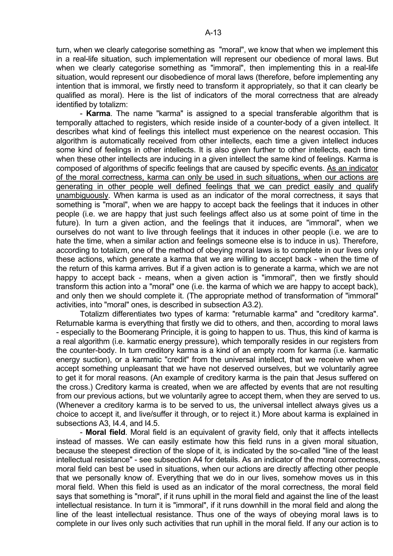turn, when we clearly categorise something as "moral", we know that when we implement this in a real-life situation, such implementation will represent our obedience of moral laws. But when we clearly categorise something as "immoral", then implementing this in a real-life situation, would represent our disobedience of moral laws (therefore, before implementing any intention that is immoral, we firstly need to transform it appropriately, so that it can clearly be qualified as moral). Here is the list of indicators of the moral correctness that are already identified by totalizm:

 - **Karma**. The name "karma" is assigned to a special transferable algorithm that is temporally attached to registers, which reside inside of a counter-body of a given intellect. It describes what kind of feelings this intellect must experience on the nearest occasion. This algorithm is automatically received from other intellects, each time a given intellect induces some kind of feelings in other intellects. It is also given further to other intellects, each time when these other intellects are inducing in a given intellect the same kind of feelings. Karma is composed of algorithms of specific feelings that are caused by specific events. As an indicator of the moral correctness, karma can only be used in such situations, when our actions are generating in other people well defined feelings that we can predict easily and qualify unambiguously. When karma is used as an indicator of the moral correctness, it says that something is "moral", when we are happy to accept back the feelings that it induces in other people (i.e. we are happy that just such feelings affect also us at some point of time in the future). In turn a given action, and the feelings that it induces, are "immoral", when we ourselves do not want to live through feelings that it induces in other people (i.e. we are to hate the time, when a similar action and feelings someone else is to induce in us). Therefore, according to totalizm, one of the method of obeying moral laws is to complete in our lives only these actions, which generate a karma that we are willing to accept back - when the time of the return of this karma arrives. But if a given action is to generate a karma, which we are not happy to accept back - means, when a given action is "immoral", then we firstly should transform this action into a "moral" one (i.e. the karma of which we are happy to accept back), and only then we should complete it. (The appropriate method of transformation of "immoral" activities, into "moral" ones, is described in subsection A3.2).

 Totalizm differentiates two types of karma: "returnable karma" and "creditory karma". Returnable karma is everything that firstly we did to others, and then, according to moral laws - especially to the Boomerang Principle, it is going to happen to us. Thus, this kind of karma is a real algorithm (i.e. karmatic energy pressure), which temporally resides in our registers from the counter-body. In turn creditory karma is a kind of an empty room for karma (i.e. karmatic energy suction), or a karmatic "credit" from the universal intellect, that we receive when we accept something unpleasant that we have not deserved ourselves, but we voluntarily agree to get it for moral reasons. (An example of creditory karma is the pain that Jesus suffered on the cross.) Creditory karma is created, when we are affected by events that are not resulting from our previous actions, but we voluntarily agree to accept them, when they are served to us. (Whenever a creditory karma is to be served to us, the universal intellect always gives us a choice to accept it, and live/suffer it through, or to reject it.) More about karma is explained in subsections A3, I4.4, and I4.5.

 - **Moral field**. Moral field is an equivalent of gravity field, only that it affects intellects instead of masses. We can easily estimate how this field runs in a given moral situation, because the steepest direction of the slope of it, is indicated by the so-called "line of the least intellectual resistance" - see subsection A4 for details. As an indicator of the moral correctness, moral field can best be used in situations, when our actions are directly affecting other people that we personally know of. Everything that we do in our lives, somehow moves us in this moral field. When this field is used as an indicator of the moral correctness, the moral field says that something is "moral", if it runs uphill in the moral field and against the line of the least intellectual resistance. In turn it is "immoral", if it runs downhill in the moral field and along the line of the least intellectual resistance. Thus one of the ways of obeying moral laws is to complete in our lives only such activities that run uphill in the moral field. If any our action is to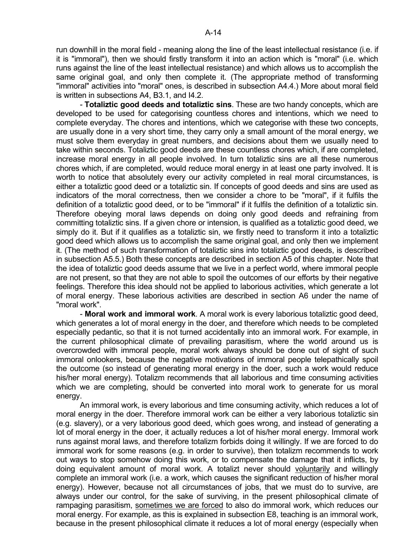- **Totaliztic good deeds and totaliztic sins**. These are two handy concepts, which are developed to be used for categorising countless chores and intentions, which we need to complete everyday. The chores and intentions, which we categorise with these two concepts, are usually done in a very short time, they carry only a small amount of the moral energy, we must solve them everyday in great numbers, and decisions about them we usually need to take within seconds. Totaliztic good deeds are these countless chores which, if are completed, increase moral energy in all people involved. In turn totaliztic sins are all these numerous chores which, if are completed, would reduce moral energy in at least one party involved. It is worth to notice that absolutely every our activity completed in real moral circumstances, is either a totaliztic good deed or a totaliztic sin. If concepts of good deeds and sins are used as indicators of the moral correctness, then we consider a chore to be "moral", if it fulfils the definition of a totaliztic good deed, or to be "immoral" if it fulfils the definition of a totaliztic sin. Therefore obeying moral laws depends on doing only good deeds and refraining from committing totaliztic sins. If a given chore or intension, is qualified as a totaliztic good deed, we simply do it. But if it qualifies as a totaliztic sin, we firstly need to transform it into a totaliztic good deed which allows us to accomplish the same original goal, and only then we implement it. (The method of such transformation of totaliztic sins into totaliztic good deeds, is described in subsection A5.5.) Both these concepts are described in section A5 of this chapter. Note that the idea of totaliztic good deeds assume that we live in a perfect world, where immoral people are not present, so that they are not able to spoil the outcomes of our efforts by their negative feelings. Therefore this idea should not be applied to laborious activities, which generate a lot of moral energy. These laborious activities are described in section A6 under the name of "moral work".

 - **Moral work and immoral work**. A moral work is every laborious totaliztic good deed, which generates a lot of moral energy in the doer, and therefore which needs to be completed especially pedantic, so that it is not turned accidentally into an immoral work. For example, in the current philosophical climate of prevailing parasitism, where the world around us is overcrowded with immoral people, moral work always should be done out of sight of such immoral onlookers, because the negative motivations of immoral people telepathically spoil the outcome (so instead of generating moral energy in the doer, such a work would reduce his/her moral energy). Totalizm recommends that all laborious and time consuming activities which we are completing, should be converted into moral work to generate for us moral energy.

 An immoral work, is every laborious and time consuming activity, which reduces a lot of moral energy in the doer. Therefore immoral work can be either a very laborious totaliztic sin (e.g. slavery), or a very laborious good deed, which goes wrong, and instead of generating a lot of moral energy in the doer, it actually reduces a lot of his/her moral energy. Immoral work runs against moral laws, and therefore totalizm forbids doing it willingly. If we are forced to do immoral work for some reasons (e.g. in order to survive), then totalizm recommends to work out ways to stop somehow doing this work, or to compensate the damage that it inflicts, by doing equivalent amount of moral work. A totalizt never should voluntarily and willingly complete an immoral work (i.e. a work, which causes the significant reduction of his/her moral energy). However, because not all circumstances of jobs, that we must do to survive, are always under our control, for the sake of surviving, in the present philosophical climate of rampaging parasitism, sometimes we are forced to also do immoral work, which reduces our moral energy. For example, as this is explained in subsection E8, teaching is an immoral work, because in the present philosophical climate it reduces a lot of moral energy (especially when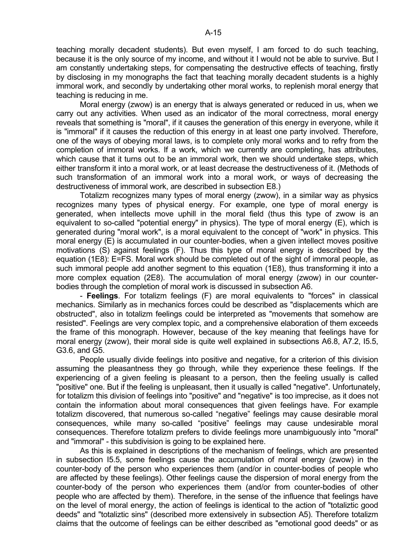teaching morally decadent students). But even myself, I am forced to do such teaching, because it is the only source of my income, and without it I would not be able to survive. But I am constantly undertaking steps, for compensating the destructive effects of teaching, firstly by disclosing in my monographs the fact that teaching morally decadent students is a highly immoral work, and secondly by undertaking other moral works, to replenish moral energy that teaching is reducing in me.

 Moral energy (zwow) is an energy that is always generated or reduced in us, when we carry out any activities. When used as an indicator of the moral correctness, moral energy reveals that something is "moral", if it causes the generation of this energy in everyone, while it is "immoral" if it causes the reduction of this energy in at least one party involved. Therefore, one of the ways of obeying moral laws, is to complete only moral works and to refry from the completion of immoral works. If a work, which we currently are completing, has attributes, which cause that it turns out to be an immoral work, then we should undertake steps, which either transform it into a moral work, or at least decrease the destructiveness of it. (Methods of such transformation of an immoral work into a moral work, or ways of decreasing the destructiveness of immoral work, are described in subsection E8.)

 Totalizm recognizes many types of moral energy (zwow), in a similar way as physics recognizes many types of physical energy. For example, one type of moral energy is generated, when intellects move uphill in the moral field (thus this type of zwow is an equivalent to so-called "potential energy" in physics). The type of moral energy (E), which is generated during "moral work", is a moral equivalent to the concept of "work" in physics. This moral energy (E) is accumulated in our counter-bodies, when a given intellect moves positive motivations (S) against feelings (F). Thus this type of moral energy is described by the equation (1E8): E=FS. Moral work should be completed out of the sight of immoral people, as such immoral people add another segment to this equation (1E8), thus transforming it into a more complex equation (2E8). The accumulation of moral energy (zwow) in our counterbodies through the completion of moral work is discussed in subsection A6.

 - **Feelings**. For totalizm feelings (F) are moral equivalents to "forces" in classical mechanics. Similarly as in mechanics forces could be described as "displacements which are obstructed", also in totalizm feelings could be interpreted as "movements that somehow are resisted". Feelings are very complex topic, and a comprehensive elaboration of them exceeds the frame of this monograph. However, because of the key meaning that feelings have for moral energy (zwow), their moral side is quite well explained in subsections A6.8, A7.2, I5.5, G3.6, and G5.

 People usually divide feelings into positive and negative, for a criterion of this division assuming the pleasantness they go through, while they experience these feelings. If the experiencing of a given feeling is pleasant to a person, then the feeling usually is called "positive" one. But if the feeling is unpleasant, then it usually is called "negative". Unfortunately, for totalizm this division of feelings into "positive" and "negative" is too imprecise, as it does not contain the information about moral consequences that given feelings have. For example totalizm discovered, that numerous so-called "negative" feelings may cause desirable moral consequences, while many so-called "positive" feelings may cause undesirable moral consequences. Therefore totalizm prefers to divide feelings more unambiguously into "moral" and "immoral" - this subdivision is going to be explained here.

 As this is explained in descriptions of the mechanism of feelings, which are presented in subsection I5.5, some feelings cause the accumulation of moral energy (zwow) in the counter-body of the person who experiences them (and/or in counter-bodies of people who are affected by these feelings). Other feelings cause the dispersion of moral energy from the counter-body of the person who experiences them (and/or from counter-bodies of other people who are affected by them). Therefore, in the sense of the influence that feelings have on the level of moral energy, the action of feelings is identical to the action of "totaliztic good deeds" and "totaliztic sins" (described more extensively in subsection A5). Therefore totalizm claims that the outcome of feelings can be either described as "emotional good deeds" or as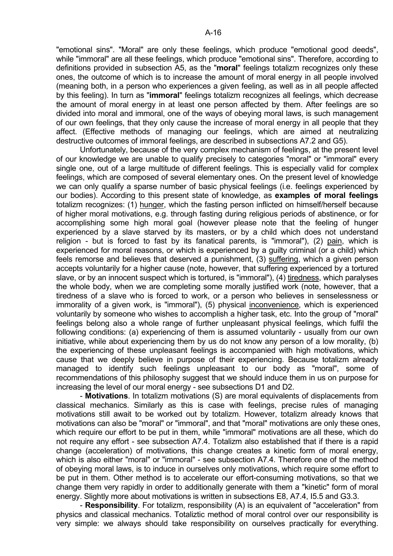"emotional sins". "Moral" are only these feelings, which produce "emotional good deeds", while "immoral" are all these feelings, which produce "emotional sins". Therefore, according to definitions provided in subsection A5, as the "**moral**" feelings totalizm recognizes only these ones, the outcome of which is to increase the amount of moral energy in all people involved (meaning both, in a person who experiences a given feeling, as well as in all people affected by this feeling). In turn as "**immoral**" feelings totalizm recognizes all feelings, which decrease the amount of moral energy in at least one person affected by them. After feelings are so divided into moral and immoral, one of the ways of obeying moral laws, is such management of our own feelings, that they only cause the increase of moral energy in all people that they affect. (Effective methods of managing our feelings, which are aimed at neutralizing destructive outcomes of immoral feelings, are described in subsections A7.2 and G5).

 Unfortunately, because of the very complex mechanism of feelings, at the present level of our knowledge we are unable to qualify precisely to categories "moral" or "immoral" every single one, out of a large multitude of different feelings. This is especially valid for complex feelings, which are composed of several elementary ones. On the present level of knowledge we can only qualify a sparse number of basic physical feelings (i.e. feelings experienced by our bodies). According to this present state of knowledge, as **examples of moral feelings** totalizm recognizes: (1) hunger, which the fasting person inflicted on himself/herself because of higher moral motivations, e.g. through fasting during religious periods of abstinence, or for accomplishing some high moral goal (however please note that the feeling of hunger experienced by a slave starved by its masters, or by a child which does not understand religion - but is forced to fast by its fanatical parents, is "immoral"), (2) pain, which is experienced for moral reasons, or which is experienced by a guilty criminal (or a child) which feels remorse and believes that deserved a punishment, (3) suffering, which a given person accepts voluntarily for a higher cause (note, however, that suffering experienced by a tortured slave, or by an innocent suspect which is tortured, is "immoral"), (4) tiredness, which paralyses the whole body, when we are completing some morally justified work (note, however, that a tiredness of a slave who is forced to work, or a person who believes in senselessness or immorality of a given work, is "immoral"), (5) physical inconvenience, which is experienced voluntarily by someone who wishes to accomplish a higher task, etc. Into the group of "moral" feelings belong also a whole range of further unpleasant physical feelings, which fulfil the following conditions: (a) experiencing of them is assumed voluntarily - usually from our own initiative, while about experiencing them by us do not know any person of a low morality, (b) the experiencing of these unpleasant feelings is accompanied with high motivations, which cause that we deeply believe in purpose of their experiencing. Because totalizm already managed to identify such feelings unpleasant to our body as "moral", some of recommendations of this philosophy suggest that we should induce them in us on purpose for increasing the level of our moral energy - see subsections D1 and D2.

 - **Motivations**. In totalizm motivations (S) are moral equivalents of displacements from classical mechanics. Similarly as this is case with feelings, precise rules of managing motivations still await to be worked out by totalizm. However, totalizm already knows that motivations can also be "moral" or "immoral", and that "moral" motivations are only these ones, which require our effort to be put in them, while "immoral" motivations are all these, which do not require any effort - see subsection A7.4. Totalizm also established that if there is a rapid change (acceleration) of motivations, this change creates a kinetic form of moral energy, which is also either "moral" or "immoral" - see subsection A7.4. Therefore one of the method of obeying moral laws, is to induce in ourselves only motivations, which require some effort to be put in them. Other method is to accelerate our effort-consuming motivations, so that we change them very rapidly in order to additionally generate with them a "kinetic" form of moral energy. Slightly more about motivations is written in subsections E8, A7.4, I5.5 and G3.3.

 - **Responsibility**. For totalizm, responsibility (A) is an equivalent of "acceleration" from physics and classical mechanics. Totaliztic method of moral control over our responsibility is very simple: we always should take responsibility on ourselves practically for everything.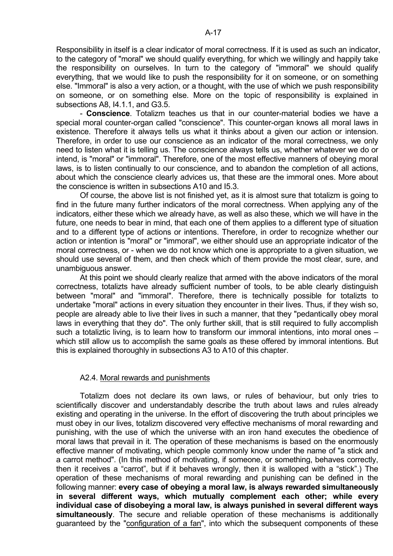Responsibility in itself is a clear indicator of moral correctness. If it is used as such an indicator, to the category of "moral" we should qualify everything, for which we willingly and happily take the responsibility on ourselves. In turn to the category of "immoral" we should qualify everything, that we would like to push the responsibility for it on someone, or on something else. "Immoral" is also a very action, or a thought, with the use of which we push responsibility on someone, or on something else. More on the topic of responsibility is explained in subsections A8, I4.1.1, and G3.5.

 - **Conscience**. Totalizm teaches us that in our counter-material bodies we have a special moral counter-organ called "conscience". This counter-organ knows all moral laws in existence. Therefore it always tells us what it thinks about a given our action or intension. Therefore, in order to use our conscience as an indicator of the moral correctness, we only need to listen what it is telling us. The conscience always tells us, whether whatever we do or intend, is "moral" or "immoral". Therefore, one of the most effective manners of obeying moral laws, is to listen continually to our conscience, and to abandon the completion of all actions, about which the conscience clearly advices us, that these are the immoral ones. More about the conscience is written in subsections A10 and I5.3.

 Of course, the above list is not finished yet, as it is almost sure that totalizm is going to find in the future many further indicators of the moral correctness. When applying any of the indicators, either these which we already have, as well as also these, which we will have in the future, one needs to bear in mind, that each one of them applies to a different type of situation and to a different type of actions or intentions. Therefore, in order to recognize whether our action or intention is "moral" or "immoral", we either should use an appropriate indicator of the moral correctness, or - when we do not know which one is appropriate to a given situation, we should use several of them, and then check which of them provide the most clear, sure, and unambiguous answer.

 At this point we should clearly realize that armed with the above indicators of the moral correctness, totalizts have already sufficient number of tools, to be able clearly distinguish between "moral" and "immoral". Therefore, there is technically possible for totalizts to undertake "moral" actions in every situation they encounter in their lives. Thus, if they wish so, people are already able to live their lives in such a manner, that they "pedantically obey moral laws in everything that they do". The only further skill, that is still required to fully accomplish such a totaliztic living, is to learn how to transform our immoral intentions, into moral ones – which still allow us to accomplish the same goals as these offered by immoral intentions. But this is explained thoroughly in subsections A3 to A10 of this chapter.

### A2.4. Moral rewards and punishments

 Totalizm does not declare its own laws, or rules of behaviour, but only tries to scientifically discover and understandably describe the truth about laws and rules already existing and operating in the universe. In the effort of discovering the truth about principles we must obey in our lives, totalizm discovered very effective mechanisms of moral rewarding and punishing, with the use of which the universe with an iron hand executes the obedience of moral laws that prevail in it. The operation of these mechanisms is based on the enormously effective manner of motivating, which people commonly know under the name of "a stick and a carrot method". (In this method of motivating, if someone, or something, behaves correctly, then it receives a "carrot", but if it behaves wrongly, then it is walloped with a "stick".) The operation of these mechanisms of moral rewarding and punishing can be defined in the following manner: **every case of obeying a moral law, is always rewarded simultaneously in several different ways, which mutually complement each other; while every individual case of disobeying a moral law, is always punished in several different ways simultaneously**. The secure and reliable operation of these mechanisms is additionally guaranteed by the "configuration of a fan", into which the subsequent components of these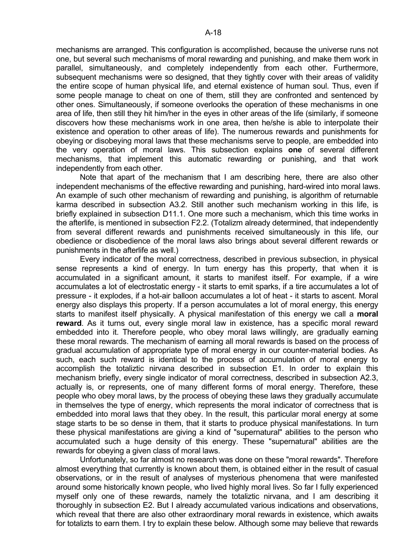mechanisms are arranged. This configuration is accomplished, because the universe runs not one, but several such mechanisms of moral rewarding and punishing, and make them work in parallel, simultaneously, and completely independently from each other. Furthermore, subsequent mechanisms were so designed, that they tightly cover with their areas of validity the entire scope of human physical life, and eternal existence of human soul. Thus, even if some people manage to cheat on one of them, still they are confronted and sentenced by other ones. Simultaneously, if someone overlooks the operation of these mechanisms in one area of life, then still they hit him/her in the eyes in other areas of the life (similarly, if someone discovers how these mechanisms work in one area, then he/she is able to interpolate their existence and operation to other areas of life). The numerous rewards and punishments for obeying or disobeying moral laws that these mechanisms serve to people, are embedded into the very operation of moral laws. This subsection explains **one** of several different mechanisms, that implement this automatic rewarding or punishing, and that work independently from each other.

 Note that apart of the mechanism that I am describing here, there are also other independent mechanisms of the effective rewarding and punishing, hard-wired into moral laws. An example of such other mechanism of rewarding and punishing, is algorithm of returnable karma described in subsection A3.2. Still another such mechanism working in this life, is briefly explained in subsection D11.1. One more such a mechanism, which this time works in the afterlife, is mentioned in subsection F2.2. (Totalizm already determined, that independently from several different rewards and punishments received simultaneously in this life, our obedience or disobedience of the moral laws also brings about several different rewards or punishments in the afterlife as well.)

 Every indicator of the moral correctness, described in previous subsection, in physical sense represents a kind of energy. In turn energy has this property, that when it is accumulated in a significant amount, it starts to manifest itself. For example, if a wire accumulates a lot of electrostatic energy - it starts to emit sparks, if a tire accumulates a lot of pressure - it explodes, if a hot-air balloon accumulates a lot of heat - it starts to ascent. Moral energy also displays this property. If a person accumulates a lot of moral energy, this energy starts to manifest itself physically. A physical manifestation of this energy we call a **moral reward**. As it turns out, every single moral law in existence, has a specific moral reward embedded into it. Therefore people, who obey moral laws willingly, are gradually earning these moral rewards. The mechanism of earning all moral rewards is based on the process of gradual accumulation of appropriate type of moral energy in our counter-material bodies. As such, each such reward is identical to the process of accumulation of moral energy to accomplish the totaliztic nirvana described in subsection E1. In order to explain this mechanism briefly, every single indicator of moral correctness, described in subsection A2.3, actually is, or represents, one of many different forms of moral energy. Therefore, these people who obey moral laws, by the process of obeying these laws they gradually accumulate in themselves the type of energy, which represents the moral indicator of correctness that is embedded into moral laws that they obey. In the result, this particular moral energy at some stage starts to be so dense in them, that it starts to produce physical manifestations. In turn these physical manifestations are giving a kind of "supernatural" abilities to the person who accumulated such a huge density of this energy. These "supernatural" abilities are the rewards for obeying a given class of moral laws.

 Unfortunately, so far almost no research was done on these "moral rewards". Therefore almost everything that currently is known about them, is obtained either in the result of casual observations, or in the result of analyses of mysterious phenomena that were manifested around some historically known people, who lived highly moral lives. So far I fully experienced myself only one of these rewards, namely the totaliztic nirvana, and I am describing it thoroughly in subsection E2. But I already accumulated various indications and observations, which reveal that there are also other extraordinary moral rewards in existence, which awaits for totalizts to earn them. I try to explain these below. Although some may believe that rewards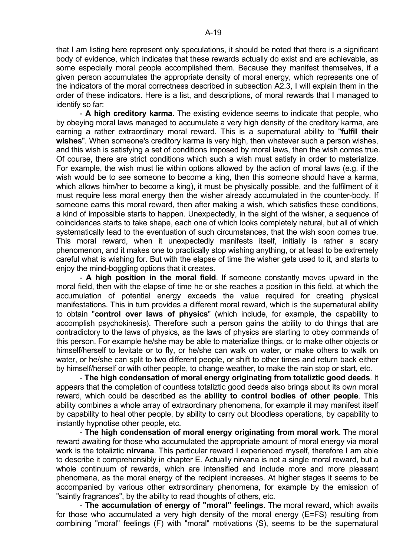that I am listing here represent only speculations, it should be noted that there is a significant body of evidence, which indicates that these rewards actually do exist and are achievable, as some especially moral people accomplished them. Because they manifest themselves, if a given person accumulates the appropriate density of moral energy, which represents one of the indicators of the moral correctness described in subsection A2.3, I will explain them in the order of these indicators. Here is a list, and descriptions, of moral rewards that I managed to identify so far:

 - **A high creditory karma**. The existing evidence seems to indicate that people, who by obeying moral laws managed to accumulate a very high density of the creditory karma, are earning a rather extraordinary moral reward. This is a supernatural ability to "**fulfil their wishes**". When someone's creditory karma is very high, then whatever such a person wishes, and this wish is satisfying a set of conditions imposed by moral laws, then the wish comes true. Of course, there are strict conditions which such a wish must satisfy in order to materialize. For example, the wish must lie within options allowed by the action of moral laws (e.g. if the wish would be to see someone to become a king, then this someone should have a karma, which allows him/her to become a king), it must be physically possible, and the fulfilment of it must require less moral energy then the wisher already accumulated in the counter-body. If someone earns this moral reward, then after making a wish, which satisfies these conditions, a kind of impossible starts to happen. Unexpectedly, in the sight of the wisher, a sequence of coincidences starts to take shape, each one of which looks completely natural, but all of which systematically lead to the eventuation of such circumstances, that the wish soon comes true. This moral reward, when it unexpectedly manifests itself, initially is rather a scary phenomenon, and it makes one to practically stop wishing anything, or at least to be extremely careful what is wishing for. But with the elapse of time the wisher gets used to it, and starts to enjoy the mind-boggling options that it creates.

 - **A high position in the moral field**. If someone constantly moves upward in the moral field, then with the elapse of time he or she reaches a position in this field, at which the accumulation of potential energy exceeds the value required for creating physical manifestations. This in turn provides a different moral reward, which is the supernatural ability to obtain "**control over laws of physics**" (which include, for example, the capability to accomplish psychokinesis). Therefore such a person gains the ability to do things that are contradictory to the laws of physics, as the laws of physics are starting to obey commands of this person. For example he/she may be able to materialize things, or to make other objects or himself/herself to levitate or to fly, or he/she can walk on water, or make others to walk on water, or he/she can split to two different people, or shift to other times and return back either by himself/herself or with other people, to change weather, to make the rain stop or start, etc.

 - **The high condensation of moral energy originating from totaliztic good deeds**. It appears that the completion of countless totaliztic good deeds also brings about its own moral reward, which could be described as the **ability to control bodies of other people**. This ability combines a whole array of extraordinary phenomena, for example it may manifest itself by capability to heal other people, by ability to carry out bloodless operations, by capability to instantly hypnotise other people, etc.

 - **The high condensation of moral energy originating from moral work**. The moral reward awaiting for those who accumulated the appropriate amount of moral energy via moral work is the totaliztic **nirvana**. This particular reward I experienced myself, therefore I am able to describe it comprehensibly in chapter E. Actually nirvana is not a single moral reward, but a whole continuum of rewards, which are intensified and include more and more pleasant phenomena, as the moral energy of the recipient increases. At higher stages it seems to be accompanied by various other extraordinary phenomena, for example by the emission of "saintly fragrances", by the ability to read thoughts of others, etc.

 - **The accumulation of energy of "moral" feelings**. The moral reward, which awaits for those who accumulated a very high density of the moral energy (E=FS) resulting from combining "moral" feelings (F) with "moral" motivations (S), seems to be the supernatural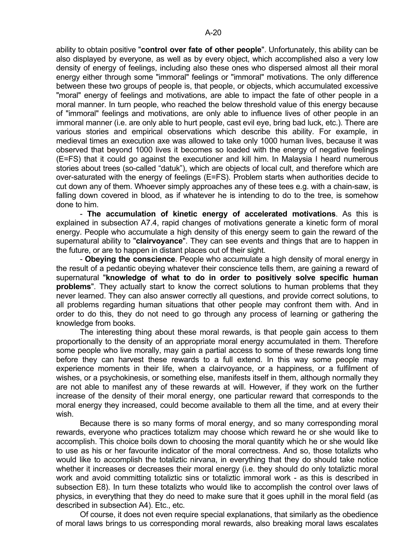ability to obtain positive "**control over fate of other people**". Unfortunately, this ability can be also displayed by everyone, as well as by every object, which accomplished also a very low density of energy of feelings, including also these ones who dispersed almost all their moral energy either through some "immoral" feelings or "immoral" motivations. The only difference between these two groups of people is, that people, or objects, which accumulated excessive "moral" energy of feelings and motivations, are able to impact the fate of other people in a moral manner. In turn people, who reached the below threshold value of this energy because of "immoral" feelings and motivations, are only able to influence lives of other people in an immoral manner (i.e. are only able to hurt people, cast evil eye, bring bad luck, etc.). There are various stories and empirical observations which describe this ability. For example, in medieval times an execution axe was allowed to take only 1000 human lives, because it was observed that beyond 1000 lives it becomes so loaded with the energy of negative feelings (E=FS) that it could go against the executioner and kill him. In Malaysia I heard numerous stories about trees (so-called "datuk"), which are objects of local cult, and therefore which are over-saturated with the energy of feelings (E=FS). Problem starts when authorities decide to

cut down any of them. Whoever simply approaches any of these tees e.g. with a chain-saw, is falling down covered in blood, as if whatever he is intending to do to the tree, is somehow done to him.

 - **The accumulation of kinetic energy of accelerated motivations**. As this is explained in subsection A7.4, rapid changes of motivations generate a kinetic form of moral energy. People who accumulate a high density of this energy seem to gain the reward of the supernatural ability to "**clairvoyance**". They can see events and things that are to happen in the future, or are to happen in distant places out of their sight.

 - **Obeying the conscience**. People who accumulate a high density of moral energy in the result of a pedantic obeying whatever their conscience tells them, are gaining a reward of supernatural "**knowledge of what to do in order to positively solve specific human problems**". They actually start to know the correct solutions to human problems that they never learned. They can also answer correctly all questions, and provide correct solutions, to all problems regarding human situations that other people may confront them with. And in order to do this, they do not need to go through any process of learning or gathering the knowledge from books.

 The interesting thing about these moral rewards, is that people gain access to them proportionally to the density of an appropriate moral energy accumulated in them. Therefore some people who live morally, may gain a partial access to some of these rewards long time before they can harvest these rewards to a full extend. In this way some people may experience moments in their life, when a clairvoyance, or a happiness, or a fulfilment of wishes, or a psychokinesis, or something else, manifests itself in them, although normally they are not able to manifest any of these rewards at will. However, if they work on the further increase of the density of their moral energy, one particular reward that corresponds to the moral energy they increased, could become available to them all the time, and at every their wish.

 Because there is so many forms of moral energy, and so many corresponding moral rewards, everyone who practices totalizm may choose which reward he or she would like to accomplish. This choice boils down to choosing the moral quantity which he or she would like to use as his or her favourite indicator of the moral correctness. And so, those totalizts who would like to accomplish the totaliztic nirvana, in everything that they do should take notice whether it increases or decreases their moral energy (i.e. they should do only totaliztic moral work and avoid committing totaliztic sins or totaliztic immoral work - as this is described in subsection E8). In turn these totalizts who would like to accomplish the control over laws of physics, in everything that they do need to make sure that it goes uphill in the moral field (as described in subsection A4). Etc., etc.

 Of course, it does not even require special explanations, that similarly as the obedience of moral laws brings to us corresponding moral rewards, also breaking moral laws escalates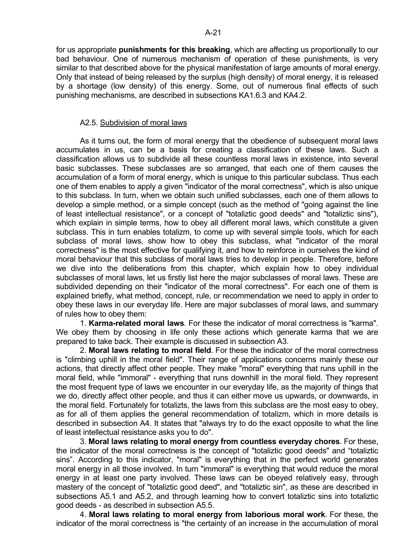for us appropriate **punishments for this breaking**, which are affecting us proportionally to our bad behaviour. One of numerous mechanism of operation of these punishments, is very similar to that described above for the physical manifestation of large amounts of moral energy. Only that instead of being released by the surplus (high density) of moral energy, it is released by a shortage (low density) of this energy. Some, out of numerous final effects of such punishing mechanisms, are described in subsections KA1.6.3 and KA4.2.

### A2.5. Subdivision of moral laws

 As it turns out, the form of moral energy that the obedience of subsequent moral laws accumulates in us, can be a basis for creating a classification of these laws. Such a classification allows us to subdivide all these countless moral laws in existence, into several basic subclasses. These subclasses are so arranged, that each one of them causes the accumulation of a form of moral energy, which is unique to this particular subclass. Thus each one of them enables to apply a given "indicator of the moral correctness", which is also unique to this subclass. In turn, when we obtain such unified subclasses, each one of them allows to develop a simple method, or a simple concept (such as the method of "going against the line of least intellectual resistance", or a concept of "totaliztic good deeds" and "totaliztic sins"), which explain in simple terms, how to obey all different moral laws, which constitute a given subclass. This in turn enables totalizm, to come up with several simple tools, which for each subclass of moral laws, show how to obey this subclass, what "indicator of the moral correctness" is the most effective for qualifying it, and how to reinforce in ourselves the kind of moral behaviour that this subclass of moral laws tries to develop in people. Therefore, before we dive into the deliberations from this chapter, which explain how to obey individual subclasses of moral laws, let us firstly list here the major subclasses of moral laws. These are subdivided depending on their "indicator of the moral correctness". For each one of them is explained briefly, what method, concept, rule, or recommendation we need to apply in order to obey these laws in our everyday life. Here are major subclasses of moral laws, and summary of rules how to obey them:

 1. **Karma-related moral laws**. For these the indicator of moral correctness is "karma". We obey them by choosing in life only these actions which generate karma that we are prepared to take back. Their example is discussed in subsection A3.

 2. **Moral laws relating to moral field**. For these the indicator of the moral correctness is "climbing uphill in the moral field". Their range of applications concerns mainly these our actions, that directly affect other people. They make "moral" everything that runs uphill in the moral field, while "immoral" - everything that runs downhill in the moral field. They represent the most frequent type of laws we encounter in our everyday life, as the majority of things that we do, directly affect other people, and thus it can either move us upwards, or downwards, in the moral field. Fortunately for totalizts, the laws from this subclass are the most easy to obey, as for all of them applies the general recommendation of totalizm, which in more details is described in subsection A4. It states that "always try to do the exact opposite to what the line of least intellectual resistance asks you to do".

 3. **Moral laws relating to moral energy from countless everyday chores**. For these, the indicator of the moral correctness is the concept of "totaliztic good deeds" and "totaliztic sins". According to this indicator, "moral" is everything that in the perfect world generates moral energy in all those involved. In turn "immoral" is everything that would reduce the moral energy in at least one party involved. These laws can be obeyed relatively easy, through mastery of the concept of "totaliztic good deed", and "totaliztic sin", as these are described in subsections A5.1 and A5.2, and through learning how to convert totaliztic sins into totaliztic good deeds - as described in subsection A5.5.

 4. **Moral laws relating to moral energy from laborious moral work**. For these, the indicator of the moral correctness is "the certainty of an increase in the accumulation of moral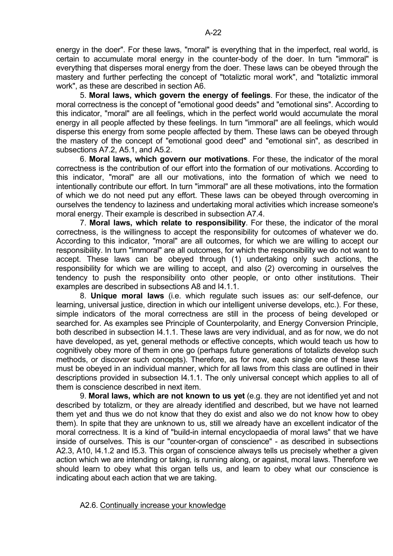energy in the doer". For these laws, "moral" is everything that in the imperfect, real world, is certain to accumulate moral energy in the counter-body of the doer. In turn "immoral" is everything that disperses moral energy from the doer. These laws can be obeyed through the mastery and further perfecting the concept of "totaliztic moral work", and "totaliztic immoral work", as these are described in section A6.

 5. **Moral laws, which govern the energy of feelings**. For these, the indicator of the moral correctness is the concept of "emotional good deeds" and "emotional sins". According to this indicator, "moral" are all feelings, which in the perfect world would accumulate the moral energy in all people affected by these feelings. In turn "immoral" are all feelings, which would disperse this energy from some people affected by them. These laws can be obeyed through the mastery of the concept of "emotional good deed" and "emotional sin", as described in subsections A7.2, A5.1, and A5.2.

 6. **Moral laws, which govern our motivations**. For these, the indicator of the moral correctness is the contribution of our effort into the formation of our motivations. According to this indicator, "moral" are all our motivations, into the formation of which we need to intentionally contribute our effort. In turn "immoral" are all these motivations, into the formation of which we do not need put any effort. These laws can be obeyed through overcoming in ourselves the tendency to laziness and undertaking moral activities which increase someone's moral energy. Their example is described in subsection A7.4.

 7. **Moral laws, which relate to responsibility**. For these, the indicator of the moral correctness, is the willingness to accept the responsibility for outcomes of whatever we do. According to this indicator, "moral" are all outcomes, for which we are willing to accept our responsibility. In turn "immoral" are all outcomes, for which the responsibility we do not want to accept. These laws can be obeyed through (1) undertaking only such actions, the responsibility for which we are willing to accept, and also (2) overcoming in ourselves the tendency to push the responsibility onto other people, or onto other institutions. Their examples are described in subsections A8 and I4.1.1.

 8. **Unique moral laws** (i.e. which regulate such issues as: our self-defence, our learning, universal justice, direction in which our intelligent universe develops, etc.). For these, simple indicators of the moral correctness are still in the process of being developed or searched for. As examples see Principle of Counterpolarity, and Energy Conversion Principle, both described in subsection I4.1.1. These laws are very individual, and as for now, we do not have developed, as yet, general methods or effective concepts, which would teach us how to cognitively obey more of them in one go (perhaps future generations of totalizts develop such methods, or discover such concepts). Therefore, as for now, each single one of these laws must be obeyed in an individual manner, which for all laws from this class are outlined in their descriptions provided in subsection I4.1.1. The only universal concept which applies to all of them is conscience described in next item.

 9. **Moral laws, which are not known to us yet** (e.g. they are not identified yet and not described by totalizm, or they are already identified and described, but we have not learned them yet and thus we do not know that they do exist and also we do not know how to obey them). In spite that they are unknown to us, still we already have an excellent indicator of the moral correctness. It is a kind of "build-in internal encyclopaedia of moral laws" that we have inside of ourselves. This is our "counter-organ of conscience" - as described in subsections A2.3, A10, I4.1.2 and I5.3. This organ of conscience always tells us precisely whether a given action which we are intending or taking, is running along, or against, moral laws. Therefore we should learn to obey what this organ tells us, and learn to obey what our conscience is indicating about each action that we are taking.

### A2.6. Continually increase your knowledge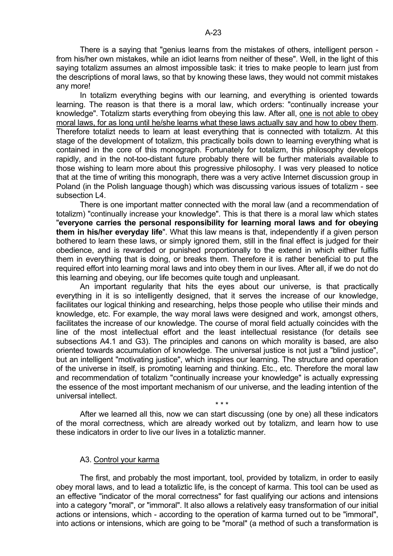There is a saying that "genius learns from the mistakes of others, intelligent person from his/her own mistakes, while an idiot learns from neither of these". Well, in the light of this saying totalizm assumes an almost impossible task: it tries to make people to learn just from the descriptions of moral laws, so that by knowing these laws, they would not commit mistakes any more!

 In totalizm everything begins with our learning, and everything is oriented towards learning. The reason is that there is a moral law, which orders: "continually increase your knowledge". Totalizm starts everything from obeying this law. After all, one is not able to obey moral laws, for as long until he/she learns what these laws actually say and how to obey them. Therefore totalizt needs to learn at least everything that is connected with totalizm. At this stage of the development of totalizm, this practically boils down to learning everything what is contained in the core of this monograph. Fortunately for totalizm, this philosophy develops rapidly, and in the not-too-distant future probably there will be further materials available to those wishing to learn more about this progressive philosophy. I was very pleased to notice that at the time of writing this monograph, there was a very active Internet discussion group in Poland (in the Polish language though) which was discussing various issues of totalizm - see subsection L4.

 There is one important matter connected with the moral law (and a recommendation of totalizm) "continually increase your knowledge". This is that there is a moral law which states "**everyone carries the personal responsibility for learning moral laws and for obeying them in his/her everyday life**". What this law means is that, independently if a given person bothered to learn these laws, or simply ignored them, still in the final effect is judged for their obedience, and is rewarded or punished proportionally to the extend in which either fulfils them in everything that is doing, or breaks them. Therefore it is rather beneficial to put the required effort into learning moral laws and into obey them in our lives. After all, if we do not do this learning and obeying, our life becomes quite tough and unpleasant.

 An important regularity that hits the eyes about our universe, is that practically everything in it is so intelligently designed, that it serves the increase of our knowledge, facilitates our logical thinking and researching, helps those people who utilise their minds and knowledge, etc. For example, the way moral laws were designed and work, amongst others, facilitates the increase of our knowledge. The course of moral field actually coincides with the line of the most intellectual effort and the least intellectual resistance (for details see subsections A4.1 and G3). The principles and canons on which morality is based, are also oriented towards accumulation of knowledge. The universal justice is not just a "blind justice", but an intelligent "motivating justice", which inspires our learning. The structure and operation of the universe in itself, is promoting learning and thinking. Etc., etc. Therefore the moral law and recommendation of totalizm "continually increase your knowledge" is actually expressing the essence of the most important mechanism of our universe, and the leading intention of the universal intellect.

 After we learned all this, now we can start discussing (one by one) all these indicators of the moral correctness, which are already worked out by totalizm, and learn how to use these indicators in order to live our lives in a totaliztic manner.

### A3. Control your karma

 $\star \star \star$ 

 The first, and probably the most important, tool, provided by totalizm, in order to easily obey moral laws, and to lead a totaliztic life, is the concept of karma. This tool can be used as an effective "indicator of the moral correctness" for fast qualifying our actions and intensions into a category "moral", or "immoral". It also allows a relatively easy transformation of our initial actions or intensions, which - according to the operation of karma turned out to be "immoral", into actions or intensions, which are going to be "moral" (a method of such a transformation is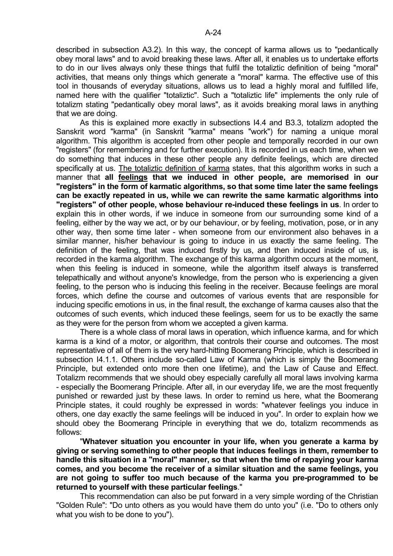described in subsection A3.2). In this way, the concept of karma allows us to "pedantically obey moral laws" and to avoid breaking these laws. After all, it enables us to undertake efforts to do in our lives always only these things that fulfil the totaliztic definition of being "moral" activities, that means only things which generate a "moral" karma. The effective use of this tool in thousands of everyday situations, allows us to lead a highly moral and fulfilled life, named here with the qualifier "totaliztic". Such a "totaliztic life" implements the only rule of totalizm stating "pedantically obey moral laws", as it avoids breaking moral laws in anything that we are doing.

 As this is explained more exactly in subsections I4.4 and B3.3, totalizm adopted the Sanskrit word "karma" (in Sanskrit "karma" means "work") for naming a unique moral algorithm. This algorithm is accepted from other people and temporally recorded in our own "registers" (for remembering and for further execution). It is recorded in us each time, when we do something that induces in these other people any definite feelings, which are directed specifically at us. The totaliztic definition of karma states, that this algorithm works in such a manner that **all feelings that we induced in other people, are memorised in our "registers" in the form of karmatic algorithms, so that some time later the same feelings can be exactly repeated in us, while we can rewrite the same karmatic algorithms into "registers" of other people, whose behaviour re-induced these feelings in us**. In order to explain this in other words, if we induce in someone from our surrounding some kind of a feeling, either by the way we act, or by our behaviour, or by feeling, motivation, pose, or in any other way, then some time later - when someone from our environment also behaves in a similar manner, his/her behaviour is going to induce in us exactly the same feeling. The definition of the feeling, that was induced firstly by us, and then induced inside of us, is recorded in the karma algorithm. The exchange of this karma algorithm occurs at the moment, when this feeling is induced in someone, while the algorithm itself always is transferred telepathically and without anyone's knowledge, from the person who is experiencing a given feeling, to the person who is inducing this feeling in the receiver. Because feelings are moral forces, which define the course and outcomes of various events that are responsible for inducing specific emotions in us, in the final result, the exchange of karma causes also that the outcomes of such events, which induced these feelings, seem for us to be exactly the same as they were for the person from whom we accepted a given karma.

 There is a whole class of moral laws in operation, which influence karma, and for which karma is a kind of a motor, or algorithm, that controls their course and outcomes. The most representative of all of them is the very hard-hitting Boomerang Principle, which is described in subsection I4.1.1. Others include so-called Law of Karma (which is simply the Boomerang Principle, but extended onto more then one lifetime), and the Law of Cause and Effect. Totalizm recommends that we should obey especially carefully all moral laws involving karma - especially the Boomerang Principle. After all, in our everyday life, we are the most frequently punished or rewarded just by these laws. In order to remind us here, what the Boomerang Principle states, it could roughly be expressed in words: "whatever feelings you induce in others, one day exactly the same feelings will be induced in you". In order to explain how we should obey the Boomerang Principle in everything that we do, totalizm recommends as follows:

 "**Whatever situation you encounter in your life, when you generate a karma by giving or serving something to other people that induces feelings in them, remember to handle this situation in a "moral" manner, so that when the time of repaying your karma comes, and you become the receiver of a similar situation and the same feelings, you are not going to suffer too much because of the karma you pre-programmed to be returned to yourself with these particular feelings**."

 This recommendation can also be put forward in a very simple wording of the Christian "Golden Rule": "Do unto others as you would have them do unto you" (i.e. "Do to others only what you wish to be done to you").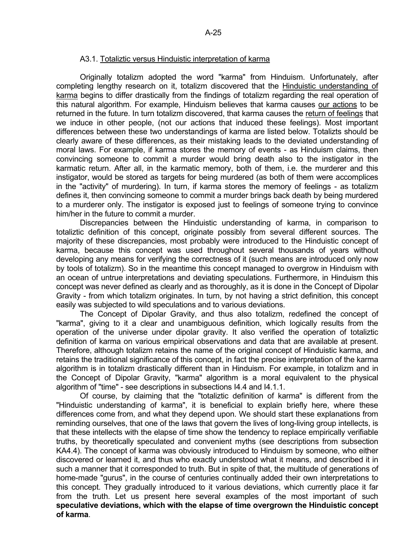#### A3.1. Totaliztic versus Hinduistic interpretation of karma

 Originally totalizm adopted the word "karma" from Hinduism. Unfortunately, after completing lengthy research on it, totalizm discovered that the Hinduistic understanding of karma begins to differ drastically from the findings of totalizm regarding the real operation of this natural algorithm. For example, Hinduism believes that karma causes our actions to be returned in the future. In turn totalizm discovered, that karma causes the return of feelings that we induce in other people, (not our actions that induced these feelings). Most important differences between these two understandings of karma are listed below. Totalizts should be clearly aware of these differences, as their mistaking leads to the deviated understanding of moral laws. For example, if karma stores the memory of events - as Hinduism claims, then convincing someone to commit a murder would bring death also to the instigator in the karmatic return. After all, in the karmatic memory, both of them, i.e. the murderer and this instigator, would be stored as targets for being murdered (as both of them were accomplices in the "activity" of murdering). In turn, if karma stores the memory of feelings - as totalizm defines it, then convincing someone to commit a murder brings back death by being murdered to a murderer only. The instigator is exposed just to feelings of someone trying to convince him/her in the future to commit a murder.

 Discrepancies between the Hinduistic understanding of karma, in comparison to totaliztic definition of this concept, originate possibly from several different sources. The majority of these discrepancies, most probably were introduced to the Hinduistic concept of karma, because this concept was used throughout several thousands of years without developing any means for verifying the correctness of it (such means are introduced only now by tools of totalizm). So in the meantime this concept managed to overgrow in Hinduism with an ocean of untrue interpretations and deviating speculations. Furthermore, in Hinduism this concept was never defined as clearly and as thoroughly, as it is done in the Concept of Dipolar Gravity - from which totalizm originates. In turn, by not having a strict definition, this concept easily was subjected to wild speculations and to various deviations.

 The Concept of Dipolar Gravity, and thus also totalizm, redefined the concept of "karma", giving to it a clear and unambiguous definition, which logically results from the operation of the universe under dipolar gravity. It also verified the operation of totaliztic definition of karma on various empirical observations and data that are available at present. Therefore, although totalizm retains the name of the original concept of Hinduistic karma, and retains the traditional significance of this concept, in fact the precise interpretation of the karma algorithm is in totalizm drastically different than in Hinduism. For example, in totalizm and in the Concept of Dipolar Gravity, "karma" algorithm is a moral equivalent to the physical algorithm of "time" - see descriptions in subsections I4.4 and I4.1.1.

 Of course, by claiming that the "totaliztic definition of karma" is different from the "Hinduistic understanding of karma", it is beneficial to explain briefly here, where these differences come from, and what they depend upon. We should start these explanations from reminding ourselves, that one of the laws that govern the lives of long-living group intellects, is that these intellects with the elapse of time show the tendency to replace empirically verifiable truths, by theoretically speculated and convenient myths (see descriptions from subsection KA4.4). The concept of karma was obviously introduced to Hinduism by someone, who either discovered or learned it, and thus who exactly understood what it means, and described it in such a manner that it corresponded to truth. But in spite of that, the multitude of generations of home-made "gurus", in the course of centuries continually added their own interpretations to this concept. They gradually introduced to it various deviations, which currently place it far from the truth. Let us present here several examples of the most important of such **speculative deviations, which with the elapse of time overgrown the Hinduistic concept of karma**.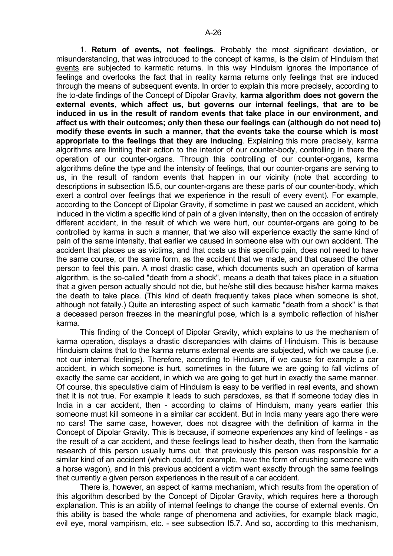1. **Return of events, not feelings**. Probably the most significant deviation, or misunderstanding, that was introduced to the concept of karma, is the claim of Hinduism that events are subjected to karmatic returns. In this way Hinduism ignores the importance of feelings and overlooks the fact that in reality karma returns only feelings that are induced through the means of subsequent events. In order to explain this more precisely, according to the to-date findings of the Concept of Dipolar Gravity, **karma algorithm does not govern the external events, which affect us, but governs our internal feelings, that are to be induced in us in the result of random events that take place in our environment, and affect us with their outcomes; only then these our feelings can (although do not need to) modify these events in such a manner, that the events take the course which is most appropriate to the feelings that they are inducing**. Explaining this more precisely, karma algorithms are limiting their action to the interior of our counter-body, controlling in there the operation of our counter-organs. Through this controlling of our counter-organs, karma algorithms define the type and the intensity of feelings, that our counter-organs are serving to us, in the result of random events that happen in our vicinity (note that according to descriptions in subsection I5.5, our counter-organs are these parts of our counter-body, which exert a control over feelings that we experience in the result of every event). For example, according to the Concept of Dipolar Gravity, if sometime in past we caused an accident, which induced in the victim a specific kind of pain of a given intensity, then on the occasion of entirely different accident, in the result of which we were hurt, our counter-organs are going to be controlled by karma in such a manner, that we also will experience exactly the same kind of pain of the same intensity, that earlier we caused in someone else with our own accident. The accident that places us as victims, and that costs us this specific pain, does not need to have the same course, or the same form, as the accident that we made, and that caused the other person to feel this pain. A most drastic case, which documents such an operation of karma algorithm, is the so-called "death from a shock", means a death that takes place in a situation that a given person actually should not die, but he/she still dies because his/her karma makes the death to take place. (This kind of death frequently takes place when someone is shot, although not fatally.) Quite an interesting aspect of such karmatic "death from a shock" is that a deceased person freezes in the meaningful pose, which is a symbolic reflection of his/her karma.

 This finding of the Concept of Dipolar Gravity, which explains to us the mechanism of karma operation, displays a drastic discrepancies with claims of Hinduism. This is because Hinduism claims that to the karma returns external events are subjected, which we cause (i.e. not our internal feelings). Therefore, according to Hinduism, if we cause for example a car accident, in which someone is hurt, sometimes in the future we are going to fall victims of exactly the same car accident, in which we are going to get hurt in exactly the same manner. Of course, this speculative claim of Hinduism is easy to be verified in real events, and shown that it is not true. For example it leads to such paradoxes, as that if someone today dies in India in a car accident, then - according to claims of Hinduism, many years earlier this someone must kill someone in a similar car accident. But in India many years ago there were no cars! The same case, however, does not disagree with the definition of karma in the Concept of Dipolar Gravity. This is because, if someone experiences any kind of feelings - as the result of a car accident, and these feelings lead to his/her death, then from the karmatic research of this person usually turns out, that previously this person was responsible for a similar kind of an accident (which could, for example, have the form of crushing someone with a horse wagon), and in this previous accident a victim went exactly through the same feelings that currently a given person experiences in the result of a car accident.

 There is, however, an aspect of karma mechanism, which results from the operation of this algorithm described by the Concept of Dipolar Gravity, which requires here a thorough explanation. This is an ability of internal feelings to change the course of external events. On this ability is based the whole range of phenomena and activities, for example black magic, evil eye, moral vampirism, etc. - see subsection I5.7. And so, according to this mechanism,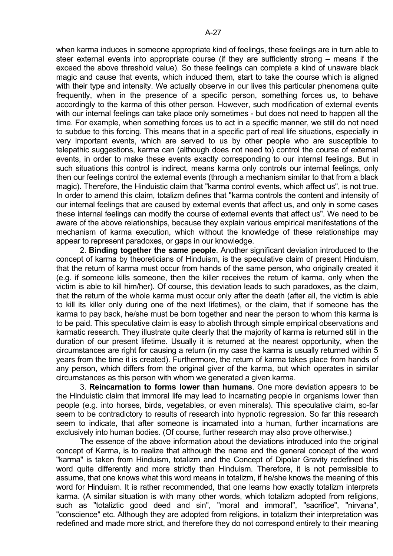when karma induces in someone appropriate kind of feelings, these feelings are in turn able to steer external events into appropriate course (if they are sufficiently strong – means if the exceed the above threshold value). So these feelings can complete a kind of unaware black magic and cause that events, which induced them, start to take the course which is aligned with their type and intensity. We actually observe in our lives this particular phenomena quite frequently, when in the presence of a specific person, something forces us, to behave accordingly to the karma of this other person. However, such modification of external events with our internal feelings can take place only sometimes - but does not need to happen all the time. For example, when something forces us to act in a specific manner, we still do not need to subdue to this forcing. This means that in a specific part of real life situations, especially in very important events, which are served to us by other people who are susceptible to telepathic suggestions, karma can (although does not need to) control the course of external events, in order to make these events exactly corresponding to our internal feelings. But in such situations this control is indirect, means karma only controls our internal feelings, only then our feelings control the external events (through a mechanism similar to that from a black magic). Therefore, the Hinduistic claim that "karma control events, which affect us", is not true. In order to amend this claim, totalizm defines that "karma controls the content and intensity of our internal feelings that are caused by external events that affect us, and only in some cases these internal feelings can modify the course of external events that affect us". We need to be aware of the above relationships, because they explain various empirical manifestations of the mechanism of karma execution, which without the knowledge of these relationships may appear to represent paradoxes, or gaps in our knowledge.

 2. **Binding together the same people**. Another significant deviation introduced to the concept of karma by theoreticians of Hinduism, is the speculative claim of present Hinduism, that the return of karma must occur from hands of the same person, who originally created it (e.g. if someone kills someone, then the killer receives the return of karma, only when the victim is able to kill him/her). Of course, this deviation leads to such paradoxes, as the claim, that the return of the whole karma must occur only after the death (after all, the victim is able to kill its killer only during one of the next lifetimes), or the claim, that if someone has the karma to pay back, he/she must be born together and near the person to whom this karma is to be paid. This speculative claim is easy to abolish through simple empirical observations and karmatic research. They illustrate quite clearly that the majority of karma is returned still in the duration of our present lifetime. Usually it is returned at the nearest opportunity, when the circumstances are right for causing a return (in my case the karma is usually returned within 5 years from the time it is created). Furthermore, the return of karma takes place from hands of any person, which differs from the original giver of the karma, but which operates in similar circumstances as this person with whom we generated a given karma.

 3. **Reincarnation to forms lower than humans**. One more deviation appears to be the Hinduistic claim that immoral life may lead to incarnating people in organisms lower than people (e.g. into horses, birds, vegetables, or even minerals). This speculative claim, so-far seem to be contradictory to results of research into hypnotic regression. So far this research seem to indicate, that after someone is incarnated into a human, further incarnations are exclusively into human bodies. (Of course, further research may also prove otherwise.)

 The essence of the above information about the deviations introduced into the original concept of Karma, is to realize that although the name and the general concept of the word "karma" is taken from Hinduism, totalizm and the Concept of Dipolar Gravity redefined this word quite differently and more strictly than Hinduism. Therefore, it is not permissible to assume, that one knows what this word means in totalizm, if he/she knows the meaning of this word for Hinduism. It is rather recommended, that one learns how exactly totalizm interprets karma. (A similar situation is with many other words, which totalizm adopted from religions, such as "totaliztic good deed and sin", "moral and immoral", "sacrifice", "nirvana", "conscience" etc. Although they are adopted from religions, in totalizm their interpretation was redefined and made more strict, and therefore they do not correspond entirely to their meaning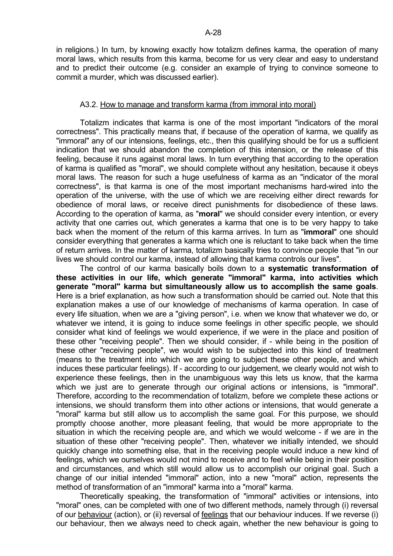in religions.) In turn, by knowing exactly how totalizm defines karma, the operation of many moral laws, which results from this karma, become for us very clear and easy to understand and to predict their outcome (e.g. consider an example of trying to convince someone to commit a murder, which was discussed earlier).

# A3.2. How to manage and transform karma (from immoral into moral)

 Totalizm indicates that karma is one of the most important "indicators of the moral correctness". This practically means that, if because of the operation of karma, we qualify as "immoral" any of our intensions, feelings, etc., then this qualifying should be for us a sufficient indication that we should abandon the completion of this intension, or the release of this feeling, because it runs against moral laws. In turn everything that according to the operation of karma is qualified as "moral", we should complete without any hesitation, because it obeys moral laws. The reason for such a huge usefulness of karma as an "indicator of the moral correctness", is that karma is one of the most important mechanisms hard-wired into the operation of the universe, with the use of which we are receiving either direct rewards for obedience of moral laws, or receive direct punishments for disobedience of these laws. According to the operation of karma, as "**moral**" we should consider every intention, or every activity that one carries out, which generates a karma that one is to be very happy to take back when the moment of the return of this karma arrives. In turn as "**immoral**" one should consider everything that generates a karma which one is reluctant to take back when the time of return arrives. In the matter of karma, totalizm basically tries to convince people that "in our lives we should control our karma, instead of allowing that karma controls our lives".

 The control of our karma basically boils down to a **systematic transformation of these activities in our life, which generate "immoral" karma, into activities which generate "moral" karma but simultaneously allow us to accomplish the same goals**. Here is a brief explanation, as how such a transformation should be carried out. Note that this explanation makes a use of our knowledge of mechanisms of karma operation. In case of every life situation, when we are a "giving person", i.e. when we know that whatever we do, or whatever we intend, it is going to induce some feelings in other specific people, we should consider what kind of feelings we would experience, if we were in the place and position of these other "receiving people". Then we should consider, if - while being in the position of these other "receiving people", we would wish to be subjected into this kind of treatment (means to the treatment into which we are going to subject these other people, and which induces these particular feelings). If - according to our judgement, we clearly would not wish to experience these feelings, then in the unambiguous way this lets us know, that the karma which we just are to generate through our original actions or intensions, is "immoral". Therefore, according to the recommendation of totalizm, before we complete these actions or intensions, we should transform them into other actions or intensions, that would generate a "moral" karma but still allow us to accomplish the same goal. For this purpose, we should promptly choose another, more pleasant feeling, that would be more appropriate to the situation in which the receiving people are, and which we would welcome - if we are in the situation of these other "receiving people". Then, whatever we initially intended, we should quickly change into something else, that in the receiving people would induce a new kind of feelings, which we ourselves would not mind to receive and to feel while being in their position and circumstances, and which still would allow us to accomplish our original goal. Such a change of our initial intended "immoral" action, into a new "moral" action, represents the method of transformation of an "immoral" karma into a "moral" karma.

 Theoretically speaking, the transformation of "immoral" activities or intensions, into "moral" ones, can be completed with one of two different methods, namely through (i) reversal of our behaviour (action), or (ii) reversal of feelings that our behaviour induces. If we reverse (i) our behaviour, then we always need to check again, whether the new behaviour is going to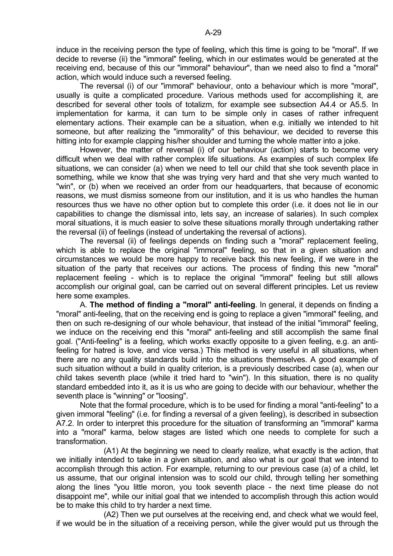induce in the receiving person the type of feeling, which this time is going to be "moral". If we decide to reverse (ii) the "immoral" feeling, which in our estimates would be generated at the receiving end, because of this our "immoral" behaviour", than we need also to find a "moral" action, which would induce such a reversed feeling.

 The reversal (i) of our "immoral" behaviour, onto a behaviour which is more "moral", usually is quite a complicated procedure. Various methods used for accomplishing it, are described for several other tools of totalizm, for example see subsection A4.4 or A5.5. In implementation for karma, it can turn to be simple only in cases of rather infrequent elementary actions. Their example can be a situation, when e.g. initially we intended to hit someone, but after realizing the "immorality" of this behaviour, we decided to reverse this hitting into for example clapping his/her shoulder and turning the whole matter into a joke.

 However, the matter of reversal (i) of our behaviour (action) starts to become very difficult when we deal with rather complex life situations. As examples of such complex life situations, we can consider (a) when we need to tell our child that she took seventh place in something, while we know that she was trying very hard and that she very much wanted to "win", or (b) when we received an order from our headquarters, that because of economic reasons, we must dismiss someone from our institution, and it is us who handles the human resources thus we have no other option but to complete this order (i.e. it does not lie in our capabilities to change the dismissal into, lets say, an increase of salaries). In such complex moral situations, it is much easier to solve these situations morally through undertaking rather the reversal (ii) of feelings (instead of undertaking the reversal of actions).

 The reversal (ii) of feelings depends on finding such a "moral" replacement feeling, which is able to replace the original "immoral" feeling, so that in a given situation and circumstances we would be more happy to receive back this new feeling, if we were in the situation of the party that receives our actions. The process of finding this new "moral" replacement feeling - which is to replace the original "immoral" feeling but still allows accomplish our original goal, can be carried out on several different principles. Let us review here some examples.

 A. **The method of finding a "moral" anti-feeling**. In general, it depends on finding a "moral" anti-feeling, that on the receiving end is going to replace a given "immoral" feeling, and then on such re-designing of our whole behaviour, that instead of the initial "immoral" feeling, we induce on the receiving end this "moral" anti-feeling and still accomplish the same final goal. ("Anti-feeling" is a feeling, which works exactly opposite to a given feeling, e.g. an antifeeling for hatred is love, and vice versa.) This method is very useful in all situations, when there are no any quality standards build into the situations themselves. A good example of such situation without a build in quality criterion, is a previously described case (a), when our child takes seventh place (while it tried hard to "win"). In this situation, there is no quality standard embedded into it, as it is us who are going to decide with our behaviour, whether the seventh place is "winning" or "loosing".

 Note that the formal procedure, which is to be used for finding a moral "anti-feeling" to a given immoral "feeling" (i.e. for finding a reversal of a given feeling), is described in subsection A7.2. In order to interpret this procedure for the situation of transforming an "immoral" karma into a "moral" karma, below stages are listed which one needs to complete for such a transformation.

 (A1) At the beginning we need to clearly realize, what exactly is the action, that we initially intended to take in a given situation, and also what is our goal that we intend to accomplish through this action. For example, returning to our previous case (a) of a child, let us assume, that our original intension was to scold our child, through telling her something along the lines "you little moron, you took seventh place - the next time please do not disappoint me", while our initial goal that we intended to accomplish through this action would be to make this child to try harder a next time.

 (A2) Then we put ourselves at the receiving end, and check what we would feel, if we would be in the situation of a receiving person, while the giver would put us through the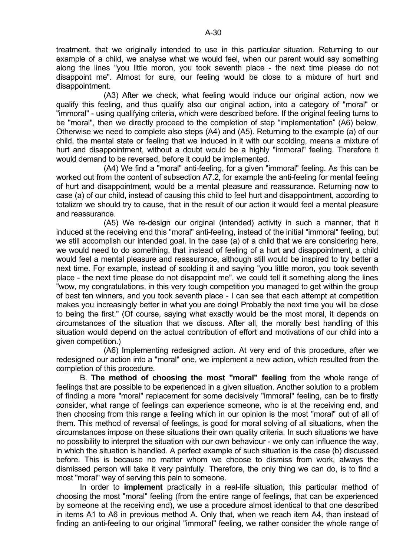treatment, that we originally intended to use in this particular situation. Returning to our example of a child, we analyse what we would feel, when our parent would say something along the lines "you little moron, you took seventh place - the next time please do not disappoint me". Almost for sure, our feeling would be close to a mixture of hurt and disappointment.

 (A3) After we check, what feeling would induce our original action, now we qualify this feeling, and thus qualify also our original action, into a category of "moral" or "immoral" - using qualifying criteria, which were described before. If the original feeling turns to be "moral", then we directly proceed to the completion of step "implementation" (A6) below. Otherwise we need to complete also steps (A4) and (A5). Returning to the example (a) of our child, the mental state or feeling that we induced in it with our scolding, means a mixture of hurt and disappointment, without a doubt would be a highly "immoral" feeling. Therefore it would demand to be reversed, before it could be implemented.

 (A4) We find a "moral" anti-feeling, for a given "immoral" feeling. As this can be worked out from the content of subsection A7.2, for example the anti-feeling for mental feeling of hurt and disappointment, would be a mental pleasure and reassurance. Returning now to case (a) of our child, instead of causing this child to feel hurt and disappointment, according to totalizm we should try to cause, that in the result of our action it would feel a mental pleasure and reassurance.

 (A5) We re-design our original (intended) activity in such a manner, that it induced at the receiving end this "moral" anti-feeling, instead of the initial "immoral" feeling, but we still accomplish our intended goal. In the case (a) of a child that we are considering here, we would need to do something, that instead of feeling of a hurt and disappointment, a child would feel a mental pleasure and reassurance, although still would be inspired to try better a next time. For example, instead of scolding it and saying "you little moron, you took seventh place - the next time please do not disappoint me", we could tell it something along the lines "wow, my congratulations, in this very tough competition you managed to get within the group of best ten winners, and you took seventh place - I can see that each attempt at competition makes you increasingly better in what you are doing! Probably the next time you will be close to being the first." (Of course, saying what exactly would be the most moral, it depends on circumstances of the situation that we discuss. After all, the morally best handling of this situation would depend on the actual contribution of effort and motivations of our child into a given competition.)

 (A6) Implementing redesigned action. At very end of this procedure, after we redesigned our action into a "moral" one, we implement a new action, which resulted from the completion of this procedure.

 B. **The method of choosing the most "moral" feeling** from the whole range of feelings that are possible to be experienced in a given situation. Another solution to a problem of finding a more "moral" replacement for some decisively "immoral" feeling, can be to firstly consider, what range of feelings can experience someone, who is at the receiving end, and then choosing from this range a feeling which in our opinion is the most "moral" out of all of them. This method of reversal of feelings, is good for moral solving of all situations, when the circumstances impose on these situations their own quality criteria. In such situations we have no possibility to interpret the situation with our own behaviour - we only can influence the way, in which the situation is handled. A perfect example of such situation is the case (b) discussed before. This is because no matter whom we choose to dismiss from work, always the dismissed person will take it very painfully. Therefore, the only thing we can do, is to find a most "moral" way of serving this pain to someone.

 In order to **implement** practically in a real-life situation, this particular method of choosing the most "moral" feeling (from the entire range of feelings, that can be experienced by someone at the receiving end), we use a procedure almost identical to that one described in items A1 to A6 in previous method A. Only that, when we reach item A4, than instead of finding an anti-feeling to our original "immoral" feeling, we rather consider the whole range of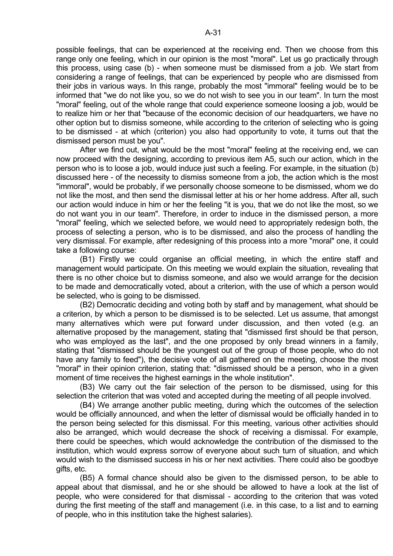possible feelings, that can be experienced at the receiving end. Then we choose from this range only one feeling, which in our opinion is the most "moral". Let us go practically through this process, using case (b) - when someone must be dismissed from a job. We start from considering a range of feelings, that can be experienced by people who are dismissed from their jobs in various ways. In this range, probably the most "immoral" feeling would be to be informed that "we do not like you, so we do not wish to see you in our team". In turn the most "moral" feeling, out of the whole range that could experience someone loosing a job, would be to realize him or her that "because of the economic decision of our headquarters, we have no other option but to dismiss someone, while according to the criterion of selecting who is going to be dismissed - at which (criterion) you also had opportunity to vote, it turns out that the dismissed person must be you".

 After we find out, what would be the most "moral" feeling at the receiving end, we can now proceed with the designing, according to previous item A5, such our action, which in the person who is to loose a job, would induce just such a feeling. For example, in the situation (b) discussed here - of the necessity to dismiss someone from a job, the action which is the most "immoral", would be probably, if we personally choose someone to be dismissed, whom we do not like the most, and then send the dismissal letter at his or her home address. After all, such our action would induce in him or her the feeling "it is you, that we do not like the most, so we do not want you in our team". Therefore, in order to induce in the dismissed person, a more "moral" feeling, which we selected before, we would need to appropriately redesign both, the process of selecting a person, who is to be dismissed, and also the process of handling the very dismissal. For example, after redesigning of this process into a more "moral" one, it could take a following course:

 (B1) Firstly we could organise an official meeting, in which the entire staff and management would participate. On this meeting we would explain the situation, revealing that there is no other choice but to dismiss someone, and also we would arrange for the decision to be made and democratically voted, about a criterion, with the use of which a person would be selected, who is going to be dismissed.

 (B2) Democratic deciding and voting both by staff and by management, what should be a criterion, by which a person to be dismissed is to be selected. Let us assume, that amongst many alternatives which were put forward under discussion, and then voted (e.g. an alternative proposed by the management, stating that "dismissed first should be that person, who was employed as the last", and the one proposed by only bread winners in a family, stating that "dismissed should be the youngest out of the group of those people, who do not have any family to feed"), the decisive vote of all gathered on the meeting, choose the most "moral" in their opinion criterion, stating that: "dismissed should be a person, who in a given moment of time receives the highest earnings in the whole institution".

 (B3) We carry out the fair selection of the person to be dismissed, using for this selection the criterion that was voted and accepted during the meeting of all people involved.

 (B4) We arrange another public meeting, during which the outcomes of the selection would be officially announced, and when the letter of dismissal would be officially handed in to the person being selected for this dismissal. For this meeting, various other activities should also be arranged, which would decrease the shock of receiving a dismissal. For example, there could be speeches, which would acknowledge the contribution of the dismissed to the institution, which would express sorrow of everyone about such turn of situation, and which would wish to the dismissed success in his or her next activities. There could also be goodbye gifts, etc.

 (B5) A formal chance should also be given to the dismissed person, to be able to appeal about that dismissal, and he or she should be allowed to have a look at the list of people, who were considered for that dismissal - according to the criterion that was voted during the first meeting of the staff and management (i.e. in this case, to a list and to earning of people, who in this institution take the highest salaries).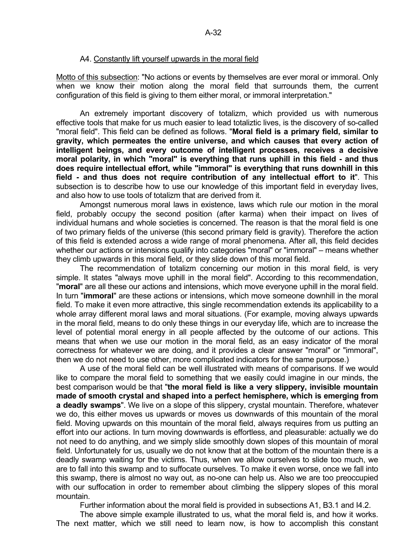#### A4. Constantly lift yourself upwards in the moral field

Motto of this subsection: "No actions or events by themselves are ever moral or immoral. Only when we know their motion along the moral field that surrounds them, the current configuration of this field is giving to them either moral, or immoral interpretation."

 An extremely important discovery of totalizm, which provided us with numerous effective tools that make for us much easier to lead totaliztic lives, is the discovery of so-called "moral field". This field can be defined as follows. "**Moral field is a primary field, similar to gravity, which permeates the entire universe, and which causes that every action of intelligent beings, and every outcome of intelligent processes, receives a decisive moral polarity, in which "moral" is everything that runs uphill in this field - and thus does require intellectual effort, while "immoral" is everything that runs downhill in this field - and thus does not require contribution of any intellectual effort to it**". This subsection is to describe how to use our knowledge of this important field in everyday lives, and also how to use tools of totalizm that are derived from it.

 Amongst numerous moral laws in existence, laws which rule our motion in the moral field, probably occupy the second position (after karma) when their impact on lives of individual humans and whole societies is concerned. The reason is that the moral field is one of two primary fields of the universe (this second primary field is gravity). Therefore the action of this field is extended across a wide range of moral phenomena. After all, this field decides whether our actions or intensions qualify into categories "moral" or "immoral" – means whether they climb upwards in this moral field, or they slide down of this moral field.

 The recommendation of totalizm concerning our motion in this moral field, is very simple. It states "always move uphill in the moral field". According to this recommendation, "**moral**" are all these our actions and intensions, which move everyone uphill in the moral field. In turn "**immoral**" are these actions or intensions, which move someone downhill in the moral field. To make it even more attractive, this single recommendation extends its applicability to a whole array different moral laws and moral situations. (For example, moving always upwards in the moral field, means to do only these things in our everyday life, which are to increase the level of potential moral energy in all people affected by the outcome of our actions. This means that when we use our motion in the moral field, as an easy indicator of the moral correctness for whatever we are doing, and it provides a clear answer "moral" or "immoral", then we do not need to use other, more complicated indicators for the same purpose.)

 A use of the moral field can be well illustrated with means of comparisons. If we would like to compare the moral field to something that we easily could imagine in our minds, the best comparison would be that "**the moral field is like a very slippery, invisible mountain made of smooth crystal and shaped into a perfect hemisphere, which is emerging from a deadly swamps**". We live on a slope of this slippery, crystal mountain. Therefore, whatever we do, this either moves us upwards or moves us downwards of this mountain of the moral field. Moving upwards on this mountain of the moral field, always requires from us putting an effort into our actions. In turn moving downwards is effortless, and pleasurable: actually we do not need to do anything, and we simply slide smoothly down slopes of this mountain of moral field. Unfortunately for us, usually we do not know that at the bottom of the mountain there is a deadly swamp waiting for the victims. Thus, when we allow ourselves to slide too much, we are to fall into this swamp and to suffocate ourselves. To make it even worse, once we fall into this swamp, there is almost no way out, as no-one can help us. Also we are too preoccupied with our suffocation in order to remember about climbing the slippery slopes of this moral mountain.

Further information about the moral field is provided in subsections A1, B3.1 and I4.2.

 The above simple example illustrated to us, what the moral field is, and how it works. The next matter, which we still need to learn now, is how to accomplish this constant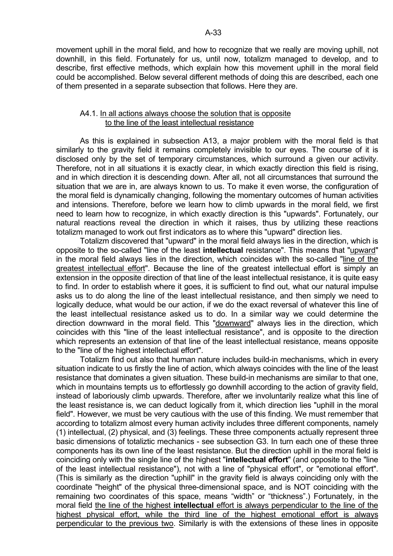movement uphill in the moral field, and how to recognize that we really are moving uphill, not downhill, in this field. Fortunately for us, until now, totalizm managed to develop, and to describe, first effective methods, which explain how this movement uphill in the moral field could be accomplished. Below several different methods of doing this are described, each one of them presented in a separate subsection that follows. Here they are.

### A4.1. In all actions always choose the solution that is opposite to the line of the least intellectual resistance

 As this is explained in subsection A13, a major problem with the moral field is that similarly to the gravity field it remains completely invisible to our eyes. The course of it is disclosed only by the set of temporary circumstances, which surround a given our activity. Therefore, not in all situations it is exactly clear, in which exactly direction this field is rising, and in which direction it is descending down. After all, not all circumstances that surround the situation that we are in, are always known to us. To make it even worse, the configuration of the moral field is dynamically changing, following the momentary outcomes of human activities and intensions. Therefore, before we learn how to climb upwards in the moral field, we first need to learn how to recognize, in which exactly direction is this "upwards". Fortunately, our natural reactions reveal the direction in which it raises, thus by utilizing these reactions totalizm managed to work out first indicators as to where this "upward" direction lies.

 Totalizm discovered that "upward" in the moral field always lies in the direction, which is opposite to the so-called "line of the least **intellectual** resistance". This means that "upward" in the moral field always lies in the direction, which coincides with the so-called "line of the greatest intellectual effort". Because the line of the greatest intellectual effort is simply an extension in the opposite direction of that line of the least intellectual resistance, it is quite easy to find. In order to establish where it goes, it is sufficient to find out, what our natural impulse asks us to do along the line of the least intellectual resistance, and then simply we need to logically deduce, what would be our action, if we do the exact reversal of whatever this line of the least intellectual resistance asked us to do. In a similar way we could determine the direction downward in the moral field. This "downward" always lies in the direction, which coincides with this "line of the least intellectual resistance", and is opposite to the direction which represents an extension of that line of the least intellectual resistance, means opposite to the "line of the highest intellectual effort".

 Totalizm find out also that human nature includes build-in mechanisms, which in every situation indicate to us firstly the line of action, which always coincides with the line of the least resistance that dominates a given situation. These build-in mechanisms are similar to that one, which in mountains tempts us to effortlessly go downhill according to the action of gravity field. instead of laboriously climb upwards. Therefore, after we involuntarily realize what this line of the least resistance is, we can deduct logically from it, which direction lies "uphill in the moral field". However, we must be very cautious with the use of this finding. We must remember that according to totalizm almost every human activity includes three different components, namely (1) intellectual, (2) physical, and (3) feelings. These three components actually represent three basic dimensions of totaliztic mechanics - see subsection G3. In turn each one of these three components has its own line of the least resistance. But the direction uphill in the moral field is coinciding only with the single line of the highest "**intellectual effort**" (and opposite to the "line of the least intellectual resistance"), not with a line of "physical effort", or "emotional effort". (This is similarly as the direction "uphill" in the gravity field is always coinciding only with the coordinate "height" of the physical three-dimensional space, and is NOT coinciding with the remaining two coordinates of this space, means "width" or "thickness".) Fortunately, in the moral field the line of the highest **intellectual** effort is always perpendicular to the line of the highest physical effort, while the third line of the highest emotional effort is always perpendicular to the previous two. Similarly is with the extensions of these lines in opposite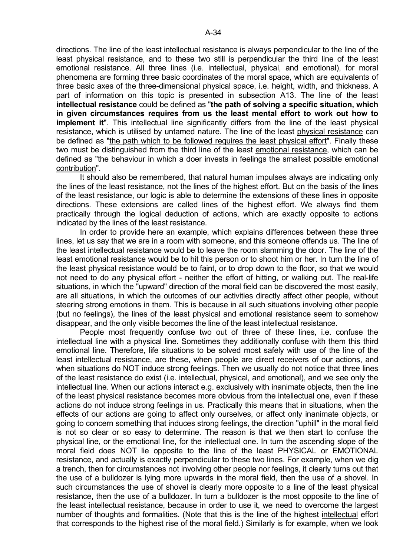directions. The line of the least intellectual resistance is always perpendicular to the line of the least physical resistance, and to these two still is perpendicular the third line of the least emotional resistance. All three lines (i.e. intellectual, physical, and emotional), for moral phenomena are forming three basic coordinates of the moral space, which are equivalents of three basic axes of the three-dimensional physical space, i.e. height, width, and thickness. A part of information on this topic is presented in subsection A13. The line of the least **intellectual resistance** could be defined as "**the path of solving a specific situation, which in given circumstances requires from us the least mental effort to work out how to implement it**". This intellectual line significantly differs from the line of the least physical resistance, which is utilised by untamed nature. The line of the least physical resistance can be defined as "the path which to be followed requires the least physical effort". Finally these two must be distinguished from the third line of the least emotional resistance, which can be defined as "the behaviour in which a doer invests in feelings the smallest possible emotional contribution".

 It should also be remembered, that natural human impulses always are indicating only the lines of the least resistance, not the lines of the highest effort. But on the basis of the lines of the least resistance, our logic is able to determine the extensions of these lines in opposite directions. These extensions are called lines of the highest effort. We always find them practically through the logical deduction of actions, which are exactly opposite to actions indicated by the lines of the least resistance.

 In order to provide here an example, which explains differences between these three lines, let us say that we are in a room with someone, and this someone offends us. The line of the least intellectual resistance would be to leave the room slamming the door. The line of the least emotional resistance would be to hit this person or to shoot him or her. In turn the line of the least physical resistance would be to faint, or to drop down to the floor, so that we would not need to do any physical effort - neither the effort of hitting, or walking out. The real-life situations, in which the "upward" direction of the moral field can be discovered the most easily, are all situations, in which the outcomes of our activities directly affect other people, without steering strong emotions in them. This is because in all such situations involving other people (but no feelings), the lines of the least physical and emotional resistance seem to somehow disappear, and the only visible becomes the line of the least intellectual resistance.

 People most frequently confuse two out of three of these lines, i.e. confuse the intellectual line with a physical line. Sometimes they additionally confuse with them this third emotional line. Therefore, life situations to be solved most safely with use of the line of the least intellectual resistance, are these, when people are direct receivers of our actions, and when situations do NOT induce strong feelings. Then we usually do not notice that three lines of the least resistance do exist (i.e. intellectual, physical, and emotional), and we see only the intellectual line. When our actions interact e.g. exclusively with inanimate objects, then the line of the least physical resistance becomes more obvious from the intellectual one, even if these actions do not induce strong feelings in us. Practically this means that in situations, when the effects of our actions are going to affect only ourselves, or affect only inanimate objects, or going to concern something that induces strong feelings, the direction "uphill" in the moral field is not so clear or so easy to determine. The reason is that we then start to confuse the physical line, or the emotional line, for the intellectual one. In turn the ascending slope of the moral field does NOT lie opposite to the line of the least PHYSICAL or EMOTIONAL resistance, and actually is exactly perpendicular to these two lines. For example, when we dig a trench, then for circumstances not involving other people nor feelings, it clearly turns out that the use of a bulldozer is lying more upwards in the moral field, then the use of a shovel. In such circumstances the use of shovel is clearly more opposite to a line of the least physical resistance, then the use of a bulldozer. In turn a bulldozer is the most opposite to the line of the least intellectual resistance, because in order to use it, we need to overcome the largest number of thoughts and formalities. (Note that this is the line of the highest intellectual effort that corresponds to the highest rise of the moral field.) Similarly is for example, when we look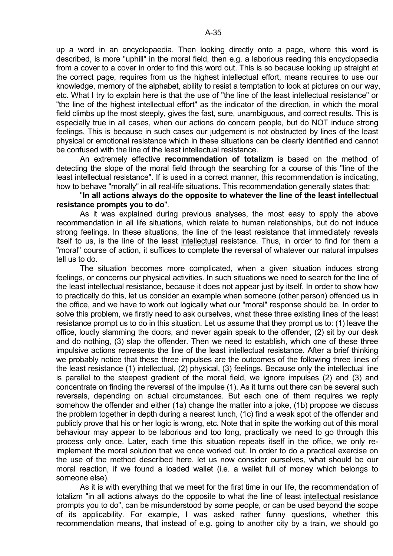up a word in an encyclopaedia. Then looking directly onto a page, where this word is described, is more "uphill" in the moral field, then e.g. a laborious reading this encyclopaedia from a cover to a cover in order to find this word out. This is so because looking up straight at the correct page, requires from us the highest intellectual effort, means requires to use our knowledge, memory of the alphabet, ability to resist a temptation to look at pictures on our way, etc. What I try to explain here is that the use of "the line of the least intellectual resistance" or "the line of the highest intellectual effort" as the indicator of the direction, in which the moral field climbs up the most steeply, gives the fast, sure, unambiguous, and correct results. This is especially true in all cases, when our actions do concern people, but do NOT induce strong feelings. This is because in such cases our judgement is not obstructed by lines of the least physical or emotional resistance which in these situations can be clearly identified and cannot be confused with the line of the least intellectual resistance.

 An extremely effective **recommendation of totalizm** is based on the method of detecting the slope of the moral field through the searching for a course of this "line of the least intellectual resistance". If is used in a correct manner, this recommendation is indicating, how to behave "morally" in all real-life situations. This recommendation generally states that:

### "**In all actions always do the opposite to whatever the line of the least intellectual resistance prompts you to do**".

 As it was explained during previous analyses, the most easy to apply the above recommendation in all life situations, which relate to human relationships, but do not induce strong feelings. In these situations, the line of the least resistance that immediately reveals itself to us, is the line of the least intellectual resistance. Thus, in order to find for them a "moral" course of action, it suffices to complete the reversal of whatever our natural impulses tell us to do.

 The situation becomes more complicated, when a given situation induces strong feelings, or concerns our physical activities. In such situations we need to search for the line of the least intellectual resistance, because it does not appear just by itself. In order to show how to practically do this, let us consider an example when someone (other person) offended us in the office, and we have to work out logically what our "moral" response should be. In order to solve this problem, we firstly need to ask ourselves, what these three existing lines of the least resistance prompt us to do in this situation. Let us assume that they prompt us to: (1) leave the office, loudly slamming the doors, and never again speak to the offender, (2) sit by our desk and do nothing, (3) slap the offender. Then we need to establish, which one of these three impulsive actions represents the line of the least intellectual resistance. After a brief thinking we probably notice that these three impulses are the outcomes of the following three lines of the least resistance (1) intellectual, (2) physical, (3) feelings. Because only the intellectual line is parallel to the steepest gradient of the moral field, we ignore impulses (2) and (3) and concentrate on finding the reversal of the impulse (1). As it turns out there can be several such reversals, depending on actual circumstances. But each one of them requires we reply somehow the offender and either (1a) change the matter into a joke, (1b) propose we discuss the problem together in depth during a nearest lunch, (1c) find a weak spot of the offender and publicly prove that his or her logic is wrong, etc. Note that in spite the working out of this moral behaviour may appear to be laborious and too long, practically we need to go through this process only once. Later, each time this situation repeats itself in the office, we only reimplement the moral solution that we once worked out. In order to do a practical exercise on the use of the method described here, let us now consider ourselves, what should be our moral reaction, if we found a loaded wallet (i.e. a wallet full of money which belongs to someone else).

 As it is with everything that we meet for the first time in our life, the recommendation of totalizm "in all actions always do the opposite to what the line of least intellectual resistance prompts you to do", can be misunderstood by some people, or can be used beyond the scope of its applicability. For example, I was asked rather funny questions, whether this recommendation means, that instead of e.g. going to another city by a train, we should go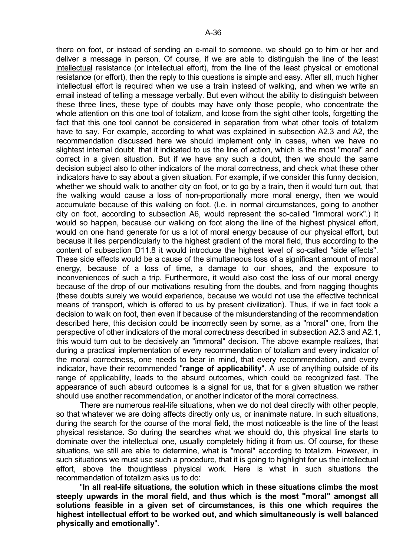there on foot, or instead of sending an e-mail to someone, we should go to him or her and deliver a message in person. Of course, if we are able to distinguish the line of the least intellectual resistance (or intellectual effort), from the line of the least physical or emotional resistance (or effort), then the reply to this questions is simple and easy. After all, much higher intellectual effort is required when we use a train instead of walking, and when we write an email instead of telling a message verbally. But even without the ability to distinguish between these three lines, these type of doubts may have only those people, who concentrate the whole attention on this one tool of totalizm, and loose from the sight other tools, forgetting the fact that this one tool cannot be considered in separation from what other tools of totalizm have to say. For example, according to what was explained in subsection A2.3 and A2, the recommendation discussed here we should implement only in cases, when we have no slightest internal doubt, that it indicated to us the line of action, which is the most "moral" and correct in a given situation. But if we have any such a doubt, then we should the same decision subject also to other indicators of the moral correctness, and check what these other indicators have to say about a given situation. For example, if we consider this funny decision, whether we should walk to another city on foot, or to go by a train, then it would turn out, that the walking would cause a loss of non-proportionally more moral energy, then we would accumulate because of this walking on foot. (I.e. in normal circumstances, going to another city on foot, according to subsection A6, would represent the so-called "immoral work".) It would so happen, because our walking on foot along the line of the highest physical effort, would on one hand generate for us a lot of moral energy because of our physical effort, but because it lies perpendicularly to the highest gradient of the moral field, thus according to the content of subsection D11.8 it would introduce the highest level of so-called "side effects". These side effects would be a cause of the simultaneous loss of a significant amount of moral energy, because of a loss of time, a damage to our shoes, and the exposure to inconveniences of such a trip. Furthermore, it would also cost the loss of our moral energy because of the drop of our motivations resulting from the doubts, and from nagging thoughts (these doubts surely we would experience, because we would not use the effective technical means of transport, which is offered to us by present civilization). Thus, if we in fact took a decision to walk on foot, then even if because of the misunderstanding of the recommendation described here, this decision could be incorrectly seen by some, as a "moral" one, from the perspective of other indicators of the moral correctness described in subsection A2.3 and A2.1, this would turn out to be decisively an "immoral" decision. The above example realizes, that during a practical implementation of every recommendation of totalizm and every indicator of the moral correctness, one needs to bear in mind, that every recommendation, and every indicator, have their recommended "**range of applicability**". A use of anything outside of its range of applicability, leads to the absurd outcomes, which could be recognized fast. The appearance of such absurd outcomes is a signal for us, that for a given situation we rather should use another recommendation, or another indicator of the moral correctness.

 There are numerous real-life situations, when we do not deal directly with other people, so that whatever we are doing affects directly only us, or inanimate nature. In such situations, during the search for the course of the moral field, the most noticeable is the line of the least physical resistance. So during the searches what we should do, this physical line starts to dominate over the intellectual one, usually completely hiding it from us. Of course, for these situations, we still are able to determine, what is "moral" according to totalizm. However, in such situations we must use such a procedure, that it is going to highlight for us the intellectual effort, above the thoughtless physical work. Here is what in such situations the recommendation of totalizm asks us to do:

 "**In all real-life situations, the solution which in these situations climbs the most steeply upwards in the moral field, and thus which is the most "moral" amongst all solutions feasible in a given set of circumstances, is this one which requires the highest intellectual effort to be worked out, and which simultaneously is well balanced physically and emotionally**".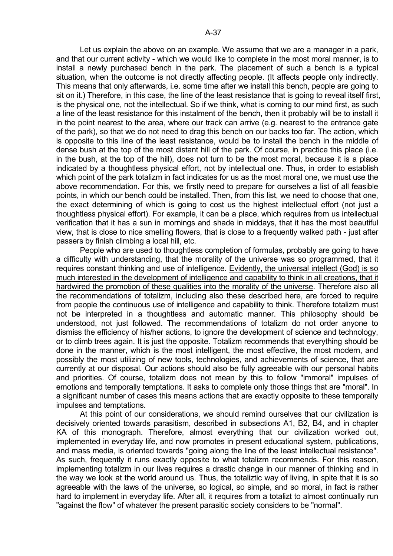Let us explain the above on an example. We assume that we are a manager in a park, and that our current activity - which we would like to complete in the most moral manner, is to install a newly purchased bench in the park. The placement of such a bench is a typical situation, when the outcome is not directly affecting people. (It affects people only indirectly. This means that only afterwards, i.e. some time after we install this bench, people are going to sit on it.) Therefore, in this case, the line of the least resistance that is going to reveal itself first, is the physical one, not the intellectual. So if we think, what is coming to our mind first, as such a line of the least resistance for this instalment of the bench, then it probably will be to install it in the point nearest to the area, where our track can arrive (e.g. nearest to the entrance gate of the park), so that we do not need to drag this bench on our backs too far. The action, which is opposite to this line of the least resistance, would be to install the bench in the middle of dense bush at the top of the most distant hill of the park. Of course, in practice this place (i.e. in the bush, at the top of the hill), does not turn to be the most moral, because it is a place indicated by a thoughtless physical effort, not by intellectual one. Thus, in order to establish which point of the park totalizm in fact indicates for us as the most moral one, we must use the above recommendation. For this, we firstly need to prepare for ourselves a list of all feasible points, in which our bench could be installed. Then, from this list, we need to choose that one, the exact determining of which is going to cost us the highest intellectual effort (not just a thoughtless physical effort). For example, it can be a place, which requires from us intellectual verification that it has a sun in mornings and shade in middays, that it has the most beautiful view, that is close to nice smelling flowers, that is close to a frequently walked path - just after passers by finish climbing a local hill, etc.

 People who are used to thoughtless completion of formulas, probably are going to have a difficulty with understanding, that the morality of the universe was so programmed, that it requires constant thinking and use of intelligence. Evidently, the universal intellect (God) is so much interested in the development of intelligence and capability to think in all creations, that it hardwired the promotion of these qualities into the morality of the universe. Therefore also all the recommendations of totalizm, including also these described here, are forced to require from people the continuous use of intelligence and capability to think. Therefore totalizm must not be interpreted in a thoughtless and automatic manner. This philosophy should be understood, not just followed. The recommendations of totalizm do not order anyone to dismiss the efficiency of his/her actions, to ignore the development of science and technology, or to climb trees again. It is just the opposite. Totalizm recommends that everything should be done in the manner, which is the most intelligent, the most effective, the most modern, and possibly the most utilizing of new tools, technologies, and achievements of science, that are currently at our disposal. Our actions should also be fully agreeable with our personal habits and priorities. Of course, totalizm does not mean by this to follow "immoral" impulses of emotions and temporally temptations. It asks to complete only those things that are "moral". In a significant number of cases this means actions that are exactly opposite to these temporally impulses and temptations.

 At this point of our considerations, we should remind ourselves that our civilization is decisively oriented towards parasitism, described in subsections A1, B2, B4, and in chapter KA of this monograph. Therefore, almost everything that our civilization worked out, implemented in everyday life, and now promotes in present educational system, publications, and mass media, is oriented towards "going along the line of the least intellectual resistance". As such, frequently it runs exactly opposite to what totalizm recommends. For this reason, implementing totalizm in our lives requires a drastic change in our manner of thinking and in the way we look at the world around us. Thus, the totaliztic way of living, in spite that it is so agreeable with the laws of the universe, so logical, so simple, and so moral, in fact is rather hard to implement in everyday life. After all, it requires from a totalizt to almost continually run "against the flow" of whatever the present parasitic society considers to be "normal".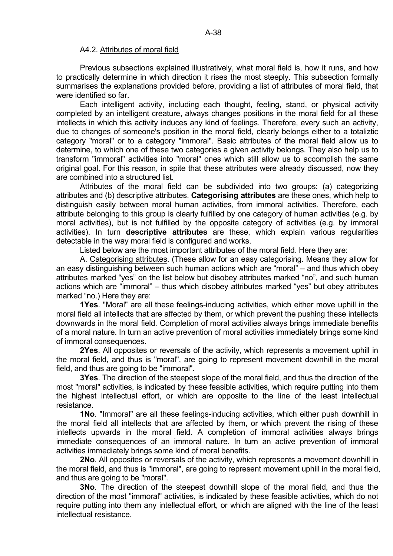### A4.2. Attributes of moral field

 Previous subsections explained illustratively, what moral field is, how it runs, and how to practically determine in which direction it rises the most steeply. This subsection formally summarises the explanations provided before, providing a list of attributes of moral field, that were identified so far.

 Each intelligent activity, including each thought, feeling, stand, or physical activity completed by an intelligent creature, always changes positions in the moral field for all these intellects in which this activity induces any kind of feelings. Therefore, every such an activity, due to changes of someone's position in the moral field, clearly belongs either to a totaliztic category "moral" or to a category "immoral". Basic attributes of the moral field allow us to determine, to which one of these two categories a given activity belongs. They also help us to transform "immoral" activities into "moral" ones which still allow us to accomplish the same original goal. For this reason, in spite that these attributes were already discussed, now they are combined into a structured list.

 Attributes of the moral field can be subdivided into two groups: (a) categorizing attributes and (b) descriptive attributes. **Categorising attributes** are these ones, which help to distinguish easily between moral human activities, from immoral activities. Therefore, each attribute belonging to this group is clearly fulfilled by one category of human activities (e.g. by moral activities), but is not fulfilled by the opposite category of activities (e.g. by immoral activities). In turn **descriptive attributes** are these, which explain various regularities detectable in the way moral field is configured and works.

Listed below are the most important attributes of the moral field. Here they are:

 A. Categorising attributes. (These allow for an easy categorising. Means they allow for an easy distinguishing between such human actions which are "moral" – and thus which obey attributes marked "yes" on the list below but disobey attributes marked "no", and such human actions which are "immoral" – thus which disobey attributes marked "yes" but obey attributes marked "no.) Here they are:

 **1Yes**. "Moral" are all these feelings-inducing activities, which either move uphill in the moral field all intellects that are affected by them, or which prevent the pushing these intellects downwards in the moral field. Completion of moral activities always brings immediate benefits of a moral nature. In turn an active prevention of moral activities immediately brings some kind of immoral consequences.

 **2Yes**. All opposites or reversals of the activity, which represents a movement uphill in the moral field, and thus is "moral", are going to represent movement downhill in the moral field, and thus are going to be "immoral".

 **3Yes**. The direction of the steepest slope of the moral field, and thus the direction of the most "moral" activities, is indicated by these feasible activities, which require putting into them the highest intellectual effort, or which are opposite to the line of the least intellectual resistance.

 **1No**. "Immoral" are all these feelings-inducing activities, which either push downhill in the moral field all intellects that are affected by them, or which prevent the rising of these intellects upwards in the moral field. A completion of immoral activities always brings immediate consequences of an immoral nature. In turn an active prevention of immoral activities immediately brings some kind of moral benefits.

 **2No**. All opposites or reversals of the activity, which represents a movement downhill in the moral field, and thus is "immoral", are going to represent movement uphill in the moral field, and thus are going to be "moral".

 **3No**. The direction of the steepest downhill slope of the moral field, and thus the direction of the most "immoral" activities, is indicated by these feasible activities, which do not require putting into them any intellectual effort, or which are aligned with the line of the least intellectual resistance.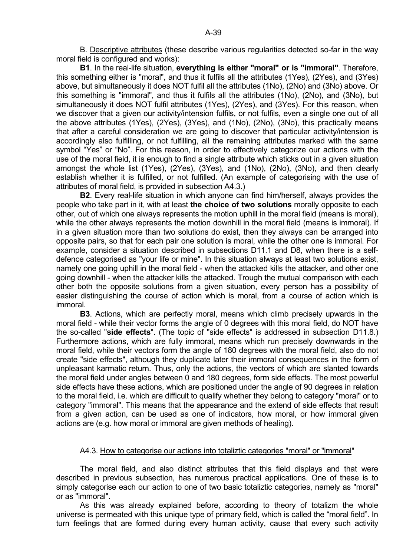**B1**. In the real-life situation, **everything is either "moral" or is "immoral"**. Therefore, this something either is "moral", and thus it fulfils all the attributes (1Yes), (2Yes), and (3Yes) above, but simultaneously it does NOT fulfil all the attributes (1No), (2No) and (3No) above. Or this something is "immoral", and thus it fulfils all the attributes (1No), (2No), and (3No), but simultaneously it does NOT fulfil attributes (1Yes), (2Yes), and (3Yes). For this reason, when we discover that a given our activity/intension fulfils, or not fulfils, even a single one out of all the above attributes (1Yes), (2Yes), (3Yes), and (1No), (2No), (3No), this practically means that after a careful consideration we are going to discover that particular activity/intension is accordingly also fulfilling, or not fulfilling, all the remaining attributes marked with the same symbol "Yes" or "No". For this reason, in order to effectively categorize our actions with the use of the moral field, it is enough to find a single attribute which sticks out in a given situation amongst the whole list (1Yes), (2Yes), (3Yes), and (1No), (2No), (3No), and then clearly establish whether it is fulfilled, or not fulfilled. (An example of categorising with the use of attributes of moral field, is provided in subsection A4.3.)

 **B2**. Every real-life situation in which anyone can find him/herself, always provides the people who take part in it, with at least **the choice of two solutions** morally opposite to each other, out of which one always represents the motion uphill in the moral field (means is moral), while the other always represents the motion downhill in the moral field (means is immoral). If in a given situation more than two solutions do exist, then they always can be arranged into opposite pairs, so that for each pair one solution is moral, while the other one is immoral. For example, consider a situation described in subsections D11.1 and D8, when there is a selfdefence categorised as "your life or mine". In this situation always at least two solutions exist, namely one going uphill in the moral field - when the attacked kills the attacker, and other one going downhill - when the attacker kills the attacked. Trough the mutual comparison with each other both the opposite solutions from a given situation, every person has a possibility of easier distinguishing the course of action which is moral, from a course of action which is immoral.

 **B3**. Actions, which are perfectly moral, means which climb precisely upwards in the moral field - while their vector forms the angle of 0 degrees with this moral field, do NOT have the so-called "**side effects**". (The topic of "side effects" is addressed in subsection D11.8.) Furthermore actions, which are fully immoral, means which run precisely downwards in the moral field, while their vectors form the angle of 180 degrees with the moral field, also do not create "side effects", although they duplicate later their immoral consequences in the form of unpleasant karmatic return. Thus, only the actions, the vectors of which are slanted towards the moral field under angles between 0 and 180 degrees, form side effects. The most powerful side effects have these actions, which are positioned under the angle of 90 degrees in relation to the moral field, i.e. which are difficult to qualify whether they belong to category "moral" or to category "immoral". This means that the appearance and the extend of side effects that result from a given action, can be used as one of indicators, how moral, or how immoral given actions are (e.g. how moral or immoral are given methods of healing).

# A4.3. How to categorise our actions into totaliztic categories "moral" or "immoral"

 The moral field, and also distinct attributes that this field displays and that were described in previous subsection, has numerous practical applications. One of these is to simply categorise each our action to one of two basic totaliztic categories, namely as "moral" or as "immoral".

 As this was already explained before, according to theory of totalizm the whole universe is permeated with this unique type of primary field, which is called the "moral field". In turn feelings that are formed during every human activity, cause that every such activity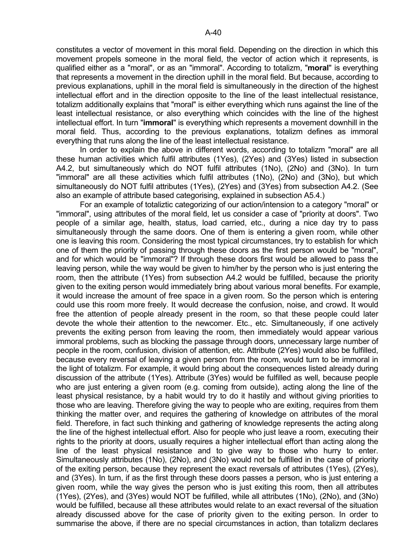constitutes a vector of movement in this moral field. Depending on the direction in which this movement propels someone in the moral field, the vector of action which it represents, is qualified either as a "moral", or as an "immoral". According to totalizm, "**moral**" is everything that represents a movement in the direction uphill in the moral field. But because, according to previous explanations, uphill in the moral field is simultaneously in the direction of the highest intellectual effort and in the direction opposite to the line of the least intellectual resistance, totalizm additionally explains that "moral" is either everything which runs against the line of the least intellectual resistance, or also everything which coincides with the line of the highest intellectual effort. In turn "**immoral**" is everything which represents a movement downhill in the moral field. Thus, according to the previous explanations, totalizm defines as immoral everything that runs along the line of the least intellectual resistance.

 In order to explain the above in different words, according to totalizm "moral" are all these human activities which fulfil attributes (1Yes), (2Yes) and (3Yes) listed in subsection A4.2, but simultaneously which do NOT fulfil attributes (1No), (2No) and (3No). In turn "immoral" are all these activities which fulfil attributes (1No), (2No) and (3No), but which simultaneously do NOT fulfil attributes (1Yes), (2Yes) and (3Yes) from subsection A4.2. (See also an example of attribute based categorising, explained in subsection A5.4.)

 For an example of totaliztic categorizing of our action/intension to a category "moral" or "immoral", using attributes of the moral field, let us consider a case of "priority at doors". Two people of a similar age, health, status, load carried, etc., during a nice day try to pass simultaneously through the same doors. One of them is entering a given room, while other one is leaving this room. Considering the most typical circumstances, try to establish for which one of them the priority of passing through these doors as the first person would be "moral", and for which would be "immoral"? If through these doors first would be allowed to pass the leaving person, while the way would be given to him/her by the person who is just entering the room, then the attribute (1Yes) from subsection A4.2 would be fulfilled, because the priority given to the exiting person would immediately bring about various moral benefits. For example, it would increase the amount of free space in a given room. So the person which is entering could use this room more freely. It would decrease the confusion, noise, and crowd. It would free the attention of people already present in the room, so that these people could later devote the whole their attention to the newcomer. Etc., etc. Simultaneously, if one actively prevents the exiting person from leaving the room, then immediately would appear various immoral problems, such as blocking the passage through doors, unnecessary large number of people in the room, confusion, division of attention, etc. Attribute (2Yes) would also be fulfilled, because every reversal of leaving a given person from the room, would turn to be immoral in the light of totalizm. For example, it would bring about the consequences listed already during discussion of the attribute (1Yes). Attribute (3Yes) would be fulfilled as well, because people who are just entering a given room (e.g. coming from outside), acting along the line of the least physical resistance, by a habit would try to do it hastily and without giving priorities to those who are leaving. Therefore giving the way to people who are exiting, requires from them thinking the matter over, and requires the gathering of knowledge on attributes of the moral field. Therefore, in fact such thinking and gathering of knowledge represents the acting along the line of the highest intellectual effort. Also for people who just leave a room, executing their rights to the priority at doors, usually requires a higher intellectual effort than acting along the line of the least physical resistance and to give way to those who hurry to enter. Simultaneously attributes (1No), (2No), and (3No) would not be fulfilled in the case of priority of the exiting person, because they represent the exact reversals of attributes (1Yes), (2Yes), and (3Yes). In turn, if as the first through these doors passes a person, who is just entering a given room, while the way gives the person who is just exiting this room, then all attributes (1Yes), (2Yes), and (3Yes) would NOT be fulfilled, while all attributes (1No), (2No), and (3No) would be fulfilled, because all these attributes would relate to an exact reversal of the situation already discussed above for the case of priority given to the exiting person. In order to summarise the above, if there are no special circumstances in action, than totalizm declares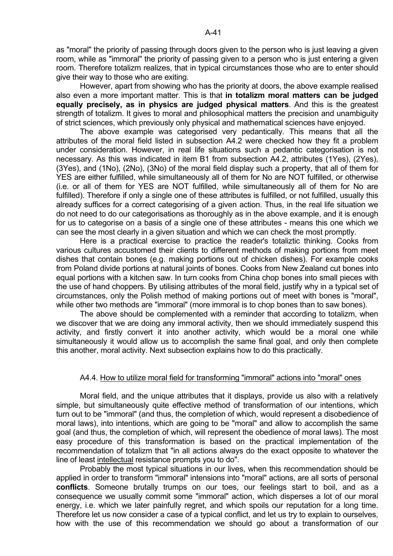as "moral" the priority of passing through doors given to the person who is just leaving a given room, while as "immoral" the priority of passing given to a person who is just entering a given room. Therefore totalizm realizes, that in typical circumstances those who are to enter should give their way to those who are exiting.

 However, apart from showing who has the priority at doors, the above example realised also even a more important matter. This is that **in totalizm moral matters can be judged equally precisely, as in physics are judged physical matters**. And this is the greatest strength of totalizm. It gives to moral and philosophical matters the precision and unambiguity of strict sciences, which previously only physical and mathematical sciences have enjoyed.

 The above example was categorised very pedantically. This means that all the attributes of the moral field listed in subsection A4.2 were checked how they fit a problem under consideration. However, in real life situations such a pedantic categorisation is not necessary. As this was indicated in item B1 from subsection A4.2, attributes (1Yes), (2Yes), (3Yes), and (1No), (2No), (3No) of the moral field display such a property, that all of them for YES are either fulfilled, while simultaneously all of them for No are NOT fulfilled, or otherwise (i.e. or all of them for YES are NOT fulfilled, while simultaneously all of them for No are fulfilled). Therefore if only a single one of these attributes is fulfilled, or not fulfilled, usually this already suffices for a correct categorising of a given action. Thus, in the real life situation we do not need to do our categorisations as thoroughly as in the above example, and it is enough for us to categorise on a basis of a single one of these attributes - means this one which we can see the most clearly in a given situation and which we can check the most promptly.

 Here is a practical exercise to practice the reader's totaliztic thinking. Cooks from various cultures accustomed their clients to different methods of making portions from meet dishes that contain bones (e.g. making portions out of chicken dishes). For example cooks from Poland divide portions at natural joints of bones. Cooks from New Zealand cut bones into equal portions with a kitchen saw. In turn cooks from China chop bones into small pieces with the use of hand choppers. By utilising attributes of the moral field, justify why in a typical set of circumstances, only the Polish method of making portions out of meet with bones is "moral", while other two methods are "immoral" (more immoral is to chop bones than to saw bones).

 The above should be complemented with a reminder that according to totalizm, when we discover that we are doing any immoral activity, then we should immediately suspend this activity, and firstly convert it into another activity, which would be a moral one while simultaneously it would allow us to accomplish the same final goal, and only then complete this another, moral activity. Next subsection explains how to do this practically.

### A4.4. How to utilize moral field for transforming "immoral" actions into "moral" ones

 Moral field, and the unique attributes that it displays, provide us also with a relatively simple, but simultaneously quite effective method of transformation of our intentions, which turn out to be "immoral" (and thus, the completion of which, would represent a disobedience of moral laws), into intentions, which are going to be "moral" and allow to accomplish the same goal (and thus, the completion of which, will represent the obedience of moral laws). The most easy procedure of this transformation is based on the practical implementation of the recommendation of totalizm that "in all actions always do the exact opposite to whatever the line of least intellectual resistance prompts you to do".

 Probably the most typical situations in our lives, when this recommendation should be applied in order to transform "immoral" intensions into "moral" actions, are all sorts of personal **conflicts**. Someone brutally trumps on our toes, our feelings start to boil, and as a consequence we usually commit some "immoral" action, which disperses a lot of our moral energy, i.e. which we later painfully regret, and which spoils our reputation for a long time. Therefore let us now consider a case of a typical conflict, and let us try to explain to ourselves, how with the use of this recommendation we should go about a transformation of our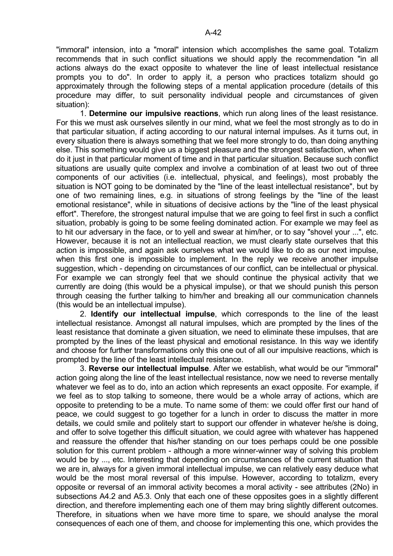"immoral" intension, into a "moral" intension which accomplishes the same goal. Totalizm recommends that in such conflict situations we should apply the recommendation "in all actions always do the exact opposite to whatever the line of least intellectual resistance prompts you to do". In order to apply it, a person who practices totalizm should go approximately through the following steps of a mental application procedure (details of this procedure may differ, to suit personality individual people and circumstances of given situation):

 1. **Determine our impulsive reactions**, which run along lines of the least resistance. For this we must ask ourselves silently in our mind, what we feel the most strongly as to do in that particular situation, if acting according to our natural internal impulses. As it turns out, in every situation there is always something that we feel more strongly to do, than doing anything else. This something would give us a biggest pleasure and the strongest satisfaction, when we do it just in that particular moment of time and in that particular situation. Because such conflict situations are usually quite complex and involve a combination of at least two out of three components of our activities (i.e. intellectual, physical, and feelings), most probably the situation is NOT going to be dominated by the "line of the least intellectual resistance", but by one of two remaining lines, e.g. in situations of strong feelings by the "line of the least emotional resistance", while in situations of decisive actions by the "line of the least physical effort". Therefore, the strongest natural impulse that we are going to feel first in such a conflict situation, probably is going to be some feeling dominated action. For example we may feel as to hit our adversary in the face, or to yell and swear at him/her, or to say "shovel your ...", etc. However, because it is not an intellectual reaction, we must clearly state ourselves that this action is impossible, and again ask ourselves what we would like to do as our next impulse, when this first one is impossible to implement. In the reply we receive another impulse suggestion, which - depending on circumstances of our conflict, can be intellectual or physical. For example we can strongly feel that we should continue the physical activity that we currently are doing (this would be a physical impulse), or that we should punish this person through ceasing the further talking to him/her and breaking all our communication channels (this would be an intellectual impulse).

 2. **Identify our intellectual impulse**, which corresponds to the line of the least intellectual resistance. Amongst all natural impulses, which are prompted by the lines of the least resistance that dominate a given situation, we need to eliminate these impulses, that are prompted by the lines of the least physical and emotional resistance. In this way we identify and choose for further transformations only this one out of all our impulsive reactions, which is prompted by the line of the least intellectual resistance.

 3. **Reverse our intellectual impulse**. After we establish, what would be our "immoral" action going along the line of the least intellectual resistance, now we need to reverse mentally whatever we feel as to do, into an action which represents an exact opposite. For example, if we feel as to stop talking to someone, there would be a whole array of actions, which are opposite to pretending to be a mute. To name some of them: we could offer first our hand of peace, we could suggest to go together for a lunch in order to discuss the matter in more details, we could smile and politely start to support our offender in whatever he/she is doing, and offer to solve together this difficult situation, we could agree with whatever has happened and reassure the offender that his/her standing on our toes perhaps could be one possible solution for this current problem - although a more winner-winner way of solving this problem would be by ..., etc. Interesting that depending on circumstances of the current situation that we are in, always for a given immoral intellectual impulse, we can relatively easy deduce what would be the most moral reversal of this impulse. However, according to totalizm, every opposite or reversal of an immoral activity becomes a moral activity - see attributes (2No) in subsections A4.2 and A5.3. Only that each one of these opposites goes in a slightly different direction, and therefore implementing each one of them may bring slightly different outcomes. Therefore, in situations when we have more time to spare, we should analyse the moral consequences of each one of them, and choose for implementing this one, which provides the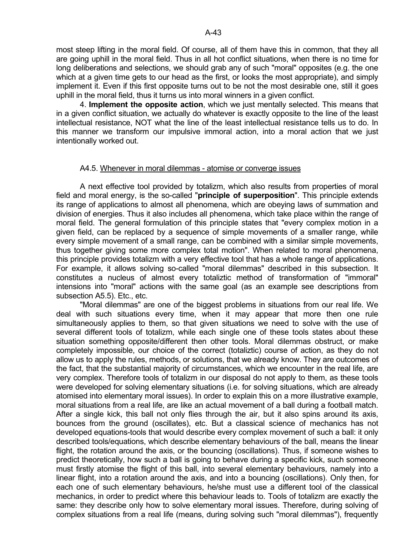most steep lifting in the moral field. Of course, all of them have this in common, that they all are going uphill in the moral field. Thus in all hot conflict situations, when there is no time for long deliberations and selections, we should grab any of such "moral" opposites (e.g. the one which at a given time gets to our head as the first, or looks the most appropriate), and simply implement it. Even if this first opposite turns out to be not the most desirable one, still it goes uphill in the moral field, thus it turns us into moral winners in a given conflict.

 4. **Implement the opposite action**, which we just mentally selected. This means that in a given conflict situation, we actually do whatever is exactly opposite to the line of the least intellectual resistance, NOT what the line of the least intellectual resistance tells us to do. In this manner we transform our impulsive immoral action, into a moral action that we just intentionally worked out.

### A4.5. Whenever in moral dilemmas - atomise or converge issues

 A next effective tool provided by totalizm, which also results from properties of moral field and moral energy, is the so-called "**principle of superposition**". This principle extends its range of applications to almost all phenomena, which are obeying laws of summation and division of energies. Thus it also includes all phenomena, which take place within the range of moral field. The general formulation of this principle states that "every complex motion in a given field, can be replaced by a sequence of simple movements of a smaller range, while every simple movement of a small range, can be combined with a similar simple movements, thus together giving some more complex total motion". When related to moral phenomena, this principle provides totalizm with a very effective tool that has a whole range of applications. For example, it allows solving so-called "moral dilemmas" described in this subsection. It constitutes a nucleus of almost every totaliztic method of transformation of "immoral" intensions into "moral" actions with the same goal (as an example see descriptions from subsection A5.5). Etc., etc.

 "Moral dilemmas" are one of the biggest problems in situations from our real life. We deal with such situations every time, when it may appear that more then one rule simultaneously applies to them, so that given situations we need to solve with the use of several different tools of totalizm, while each single one of these tools states about these situation something opposite/different then other tools. Moral dilemmas obstruct, or make completely impossible, our choice of the correct (totaliztic) course of action, as they do not allow us to apply the rules, methods, or solutions, that we already know. They are outcomes of the fact, that the substantial majority of circumstances, which we encounter in the real life, are very complex. Therefore tools of totalizm in our disposal do not apply to them, as these tools were developed for solving elementary situations (i.e. for solving situations, which are already atomised into elementary moral issues). In order to explain this on a more illustrative example, moral situations from a real life, are like an actual movement of a ball during a football match. After a single kick, this ball not only flies through the air, but it also spins around its axis, bounces from the ground (oscillates), etc. But a classical science of mechanics has not developed equations-tools that would describe every complex movement of such a ball: it only described tools/equations, which describe elementary behaviours of the ball, means the linear flight, the rotation around the axis, or the bouncing (oscillations). Thus, if someone wishes to predict theoretically, how such a ball is going to behave during a specific kick, such someone must firstly atomise the flight of this ball, into several elementary behaviours, namely into a linear flight, into a rotation around the axis, and into a bouncing (oscillations). Only then, for each one of such elementary behaviours, he/she must use a different tool of the classical mechanics, in order to predict where this behaviour leads to. Tools of totalizm are exactly the same: they describe only how to solve elementary moral issues. Therefore, during solving of complex situations from a real life (means, during solving such "moral dilemmas"), frequently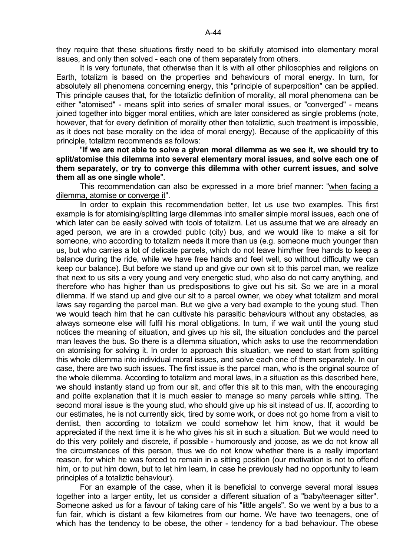they require that these situations firstly need to be skilfully atomised into elementary moral issues, and only then solved - each one of them separately from others.

 It is very fortunate, that otherwise than it is with all other philosophies and religions on Earth, totalizm is based on the properties and behaviours of moral energy. In turn, for absolutely all phenomena concerning energy, this "principle of superposition" can be applied. This principle causes that, for the totaliztic definition of morality, all moral phenomena can be either "atomised" - means split into series of smaller moral issues, or "converged" - means joined together into bigger moral entities, which are later considered as single problems (note, however, that for every definition of morality other then totaliztic, such treatment is impossible, as it does not base morality on the idea of moral energy). Because of the applicability of this principle, totalizm recommends as follows:

 "**If we are not able to solve a given moral dilemma as we see it, we should try to split/atomise this dilemma into several elementary moral issues, and solve each one of them separately, or try to converge this dilemma with other current issues, and solve them all as one single whole**".

 This recommendation can also be expressed in a more brief manner: "when facing a dilemma, atomise or converge it".

 In order to explain this recommendation better, let us use two examples. This first example is for atomising/splitting large dilemmas into smaller simple moral issues, each one of which later can be easily solved with tools of totalizm. Let us assume that we are already an aged person, we are in a crowded public (city) bus, and we would like to make a sit for someone, who according to totalizm needs it more than us (e.g. someone much younger than us, but who carries a lot of delicate parcels, which do not leave him/her free hands to keep a balance during the ride, while we have free hands and feel well, so without difficulty we can keep our balance). But before we stand up and give our own sit to this parcel man, we realize that next to us sits a very young and very energetic stud, who also do not carry anything, and therefore who has higher than us predispositions to give out his sit. So we are in a moral dilemma. If we stand up and give our sit to a parcel owner, we obey what totalizm and moral laws say regarding the parcel man. But we give a very bad example to the young stud. Then we would teach him that he can cultivate his parasitic behaviours without any obstacles, as always someone else will fulfil his moral obligations. In turn, if we wait until the young stud notices the meaning of situation, and gives up his sit, the situation concludes and the parcel man leaves the bus. So there is a dilemma situation, which asks to use the recommendation on atomising for solving it. In order to approach this situation, we need to start from splitting this whole dilemma into individual moral issues, and solve each one of them separately. In our case, there are two such issues. The first issue is the parcel man, who is the original source of the whole dilemma. According to totalizm and moral laws, in a situation as this described here, we should instantly stand up from our sit, and offer this sit to this man, with the encouraging and polite explanation that it is much easier to manage so many parcels while sitting. The second moral issue is the young stud, who should give up his sit instead of us. If, according to our estimates, he is not currently sick, tired by some work, or does not go home from a visit to dentist, then according to totalizm we could somehow let him know, that it would be appreciated if the next time it is he who gives his sit in such a situation. But we would need to do this very politely and discrete, if possible - humorously and jocose, as we do not know all the circumstances of this person, thus we do not know whether there is a really important reason, for which he was forced to remain in a sitting position (our motivation is not to offend him, or to put him down, but to let him learn, in case he previously had no opportunity to learn principles of a totaliztic behaviour).

 For an example of the case, when it is beneficial to converge several moral issues together into a larger entity, let us consider a different situation of a "baby/teenager sitter". Someone asked us for a favour of taking care of his "little angels". So we went by a bus to a fun fair, which is distant a few kilometres from our home. We have two teenagers, one of which has the tendency to be obese, the other - tendency for a bad behaviour. The obese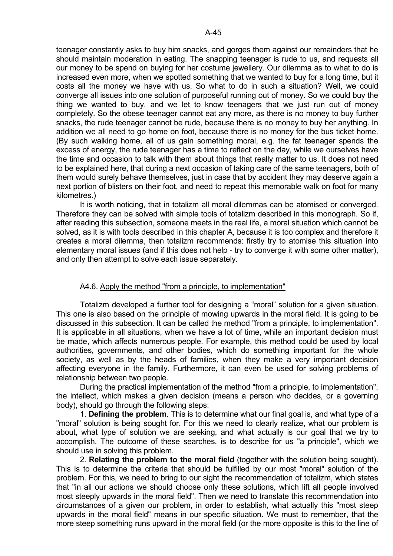teenager constantly asks to buy him snacks, and gorges them against our remainders that he should maintain moderation in eating. The snapping teenager is rude to us, and requests all our money to be spend on buying for her costume jewellery. Our dilemma as to what to do is increased even more, when we spotted something that we wanted to buy for a long time, but it costs all the money we have with us. So what to do in such a situation? Well, we could converge all issues into one solution of purposeful running out of money. So we could buy the thing we wanted to buy, and we let to know teenagers that we just run out of money completely. So the obese teenager cannot eat any more, as there is no money to buy further snacks, the rude teenager cannot be rude, because there is no money to buy her anything. In addition we all need to go home on foot, because there is no money for the bus ticket home. (By such walking home, all of us gain something moral, e.g. the fat teenager spends the excess of energy, the rude teenager has a time to reflect on the day, while we ourselves have the time and occasion to talk with them about things that really matter to us. It does not need to be explained here, that during a next occasion of taking care of the same teenagers, both of them would surely behave themselves, just in case that by accident they may deserve again a next portion of blisters on their foot, and need to repeat this memorable walk on foot for many kilometres.)

 It is worth noticing, that in totalizm all moral dilemmas can be atomised or converged. Therefore they can be solved with simple tools of totalizm described in this monograph. So if, after reading this subsection, someone meets in the real life, a moral situation which cannot be solved, as it is with tools described in this chapter A, because it is too complex and therefore it creates a moral dilemma, then totalizm recommends: firstly try to atomise this situation into elementary moral issues (and if this does not help - try to converge it with some other matter), and only then attempt to solve each issue separately.

# A4.6. Apply the method "from a principle, to implementation"

 Totalizm developed a further tool for designing a "moral" solution for a given situation. This one is also based on the principle of mowing upwards in the moral field. It is going to be discussed in this subsection. It can be called the method "from a principle, to implementation". It is applicable in all situations, when we have a lot of time, while an important decision must be made, which affects numerous people. For example, this method could be used by local authorities, governments, and other bodies, which do something important for the whole society, as well as by the heads of families, when they make a very important decision affecting everyone in the family. Furthermore, it can even be used for solving problems of relationship between two people.

 During the practical implementation of the method "from a principle, to implementation", the intellect, which makes a given decision (means a person who decides, or a governing body), should go through the following steps:

 1. **Defining the problem**. This is to determine what our final goal is, and what type of a "moral" solution is being sought for. For this we need to clearly realize, what our problem is about, what type of solution we are seeking, and what actually is our goal that we try to accomplish. The outcome of these searches, is to describe for us "a principle", which we should use in solving this problem.

 2. **Relating the problem to the moral field** (together with the solution being sought). This is to determine the criteria that should be fulfilled by our most "moral" solution of the problem. For this, we need to bring to our sight the recommendation of totalizm, which states that "in all our actions we should choose only these solutions, which lift all people involved most steeply upwards in the moral field". Then we need to translate this recommendation into circumstances of a given our problem, in order to establish, what actually this "most steep upwards in the moral field" means in our specific situation. We must to remember, that the more steep something runs upward in the moral field (or the more opposite is this to the line of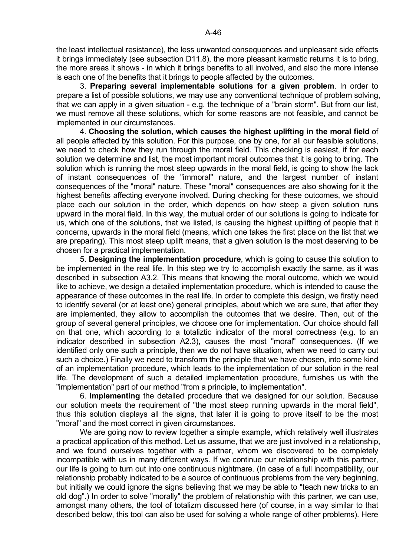the least intellectual resistance), the less unwanted consequences and unpleasant side effects it brings immediately (see subsection D11.8), the more pleasant karmatic returns it is to bring, the more areas it shows - in which it brings benefits to all involved, and also the more intense is each one of the benefits that it brings to people affected by the outcomes.

 3. **Preparing several implementable solutions for a given problem**. In order to prepare a list of possible solutions, we may use any conventional technique of problem solving, that we can apply in a given situation - e.g. the technique of a "brain storm". But from our list, we must remove all these solutions, which for some reasons are not feasible, and cannot be implemented in our circumstances.

 4. **Choosing the solution, which causes the highest uplifting in the moral field** of all people affected by this solution. For this purpose, one by one, for all our feasible solutions, we need to check how they run through the moral field. This checking is easiest, if for each solution we determine and list, the most important moral outcomes that it is going to bring. The solution which is running the most steep upwards in the moral field, is going to show the lack of instant consequences of the "immoral" nature, and the largest number of instant consequences of the "moral" nature. These "moral" consequences are also showing for it the highest benefits affecting everyone involved. During checking for these outcomes, we should place each our solution in the order, which depends on how steep a given solution runs upward in the moral field. In this way, the mutual order of our solutions is going to indicate for us, which one of the solutions, that we listed, is causing the highest uplifting of people that it concerns, upwards in the moral field (means, which one takes the first place on the list that we are preparing). This most steep uplift means, that a given solution is the most deserving to be chosen for a practical implementation.

 5. **Designing the implementation procedure**, which is going to cause this solution to be implemented in the real life. In this step we try to accomplish exactly the same, as it was described in subsection A3.2. This means that knowing the moral outcome, which we would like to achieve, we design a detailed implementation procedure, which is intended to cause the appearance of these outcomes in the real life. In order to complete this design, we firstly need to identify several (or at least one) general principles, about which we are sure, that after they are implemented, they allow to accomplish the outcomes that we desire. Then, out of the group of several general principles, we choose one for implementation. Our choice should fall on that one, which according to a totaliztic indicator of the moral correctness (e.g. to an indicator described in subsection A2.3), causes the most "moral" consequences. (If we identified only one such a principle, then we do not have situation, when we need to carry out such a choice.) Finally we need to transform the principle that we have chosen, into some kind of an implementation procedure, which leads to the implementation of our solution in the real life. The development of such a detailed implementation procedure, furnishes us with the "implementation" part of our method "from a principle, to implementation".

 6. **Implementing** the detailed procedure that we designed for our solution. Because our solution meets the requirement of "the most steep running upwards in the moral field", thus this solution displays all the signs, that later it is going to prove itself to be the most "moral" and the most correct in given circumstances.

We are going now to review together a simple example, which relatively well illustrates a practical application of this method. Let us assume, that we are just involved in a relationship, and we found ourselves together with a partner, whom we discovered to be completely incompatible with us in many different ways. If we continue our relationship with this partner, our life is going to turn out into one continuous nightmare. (In case of a full incompatibility, our relationship probably indicated to be a source of continuous problems from the very beginning, but initially we could ignore the signs believing that we may be able to "teach new tricks to an old dog".) In order to solve "morally" the problem of relationship with this partner, we can use, amongst many others, the tool of totalizm discussed here (of course, in a way similar to that described below, this tool can also be used for solving a whole range of other problems). Here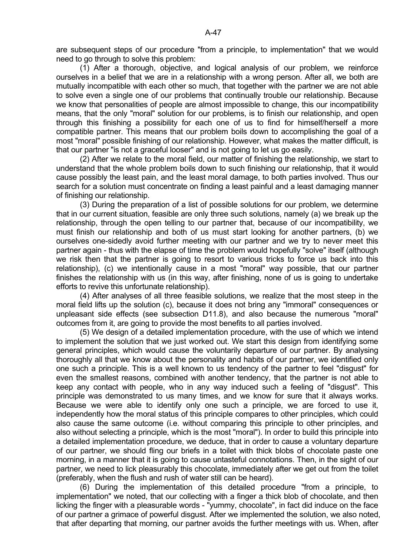are subsequent steps of our procedure "from a principle, to implementation" that we would need to go through to solve this problem:

 (1) After a thorough, objective, and logical analysis of our problem, we reinforce ourselves in a belief that we are in a relationship with a wrong person. After all, we both are mutually incompatible with each other so much, that together with the partner we are not able to solve even a single one of our problems that continually trouble our relationship. Because we know that personalities of people are almost impossible to change, this our incompatibility means, that the only "moral" solution for our problems, is to finish our relationship, and open through this finishing a possibility for each one of us to find for himself/herself a more compatible partner. This means that our problem boils down to accomplishing the goal of a most "moral" possible finishing of our relationship. However, what makes the matter difficult, is that our partner "is not a graceful looser" and is not going to let us go easily.

 (2) After we relate to the moral field, our matter of finishing the relationship, we start to understand that the whole problem boils down to such finishing our relationship, that it would cause possibly the least pain, and the least moral damage, to both parties involved. Thus our search for a solution must concentrate on finding a least painful and a least damaging manner of finishing our relationship.

 (3) During the preparation of a list of possible solutions for our problem, we determine that in our current situation, feasible are only three such solutions, namely (a) we break up the relationship, through the open telling to our partner that, because of our incompatibility, we must finish our relationship and both of us must start looking for another partners, (b) we ourselves one-sidedly avoid further meeting with our partner and we try to never meet this partner again - thus with the elapse of time the problem would hopefully "solve" itself (although we risk then that the partner is going to resort to various tricks to force us back into this relationship), (c) we intentionally cause in a most "moral" way possible, that our partner finishes the relationship with us (in this way, after finishing, none of us is going to undertake efforts to revive this unfortunate relationship).

 (4) After analyses of all three feasible solutions, we realize that the most steep in the moral field lifts up the solution (c), because it does not bring any "immoral" consequences or unpleasant side effects (see subsection D11.8), and also because the numerous "moral" outcomes from it, are going to provide the most benefits to all parties involved.

 (5) We design of a detailed implementation procedure, with the use of which we intend to implement the solution that we just worked out. We start this design from identifying some general principles, which would cause the voluntarily departure of our partner. By analysing thoroughly all that we know about the personality and habits of our partner, we identified only one such a principle. This is a well known to us tendency of the partner to feel "disgust" for even the smallest reasons, combined with another tendency, that the partner is not able to keep any contact with people, who in any way induced such a feeling of "disgust". This principle was demonstrated to us many times, and we know for sure that it always works. Because we were able to identify only one such a principle, we are forced to use it, independently how the moral status of this principle compares to other principles, which could also cause the same outcome (i.e. without comparing this principle to other principles, and also without selecting a principle, which is the most "moral"). In order to build this principle into a detailed implementation procedure, we deduce, that in order to cause a voluntary departure of our partner, we should fling our briefs in a toilet with thick blobs of chocolate paste one morning, in a manner that it is going to cause untasteful connotations. Then, in the sight of our partner, we need to lick pleasurably this chocolate, immediately after we get out from the toilet (preferably, when the flush and rush of water still can be heard).

 (6) During the implementation of this detailed procedure "from a principle, to implementation" we noted, that our collecting with a finger a thick blob of chocolate, and then licking the finger with a pleasurable words - "yummy, chocolate", in fact did induce on the face of our partner a grimace of powerful disgust. After we implemented the solution, we also noted, that after departing that morning, our partner avoids the further meetings with us. When, after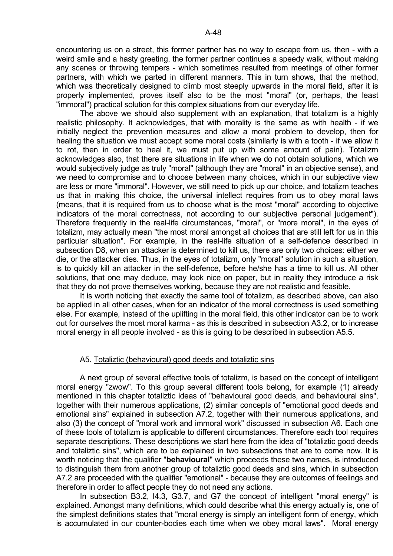encountering us on a street, this former partner has no way to escape from us, then - with a weird smile and a hasty greeting, the former partner continues a speedy walk, without making any scenes or throwing tempers - which sometimes resulted from meetings of other former partners, with which we parted in different manners. This in turn shows, that the method, which was theoretically designed to climb most steeply upwards in the moral field, after it is properly implemented, proves itself also to be the most "moral" (or, perhaps, the least "immoral") practical solution for this complex situations from our everyday life.

 The above we should also supplement with an explanation, that totalizm is a highly realistic philosophy. It acknowledges, that with morality is the same as with health - if we initially neglect the prevention measures and allow a moral problem to develop, then for healing the situation we must accept some moral costs (similarly is with a tooth - if we allow it to rot, then in order to heal it, we must put up with some amount of pain). Totalizm acknowledges also, that there are situations in life when we do not obtain solutions, which we would subjectively judge as truly "moral" (although they are "moral" in an objective sense), and we need to compromise and to choose between many choices, which in our subjective view are less or more "immoral". However, we still need to pick up our choice, and totalizm teaches us that in making this choice, the universal intellect requires from us to obey moral laws (means, that it is required from us to choose what is the most "moral" according to objective indicators of the moral correctness, not according to our subjective personal judgement"). Therefore frequently in the real-life circumstances, "moral", or "more moral", in the eyes of totalizm, may actually mean "the most moral amongst all choices that are still left for us in this particular situation". For example, in the real-life situation of a self-defence described in subsection D8, when an attacker is determined to kill us, there are only two choices: either we die, or the attacker dies. Thus, in the eyes of totalizm, only "moral" solution in such a situation, is to quickly kill an attacker in the self-defence, before he/she has a time to kill us. All other solutions, that one may deduce, may look nice on paper, but in reality they introduce a risk that they do not prove themselves working, because they are not realistic and feasible.

 It is worth noticing that exactly the same tool of totalizm, as described above, can also be applied in all other cases, when for an indicator of the moral correctness is used something else. For example, instead of the uplifting in the moral field, this other indicator can be to work out for ourselves the most moral karma - as this is described in subsection A3.2, or to increase moral energy in all people involved - as this is going to be described in subsection A5.5.

### A5. Totaliztic (behavioural) good deeds and totaliztic sins

 A next group of several effective tools of totalizm, is based on the concept of intelligent moral energy "zwow". To this group several different tools belong, for example (1) already mentioned in this chapter totaliztic ideas of "behavioural good deeds, and behavioural sins", together with their numerous applications, (2) similar concepts of "emotional good deeds and emotional sins" explained in subsection A7.2, together with their numerous applications, and also (3) the concept of "moral work and immoral work" discussed in subsection A6. Each one of these tools of totalizm is applicable to different circumstances. Therefore each tool requires separate descriptions. These descriptions we start here from the idea of "totaliztic good deeds and totaliztic sins", which are to be explained in two subsections that are to come now. It is worth noticing that the qualifier "**behavioural**" which proceeds these two names, is introduced to distinguish them from another group of totaliztic good deeds and sins, which in subsection A7.2 are proceeded with the qualifier "emotional" - because they are outcomes of feelings and therefore in order to affect people they do not need any actions.

 In subsection B3.2, I4.3, G3.7, and G7 the concept of intelligent "moral energy" is explained. Amongst many definitions, which could describe what this energy actually is, one of the simplest definitions states that "moral energy is simply an intelligent form of energy, which is accumulated in our counter-bodies each time when we obey moral laws". Moral energy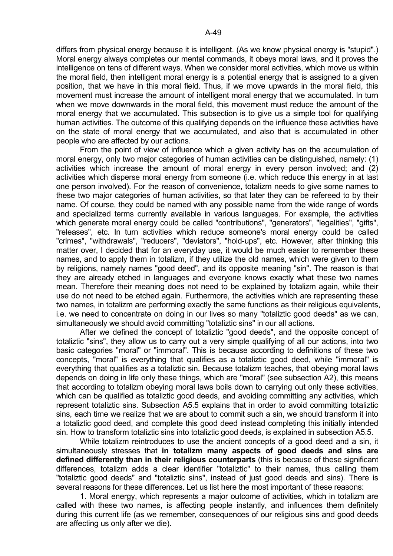differs from physical energy because it is intelligent. (As we know physical energy is "stupid".) Moral energy always completes our mental commands, it obeys moral laws, and it proves the intelligence on tens of different ways. When we consider moral activities, which move us within the moral field, then intelligent moral energy is a potential energy that is assigned to a given position, that we have in this moral field. Thus, if we move upwards in the moral field, this movement must increase the amount of intelligent moral energy that we accumulated. In turn when we move downwards in the moral field, this movement must reduce the amount of the moral energy that we accumulated. This subsection is to give us a simple tool for qualifying human activities. The outcome of this qualifying depends on the influence these activities have on the state of moral energy that we accumulated, and also that is accumulated in other people who are affected by our actions.

 From the point of view of influence which a given activity has on the accumulation of moral energy, only two major categories of human activities can be distinguished, namely: (1) activities which increase the amount of moral energy in every person involved; and (2) activities which disperse moral energy from someone (i.e. which reduce this energy in at last one person involved). For the reason of convenience, totalizm needs to give some names to these two major categories of human activities, so that later they can be refereed to by their name. Of course, they could be named with any possible name from the wide range of words and specialized terms currently available in various languages. For example, the activities which generate moral energy could be called "contributions", "generators", "legalities", "gifts", "releases", etc. In turn activities which reduce someone's moral energy could be called "crimes", "withdrawals", "reducers", "deviators", "hold-ups", etc. However, after thinking this matter over, I decided that for an everyday use, it would be much easier to remember these names, and to apply them in totalizm, if they utilize the old names, which were given to them by religions, namely names "good deed", and its opposite meaning "sin". The reason is that they are already etched in languages and everyone knows exactly what these two names mean. Therefore their meaning does not need to be explained by totalizm again, while their use do not need to be etched again. Furthermore, the activities which are representing these two names, in totalizm are performing exactly the same functions as their religious equivalents, i.e. we need to concentrate on doing in our lives so many "totaliztic good deeds" as we can, simultaneously we should avoid committing "totaliztic sins" in our all actions.

 After we defined the concept of totaliztic "good deeds", and the opposite concept of totaliztic "sins", they allow us to carry out a very simple qualifying of all our actions, into two basic categories "moral" or "immoral". This is because according to definitions of these two concepts, "moral" is everything that qualifies as a totaliztic good deed, while "immoral" is everything that qualifies as a totaliztic sin. Because totalizm teaches, that obeying moral laws depends on doing in life only these things, which are "moral" (see subsection A2), this means that according to totalizm obeying moral laws boils down to carrying out only these activities, which can be qualified as totaliztic good deeds, and avoiding committing any activities, which represent totaliztic sins. Subsection A5.5 explains that in order to avoid committing totaliztic sins, each time we realize that we are about to commit such a sin, we should transform it into a totaliztic good deed, and complete this good deed instead completing this initially intended sin. How to transform totaliztic sins into totaliztic good deeds, is explained in subsection A5.5.

 While totalizm reintroduces to use the ancient concepts of a good deed and a sin, it simultaneously stresses that **in totalizm many aspects of good deeds and sins are defined differently than in their religious counterparts** (this is because of these significant differences, totalizm adds a clear identifier "totaliztic" to their names, thus calling them "totaliztic good deeds" and "totaliztic sins", instead of just good deeds and sins). There is several reasons for these differences. Let us list here the most important of these reasons:

 1. Moral energy, which represents a major outcome of activities, which in totalizm are called with these two names, is affecting people instantly, and influences them definitely during this current life (as we remember, consequences of our religious sins and good deeds are affecting us only after we die).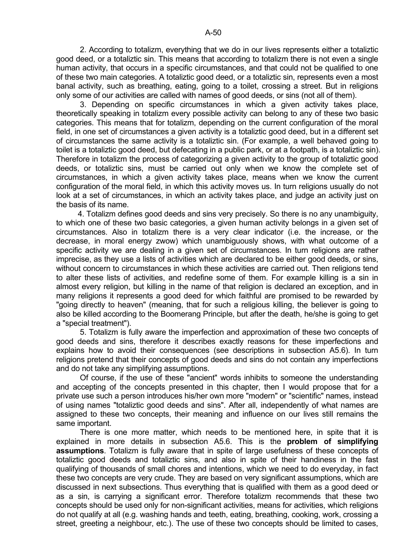2. According to totalizm, everything that we do in our lives represents either a totaliztic good deed, or a totaliztic sin. This means that according to totalizm there is not even a single human activity, that occurs in a specific circumstances, and that could not be qualified to one of these two main categories. A totaliztic good deed, or a totaliztic sin, represents even a most banal activity, such as breathing, eating, going to a toilet, crossing a street. But in religions only some of our activities are called with names of good deeds, or sins (not all of them).

 3. Depending on specific circumstances in which a given activity takes place, theoretically speaking in totalizm every possible activity can belong to any of these two basic categories. This means that for totalizm, depending on the current configuration of the moral field, in one set of circumstances a given activity is a totaliztic good deed, but in a different set of circumstances the same activity is a totaliztic sin. (For example, a well behaved going to toilet is a totaliztic good deed, but defecating in a public park, or at a footpath, is a totaliztic sin). Therefore in totalizm the process of categorizing a given activity to the group of totaliztic good deeds, or totaliztic sins, must be carried out only when we know the complete set of circumstances, in which a given activity takes place, means when we know the current configuration of the moral field, in which this activity moves us. In turn religions usually do not look at a set of circumstances, in which an activity takes place, and judge an activity just on the basis of its name.

 4. Totalizm defines good deeds and sins very precisely. So there is no any unambiguity, to which one of these two basic categories, a given human activity belongs in a given set of circumstances. Also in totalizm there is a very clear indicator (i.e. the increase, or the decrease, in moral energy zwow) which unambiguously shows, with what outcome of a specific activity we are dealing in a given set of circumstances. In turn religions are rather imprecise, as they use a lists of activities which are declared to be either good deeds, or sins, without concern to circumstances in which these activities are carried out. Then religions tend to alter these lists of activities, and redefine some of them. For example killing is a sin in almost every religion, but killing in the name of that religion is declared an exception, and in many religions it represents a good deed for which faithful are promised to be rewarded by "going directly to heaven" (meaning, that for such a religious killing, the believer is going to also be killed according to the Boomerang Principle, but after the death, he/she is going to get a "special treatment").

 5. Totalizm is fully aware the imperfection and approximation of these two concepts of good deeds and sins, therefore it describes exactly reasons for these imperfections and explains how to avoid their consequences (see descriptions in subsection A5.6). In turn religions pretend that their concepts of good deeds and sins do not contain any imperfections and do not take any simplifying assumptions.

 Of course, if the use of these "ancient" words inhibits to someone the understanding and accepting of the concepts presented in this chapter, then I would propose that for a private use such a person introduces his/her own more "modern" or "scientific" names, instead of using names "totaliztic good deeds and sins". After all, independently of what names are assigned to these two concepts, their meaning and influence on our lives still remains the same important.

 There is one more matter, which needs to be mentioned here, in spite that it is explained in more details in subsection A5.6. This is the **problem of simplifying assumptions**. Totalizm is fully aware that in spite of large usefulness of these concepts of totaliztic good deeds and totaliztic sins, and also in spite of their handiness in the fast qualifying of thousands of small chores and intentions, which we need to do everyday, in fact these two concepts are very crude. They are based on very significant assumptions, which are discussed in next subsections. Thus everything that is qualified with them as a good deed or as a sin, is carrying a significant error. Therefore totalizm recommends that these two concepts should be used only for non-significant activities, means for activities, which religions do not qualify at all (e.g. washing hands and teeth, eating, breathing, cooking, work, crossing a street, greeting a neighbour, etc.). The use of these two concepts should be limited to cases,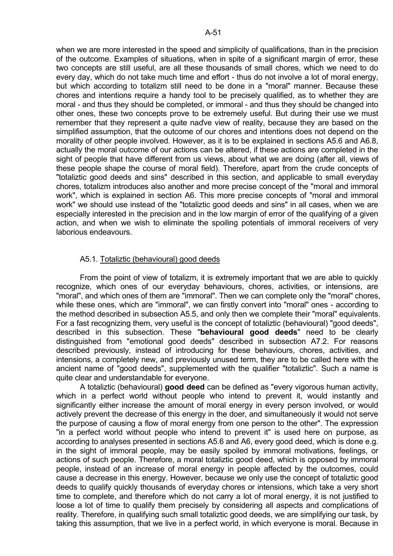when we are more interested in the speed and simplicity of qualifications, than in the precision of the outcome. Examples of situations, when in spite of a significant margin of error, these two concepts are still useful, are all these thousands of small chores, which we need to do every day, which do not take much time and effort - thus do not involve a lot of moral energy, but which according to totalizm still need to be done in a "moral" manner. Because these chores and intentions require a handy tool to be precisely qualified, as to whether they are moral - and thus they should be completed, or immoral - and thus they should be changed into other ones, these two concepts prove to be extremely useful. But during their use we must remember that they represent a quite naďve view of reality, because they are based on the simplified assumption, that the outcome of our chores and intentions does not depend on the morality of other people involved. However, as it is to be explained in sections A5.6 and A6.8, actually the moral outcome of our actions can be altered, if these actions are completed in the sight of people that have different from us views, about what we are doing (after all, views of these people shape the course of moral field). Therefore, apart from the crude concepts of "totaliztic good deeds and sins" described in this section, and applicable to small everyday chores, totalizm introduces also another and more precise concept of the "moral and immoral work", which is explained in section A6. This more precise concepts of "moral and immoral work" we should use instead of the "totaliztic good deeds and sins" in all cases, when we are especially interested in the precision and in the low margin of error of the qualifying of a given action, and when we wish to eliminate the spoiling potentials of immoral receivers of very laborious endeavours.

# A5.1. Totaliztic (behavioural) good deeds

 From the point of view of totalizm, it is extremely important that we are able to quickly recognize, which ones of our everyday behaviours, chores, activities, or intensions, are "moral", and which ones of them are "immoral". Then we can complete only the "moral" chores, while these ones, which are "immoral", we can firstly convert into "moral" ones - according to the method described in subsection A5.5, and only then we complete their "moral" equivalents. For a fast recognizing them, very useful is the concept of totaliztic (behavioural) "good deeds", described in this subsection. These "**behavioural good deeds**" need to be clearly distinguished from "emotional good deeds" described in subsection A7.2. For reasons described previously, instead of introducing for these behaviours, chores, activities, and intensions, a completely new, and previously unused term, they are to be called here with the ancient name of "good deeds", supplemented with the qualifier "totaliztic". Such a name is quite clear and understandable for everyone.

 A totaliztic (behavioural) **good deed** can be defined as "every vigorous human activity, which in a perfect world without people who intend to prevent it, would instantly and significantly either increase the amount of moral energy in every person involved, or would actively prevent the decrease of this energy in the doer, and simultaneously it would not serve the purpose of causing a flow of moral energy from one person to the other". The expression "in a perfect world without people who intend to prevent it" is used here on purpose, as according to analyses presented in sections A5.6 and A6, every good deed, which is done e.g. in the sight of immoral people, may be easily spoiled by immoral motivations, feelings, or actions of such people. Therefore, a moral totaliztic good deed, which is opposed by immoral people, instead of an increase of moral energy in people affected by the outcomes, could cause a decrease in this energy. However, because we only use the concept of totaliztic good deeds to qualify quickly thousands of everyday chores or intensions, which take a very short time to complete, and therefore which do not carry a lot of moral energy, it is not justified to loose a lot of time to qualify them precisely by considering all aspects and complications of reality. Therefore, in qualifying such small totaliztic good deeds, we are simplifying our task, by taking this assumption, that we live in a perfect world, in which everyone is moral. Because in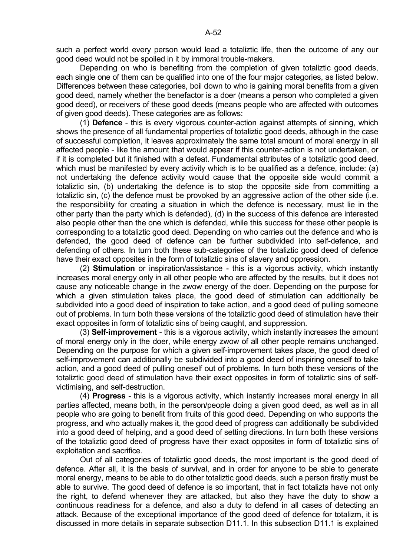such a perfect world every person would lead a totaliztic life, then the outcome of any our good deed would not be spoiled in it by immoral trouble-makers.

 Depending on who is benefiting from the completion of given totaliztic good deeds, each single one of them can be qualified into one of the four major categories, as listed below. Differences between these categories, boil down to who is gaining moral benefits from a given good deed, namely whether the benefactor is a doer (means a person who completed a given good deed), or receivers of these good deeds (means people who are affected with outcomes of given good deeds). These categories are as follows:

 (1) **Defence** - this is every vigorous counter-action against attempts of sinning, which shows the presence of all fundamental properties of totaliztic good deeds, although in the case of successful completion, it leaves approximately the same total amount of moral energy in all affected people - like the amount that would appear if this counter-action is not undertaken, or if it is completed but it finished with a defeat. Fundamental attributes of a totaliztic good deed, which must be manifested by every activity which is to be qualified as a defence, include: (a) not undertaking the defence activity would cause that the opposite side would commit a totaliztic sin, (b) undertaking the defence is to stop the opposite side from committing a totaliztic sin, (c) the defence must be provoked by an aggressive action of the other side (i.e. the responsibility for creating a situation in which the defence is necessary, must lie in the other party than the party which is defended), (d) in the success of this defence are interested also people other than the one which is defended, while this success for these other people is corresponding to a totaliztic good deed. Depending on who carries out the defence and who is defended, the good deed of defence can be further subdivided into self-defence, and defending of others. In turn both these sub-categories of the totaliztic good deed of defence have their exact opposites in the form of totaliztic sins of slavery and oppression.

 (2) **Stimulation** or inspiration/assistance - this is a vigorous activity, which instantly increases moral energy only in all other people who are affected by the results, but it does not cause any noticeable change in the zwow energy of the doer. Depending on the purpose for which a given stimulation takes place, the good deed of stimulation can additionally be subdivided into a good deed of inspiration to take action, and a good deed of pulling someone out of problems. In turn both these versions of the totaliztic good deed of stimulation have their exact opposites in form of totaliztic sins of being caught, and suppression.

 (3) **Self-improvement** - this is a vigorous activity, which instantly increases the amount of moral energy only in the doer, while energy zwow of all other people remains unchanged. Depending on the purpose for which a given self-improvement takes place, the good deed of self-improvement can additionally be subdivided into a good deed of inspiring oneself to take action, and a good deed of pulling oneself out of problems. In turn both these versions of the totaliztic good deed of stimulation have their exact opposites in form of totaliztic sins of selfvictimising, and self-destruction.

 (4) **Progress** - this is a vigorous activity, which instantly increases moral energy in all parties affected, means both, in the person/people doing a given good deed, as well as in all people who are going to benefit from fruits of this good deed. Depending on who supports the progress, and who actually makes it, the good deed of progress can additionally be subdivided into a good deed of helping, and a good deed of setting directions. In turn both these versions of the totaliztic good deed of progress have their exact opposites in form of totaliztic sins of exploitation and sacrifice.

 Out of all categories of totaliztic good deeds, the most important is the good deed of defence. After all, it is the basis of survival, and in order for anyone to be able to generate moral energy, means to be able to do other totaliztic good deeds, such a person firstly must be able to survive. The good deed of defence is so important, that in fact totalizts have not only the right, to defend whenever they are attacked, but also they have the duty to show a continuous readiness for a defence, and also a duty to defend in all cases of detecting an attack. Because of the exceptional importance of the good deed of defence for totalizm, it is discussed in more details in separate subsection D11.1. In this subsection D11.1 is explained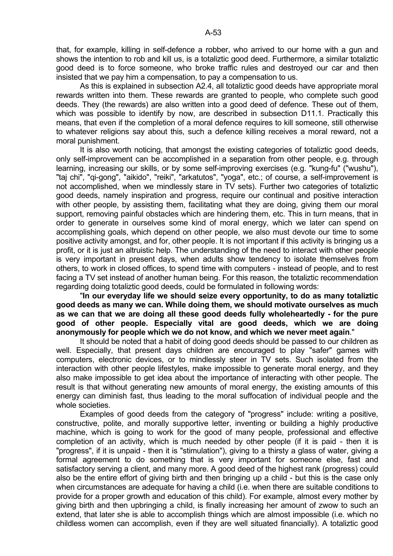that, for example, killing in self-defence a robber, who arrived to our home with a gun and shows the intention to rob and kill us, is a totaliztic good deed. Furthermore, a similar totaliztic good deed is to force someone, who broke traffic rules and destroyed our car and then insisted that we pay him a compensation, to pay a compensation to us.

 As this is explained in subsection A2.4, all totaliztic good deeds have appropriate moral rewards written into them. These rewards are granted to people, who complete such good deeds. They (the rewards) are also written into a good deed of defence. These out of them, which was possible to identify by now, are described in subsection D11.1. Practically this means, that even if the completion of a moral defence requires to kill someone, still otherwise to whatever religions say about this, such a defence killing receives a moral reward, not a moral punishment.

 It is also worth noticing, that amongst the existing categories of totaliztic good deeds, only self-improvement can be accomplished in a separation from other people, e.g. through learning, increasing our skills, or by some self-improving exercises (e.g. "kung-fu" ("wushu"), "taj chi", "qi-gong", "aikido", "reiki", "arkatutos", "yoga", etc.; of course, a self-improvement is not accomplished, when we mindlessly stare in TV sets). Further two categories of totaliztic good deeds, namely inspiration and progress, require our continual and positive interaction with other people, by assisting them, facilitating what they are doing, giving them our moral support, removing painful obstacles which are hindering them, etc. This in turn means, that in order to generate in ourselves some kind of moral energy, which we later can spend on accomplishing goals, which depend on other people, we also must devote our time to some positive activity amongst, and for, other people. It is not important if this activity is bringing us a profit, or it is just an altruistic help. The understanding of the need to interact with other people is very important in present days, when adults show tendency to isolate themselves from others, to work in closed offices, to spend time with computers - instead of people, and to rest facing a TV set instead of another human being. For this reason, the totaliztic recommendation regarding doing totaliztic good deeds, could be formulated in following words:

 "**In our everyday life we should seize every opportunity, to do as many totaliztic good deeds as many we can. While doing them, we should motivate ourselves as much as we can that we are doing all these good deeds fully wholeheartedly - for the pure good of other people. Especially vital are good deeds, which we are doing anonymously for people which we do not know, and which we never meet again**."

 It should be noted that a habit of doing good deeds should be passed to our children as well. Especially, that present days children are encouraged to play "safer" games with computers, electronic devices, or to mindlessly steer in TV sets. Such isolated from the interaction with other people lifestyles, make impossible to generate moral energy, and they also make impossible to get idea about the importance of interacting with other people. The result is that without generating new amounts of moral energy, the existing amounts of this energy can diminish fast, thus leading to the moral suffocation of individual people and the whole societies.

 Examples of good deeds from the category of "progress" include: writing a positive, constructive, polite, and morally supportive letter, inventing or building a highly productive machine, which is going to work for the good of many people, professional and effective completion of an activity, which is much needed by other people (if it is paid - then it is "progress", if it is unpaid - then it is "stimulation"), giving to a thirsty a glass of water, giving a formal agreement to do something that is very important for someone else, fast and satisfactory serving a client, and many more. A good deed of the highest rank (progress) could also be the entire effort of giving birth and then bringing up a child - but this is the case only when circumstances are adequate for having a child (i.e. when there are suitable conditions to provide for a proper growth and education of this child). For example, almost every mother by giving birth and then upbringing a child, is finally increasing her amount of zwow to such an extend, that later she is able to accomplish things which are almost impossible (i.e. which no childless women can accomplish, even if they are well situated financially). A totaliztic good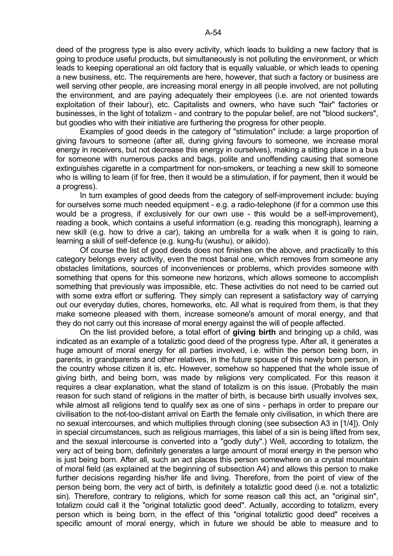deed of the progress type is also every activity, which leads to building a new factory that is going to produce useful products, but simultaneously is not polluting the environment, or which leads to keeping operational an old factory that is equally valuable, or which leads to opening a new business, etc. The requirements are here, however, that such a factory or business are well serving other people, are increasing moral energy in all people involved, are not polluting the environment, and are paying adequately their employees (i.e. are not oriented towards exploitation of their labour), etc. Capitalists and owners, who have such "fair" factories or businesses, in the light of totalizm - and contrary to the popular belief, are not "blood suckers", but goodies who with their initiative are furthering the progress for other people.

 Examples of good deeds in the category of "stimulation" include: a large proportion of giving favours to someone (after all, during giving favours to someone, we increase moral energy in receivers, but not decrease this energy in ourselves), making a sitting place in a bus for someone with numerous packs and bags, polite and unoffending causing that someone extinguishes cigarette in a compartment for non-smokers, or teaching a new skill to someone who is willing to learn (if for free, then it would be a stimulation, if for payment, then it would be a progress).

 In turn examples of good deeds from the category of self-improvement include: buying for ourselves some much needed equipment - e.g. a radio-telephone (if for a common use this would be a progress, if exclusively for our own use - this would be a self-improvement), reading a book, which contains a useful information (e.g. reading this monograph), learning a new skill (e.g. how to drive a car), taking an umbrella for a walk when it is going to rain, learning a skill of self-defence (e.g. kung-fu (wushu), or aikido).

 Of course the list of good deeds does not finishes on the above, and practically to this category belongs every activity, even the most banal one, which removes from someone any obstacles limitations, sources of inconveniences or problems, which provides someone with something that opens for this someone new horizons, which allows someone to accomplish something that previously was impossible, etc. These activities do not need to be carried out with some extra effort or suffering. They simply can represent a satisfactory way of carrying out our everyday duties, chores, homeworks, etc. All what is required from them, is that they make someone pleased with them, increase someone's amount of moral energy, and that they do not carry out this increase of moral energy against the will of people affected.

 On the list provided before, a total effort of **giving birth** and bringing up a child, was indicated as an example of a totaliztic good deed of the progress type. After all, it generates a huge amount of moral energy for all parties involved, i.e. within the person being born, in parents, in grandparents and other relatives, in the future spouse of this newly born person, in the country whose citizen it is, etc. However, somehow so happened that the whole issue of giving birth, and being born, was made by religions very complicated. For this reason it requires a clear explanation, what the stand of totalizm is on this issue. (Probably the main reason for such stand of religions in the matter of birth, is because birth usually involves sex, while almost all religions tend to qualify sex as one of sins - perhaps in order to prepare our civilisation to the not-too-distant arrival on Earth the female only civilisation, in which there are no sexual intercourses, and which multiplies through cloning (see subsection A3 in [1/4]). Only in special circumstances, such as religious marriages, this label of a sin is being lifted from sex, and the sexual intercourse is converted into a "godly duty".) Well, according to totalizm, the very act of being born, definitely generates a large amount of moral energy in the person who is just being born. After all, such an act places this person somewhere on a crystal mountain of moral field (as explained at the beginning of subsection A4) and allows this person to make further decisions regarding his/her life and living. Therefore, from the point of view of the person being born, the very act of birth, is definitely a totaliztic good deed (i.e. not a totaliztic sin). Therefore, contrary to religions, which for some reason call this act, an "original sin", totalizm could call it the "original totaliztic good deed". Actually, according to totalizm, every person which is being born, in the effect of this "original totaliztic good deed" receives a specific amount of moral energy, which in future we should be able to measure and to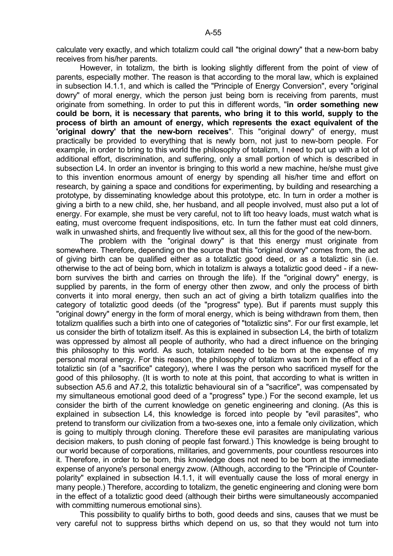calculate very exactly, and which totalizm could call "the original dowry" that a new-born baby receives from his/her parents.

 However, in totalizm, the birth is looking slightly different from the point of view of parents, especially mother. The reason is that according to the moral law, which is explained in subsection I4.1.1, and which is called the "Principle of Energy Conversion", every "original dowry" of moral energy, which the person just being born is receiving from parents, must originate from something. In order to put this in different words, "**in order something new could be born, it is necessary that parents, who bring it to this world, supply to the process of birth an amount of energy, which represents the exact equivalent of the 'original dowry' that the new-born receives**". This "original dowry" of energy, must practically be provided to everything that is newly born, not just to new-born people. For example, in order to bring to this world the philosophy of totalizm, I need to put up with a lot of additional effort, discrimination, and suffering, only a small portion of which is described in subsection L4. In order an inventor is bringing to this world a new machine, he/she must give to this invention enormous amount of energy by spending all his/her time and effort on research, by gaining a space and conditions for experimenting, by building and researching a prototype, by disseminating knowledge about this prototype, etc. In turn in order a mother is giving a birth to a new child, she, her husband, and all people involved, must also put a lot of energy. For example, she must be very careful, not to lift too heavy loads, must watch what is eating, must overcome frequent indispositions, etc. In turn the father must eat cold dinners, walk in unwashed shirts, and frequently live without sex, all this for the good of the new-born.

 The problem with the "original dowry" is that this energy must originate from somewhere. Therefore, depending on the source that this "original dowry" comes from, the act of giving birth can be qualified either as a totaliztic good deed, or as a totaliztic sin (i.e. otherwise to the act of being born, which in totalizm is always a totaliztic good deed - if a newborn survives the birth and carries on through the life). If the "original dowry" energy, is supplied by parents, in the form of energy other then zwow, and only the process of birth converts it into moral energy, then such an act of giving a birth totalizm qualifies into the category of totaliztic good deeds (of the "progress" type). But if parents must supply this "original dowry" energy in the form of moral energy, which is being withdrawn from them, then totalizm qualifies such a birth into one of categories of "totaliztic sins". For our first example, let us consider the birth of totalizm itself. As this is explained in subsection L4, the birth of totalizm was oppressed by almost all people of authority, who had a direct influence on the bringing this philosophy to this world. As such, totalizm needed to be born at the expense of my personal moral energy. For this reason, the philosophy of totalizm was born in the effect of a totaliztic sin (of a "sacrifice" category), where I was the person who sacrificed myself for the good of this philosophy. (It is worth to note at this point, that according to what is written in subsection A5.6 and A7.2, this totaliztic behavioural sin of a "sacrifice", was compensated by my simultaneous emotional good deed of a "progress" type.) For the second example, let us consider the birth of the current knowledge on genetic engineering and cloning. (As this is explained in subsection L4, this knowledge is forced into people by "evil parasites", who pretend to transform our civilization from a two-sexes one, into a female only civilization, which is going to multiply through cloning. Therefore these evil parasites are manipulating various decision makers, to push cloning of people fast forward.) This knowledge is being brought to our world because of corporations, militaries, and governments, pour countless resources into it. Therefore, in order to be born, this knowledge does not need to be born at the immediate expense of anyone's personal energy zwow. (Although, according to the "Principle of Counterpolarity" explained in subsection I4.1.1, it will eventually cause the loss of moral energy in many people.) Therefore, according to totalizm, the genetic engineering and cloning were born in the effect of a totaliztic good deed (although their births were simultaneously accompanied with committing numerous emotional sins).

 This possibility to qualify births to both, good deeds and sins, causes that we must be very careful not to suppress births which depend on us, so that they would not turn into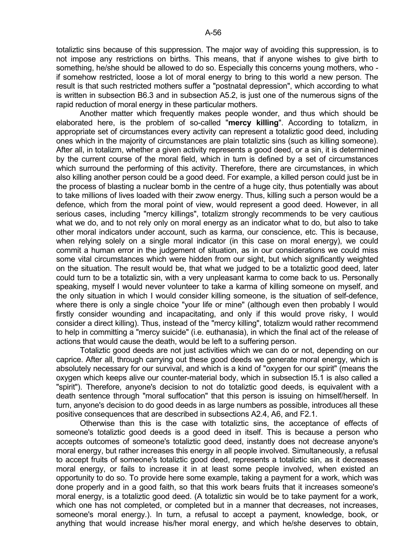totaliztic sins because of this suppression. The major way of avoiding this suppression, is to not impose any restrictions on births. This means, that if anyone wishes to give birth to something, he/she should be allowed to do so. Especially this concerns young mothers, who if somehow restricted, loose a lot of moral energy to bring to this world a new person. The result is that such restricted mothers suffer a "postnatal depression", which according to what is written in subsection B6.3 and in subsection A5.2, is just one of the numerous signs of the rapid reduction of moral energy in these particular mothers.

 Another matter which frequently makes people wonder, and thus which should be elaborated here, is the problem of so-called "**mercy killing**". According to totalizm, in appropriate set of circumstances every activity can represent a totaliztic good deed, including ones which in the majority of circumstances are plain totaliztic sins (such as killing someone). After all, in totalizm, whether a given activity represents a good deed, or a sin, it is determined by the current course of the moral field, which in turn is defined by a set of circumstances which surround the performing of this activity. Therefore, there are circumstances, in which also killing another person could be a good deed. For example, a killed person could just be in the process of blasting a nuclear bomb in the centre of a huge city, thus potentially was about to take millions of lives loaded with their zwow energy. Thus, killing such a person would be a defence, which from the moral point of view, would represent a good deed. However, in all serious cases, including "mercy killings", totalizm strongly recommends to be very cautious what we do, and to not rely only on moral energy as an indicator what to do, but also to take other moral indicators under account, such as karma, our conscience, etc. This is because, when relying solely on a single moral indicator (in this case on moral energy), we could commit a human error in the judgement of situation, as in our considerations we could miss some vital circumstances which were hidden from our sight, but which significantly weighted on the situation. The result would be, that what we judged to be a totaliztic good deed, later could turn to be a totaliztic sin, with a very unpleasant karma to come back to us. Personally speaking, myself I would never volunteer to take a karma of killing someone on myself, and the only situation in which I would consider killing someone, is the situation of self-defence, where there is only a single choice "your life or mine" (although even then probably I would firstly consider wounding and incapacitating, and only if this would prove risky, I would consider a direct killing). Thus, instead of the "mercy killing", totalizm would rather recommend to help in committing a "mercy suicide" (i.e. euthanasia), in which the final act of the release of actions that would cause the death, would be left to a suffering person.

 Totaliztic good deeds are not just activities which we can do or not, depending on our caprice. After all, through carrying out these good deeds we generate moral energy, which is absolutely necessary for our survival, and which is a kind of "oxygen for our spirit" (means the oxygen which keeps alive our counter-material body, which in subsection I5.1 is also called a "spirit"). Therefore, anyone's decision to not do totaliztic good deeds, is equivalent with a death sentence through "moral suffocation" that this person is issuing on himself/herself. In turn, anyone's decision to do good deeds in as large numbers as possible, introduces all these positive consequences that are described in subsections A2.4, A6, and F2.1.

 Otherwise than this is the case with totaliztic sins, the acceptance of effects of someone's totaliztic good deeds is a good deed in itself. This is because a person who accepts outcomes of someone's totaliztic good deed, instantly does not decrease anyone's moral energy, but rather increases this energy in all people involved. Simultaneously, a refusal to accept fruits of someone's totaliztic good deed, represents a totaliztic sin, as it decreases moral energy, or fails to increase it in at least some people involved, when existed an opportunity to do so. To provide here some example, taking a payment for a work, which was done properly and in a good faith, so that this work bears fruits that it increases someone's moral energy, is a totaliztic good deed. (A totaliztic sin would be to take payment for a work, which one has not completed, or completed but in a manner that decreases, not increases, someone's moral energy.). In turn, a refusal to accept a payment, knowledge, book, or anything that would increase his/her moral energy, and which he/she deserves to obtain,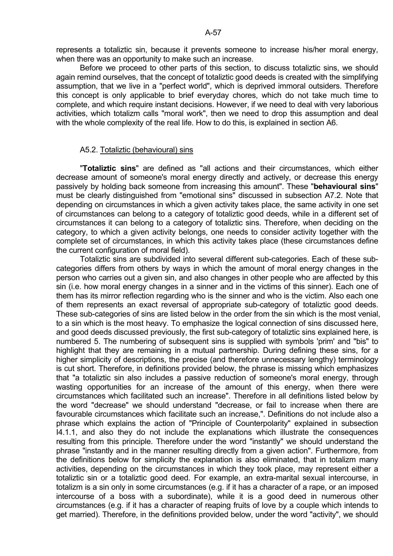represents a totaliztic sin, because it prevents someone to increase his/her moral energy, when there was an opportunity to make such an increase.

 Before we proceed to other parts of this section, to discuss totaliztic sins, we should again remind ourselves, that the concept of totaliztic good deeds is created with the simplifying assumption, that we live in a "perfect world", which is deprived immoral outsiders. Therefore this concept is only applicable to brief everyday chores, which do not take much time to complete, and which require instant decisions. However, if we need to deal with very laborious activities, which totalizm calls "moral work", then we need to drop this assumption and deal with the whole complexity of the real life. How to do this, is explained in section A6.

#### A5.2. Totaliztic (behavioural) sins

 "**Totaliztic sins**" are defined as "all actions and their circumstances, which either decrease amount of someone's moral energy directly and actively, or decrease this energy passively by holding back someone from increasing this amount". These "**behavioural sins**" must be clearly distinguished from "emotional sins" discussed in subsection A7.2. Note that depending on circumstances in which a given activity takes place, the same activity in one set of circumstances can belong to a category of totaliztic good deeds, while in a different set of circumstances it can belong to a category of totaliztic sins. Therefore, when deciding on the category, to which a given activity belongs, one needs to consider activity together with the complete set of circumstances, in which this activity takes place (these circumstances define the current configuration of moral field).

 Totaliztic sins are subdivided into several different sub-categories. Each of these subcategories differs from others by ways in which the amount of moral energy changes in the person who carries out a given sin, and also changes in other people who are affected by this sin (i.e. how moral energy changes in a sinner and in the victims of this sinner). Each one of them has its mirror reflection regarding who is the sinner and who is the victim. Also each one of them represents an exact reversal of appropriate sub-category of totaliztic good deeds. These sub-categories of sins are listed below in the order from the sin which is the most venial, to a sin which is the most heavy. To emphasize the logical connection of sins discussed here, and good deeds discussed previously, the first sub-category of totaliztic sins explained here, is numbered 5. The numbering of subsequent sins is supplied with symbols 'prim' and "bis" to highlight that they are remaining in a mutual partnership. During defining these sins, for a higher simplicity of descriptions, the precise (and therefore unnecessary lengthy) terminology is cut short. Therefore, in definitions provided below, the phrase is missing which emphasizes that "a totaliztic sin also includes a passive reduction of someone's moral energy, through wasting opportunities for an increase of the amount of this energy, when there were circumstances which facilitated such an increase". Therefore in all definitions listed below by the word "decrease" we should understand "decrease, or fail to increase when there are favourable circumstances which facilitate such an increase,". Definitions do not include also a phrase which explains the action of "Principle of Counterpolarity" explained in subsection I4.1.1, and also they do not include the explanations which illustrate the consequences resulting from this principle. Therefore under the word "instantly" we should understand the phrase "instantly and in the manner resulting directly from a given action". Furthermore, from the definitions below for simplicity the explanation is also eliminated, that in totalizm many activities, depending on the circumstances in which they took place, may represent either a totaliztic sin or a totaliztic good deed. For example, an extra-marital sexual intercourse, in totalizm is a sin only in some circumstances (e.g. if it has a character of a rape, or an imposed intercourse of a boss with a subordinate), while it is a good deed in numerous other circumstances (e.g. if it has a character of reaping fruits of love by a couple which intends to get married). Therefore, in the definitions provided below, under the word "activity", we should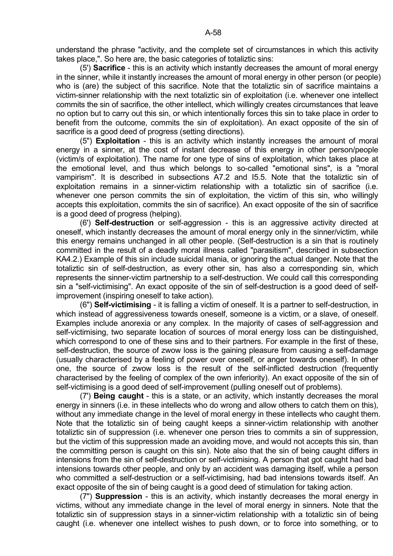understand the phrase "activity, and the complete set of circumstances in which this activity takes place,". So here are, the basic categories of totaliztic sins:

 (5') **Sacrifice** - this is an activity which instantly decreases the amount of moral energy in the sinner, while it instantly increases the amount of moral energy in other person (or people) who is (are) the subject of this sacrifice. Note that the totaliztic sin of sacrifice maintains a victim-sinner relationship with the next totaliztic sin of exploitation (i.e. whenever one intellect commits the sin of sacrifice, the other intellect, which willingly creates circumstances that leave no option but to carry out this sin, or which intentionally forces this sin to take place in order to benefit from the outcome, commits the sin of exploitation). An exact opposite of the sin of sacrifice is a good deed of progress (setting directions).

 (5") **Exploitation** - this is an activity which instantly increases the amount of moral energy in a sinner, at the cost of instant decrease of this energy in other person/people (victim/s of exploitation). The name for one type of sins of exploitation, which takes place at the emotional level, and thus which belongs to so-called "emotional sins", is a "moral vampirism". It is described in subsections A7.2 and I5.5. Note that the totaliztic sin of exploitation remains in a sinner-victim relationship with a totaliztic sin of sacrifice (i.e. whenever one person commits the sin of exploitation, the victim of this sin, who willingly accepts this exploitation, commits the sin of sacrifice). An exact opposite of the sin of sacrifice is a good deed of progress (helping).

 (6') **Self-destruction** or self-aggression - this is an aggressive activity directed at oneself, which instantly decreases the amount of moral energy only in the sinner/victim, while this energy remains unchanged in all other people. (Self-destruction is a sin that is routinely committed in the result of a deadly moral illness called "parasitism", described in subsection KA4.2.) Example of this sin include suicidal mania, or ignoring the actual danger. Note that the totaliztic sin of self-destruction, as every other sin, has also a corresponding sin, which represents the sinner-victim partnership to a self-destruction. We could call this corresponding sin a "self-victimising". An exact opposite of the sin of self-destruction is a good deed of selfimprovement (inspiring oneself to take action).

 (6") **Self-victimising** - it is falling a victim of oneself. It is a partner to self-destruction, in which instead of aggressiveness towards oneself, someone is a victim, or a slave, of oneself. Examples include anorexia or any complex. In the majority of cases of self-aggression and self-victimising, two separate location of sources of moral energy loss can be distinguished, which correspond to one of these sins and to their partners. For example in the first of these, self-destruction, the source of zwow loss is the gaining pleasure from causing a self-damage (usually characterised by a feeling of power over oneself, or anger towards oneself). In other one, the source of zwow loss is the result of the self-inflicted destruction (frequently characterised by the feeling of complex of the own inferiority). An exact opposite of the sin of self-victimising is a good deed of self-improvement (pulling oneself out of problems).

 (7') **Being caught** - this is a state, or an activity, which instantly decreases the moral energy in sinners (i.e. in these intellects who do wrong and allow others to catch them on this), without any immediate change in the level of moral energy in these intellects who caught them. Note that the totaliztic sin of being caught keeps a sinner-victim relationship with another totaliztic sin of suppression (i.e. whenever one person tries to commits a sin of suppression, but the victim of this suppression made an avoiding move, and would not accepts this sin, than the committing person is caught on this sin). Note also that the sin of being caught differs in intensions from the sin of self-destruction or self-victimising. A person that got caught had bad intensions towards other people, and only by an accident was damaging itself, while a person who committed a self-destruction or a self-victimising, had bad intensions towards itself. An exact opposite of the sin of being caught is a good deed of stimulation for taking action.

 (7") **Suppression** - this is an activity, which instantly decreases the moral energy in victims, without any immediate change in the level of moral energy in sinners. Note that the totaliztic sin of suppression stays in a sinner-victim relationship with a totaliztic sin of being caught (i.e. whenever one intellect wishes to push down, or to force into something, or to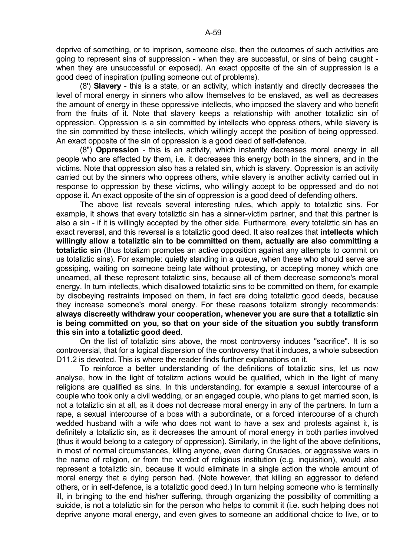deprive of something, or to imprison, someone else, then the outcomes of such activities are going to represent sins of suppression - when they are successful, or sins of being caught when they are unsuccessful or exposed). An exact opposite of the sin of suppression is a good deed of inspiration (pulling someone out of problems).

 (8') **Slavery** - this is a state, or an activity, which instantly and directly decreases the level of moral energy in sinners who allow themselves to be enslaved, as well as decreases the amount of energy in these oppressive intellects, who imposed the slavery and who benefit from the fruits of it. Note that slavery keeps a relationship with another totaliztic sin of oppression. Oppression is a sin committed by intellects who oppress others, while slavery is the sin committed by these intellects, which willingly accept the position of being oppressed. An exact opposite of the sin of oppression is a good deed of self-defence.

 (8") **Oppression** - this is an activity, which instantly decreases moral energy in all people who are affected by them, i.e. it decreases this energy both in the sinners, and in the victims. Note that oppression also has a related sin, which is slavery. Oppression is an activity carried out by the sinners who oppress others, while slavery is another activity carried out in response to oppression by these victims, who willingly accept to be oppressed and do not oppose it. An exact opposite of the sin of oppression is a good deed of defending others.

 The above list reveals several interesting rules, which apply to totaliztic sins. For example, it shows that every totaliztic sin has a sinner-victim partner, and that this partner is also a sin - if it is willingly accepted by the other side. Furthermore, every totaliztic sin has an exact reversal, and this reversal is a totaliztic good deed. It also realizes that **intellects which willingly allow a totaliztic sin to be committed on them, actually are also committing a totaliztic sin** (thus totalizm promotes an active opposition against any attempts to commit on us totaliztic sins). For example: quietly standing in a queue, when these who should serve are gossiping, waiting on someone being late without protesting, or accepting money which one unearned, all these represent totaliztic sins, because all of them decrease someone's moral energy. In turn intellects, which disallowed totaliztic sins to be committed on them, for example by disobeying restraints imposed on them, in fact are doing totaliztic good deeds, because they increase someone's moral energy. For these reasons totalizm strongly recommends: **always discreetly withdraw your cooperation, whenever you are sure that a totaliztic sin is being committed on you, so that on your side of the situation you subtly transform this sin into a totaliztic good deed**.

 On the list of totaliztic sins above, the most controversy induces "sacrifice". It is so controversial, that for a logical dispersion of the controversy that it induces, a whole subsection D11.2 is devoted. This is where the reader finds further explanations on it.

 To reinforce a better understanding of the definitions of totaliztic sins, let us now analyse, how in the light of totalizm actions would be qualified, which in the light of many religions are qualified as sins. In this understanding, for example a sexual intercourse of a couple who took only a civil wedding, or an engaged couple, who plans to get married soon, is not a totaliztic sin at all, as it does not decrease moral energy in any of the partners. In turn a rape, a sexual intercourse of a boss with a subordinate, or a forced intercourse of a church wedded husband with a wife who does not want to have a sex and protests against it, is definitely a totaliztic sin, as it decreases the amount of moral energy in both parties involved (thus it would belong to a category of oppression). Similarly, in the light of the above definitions, in most of normal circumstances, killing anyone, even during Crusades, or aggressive wars in the name of religion, or from the verdict of religious institution (e.g. inquisition), would also represent a totaliztic sin, because it would eliminate in a single action the whole amount of moral energy that a dying person had. (Note however, that killing an aggressor to defend others, or in self-defence, is a totaliztic good deed.) In turn helping someone who is terminally ill, in bringing to the end his/her suffering, through organizing the possibility of committing a suicide, is not a totaliztic sin for the person who helps to commit it (i.e. such helping does not deprive anyone moral energy, and even gives to someone an additional choice to live, or to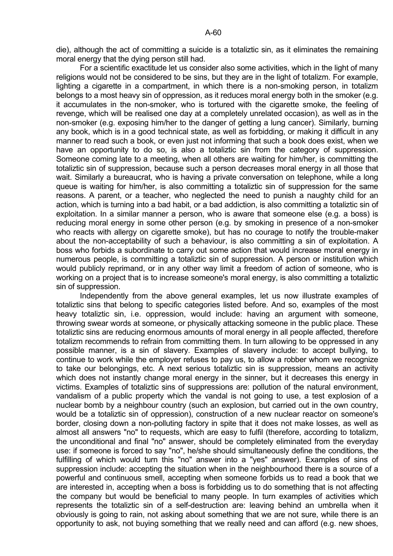For a scientific exactitude let us consider also some activities, which in the light of many religions would not be considered to be sins, but they are in the light of totalizm. For example, lighting a cigarette in a compartment, in which there is a non-smoking person, in totalizm belongs to a most heavy sin of oppression, as it reduces moral energy both in the smoker (e.g. it accumulates in the non-smoker, who is tortured with the cigarette smoke, the feeling of revenge, which will be realised one day at a completely unrelated occasion), as well as in the non-smoker (e.g. exposing him/her to the danger of getting a lung cancer). Similarly, burning any book, which is in a good technical state, as well as forbidding, or making it difficult in any manner to read such a book, or even just not informing that such a book does exist, when we have an opportunity to do so, is also a totaliztic sin from the category of suppression. Someone coming late to a meeting, when all others are waiting for him/her, is committing the totaliztic sin of suppression, because such a person decreases moral energy in all those that wait. Similarly a bureaucrat, who is having a private conversation on telephone, while a long queue is waiting for him/her, is also committing a totaliztic sin of suppression for the same reasons. A parent, or a teacher, who neglected the need to punish a naughty child for an action, which is turning into a bad habit, or a bad addiction, is also committing a totaliztic sin of exploitation. In a similar manner a person, who is aware that someone else (e.g. a boss) is reducing moral energy in some other person (e.g. by smoking in presence of a non-smoker who reacts with allergy on cigarette smoke), but has no courage to notify the trouble-maker about the non-acceptability of such a behaviour, is also committing a sin of exploitation. A boss who forbids a subordinate to carry out some action that would increase moral energy in numerous people, is committing a totaliztic sin of suppression. A person or institution which would publicly reprimand, or in any other way limit a freedom of action of someone, who is working on a project that is to increase someone's moral energy, is also committing a totaliztic sin of suppression.

 Independently from the above general examples, let us now illustrate examples of totaliztic sins that belong to specific categories listed before. And so, examples of the most heavy totaliztic sin, i.e. oppression, would include: having an argument with someone, throwing swear words at someone, or physically attacking someone in the public place. These totaliztic sins are reducing enormous amounts of moral energy in all people affected, therefore totalizm recommends to refrain from committing them. In turn allowing to be oppressed in any possible manner, is a sin of slavery. Examples of slavery include: to accept bullying, to continue to work while the employer refuses to pay us, to allow a robber whom we recognize to take our belongings, etc. A next serious totaliztic sin is suppression, means an activity which does not instantly change moral energy in the sinner, but it decreases this energy in victims. Examples of totaliztic sins of suppressions are: pollution of the natural environment, vandalism of a public property which the vandal is not going to use, a test explosion of a nuclear bomb by a neighbour country (such an explosion, but carried out in the own country, would be a totaliztic sin of oppression), construction of a new nuclear reactor on someone's border, closing down a non-polluting factory in spite that it does not make losses, as well as almost all answers "no" to requests, which are easy to fulfil (therefore, according to totalizm, the unconditional and final "no" answer, should be completely eliminated from the everyday use: if someone is forced to say "no", he/she should simultaneously define the conditions, the fulfilling of which would turn this "no" answer into a "yes" answer). Examples of sins of suppression include: accepting the situation when in the neighbourhood there is a source of a powerful and continuous smell, accepting when someone forbids us to read a book that we are interested in, accepting when a boss is forbidding us to do something that is not affecting the company but would be beneficial to many people. In turn examples of activities which represents the totaliztic sin of a self-destruction are: leaving behind an umbrella when it obviously is going to rain, not asking about something that we are not sure, while there is an opportunity to ask, not buying something that we really need and can afford (e.g. new shoes,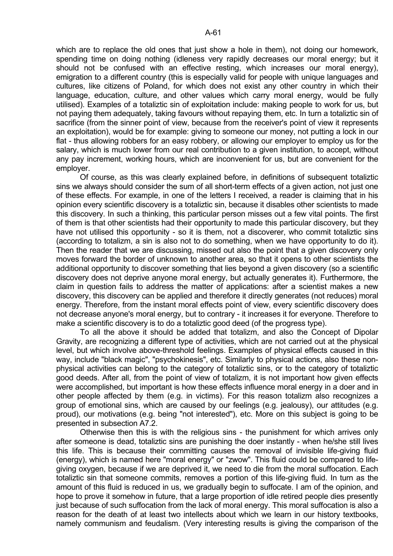which are to replace the old ones that just show a hole in them), not doing our homework, spending time on doing nothing (idleness very rapidly decreases our moral energy; but it should not be confused with an effective resting, which increases our moral energy), emigration to a different country (this is especially valid for people with unique languages and cultures, like citizens of Poland, for which does not exist any other country in which their language, education, culture, and other values which carry moral energy, would be fully utilised). Examples of a totaliztic sin of exploitation include: making people to work for us, but not paying them adequately, taking favours without repaying them, etc. In turn a totaliztic sin of sacrifice (from the sinner point of view, because from the receiver's point of view it represents an exploitation), would be for example: giving to someone our money, not putting a lock in our flat - thus allowing robbers for an easy robbery, or allowing our employer to employ us for the salary, which is much lower from our real contribution to a given institution, to accept, without any pay increment, working hours, which are inconvenient for us, but are convenient for the employer.

 Of course, as this was clearly explained before, in definitions of subsequent totaliztic sins we always should consider the sum of all short-term effects of a given action, not just one of these effects. For example, in one of the letters I received, a reader is claiming that in his opinion every scientific discovery is a totaliztic sin, because it disables other scientists to made this discovery. In such a thinking, this particular person misses out a few vital points. The first of them is that other scientists had their opportunity to made this particular discovery, but they have not utilised this opportunity - so it is them, not a discoverer, who commit totaliztic sins (according to totalizm, a sin is also not to do something, when we have opportunity to do it). Then the reader that we are discussing, missed out also the point that a given discovery only moves forward the border of unknown to another area, so that it opens to other scientists the additional opportunity to discover something that lies beyond a given discovery (so a scientific discovery does not deprive anyone moral energy, but actually generates it). Furthermore, the claim in question fails to address the matter of applications: after a scientist makes a new discovery, this discovery can be applied and therefore it directly generates (not reduces) moral energy. Therefore, from the instant moral effects point of view, every scientific discovery does not decrease anyone's moral energy, but to contrary - it increases it for everyone. Therefore to make a scientific discovery is to do a totaliztic good deed (of the progress type).

 To all the above it should be added that totalizm, and also the Concept of Dipolar Gravity, are recognizing a different type of activities, which are not carried out at the physical level, but which involve above-threshold feelings. Examples of physical effects caused in this way, include "black magic", "psychokinesis", etc. Similarly to physical actions, also these nonphysical activities can belong to the category of totaliztic sins, or to the category of totaliztic good deeds. After all, from the point of view of totalizm, it is not important how given effects were accomplished, but important is how these effects influence moral energy in a doer and in other people affected by them (e.g. in victims). For this reason totalizm also recognizes a group of emotional sins, which are caused by our feelings (e.g. jealousy), our attitudes (e.g. proud), our motivations (e.g. being "not interested"), etc. More on this subject is going to be presented in subsection A7.2.

 Otherwise then this is with the religious sins - the punishment for which arrives only after someone is dead, totaliztic sins are punishing the doer instantly - when he/she still lives this life. This is because their committing causes the removal of invisible life-giving fluid (energy), which is named here "moral energy" or "zwow". This fluid could be compared to lifegiving oxygen, because if we are deprived it, we need to die from the moral suffocation. Each totaliztic sin that someone commits, removes a portion of this life-giving fluid. In turn as the amount of this fluid is reduced in us, we gradually begin to suffocate. I am of the opinion, and hope to prove it somehow in future, that a large proportion of idle retired people dies presently just because of such suffocation from the lack of moral energy. This moral suffocation is also a reason for the death of at least two intellects about which we learn in our history textbooks, namely communism and feudalism. (Very interesting results is giving the comparison of the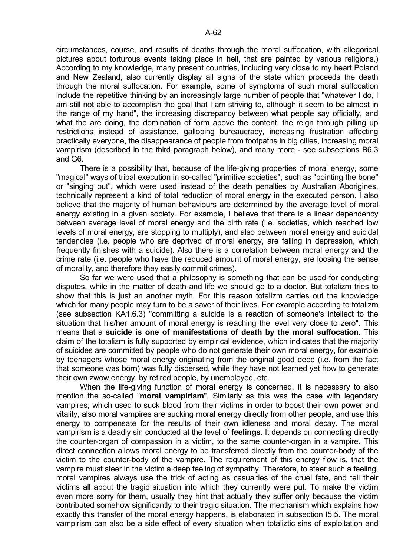circumstances, course, and results of deaths through the moral suffocation, with allegorical pictures about torturous events taking place in hell, that are painted by various religions.) According to my knowledge, many present countries, including very close to my heart Poland and New Zealand, also currently display all signs of the state which proceeds the death through the moral suffocation. For example, some of symptoms of such moral suffocation include the repetitive thinking by an increasingly large number of people that "whatever I do, I am still not able to accomplish the goal that I am striving to, although it seem to be almost in the range of my hand", the increasing discrepancy between what people say officially, and what the are doing, the domination of form above the content, the reign through pilling up restrictions instead of assistance, galloping bureaucracy, increasing frustration affecting practically everyone, the disappearance of people from footpaths in big cities, increasing moral vampirism (described in the third paragraph below), and many more - see subsections B6.3 and G6.

 There is a possibility that, because of the life-giving properties of moral energy, some "magical" ways of tribal execution in so-called "primitive societies", such as "pointing the bone" or "singing out", which were used instead of the death penalties by Australian Aborigines, technically represent a kind of total reduction of moral energy in the executed person. I also believe that the majority of human behaviours are determined by the average level of moral energy existing in a given society. For example, I believe that there is a linear dependency between average level of moral energy and the birth rate (i.e. societies, which reached low levels of moral energy, are stopping to multiply), and also between moral energy and suicidal tendencies (i.e. people who are deprived of moral energy, are falling in depression, which frequently finishes with a suicide). Also there is a correlation between moral energy and the crime rate (i.e. people who have the reduced amount of moral energy, are loosing the sense of morality, and therefore they easily commit crimes).

 So far we were used that a philosophy is something that can be used for conducting disputes, while in the matter of death and life we should go to a doctor. But totalizm tries to show that this is just an another myth. For this reason totalizm carries out the knowledge which for many people may turn to be a saver of their lives. For example according to totalizm (see subsection KA1.6.3) "committing a suicide is a reaction of someone's intellect to the situation that his/her amount of moral energy is reaching the level very close to zero". This means that a **suicide is one of manifestations of death by the moral suffocation**. This claim of the totalizm is fully supported by empirical evidence, which indicates that the majority of suicides are committed by people who do not generate their own moral energy, for example by teenagers whose moral energy originating from the original good deed (i.e. from the fact that someone was born) was fully dispersed, while they have not learned yet how to generate their own zwow energy, by retired people, by unemployed, etc.

 When the life-giving function of moral energy is concerned, it is necessary to also mention the so-called "**moral vampirism**". Similarly as this was the case with legendary vampires, which used to suck blood from their victims in order to boost their own power and vitality, also moral vampires are sucking moral energy directly from other people, and use this energy to compensate for the results of their own idleness and moral decay. The moral vampirism is a deadly sin conducted at the level of **feelings**. It depends on connecting directly the counter-organ of compassion in a victim, to the same counter-organ in a vampire. This direct connection allows moral energy to be transferred directly from the counter-body of the victim to the counter-body of the vampire. The requirement of this energy flow is, that the vampire must steer in the victim a deep feeling of sympathy. Therefore, to steer such a feeling, moral vampires always use the trick of acting as casualties of the cruel fate, and tell their victims all about the tragic situation into which they currently were put. To make the victim even more sorry for them, usually they hint that actually they suffer only because the victim contributed somehow significantly to their tragic situation. The mechanism which explains how exactly this transfer of the moral energy happens, is elaborated in subsection I5.5. The moral vampirism can also be a side effect of every situation when totaliztic sins of exploitation and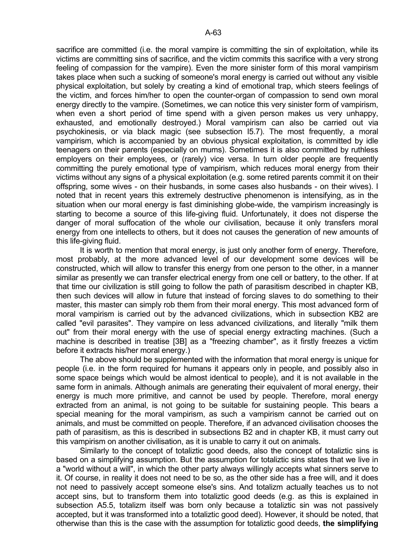sacrifice are committed (i.e. the moral vampire is committing the sin of exploitation, while its victims are committing sins of sacrifice, and the victim commits this sacrifice with a very strong feeling of compassion for the vampire). Even the more sinister form of this moral vampirism takes place when such a sucking of someone's moral energy is carried out without any visible physical exploitation, but solely by creating a kind of emotional trap, which steers feelings of the victim, and forces him/her to open the counter-organ of compassion to send own moral energy directly to the vampire. (Sometimes, we can notice this very sinister form of vampirism, when even a short period of time spend with a given person makes us very unhappy, exhausted, and emotionally destroyed.) Moral vampirism can also be carried out via psychokinesis, or via black magic (see subsection I5.7). The most frequently, a moral vampirism, which is accompanied by an obvious physical exploitation, is committed by idle teenagers on their parents (especially on mums). Sometimes it is also committed by ruthless employers on their employees, or (rarely) vice versa. In turn older people are frequently committing the purely emotional type of vampirism, which reduces moral energy from their victims without any signs of a physical exploitation (e.g. some retired parents commit it on their offspring, some wives - on their husbands, in some cases also husbands - on their wives). I noted that in recent years this extremely destructive phenomenon is intensifying, as in the situation when our moral energy is fast diminishing globe-wide, the vampirism increasingly is starting to become a source of this life-giving fluid. Unfortunately, it does not disperse the danger of moral suffocation of the whole our civilisation, because it only transfers moral energy from one intellects to others, but it does not causes the generation of new amounts of this life-giving fluid.

 It is worth to mention that moral energy, is just only another form of energy. Therefore, most probably, at the more advanced level of our development some devices will be constructed, which will allow to transfer this energy from one person to the other, in a manner similar as presently we can transfer electrical energy from one cell or battery, to the other. If at that time our civilization is still going to follow the path of parasitism described in chapter KB, then such devices will allow in future that instead of forcing slaves to do something to their master, this master can simply rob them from their moral energy. This most advanced form of moral vampirism is carried out by the advanced civilizations, which in subsection KB2 are called "evil parasites". They vampire on less advanced civilizations, and literally "milk them out" from their moral energy with the use of special energy extracting machines. (Such a machine is described in treatise [3B] as a "freezing chamber", as it firstly freezes a victim before it extracts his/her moral energy.)

 The above should be supplemented with the information that moral energy is unique for people (i.e. in the form required for humans it appears only in people, and possibly also in some space beings which would be almost identical to people), and it is not available in the same form in animals. Although animals are generating their equivalent of moral energy, their energy is much more primitive, and cannot be used by people. Therefore, moral energy extracted from an animal, is not going to be suitable for sustaining people. This bears a special meaning for the moral vampirism, as such a vampirism cannot be carried out on animals, and must be committed on people. Therefore, if an advanced civilisation chooses the path of parasitism, as this is described in subsections B2 and in chapter KB, it must carry out this vampirism on another civilisation, as it is unable to carry it out on animals.

 Similarly to the concept of totaliztic good deeds, also the concept of totaliztic sins is based on a simplifying assumption. But the assumption for totaliztic sins states that we live in a "world without a will", in which the other party always willingly accepts what sinners serve to it. Of course, in reality it does not need to be so, as the other side has a free will, and it does not need to passively accept someone else's sins. And totalizm actually teaches us to not accept sins, but to transform them into totaliztic good deeds (e.g. as this is explained in subsection A5.5, totalizm itself was born only because a totaliztic sin was not passively accepted, but it was transformed into a totaliztic good deed). However, it should be noted, that otherwise than this is the case with the assumption for totaliztic good deeds, **the simplifying**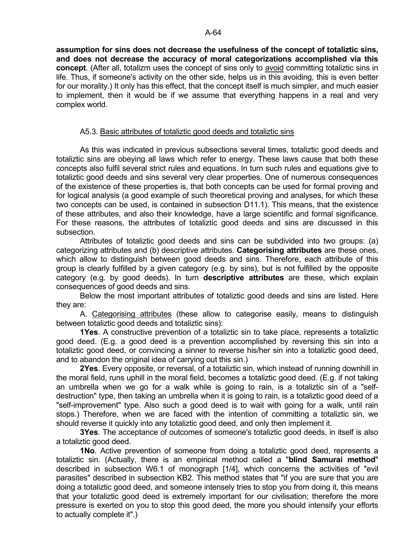**assumption for sins does not decrease the usefulness of the concept of totaliztic sins, and does not decrease the accuracy of moral categorizations accomplished via this concept**. (After all, totalizm uses the concept of sins only to avoid committing totaliztic sins in life. Thus, if someone's activity on the other side, helps us in this avoiding, this is even better for our morality.) It only has this effect, that the concept itself is much simpler, and much easier to implement, then it would be if we assume that everything happens in a real and very complex world.

### A5.3. Basic attributes of totaliztic good deeds and totaliztic sins

 As this was indicated in previous subsections several times, totaliztic good deeds and totaliztic sins are obeying all laws which refer to energy. These laws cause that both these concepts also fulfil several strict rules and equations. In turn such rules and equations give to totaliztic good deeds and sins several very clear properties. One of numerous consequences of the existence of these properties is, that both concepts can be used for formal proving and for logical analysis (a good example of such theoretical proving and analyses, for which these two concepts can be used, is contained in subsection D11.1). This means, that the existence of these attributes, and also their knowledge, have a large scientific and formal significance. For these reasons, the attributes of totaliztic good deeds and sins are discussed in this subsection.

 Attributes of totaliztic good deeds and sins can be subdivided into two groups: (a) categorizing attributes and (b) descriptive attributes. **Categorising attributes** are these ones, which allow to distinguish between good deeds and sins. Therefore, each attribute of this group is clearly fulfilled by a given category (e.g. by sins), but is not fulfilled by the opposite category (e.g. by good deeds). In turn **descriptive attributes** are these, which explain consequences of good deeds and sins.

 Below the most important attributes of totaliztic good deeds and sins are listed. Here they are:

 A. Categorising attributes (these allow to categorise easily, means to distinguish between totaliztic good deeds and totaliztic sins):

 **1Yes**. A constructive prevention of a totaliztic sin to take place, represents a totaliztic good deed. (E.g. a good deed is a prevention accomplished by reversing this sin into a totaliztic good deed, or convincing a sinner to reverse his/her sin into a totaliztic good deed, and to abandon the original idea of carrying out this sin.)

 **2Yes**. Every opposite, or reversal, of a totaliztic sin, which instead of running downhill in the moral field, runs uphill in the moral field, becomes a totaliztic good deed. (E.g. if not taking an umbrella when we go for a walk while is going to rain, is a totaliztic sin of a "selfdestruction" type, then taking an umbrella when it is going to rain, is a totaliztic good deed of a "self-improvement" type. Also such a good deed is to wait with going for a walk, until rain stops.) Therefore, when we are faced with the intention of committing a totaliztic sin, we should reverse it quickly into any totaliztic good deed, and only then implement it.

 **3Yes**. The acceptance of outcomes of someone's totaliztic good deeds, in itself is also a totaliztic good deed.

 **1No**. Active prevention of someone from doing a totaliztic good deed, represents a totaliztic sin. (Actually, there is an empirical method called a "**blind Samurai method**" described in subsection W6.1 of monograph [1/4], which concerns the activities of "evil parasites" described in subsection KB2. This method states that "if you are sure that you are doing a totaliztic good deed, and someone intensely tries to stop you from doing it, this means that your totaliztic good deed is extremely important for our civilisation; therefore the more pressure is exerted on you to stop this good deed, the more you should intensify your efforts to actually complete it".)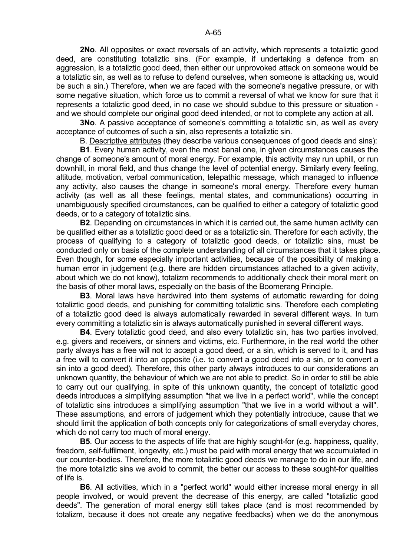**2No**. All opposites or exact reversals of an activity, which represents a totaliztic good deed, are constituting totaliztic sins. (For example, if undertaking a defence from an aggression, is a totaliztic good deed, then either our unprovoked attack on someone would be a totaliztic sin, as well as to refuse to defend ourselves, when someone is attacking us, would be such a sin.) Therefore, when we are faced with the someone's negative pressure, or with some negative situation, which force us to commit a reversal of what we know for sure that it represents a totaliztic good deed, in no case we should subdue to this pressure or situation and we should complete our original good deed intended, or not to complete any action at all.

**3No.** A passive acceptance of someone's committing a totaliztic sin, as well as every acceptance of outcomes of such a sin, also represents a totaliztic sin.

B. Descriptive attributes (they describe various consequences of good deeds and sins):

 **B1**. Every human activity, even the most banal one, in given circumstances causes the change of someone's amount of moral energy. For example, this activity may run uphill, or run downhill, in moral field, and thus change the level of potential energy. Similarly every feeling, altitude, motivation, verbal communication, telepathic message, which managed to influence any activity, also causes the change in someone's moral energy. Therefore every human activity (as well as all these feelings, mental states, and communications) occurring in unambiguously specified circumstances, can be qualified to either a category of totaliztic good deeds, or to a category of totaliztic sins.

 **B2**. Depending on circumstances in which it is carried out, the same human activity can be qualified either as a totaliztic good deed or as a totaliztic sin. Therefore for each activity, the process of qualifying to a category of totaliztic good deeds, or totaliztic sins, must be conducted only on basis of the complete understanding of all circumstances that it takes place. Even though, for some especially important activities, because of the possibility of making a human error in judgement (e.g. there are hidden circumstances attached to a given activity, about which we do not know), totalizm recommends to additionally check their moral merit on the basis of other moral laws, especially on the basis of the Boomerang Principle.

 **B3**. Moral laws have hardwired into them systems of automatic rewarding for doing totaliztic good deeds, and punishing for committing totaliztic sins. Therefore each completing of a totaliztic good deed is always automatically rewarded in several different ways. In turn every committing a totaliztic sin is always automatically punished in several different ways.

 **B4**. Every totaliztic good deed, and also every totaliztic sin, has two parties involved, e.g. givers and receivers, or sinners and victims, etc. Furthermore, in the real world the other party always has a free will not to accept a good deed, or a sin, which is served to it, and has a free will to convert it into an opposite (i.e. to convert a good deed into a sin, or to convert a sin into a good deed). Therefore, this other party always introduces to our considerations an unknown quantity, the behaviour of which we are not able to predict. So in order to still be able to carry out our qualifying, in spite of this unknown quantity, the concept of totaliztic good deeds introduces a simplifying assumption "that we live in a perfect world", while the concept of totaliztic sins introduces a simplifying assumption "that we live in a world without a will". These assumptions, and errors of judgement which they potentially introduce, cause that we should limit the application of both concepts only for categorizations of small everyday chores, which do not carry too much of moral energy.

**B5**. Our access to the aspects of life that are highly sought-for (e.g. happiness, quality, freedom, self-fulfilment, longevity, etc.) must be paid with moral energy that we accumulated in our counter-bodies. Therefore, the more totaliztic good deeds we manage to do in our life, and the more totaliztic sins we avoid to commit, the better our access to these sought-for qualities of life is.

 **B6**. All activities, which in a "perfect world" would either increase moral energy in all people involved, or would prevent the decrease of this energy, are called "totaliztic good deeds". The generation of moral energy still takes place (and is most recommended by totalizm, because it does not create any negative feedbacks) when we do the anonymous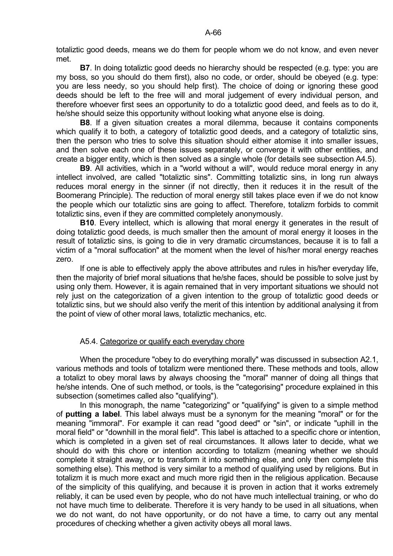totaliztic good deeds, means we do them for people whom we do not know, and even never met.

 **B7**. In doing totaliztic good deeds no hierarchy should be respected (e.g. type: you are my boss, so you should do them first), also no code, or order, should be obeyed (e.g. type: you are less needy, so you should help first). The choice of doing or ignoring these good deeds should be left to the free will and moral judgement of every individual person, and therefore whoever first sees an opportunity to do a totaliztic good deed, and feels as to do it, he/she should seize this opportunity without looking what anyone else is doing.

 **B8**. If a given situation creates a moral dilemma, because it contains components which qualify it to both, a category of totaliztic good deeds, and a category of totaliztic sins, then the person who tries to solve this situation should either atomise it into smaller issues, and then solve each one of these issues separately, or converge it with other entities, and create a bigger entity, which is then solved as a single whole (for details see subsection A4.5).

 **B9**. All activities, which in a "world without a will", would reduce moral energy in any intellect involved, are called "totaliztic sins". Committing totaliztic sins, in long run always reduces moral energy in the sinner (if not directly, then it reduces it in the result of the Boomerang Principle). The reduction of moral energy still takes place even if we do not know the people which our totaliztic sins are going to affect. Therefore, totalizm forbids to commit totaliztic sins, even if they are committed completely anonymously.

 **B10**. Every intellect, which is allowing that moral energy it generates in the result of doing totaliztic good deeds, is much smaller then the amount of moral energy it looses in the result of totaliztic sins, is going to die in very dramatic circumstances, because it is to fall a victim of a "moral suffocation" at the moment when the level of his/her moral energy reaches zero.

 If one is able to effectively apply the above attributes and rules in his/her everyday life, then the majority of brief moral situations that he/she faces, should be possible to solve just by using only them. However, it is again remained that in very important situations we should not rely just on the categorization of a given intention to the group of totaliztic good deeds or totaliztic sins, but we should also verify the merit of this intention by additional analysing it from the point of view of other moral laws, totaliztic mechanics, etc.

# A5.4. Categorize or qualify each everyday chore

 When the procedure "obey to do everything morally" was discussed in subsection A2.1, various methods and tools of totalizm were mentioned there. These methods and tools, allow a totalizt to obey moral laws by always choosing the "moral" manner of doing all things that he/she intends. One of such method, or tools, is the "categorising" procedure explained in this subsection (sometimes called also "qualifying").

 In this monograph, the name "categorizing" or "qualifying" is given to a simple method of **putting a label**. This label always must be a synonym for the meaning "moral" or for the meaning "immoral". For example it can read "good deed" or "sin", or indicate "uphill in the moral field" or "downhill in the moral field". This label is attached to a specific chore or intention, which is completed in a given set of real circumstances. It allows later to decide, what we should do with this chore or intention according to totalizm (meaning whether we should complete it straight away, or to transform it into something else, and only then complete this something else). This method is very similar to a method of qualifying used by religions. But in totalizm it is much more exact and much more rigid then in the religious application. Because of the simplicity of this qualifying, and because it is proven in action that it works extremely reliably, it can be used even by people, who do not have much intellectual training, or who do not have much time to deliberate. Therefore it is very handy to be used in all situations, when we do not want, do not have opportunity, or do not have a time, to carry out any mental procedures of checking whether a given activity obeys all moral laws.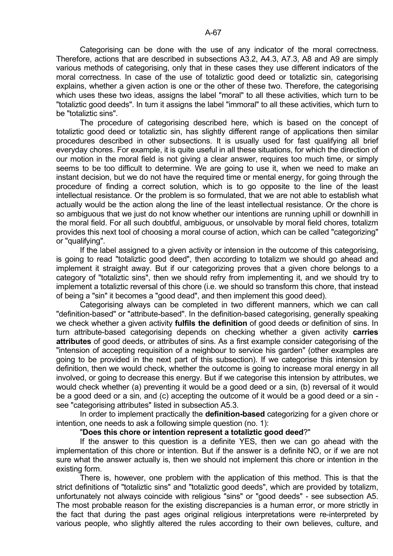Categorising can be done with the use of any indicator of the moral correctness. Therefore, actions that are described in subsections A3.2, A4.3, A7.3, A8 and A9 are simply various methods of categorising, only that in these cases they use different indicators of the moral correctness. In case of the use of totaliztic good deed or totaliztic sin, categorising explains, whether a given action is one or the other of these two. Therefore, the categorising which uses these two ideas, assigns the label "moral" to all these activities, which turn to be "totaliztic good deeds". In turn it assigns the label "immoral" to all these activities, which turn to be "totaliztic sins".

 The procedure of categorising described here, which is based on the concept of totaliztic good deed or totaliztic sin, has slightly different range of applications then similar procedures described in other subsections. It is usually used for fast qualifying all brief everyday chores. For example, it is quite useful in all these situations, for which the direction of our motion in the moral field is not giving a clear answer, requires too much time, or simply seems to be too difficult to determine. We are going to use it, when we need to make an instant decision, but we do not have the required time or mental energy, for going through the procedure of finding a correct solution, which is to go opposite to the line of the least intellectual resistance. Or the problem is so formulated, that we are not able to establish what actually would be the action along the line of the least intellectual resistance. Or the chore is so ambiguous that we just do not know whether our intentions are running uphill or downhill in the moral field. For all such doubtful, ambiguous, or unsolvable by moral field chores, totalizm provides this next tool of choosing a moral course of action, which can be called "categorizing" or "qualifying".

 If the label assigned to a given activity or intension in the outcome of this categorising, is going to read "totaliztic good deed", then according to totalizm we should go ahead and implement it straight away. But if our categorizing proves that a given chore belongs to a category of "totaliztic sins", then we should refry from implementing it, and we should try to implement a totaliztic reversal of this chore (i.e. we should so transform this chore, that instead of being a "sin" it becomes a "good dead", and then implement this good deed).

 Categorising always can be completed in two different manners, which we can call "definition-based" or "attribute-based". In the definition-based categorising, generally speaking we check whether a given activity **fulfils the definition** of good deeds or definition of sins. In turn attribute-based categorising depends on checking whether a given activity **carries attributes** of good deeds, or attributes of sins. As a first example consider categorising of the "intension of accepting requisition of a neighbour to service his garden" (other examples are going to be provided in the next part of this subsection). If we categorise this intension by definition, then we would check, whether the outcome is going to increase moral energy in all involved, or going to decrease this energy. But if we categorise this intension by attributes, we would check whether (a) preventing it would be a good deed or a sin, (b) reversal of it would be a good deed or a sin, and (c) accepting the outcome of it would be a good deed or a sin see "categorising attributes" listed in subsection A5.3.

 In order to implement practically the **definition-based** categorizing for a given chore or intention, one needs to ask a following simple question (no. 1):

#### "**Does this chore or intention represent a totaliztic good deed**?"

 If the answer to this question is a definite YES, then we can go ahead with the implementation of this chore or intention. But if the answer is a definite NO, or if we are not sure what the answer actually is, then we should not implement this chore or intention in the existing form.

 There is, however, one problem with the application of this method. This is that the strict definitions of "totaliztic sins" and "totaliztic good deeds", which are provided by totalizm, unfortunately not always coincide with religious "sins" or "good deeds" - see subsection A5. The most probable reason for the existing discrepancies is a human error, or more strictly in the fact that during the past ages original religious interpretations were re-interpreted by various people, who slightly altered the rules according to their own believes, culture, and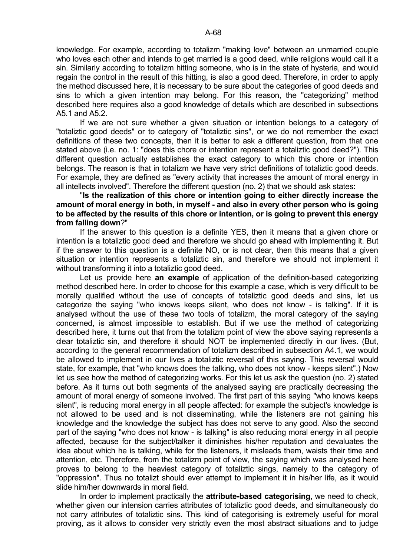knowledge. For example, according to totalizm "making love" between an unmarried couple who loves each other and intends to get married is a good deed, while religions would call it a sin. Similarly according to totalizm hitting someone, who is in the state of hysteria, and would regain the control in the result of this hitting, is also a good deed. Therefore, in order to apply the method discussed here, it is necessary to be sure about the categories of good deeds and sins to which a given intention may belong. For this reason, the "categorizing" method described here requires also a good knowledge of details which are described in subsections A5.1 and A5.2.

 If we are not sure whether a given situation or intention belongs to a category of "totaliztic good deeds" or to category of "totaliztic sins", or we do not remember the exact definitions of these two concepts, then it is better to ask a different question, from that one stated above (i.e. no. 1: "does this chore or intention represent a totaliztic good deed?"). This different question actually establishes the exact category to which this chore or intention belongs. The reason is that in totalizm we have very strict definitions of totaliztic good deeds. For example, they are defined as "every activity that increases the amount of moral energy in all intellects involved". Therefore the different question (no. 2) that we should ask states:

 "**Is the realization of this chore or intention going to either directly increase the amount of moral energy in both, in myself - and also in every other person who is going to be affected by the results of this chore or intention, or is going to prevent this energy from falling down**?"

 If the answer to this question is a definite YES, then it means that a given chore or intention is a totaliztic good deed and therefore we should go ahead with implementing it. But if the answer to this question is a definite NO, or is not clear, then this means that a given situation or intention represents a totaliztic sin, and therefore we should not implement it without transforming it into a totaliztic good deed.

 Let us provide here **an example** of application of the definition-based categorizing method described here. In order to choose for this example a case, which is very difficult to be morally qualified without the use of concepts of totaliztic good deeds and sins, let us categorize the saying "who knows keeps silent, who does not know - is talking". If it is analysed without the use of these two tools of totalizm, the moral category of the saying concerned, is almost impossible to establish. But if we use the method of categorizing described here, it turns out that from the totalizm point of view the above saying represents a clear totaliztic sin, and therefore it should NOT be implemented directly in our lives. (But, according to the general recommendation of totalizm described in subsection A4.1, we would be allowed to implement in our lives a totaliztic reversal of this saying. This reversal would state, for example, that "who knows does the talking, who does not know - keeps silent".) Now let us see how the method of categorizing works. For this let us ask the question (no. 2) stated before. As it turns out both segments of the analysed saying are practically decreasing the amount of moral energy of someone involved. The first part of this saying "who knows keeps silent", is reducing moral energy in all people affected: for example the subject's knowledge is not allowed to be used and is not disseminating, while the listeners are not gaining his knowledge and the knowledge the subject has does not serve to any good. Also the second part of the saying "who does not know - is talking" is also reducing moral energy in all people affected, because for the subject/talker it diminishes his/her reputation and devaluates the idea about which he is talking, while for the listeners, it misleads them, waists their time and attention, etc. Therefore, from the totalizm point of view, the saying which was analysed here proves to belong to the heaviest category of totaliztic sings, namely to the category of "oppression". Thus no totalizt should ever attempt to implement it in his/her life, as it would slide him/her downwards in moral field.

 In order to implement practically the **attribute-based categorising**, we need to check, whether given our intension carries attributes of totaliztic good deeds, and simultaneously do not carry attributes of totaliztic sins. This kind of categorising is extremely useful for moral proving, as it allows to consider very strictly even the most abstract situations and to judge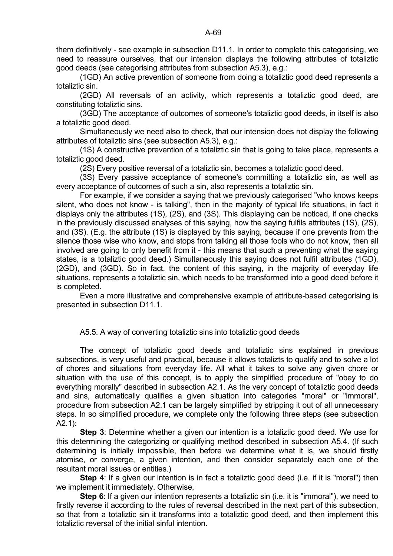them definitively - see example in subsection D11.1. In order to complete this categorising, we need to reassure ourselves, that our intension displays the following attributes of totaliztic good deeds (see categorising attributes from subsection A5.3), e.g.:

 (1GD) An active prevention of someone from doing a totaliztic good deed represents a totaliztic sin.

 (2GD) All reversals of an activity, which represents a totaliztic good deed, are constituting totaliztic sins.

 (3GD) The acceptance of outcomes of someone's totaliztic good deeds, in itself is also a totaliztic good deed.

 Simultaneously we need also to check, that our intension does not display the following attributes of totaliztic sins (see subsection A5.3), e.g.:

 (1S) A constructive prevention of a totaliztic sin that is going to take place, represents a totaliztic good deed.

(2S) Every positive reversal of a totaliztic sin, becomes a totaliztic good deed.

 (3S) Every passive acceptance of someone's committing a totaliztic sin, as well as every acceptance of outcomes of such a sin, also represents a totaliztic sin.

 For example, if we consider a saying that we previously categorised "who knows keeps silent, who does not know - is talking", then in the majority of typical life situations, in fact it displays only the attributes (1S), (2S), and (3S). This displaying can be noticed, if one checks in the previously discussed analyses of this saying, how the saying fulfils attributes (1S), (2S), and (3S). (E.g. the attribute (1S) is displayed by this saying, because if one prevents from the silence those wise who know, and stops from talking all those fools who do not know, then all involved are going to only benefit from it - this means that such a preventing what the saying states, is a totaliztic good deed.) Simultaneously this saying does not fulfil attributes (1GD), (2GD), and (3GD). So in fact, the content of this saying, in the majority of everyday life situations, represents a totaliztic sin, which needs to be transformed into a good deed before it is completed.

 Even a more illustrative and comprehensive example of attribute-based categorising is presented in subsection D11.1.

# A5.5. A way of converting totaliztic sins into totaliztic good deeds

 The concept of totaliztic good deeds and totaliztic sins explained in previous subsections, is very useful and practical, because it allows totalizts to qualify and to solve a lot of chores and situations from everyday life. All what it takes to solve any given chore or situation with the use of this concept, is to apply the simplified procedure of "obey to do everything morally" described in subsection A2.1. As the very concept of totaliztic good deeds and sins, automatically qualifies a given situation into categories "moral" or "immoral", procedure from subsection A2.1 can be largely simplified by stripping it out of all unnecessary steps. In so simplified procedure, we complete only the following three steps (see subsection A2.1):

**Step 3**: Determine whether a given our intention is a totaliztic good deed. We use for this determining the categorizing or qualifying method described in subsection A5.4. (If such determining is initially impossible, then before we determine what it is, we should firstly atomise, or converge, a given intention, and then consider separately each one of the resultant moral issues or entities.)

**Step 4:** If a given our intention is in fact a totaliztic good deed (i.e. if it is "moral") then we implement it immediately. Otherwise,

**Step 6**: If a given our intention represents a totaliztic sin (i.e. it is "immoral"), we need to firstly reverse it according to the rules of reversal described in the next part of this subsection, so that from a totaliztic sin it transforms into a totaliztic good deed, and then implement this totaliztic reversal of the initial sinful intention.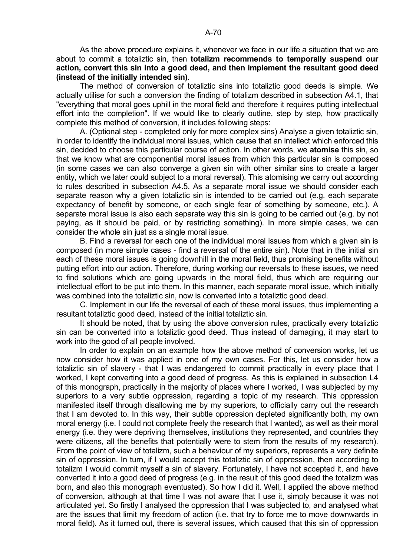As the above procedure explains it, whenever we face in our life a situation that we are about to commit a totaliztic sin, then **totalizm recommends to temporally suspend our action, convert this sin into a good deed, and then implement the resultant good deed (instead of the initially intended sin)**.

 The method of conversion of totaliztic sins into totaliztic good deeds is simple. We actually utilise for such a conversion the finding of totalizm described in subsection A4.1, that "everything that moral goes uphill in the moral field and therefore it requires putting intellectual effort into the completion". If we would like to clearly outline, step by step, how practically complete this method of conversion, it includes following steps:

 A. (Optional step - completed only for more complex sins) Analyse a given totaliztic sin, in order to identify the individual moral issues, which cause that an intellect which enforced this sin, decided to choose this particular course of action. In other words, we **atomise** this sin, so that we know what are componential moral issues from which this particular sin is composed (in some cases we can also converge a given sin with other similar sins to create a larger entity, which we later could subject to a moral reversal). This atomising we carry out according to rules described in subsection A4.5. As a separate moral issue we should consider each separate reason why a given totaliztic sin is intended to be carried out (e.g. each separate expectancy of benefit by someone, or each single fear of something by someone, etc.). A separate moral issue is also each separate way this sin is going to be carried out (e.g. by not paying, as it should be paid, or by restricting something). In more simple cases, we can consider the whole sin just as a single moral issue.

 B. Find a reversal for each one of the individual moral issues from which a given sin is composed (in more simple cases - find a reversal of the entire sin). Note that in the initial sin each of these moral issues is going downhill in the moral field, thus promising benefits without putting effort into our action. Therefore, during working our reversals to these issues, we need to find solutions which are going upwards in the moral field, thus which are requiring our intellectual effort to be put into them. In this manner, each separate moral issue, which initially was combined into the totaliztic sin, now is converted into a totaliztic good deed.

 C. Implement in our life the reversal of each of these moral issues, thus implementing a resultant totaliztic good deed, instead of the initial totaliztic sin.

 It should be noted, that by using the above conversion rules, practically every totaliztic sin can be converted into a totaliztic good deed. Thus instead of damaging, it may start to work into the good of all people involved.

 In order to explain on an example how the above method of conversion works, let us now consider how it was applied in one of my own cases. For this, let us consider how a totaliztic sin of slavery - that I was endangered to commit practically in every place that I worked, I kept converting into a good deed of progress. As this is explained in subsection L4 of this monograph, practically in the majority of places where I worked, I was subjected by my superiors to a very subtle oppression, regarding a topic of my research. This oppression manifested itself through disallowing me by my superiors, to officially carry out the research that I am devoted to. In this way, their subtle oppression depleted significantly both, my own moral energy (i.e. I could not complete freely the research that I wanted), as well as their moral energy (i.e. they were depriving themselves, institutions they represented, and countries they were citizens, all the benefits that potentially were to stem from the results of my research). From the point of view of totalizm, such a behaviour of my superiors, represents a very definite sin of oppression. In turn, if I would accept this totaliztic sin of oppression, then according to totalizm I would commit myself a sin of slavery. Fortunately, I have not accepted it, and have converted it into a good deed of progress (e.g. in the result of this good deed the totalizm was born, and also this monograph eventuated). So how I did it. Well, I applied the above method of conversion, although at that time I was not aware that I use it, simply because it was not articulated yet. So firstly I analysed the oppression that I was subjected to, and analysed what are the issues that limit my freedom of action (i.e. that try to force me to move downwards in moral field). As it turned out, there is several issues, which caused that this sin of oppression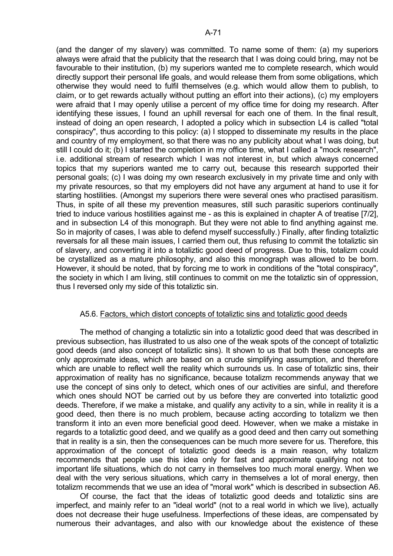(and the danger of my slavery) was committed. To name some of them: (a) my superiors always were afraid that the publicity that the research that I was doing could bring, may not be favourable to their institution, (b) my superiors wanted me to complete research, which would directly support their personal life goals, and would release them from some obligations, which otherwise they would need to fulfil themselves (e.g. which would allow them to publish, to claim, or to get rewards actually without putting an effort into their actions), (c) my employers were afraid that I may openly utilise a percent of my office time for doing my research. After identifying these issues, I found an uphill reversal for each one of them. In the final result, instead of doing an open research, I adopted a policy which in subsection L4 is called "total conspiracy", thus according to this policy: (a) I stopped to disseminate my results in the place and country of my employment, so that there was no any publicity about what I was doing, but still I could do it; (b) I started the completion in my office time, what I called a "mock research", i.e. additional stream of research which I was not interest in, but which always concerned topics that my superiors wanted me to carry out, because this research supported their personal goals; (c) I was doing my own research exclusively in my private time and only with my private resources, so that my employers did not have any argument at hand to use it for starting hostilities. (Amongst my superiors there were several ones who practised parasitism. Thus, in spite of all these my prevention measures, still such parasitic superiors continually tried to induce various hostilities against me - as this is explained in chapter A of treatise [7/2], and in subsection L4 of this monograph. But they were not able to find anything against me. So in majority of cases, I was able to defend myself successfully.) Finally, after finding totaliztic reversals for all these main issues, I carried them out, thus refusing to commit the totaliztic sin of slavery, and converting it into a totaliztic good deed of progress. Due to this, totalizm could be crystallized as a mature philosophy, and also this monograph was allowed to be born. However, it should be noted, that by forcing me to work in conditions of the "total conspiracy", the society in which I am living, still continues to commit on me the totaliztic sin of oppression, thus I reversed only my side of this totaliztic sin.

# A5.6. Factors, which distort concepts of totaliztic sins and totaliztic good deeds

 The method of changing a totaliztic sin into a totaliztic good deed that was described in previous subsection, has illustrated to us also one of the weak spots of the concept of totaliztic good deeds (and also concept of totaliztic sins). It shown to us that both these concepts are only approximate ideas, which are based on a crude simplifying assumption, and therefore which are unable to reflect well the reality which surrounds us. In case of totaliztic sins, their approximation of reality has no significance, because totalizm recommends anyway that we use the concept of sins only to detect, which ones of our activities are sinful, and therefore which ones should NOT be carried out by us before they are converted into totaliztic good deeds. Therefore, if we make a mistake, and qualify any activity to a sin, while in reality it is a good deed, then there is no much problem, because acting according to totalizm we then transform it into an even more beneficial good deed. However, when we make a mistake in regards to a totaliztic good deed, and we qualify as a good deed and then carry out something that in reality is a sin, then the consequences can be much more severe for us. Therefore, this approximation of the concept of totaliztic good deeds is a main reason, why totalizm recommends that people use this idea only for fast and approximate qualifying not too important life situations, which do not carry in themselves too much moral energy. When we deal with the very serious situations, which carry in themselves a lot of moral energy, then totalizm recommends that we use an idea of "moral work" which is described in subsection A6.

 Of course, the fact that the ideas of totaliztic good deeds and totaliztic sins are imperfect, and mainly refer to an "ideal world" (not to a real world in which we live), actually does not decrease their huge usefulness. Imperfections of these ideas, are compensated by numerous their advantages, and also with our knowledge about the existence of these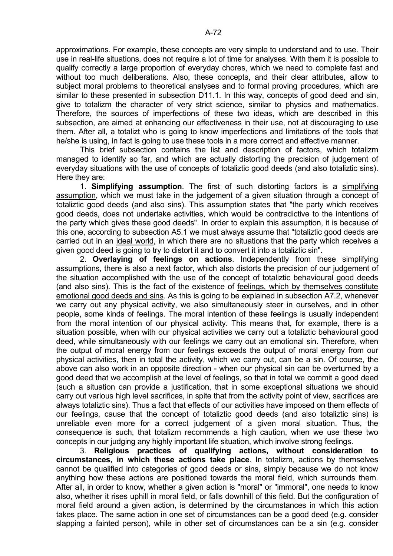approximations. For example, these concepts are very simple to understand and to use. Their use in real-life situations, does not require a lot of time for analyses. With them it is possible to qualify correctly a large proportion of everyday chores, which we need to complete fast and without too much deliberations. Also, these concepts, and their clear attributes, allow to subject moral problems to theoretical analyses and to formal proving procedures, which are similar to these presented in subsection D11.1. In this way, concepts of good deed and sin, give to totalizm the character of very strict science, similar to physics and mathematics. Therefore, the sources of imperfections of these two ideas, which are described in this subsection, are aimed at enhancing our effectiveness in their use, not at discouraging to use them. After all, a totalizt who is going to know imperfections and limitations of the tools that he/she is using, in fact is going to use these tools in a more correct and effective manner.

 This brief subsection contains the list and description of factors, which totalizm managed to identify so far, and which are actually distorting the precision of judgement of everyday situations with the use of concepts of totaliztic good deeds (and also totaliztic sins). Here they are:

 1. **Simplifying assumption**. The first of such distorting factors is a simplifying assumption, which we must take in the judgement of a given situation through a concept of totaliztic good deeds (and also sins). This assumption states that "the party which receives good deeds, does not undertake activities, which would be contradictive to the intentions of the party which gives these good deeds". In order to explain this assumption, it is because of this one, according to subsection A5.1 we must always assume that "totaliztic good deeds are carried out in an ideal world, in which there are no situations that the party which receives a given good deed is going to try to distort it and to convert it into a totaliztic sin".

 2. **Overlaying of feelings on actions**. Independently from these simplifying assumptions, there is also a next factor, which also distorts the precision of our judgement of the situation accomplished with the use of the concept of totaliztic behavioural good deeds (and also sins). This is the fact of the existence of feelings, which by themselves constitute emotional good deeds and sins. As this is going to be explained in subsection A7.2, whenever we carry out any physical activity, we also simultaneously steer in ourselves, and in other people, some kinds of feelings. The moral intention of these feelings is usually independent from the moral intention of our physical activity. This means that, for example, there is a situation possible, when with our physical activities we carry out a totaliztic behavioural good deed, while simultaneously with our feelings we carry out an emotional sin. Therefore, when the output of moral energy from our feelings exceeds the output of moral energy from our physical activities, then in total the activity, which we carry out, can be a sin. Of course, the above can also work in an opposite direction - when our physical sin can be overturned by a good deed that we accomplish at the level of feelings, so that in total we commit a good deed (such a situation can provide a justification, that in some exceptional situations we should carry out various high level sacrifices, in spite that from the activity point of view, sacrifices are always totaliztic sins). Thus a fact that effects of our activities have imposed on them effects of our feelings, cause that the concept of totaliztic good deeds (and also totaliztic sins) is unreliable even more for a correct judgement of a given moral situation. Thus, the consequence is such, that totalizm recommends a high caution, when we use these two concepts in our judging any highly important life situation, which involve strong feelings.

 3. **Religious practices of qualifying actions, without consideration to circumstances, in which these actions take place**. In totalizm, actions by themselves cannot be qualified into categories of good deeds or sins, simply because we do not know anything how these actions are positioned towards the moral field, which surrounds them. After all, in order to know, whether a given action is "moral" or "immoral", one needs to know also, whether it rises uphill in moral field, or falls downhill of this field. But the configuration of moral field around a given action, is determined by the circumstances in which this action takes place. The same action in one set of circumstances can be a good deed (e.g. consider slapping a fainted person), while in other set of circumstances can be a sin (e.g. consider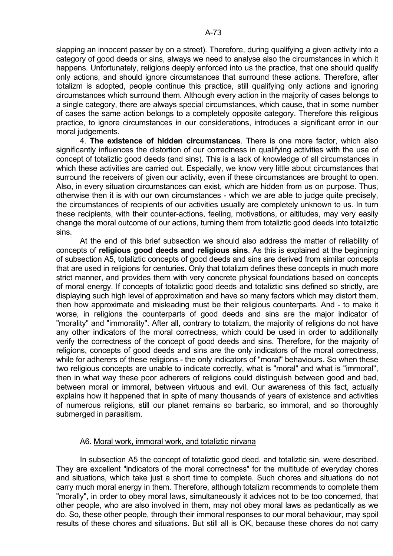slapping an innocent passer by on a street). Therefore, during qualifying a given activity into a category of good deeds or sins, always we need to analyse also the circumstances in which it happens. Unfortunately, religions deeply enforced into us the practice, that one should qualify only actions, and should ignore circumstances that surround these actions. Therefore, after totalizm is adopted, people continue this practice, still qualifying only actions and ignoring circumstances which surround them. Although every action in the majority of cases belongs to a single category, there are always special circumstances, which cause, that in some number of cases the same action belongs to a completely opposite category. Therefore this religious practice, to ignore circumstances in our considerations, introduces a significant error in our moral judgements.

 4. **The existence of hidden circumstances**. There is one more factor, which also significantly influences the distortion of our correctness in qualifying activities with the use of concept of totaliztic good deeds (and sins). This is a lack of knowledge of all circumstances in which these activities are carried out. Especially, we know very little about circumstances that surround the receivers of given our activity, even if these circumstances are brought to open. Also, in every situation circumstances can exist, which are hidden from us on purpose. Thus, otherwise then it is with our own circumstances - which we are able to judge quite precisely, the circumstances of recipients of our activities usually are completely unknown to us. In turn these recipients, with their counter-actions, feeling, motivations, or altitudes, may very easily change the moral outcome of our actions, turning them from totaliztic good deeds into totaliztic sins.

 At the end of this brief subsection we should also address the matter of reliability of concepts of **religious good deeds and religious sins**. As this is explained at the beginning of subsection A5, totaliztic concepts of good deeds and sins are derived from similar concepts that are used in religions for centuries. Only that totalizm defines these concepts in much more strict manner, and provides them with very concrete physical foundations based on concepts of moral energy. If concepts of totaliztic good deeds and totaliztic sins defined so strictly, are displaying such high level of approximation and have so many factors which may distort them, then how approximate and misleading must be their religious counterparts. And - to make it worse, in religions the counterparts of good deeds and sins are the major indicator of "morality" and "immorality". After all, contrary to totalizm, the majority of religions do not have any other indicators of the moral correctness, which could be used in order to additionally verify the correctness of the concept of good deeds and sins. Therefore, for the majority of religions, concepts of good deeds and sins are the only indicators of the moral correctness, while for adherers of these religions - the only indicators of "moral" behaviours. So when these two religious concepts are unable to indicate correctly, what is "moral" and what is "immoral", then in what way these poor adherers of religions could distinguish between good and bad, between moral or immoral, between virtuous and evil. Our awareness of this fact, actually explains how it happened that in spite of many thousands of years of existence and activities of numerous religions, still our planet remains so barbaric, so immoral, and so thoroughly submerged in parasitism.

### A6. Moral work, immoral work, and totaliztic nirvana

 In subsection A5 the concept of totaliztic good deed, and totaliztic sin, were described. They are excellent "indicators of the moral correctness" for the multitude of everyday chores and situations, which take just a short time to complete. Such chores and situations do not carry much moral energy in them. Therefore, although totalizm recommends to complete them "morally", in order to obey moral laws, simultaneously it advices not to be too concerned, that other people, who are also involved in them, may not obey moral laws as pedantically as we do. So, these other people, through their immoral responses to our moral behaviour, may spoil results of these chores and situations. But still all is OK, because these chores do not carry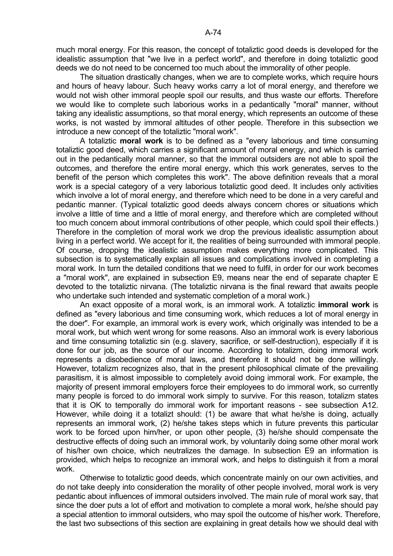much moral energy. For this reason, the concept of totaliztic good deeds is developed for the idealistic assumption that "we live in a perfect world", and therefore in doing totaliztic good deeds we do not need to be concerned too much about the immorality of other people.

 The situation drastically changes, when we are to complete works, which require hours and hours of heavy labour. Such heavy works carry a lot of moral energy, and therefore we would not wish other immoral people spoil our results, and thus waste our efforts. Therefore we would like to complete such laborious works in a pedantically "moral" manner, without taking any idealistic assumptions, so that moral energy, which represents an outcome of these works, is not wasted by immoral altitudes of other people. Therefore in this subsection we introduce a new concept of the totaliztic "moral work".

 A totaliztic **moral work** is to be defined as a "every laborious and time consuming totaliztic good deed, which carries a significant amount of moral energy, and which is carried out in the pedantically moral manner, so that the immoral outsiders are not able to spoil the outcomes, and therefore the entire moral energy, which this work generates, serves to the benefit of the person which completes this work". The above definition reveals that a moral work is a special category of a very laborious totaliztic good deed. It includes only activities which involve a lot of moral energy, and therefore which need to be done in a very careful and pedantic manner. (Typical totaliztic good deeds always concern chores or situations which involve a little of time and a little of moral energy, and therefore which are completed without too much concern about immoral contributions of other people, which could spoil their effects.) Therefore in the completion of moral work we drop the previous idealistic assumption about living in a perfect world. We accept for it, the realities of being surrounded with immoral people. Of course, dropping the idealistic assumption makes everything more complicated. This subsection is to systematically explain all issues and complications involved in completing a moral work. In turn the detailed conditions that we need to fulfil, in order for our work becomes a "moral work", are explained in subsection E9, means near the end of separate chapter E devoted to the totaliztic nirvana. (The totaliztic nirvana is the final reward that awaits people who undertake such intended and systematic completion of a moral work.)

 An exact opposite of a moral work, is an immoral work. A totaliztic **immoral work** is defined as "every laborious and time consuming work, which reduces a lot of moral energy in the doer". For example, an immoral work is every work, which originally was intended to be a moral work, but which went wrong for some reasons. Also an immoral work is every laborious and time consuming totaliztic sin (e.g. slavery, sacrifice, or self-destruction), especially if it is done for our job, as the source of our income. According to totalizm, doing immoral work represents a disobedience of moral laws, and therefore it should not be done willingly. However, totalizm recognizes also, that in the present philosophical climate of the prevailing parasitism, it is almost impossible to completely avoid doing immoral work. For example, the majority of present immoral employers force their employees to do immoral work, so currently many people is forced to do immoral work simply to survive. For this reason, totalizm states that it is OK to temporally do immoral work for important reasons - see subsection A12. However, while doing it a totalizt should: (1) be aware that what he/she is doing, actually represents an immoral work, (2) he/she takes steps which in future prevents this particular work to be forced upon him/her, or upon other people, (3) he/she should compensate the destructive effects of doing such an immoral work, by voluntarily doing some other moral work of his/her own choice, which neutralizes the damage. In subsection E9 an information is provided, which helps to recognize an immoral work, and helps to distinguish it from a moral work.

 Otherwise to totaliztic good deeds, which concentrate mainly on our own activities, and do not take deeply into consideration the morality of other people involved, moral work is very pedantic about influences of immoral outsiders involved. The main rule of moral work say, that since the doer puts a lot of effort and motivation to complete a moral work, he/she should pay a special attention to immoral outsiders, who may spoil the outcome of his/her work. Therefore, the last two subsections of this section are explaining in great details how we should deal with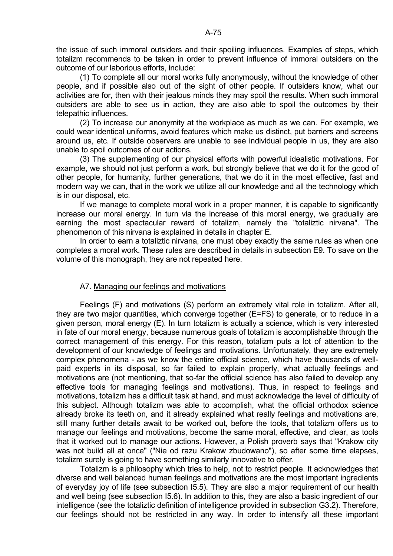the issue of such immoral outsiders and their spoiling influences. Examples of steps, which totalizm recommends to be taken in order to prevent influence of immoral outsiders on the outcome of our laborious efforts, include:

 (1) To complete all our moral works fully anonymously, without the knowledge of other people, and if possible also out of the sight of other people. If outsiders know, what our activities are for, then with their jealous minds they may spoil the results. When such immoral outsiders are able to see us in action, they are also able to spoil the outcomes by their telepathic influences.

 (2) To increase our anonymity at the workplace as much as we can. For example, we could wear identical uniforms, avoid features which make us distinct, put barriers and screens around us, etc. If outside observers are unable to see individual people in us, they are also unable to spoil outcomes of our actions.

 (3) The supplementing of our physical efforts with powerful idealistic motivations. For example, we should not just perform a work, but strongly believe that we do it for the good of other people, for humanity, further generations, that we do it in the most effective, fast and modern way we can, that in the work we utilize all our knowledge and all the technology which is in our disposal, etc.

 If we manage to complete moral work in a proper manner, it is capable to significantly increase our moral energy. In turn via the increase of this moral energy, we gradually are earning the most spectacular reward of totalizm, namely the "totaliztic nirvana". The phenomenon of this nirvana is explained in details in chapter E.

 In order to earn a totaliztic nirvana, one must obey exactly the same rules as when one completes a moral work. These rules are described in details in subsection E9. To save on the volume of this monograph, they are not repeated here.

# A7. Managing our feelings and motivations

 Feelings (F) and motivations (S) perform an extremely vital role in totalizm. After all, they are two major quantities, which converge together (E=FS) to generate, or to reduce in a given person, moral energy (E). In turn totalizm is actually a science, which is very interested in fate of our moral energy, because numerous goals of totalizm is accomplishable through the correct management of this energy. For this reason, totalizm puts a lot of attention to the development of our knowledge of feelings and motivations. Unfortunately, they are extremely complex phenomena - as we know the entire official science, which have thousands of wellpaid experts in its disposal, so far failed to explain properly, what actually feelings and motivations are (not mentioning, that so-far the official science has also failed to develop any effective tools for managing feelings and motivations). Thus, in respect to feelings and motivations, totalizm has a difficult task at hand, and must acknowledge the level of difficulty of this subject. Although totalizm was able to accomplish, what the official orthodox science already broke its teeth on, and it already explained what really feelings and motivations are, still many further details await to be worked out, before the tools, that totalizm offers us to manage our feelings and motivations, become the same moral, effective, and clear, as tools that it worked out to manage our actions. However, a Polish proverb says that "Krakow city was not build all at once" ("Nie od razu Krakow zbudowano"), so after some time elapses, totalizm surely is going to have something similarly innovative to offer.

 Totalizm is a philosophy which tries to help, not to restrict people. It acknowledges that diverse and well balanced human feelings and motivations are the most important ingredients of everyday joy of life (see subsection I5.5). They are also a major requirement of our health and well being (see subsection I5.6). In addition to this, they are also a basic ingredient of our intelligence (see the totaliztic definition of intelligence provided in subsection G3.2). Therefore, our feelings should not be restricted in any way. In order to intensify all these important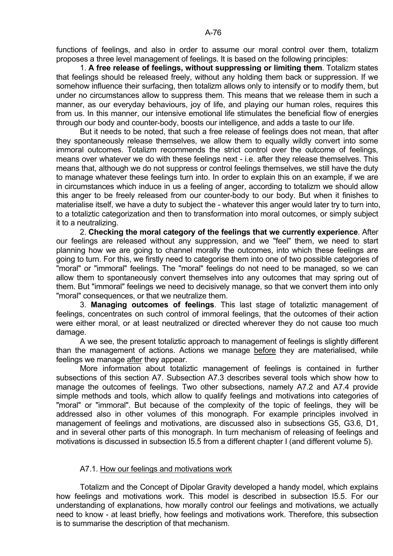functions of feelings, and also in order to assume our moral control over them, totalizm proposes a three level management of feelings. It is based on the following principles:

 1. **A free release of feelings, without suppressing or limiting them**. Totalizm states that feelings should be released freely, without any holding them back or suppression. If we somehow influence their surfacing, then totalizm allows only to intensify or to modify them, but under no circumstances allow to suppress them. This means that we release them in such a manner, as our everyday behaviours, joy of life, and playing our human roles, requires this from us. In this manner, our intensive emotional life stimulates the beneficial flow of energies through our body and counter-body, boosts our intelligence, and adds a taste to our life.

 But it needs to be noted, that such a free release of feelings does not mean, that after they spontaneously release themselves, we allow them to equally wildly convert into some immoral outcomes. Totalizm recommends the strict control over the outcome of feelings, means over whatever we do with these feelings next - i.e. after they release themselves. This means that, although we do not suppress or control feelings themselves, we still have the duty to manage whatever these feelings turn into. In order to explain this on an example, if we are in circumstances which induce in us a feeling of anger, according to totalizm we should allow this anger to be freely released from our counter-body to our body. But when it finishes to materialise itself, we have a duty to subject the - whatever this anger would later try to turn into, to a totaliztic categorization and then to transformation into moral outcomes, or simply subject it to a neutralizing.

 2. **Checking the moral category of the feelings that we currently experience**. After our feelings are released without any suppression, and we "feel" them, we need to start planning how we are going to channel morally the outcomes, into which these feelings are going to turn. For this, we firstly need to categorise them into one of two possible categories of "moral" or "immoral" feelings. The "moral" feelings do not need to be managed, so we can allow them to spontaneously convert themselves into any outcomes that may spring out of them. But "immoral" feelings we need to decisively manage, so that we convert them into only "moral" consequences, or that we neutralize them.

 3. **Managing outcomes of feelings**. This last stage of totaliztic management of feelings, concentrates on such control of immoral feelings, that the outcomes of their action were either moral, or at least neutralized or directed wherever they do not cause too much damage.

 A we see, the present totaliztic approach to management of feelings is slightly different than the management of actions. Actions we manage before they are materialised, while feelings we manage after they appear.

 More information about totaliztic management of feelings is contained in further subsections of this section A7. Subsection A7.3 describes several tools which show how to manage the outcomes of feelings. Two other subsections, namely A7.2 and A7.4 provide simple methods and tools, which allow to qualify feelings and motivations into categories of "moral" or "immoral". But because of the complexity of the topic of feelings, they will be addressed also in other volumes of this monograph. For example principles involved in management of feelings and motivations, are discussed also in subsections G5, G3.6, D1, and in several other parts of this monograph. In turn mechanism of releasing of feelings and motivations is discussed in subsection I5.5 from a different chapter I (and different volume 5).

### A7.1. How our feelings and motivations work

 Totalizm and the Concept of Dipolar Gravity developed a handy model, which explains how feelings and motivations work. This model is described in subsection I5.5. For our understanding of explanations, how morally control our feelings and motivations, we actually need to know - at least briefly, how feelings and motivations work. Therefore, this subsection is to summarise the description of that mechanism.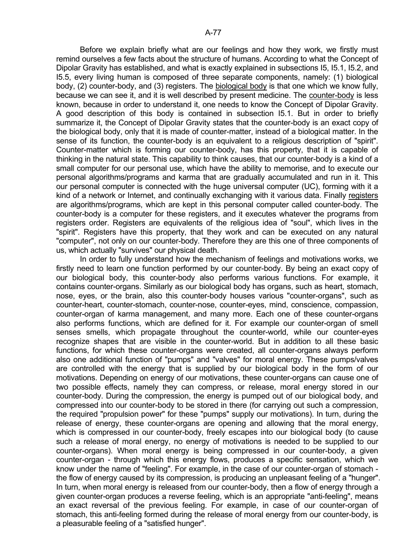Before we explain briefly what are our feelings and how they work, we firstly must remind ourselves a few facts about the structure of humans. According to what the Concept of Dipolar Gravity has established, and what is exactly explained in subsections I5, I5.1, I5.2, and I5.5, every living human is composed of three separate components, namely: (1) biological body, (2) counter-body, and (3) registers. The biological body is that one which we know fully, because we can see it, and it is well described by present medicine. The counter-body is less known, because in order to understand it, one needs to know the Concept of Dipolar Gravity. A good description of this body is contained in subsection I5.1. But in order to briefly summarize it, the Concept of Dipolar Gravity states that the counter-body is an exact copy of the biological body, only that it is made of counter-matter, instead of a biological matter. In the sense of its function, the counter-body is an equivalent to a religious description of "spirit". Counter-matter which is forming our counter-body, has this property, that it is capable of thinking in the natural state. This capability to think causes, that our counter-body is a kind of a small computer for our personal use, which have the ability to memorise, and to execute our personal algorithms/programs and karma that are gradually accumulated and run in it. This our personal computer is connected with the huge universal computer (UC), forming with it a kind of a network or Internet, and continually exchanging with it various data. Finally registers are algorithms/programs, which are kept in this personal computer called counter-body. The counter-body is a computer for these registers, and it executes whatever the programs from registers order. Registers are equivalents of the religious idea of "soul", which lives in the "spirit". Registers have this property, that they work and can be executed on any natural "computer", not only on our counter-body. Therefore they are this one of three components of us, which actually "survives" our physical death.

 In order to fully understand how the mechanism of feelings and motivations works, we firstly need to learn one function performed by our counter-body. By being an exact copy of our biological body, this counter-body also performs various functions. For example, it contains counter-organs. Similarly as our biological body has organs, such as heart, stomach, nose, eyes, or the brain, also this counter-body houses various "counter-organs", such as counter-heart, counter-stomach, counter-nose, counter-eyes, mind, conscience, compassion, counter-organ of karma management, and many more. Each one of these counter-organs also performs functions, which are defined for it. For example our counter-organ of smell senses smells, which propagate throughout the counter-world, while our counter-eyes recognize shapes that are visible in the counter-world. But in addition to all these basic functions, for which these counter-organs were created, all counter-organs always perform also one additional function of "pumps" and "valves" for moral energy. These pumps/valves are controlled with the energy that is supplied by our biological body in the form of our motivations. Depending on energy of our motivations, these counter-organs can cause one of two possible effects, namely they can compress, or release, moral energy stored in our counter-body. During the compression, the energy is pumped out of our biological body, and compressed into our counter-body to be stored in there (for carrying out such a compression, the required "propulsion power" for these "pumps" supply our motivations). In turn, during the release of energy, these counter-organs are opening and allowing that the moral energy, which is compressed in our counter-body, freely escapes into our biological body (to cause such a release of moral energy, no energy of motivations is needed to be supplied to our counter-organs). When moral energy is being compressed in our counter-body, a given counter-organ - through which this energy flows, produces a specific sensation, which we know under the name of "feeling". For example, in the case of our counter-organ of stomach the flow of energy caused by its compression, is producing an unpleasant feeling of a "hunger". In turn, when moral energy is released from our counter-body, then a flow of energy through a given counter-organ produces a reverse feeling, which is an appropriate "anti-feeling", means an exact reversal of the previous feeling. For example, in case of our counter-organ of stomach, this anti-feeling formed during the release of moral energy from our counter-body, is a pleasurable feeling of a "satisfied hunger".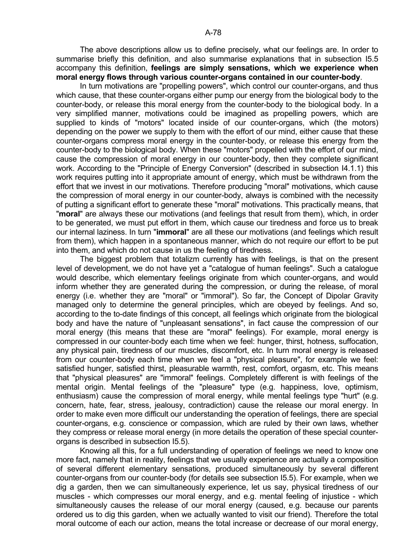The above descriptions allow us to define precisely, what our feelings are. In order to summarise briefly this definition, and also summarise explanations that in subsection I5.5 accompany this definition, **feelings are simply sensations, which we experience when moral energy flows through various counter-organs contained in our counter-body**.

 In turn motivations are "propelling powers", which control our counter-organs, and thus which cause, that these counter-organs either pump our energy from the biological body to the counter-body, or release this moral energy from the counter-body to the biological body. In a very simplified manner, motivations could be imagined as propelling powers, which are supplied to kinds of "motors" located inside of our counter-organs, which (the motors) depending on the power we supply to them with the effort of our mind, either cause that these counter-organs compress moral energy in the counter-body, or release this energy from the counter-body to the biological body. When these "motors" propelled with the effort of our mind, cause the compression of moral energy in our counter-body, then they complete significant work. According to the "Principle of Energy Conversion" (described in subsection I4.1.1) this work requires putting into it appropriate amount of energy, which must be withdrawn from the effort that we invest in our motivations. Therefore producing "moral" motivations, which cause the compression of moral energy in our counter-body, always is combined with the necessity of putting a significant effort to generate these "moral" motivations. This practically means, that "**moral**" are always these our motivations (and feelings that result from them), which, in order to be generated, we must put effort in them, which cause our tiredness and force us to break our internal laziness. In turn "**immoral**" are all these our motivations (and feelings which result from them), which happen in a spontaneous manner, which do not require our effort to be put into them, and which do not cause in us the feeling of tiredness.

 The biggest problem that totalizm currently has with feelings, is that on the present level of development, we do not have yet a "catalogue of human feelings". Such a catalogue would describe, which elementary feelings originate from which counter-organs, and would inform whether they are generated during the compression, or during the release, of moral energy (i.e. whether they are "moral" or "immoral"). So far, the Concept of Dipolar Gravity managed only to determine the general principles, which are obeyed by feelings. And so, according to the to-date findings of this concept, all feelings which originate from the biological body and have the nature of "unpleasant sensations", in fact cause the compression of our moral energy (this means that these are "moral" feelings). For example, moral energy is compressed in our counter-body each time when we feel: hunger, thirst, hotness, suffocation, any physical pain, tiredness of our muscles, discomfort, etc. In turn moral energy is released from our counter-body each time when we feel a "physical pleasure", for example we feel: satisfied hunger, satisfied thirst, pleasurable warmth, rest, comfort, orgasm, etc. This means that "physical pleasures" are "immoral" feelings. Completely different is with feelings of the mental origin. Mental feelings of the "pleasure" type (e.g. happiness, love, optimism, enthusiasm) cause the compression of moral energy, while mental feelings type "hurt" (e.g. concern, hate, fear, stress, jealousy, contradiction) cause the release our moral energy. In order to make even more difficult our understanding the operation of feelings, there are special counter-organs, e.g. conscience or compassion, which are ruled by their own laws, whether they compress or release moral energy (in more details the operation of these special counterorgans is described in subsection I5.5).

 Knowing all this, for a full understanding of operation of feelings we need to know one more fact, namely that in reality, feelings that we usually experience are actually a composition of several different elementary sensations, produced simultaneously by several different counter-organs from our counter-body (for details see subsection I5.5). For example, when we dig a garden, then we can simultaneously experience, let us say, physical tiredness of our muscles - which compresses our moral energy, and e.g. mental feeling of injustice - which simultaneously causes the release of our moral energy (caused, e.g. because our parents ordered us to dig this garden, when we actually wanted to visit our friend). Therefore the total moral outcome of each our action, means the total increase or decrease of our moral energy,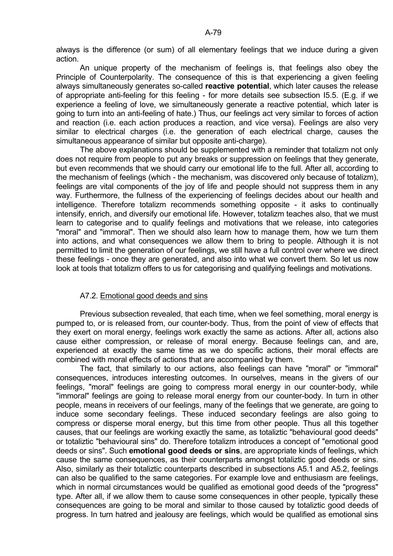always is the difference (or sum) of all elementary feelings that we induce during a given action.

 An unique property of the mechanism of feelings is, that feelings also obey the Principle of Counterpolarity. The consequence of this is that experiencing a given feeling always simultaneously generates so-called **reactive potential**, which later causes the release of appropriate anti-feeling for this feeling - for more details see subsection I5.5. (E.g. if we experience a feeling of love, we simultaneously generate a reactive potential, which later is going to turn into an anti-feeling of hate.) Thus, our feelings act very similar to forces of action and reaction (i.e. each action produces a reaction, and vice versa). Feelings are also very similar to electrical charges (i.e. the generation of each electrical charge, causes the simultaneous appearance of similar but opposite anti-charge).

 The above explanations should be supplemented with a reminder that totalizm not only does not require from people to put any breaks or suppression on feelings that they generate, but even recommends that we should carry our emotional life to the full. After all, according to the mechanism of feelings (which - the mechanism, was discovered only because of totalizm), feelings are vital components of the joy of life and people should not suppress them in any way. Furthermore, the fullness of the experiencing of feelings decides about our health and intelligence. Therefore totalizm recommends something opposite - it asks to continually intensify, enrich, and diversify our emotional life. However, totalizm teaches also, that we must learn to categorise and to qualify feelings and motivations that we release, into categories "moral" and "immoral". Then we should also learn how to manage them, how we turn them into actions, and what consequences we allow them to bring to people. Although it is not permitted to limit the generation of our feelings, we still have a full control over where we direct these feelings - once they are generated, and also into what we convert them. So let us now look at tools that totalizm offers to us for categorising and qualifying feelings and motivations.

### A7.2. Emotional good deeds and sins

 Previous subsection revealed, that each time, when we feel something, moral energy is pumped to, or is released from, our counter-body. Thus, from the point of view of effects that they exert on moral energy, feelings work exactly the same as actions. After all, actions also cause either compression, or release of moral energy. Because feelings can, and are, experienced at exactly the same time as we do specific actions, their moral effects are combined with moral effects of actions that are accompanied by them.

 The fact, that similarly to our actions, also feelings can have "moral" or "immoral" consequences, introduces interesting outcomes. In ourselves, means in the givers of our feelings, "moral" feelings are going to compress moral energy in our counter-body, while "immoral" feelings are going to release moral energy from our counter-body. In turn in other people, means in receivers of our feelings, many of the feelings that we generate, are going to induce some secondary feelings. These induced secondary feelings are also going to compress or disperse moral energy, but this time from other people. Thus all this together causes, that our feelings are working exactly the same, as totaliztic "behavioural good deeds" or totaliztic "behavioural sins" do. Therefore totalizm introduces a concept of "emotional good deeds or sins". Such **emotional good deeds or sins**, are appropriate kinds of feelings, which cause the same consequences, as their counterparts amongst totaliztic good deeds or sins. Also, similarly as their totaliztic counterparts described in subsections A5.1 and A5.2, feelings can also be qualified to the same categories. For example love and enthusiasm are feelings, which in normal circumstances would be qualified as emotional good deeds of the "progress" type. After all, if we allow them to cause some consequences in other people, typically these consequences are going to be moral and similar to those caused by totaliztic good deeds of progress. In turn hatred and jealousy are feelings, which would be qualified as emotional sins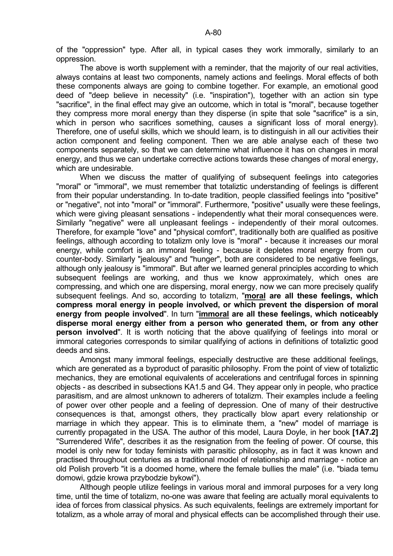of the "oppression" type. After all, in typical cases they work immorally, similarly to an oppression.

 The above is worth supplement with a reminder, that the majority of our real activities, always contains at least two components, namely actions and feelings. Moral effects of both these components always are going to combine together. For example, an emotional good deed of "deep believe in necessity" (i.e. "inspiration"), together with an action sin type "sacrifice", in the final effect may give an outcome, which in total is "moral", because together they compress more moral energy than they disperse (in spite that sole "sacrifice" is a sin, which in person who sacrifices something, causes a significant loss of moral energy). Therefore, one of useful skills, which we should learn, is to distinguish in all our activities their action component and feeling component. Then we are able analyse each of these two components separately, so that we can determine what influence it has on changes in moral energy, and thus we can undertake corrective actions towards these changes of moral energy, which are undesirable.

 When we discuss the matter of qualifying of subsequent feelings into categories "moral" or "immoral", we must remember that totaliztic understanding of feelings is different from their popular understanding. In to-date tradition, people classified feelings into "positive" or "negative", not into "moral" or "immoral". Furthermore, "positive" usually were these feelings, which were giving pleasant sensations - independently what their moral consequences were. Similarly "negative" were all unpleasant feelings - independently of their moral outcomes. Therefore, for example "love" and "physical comfort", traditionally both are qualified as positive feelings, although according to totalizm only love is "moral" - because it increases our moral energy, while comfort is an immoral feeling - because it depletes moral energy from our counter-body. Similarly "jealousy" and "hunger", both are considered to be negative feelings, although only jealousy is "immoral". But after we learned general principles according to which subsequent feelings are working, and thus we know approximately, which ones are compressing, and which one are dispersing, moral energy, now we can more precisely qualify subsequent feelings. And so, according to totalizm, "**moral are all these feelings, which compress moral energy in people involved, or which prevent the dispersion of moral energy from people involved**". In turn "**immoral are all these feelings, which noticeably disperse moral energy either from a person who generated them, or from any other person involved**". It is worth noticing that the above qualifying of feelings into moral or immoral categories corresponds to similar qualifying of actions in definitions of totaliztic good deeds and sins.

 Amongst many immoral feelings, especially destructive are these additional feelings, which are generated as a byproduct of parasitic philosophy. From the point of view of totaliztic mechanics, they are emotional equivalents of accelerations and centrifugal forces in spinning objects - as described in subsections KA1.5 and G4. They appear only in people, who practice parasitism, and are almost unknown to adherers of totalizm. Their examples include a feeling of power over other people and a feeling of depression. One of many of their destructive consequences is that, amongst others, they practically blow apart every relationship or marriage in which they appear. This is to eliminate them, a "new" model of marriage is currently propagated in the USA. The author of this model, Laura Doyle, in her book **[1A7.2]** "Surrendered Wife", describes it as the resignation from the feeling of power. Of course, this model is only new for today feminists with parasitic philosophy, as in fact it was known and practised throughout centuries as a traditional model of relationship and marriage - notice an old Polish proverb "it is a doomed home, where the female bullies the male" (i.e. "biada temu domowi, gdzie krowa przybodzie bykowi").

 Although people utilize feelings in various moral and immoral purposes for a very long time, until the time of totalizm, no-one was aware that feeling are actually moral equivalents to idea of forces from classical physics. As such equivalents, feelings are extremely important for totalizm, as a whole array of moral and physical effects can be accomplished through their use.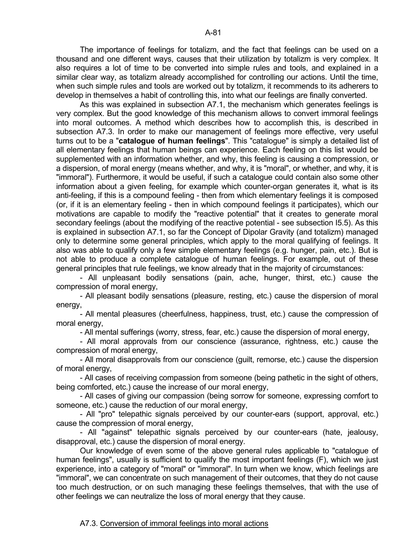The importance of feelings for totalizm, and the fact that feelings can be used on a thousand and one different ways, causes that their utilization by totalizm is very complex. It also requires a lot of time to be converted into simple rules and tools, and explained in a similar clear way, as totalizm already accomplished for controlling our actions. Until the time, when such simple rules and tools are worked out by totalizm, it recommends to its adherers to develop in themselves a habit of controlling this, into what our feelings are finally converted.

 As this was explained in subsection A7.1, the mechanism which generates feelings is very complex. But the good knowledge of this mechanism allows to convert immoral feelings into moral outcomes. A method which describes how to accomplish this, is described in subsection A7.3. In order to make our management of feelings more effective, very useful turns out to be a "**catalogue of human feelings**". This "catalogue" is simply a detailed list of all elementary feelings that human beings can experience. Each feeling on this list would be supplemented with an information whether, and why, this feeling is causing a compression, or a dispersion, of moral energy (means whether, and why, it is "moral", or whether, and why, it is "immoral"). Furthermore, it would be useful, if such a catalogue could contain also some other information about a given feeling, for example which counter-organ generates it, what is its anti-feeling, if this is a compound feeling - then from which elementary feelings it is composed (or, if it is an elementary feeling - then in which compound feelings it participates), which our motivations are capable to modify the "reactive potential" that it creates to generate moral secondary feelings (about the modifying of the reactive potential - see subsection I5.5). As this is explained in subsection A7.1, so far the Concept of Dipolar Gravity (and totalizm) managed only to determine some general principles, which apply to the moral qualifying of feelings. It also was able to qualify only a few simple elementary feelings (e.g. hunger, pain, etc.). But is not able to produce a complete catalogue of human feelings. For example, out of these general principles that rule feelings, we know already that in the majority of circumstances:

 - All unpleasant bodily sensations (pain, ache, hunger, thirst, etc.) cause the compression of moral energy,

 - All pleasant bodily sensations (pleasure, resting, etc.) cause the dispersion of moral energy,

 - All mental pleasures (cheerfulness, happiness, trust, etc.) cause the compression of moral energy,

- All mental sufferings (worry, stress, fear, etc.) cause the dispersion of moral energy,

 - All moral approvals from our conscience (assurance, rightness, etc.) cause the compression of moral energy,

 - All moral disapprovals from our conscience (guilt, remorse, etc.) cause the dispersion of moral energy,

 - All cases of receiving compassion from someone (being pathetic in the sight of others, being comforted, etc.) cause the increase of our moral energy,

 - All cases of giving our compassion (being sorrow for someone, expressing comfort to someone, etc.) cause the reduction of our moral energy,

 - All "pro" telepathic signals perceived by our counter-ears (support, approval, etc.) cause the compression of moral energy,

 - All "against" telepathic signals perceived by our counter-ears (hate, jealousy, disapproval, etc.) cause the dispersion of moral energy.

 Our knowledge of even some of the above general rules applicable to "catalogue of human feelings", usually is sufficient to qualify the most important feelings (F), which we just experience, into a category of "moral" or "immoral". In turn when we know, which feelings are "immoral", we can concentrate on such management of their outcomes, that they do not cause too much destruction, or on such managing these feelings themselves, that with the use of other feelings we can neutralize the loss of moral energy that they cause.

### A7.3. Conversion of immoral feelings into moral actions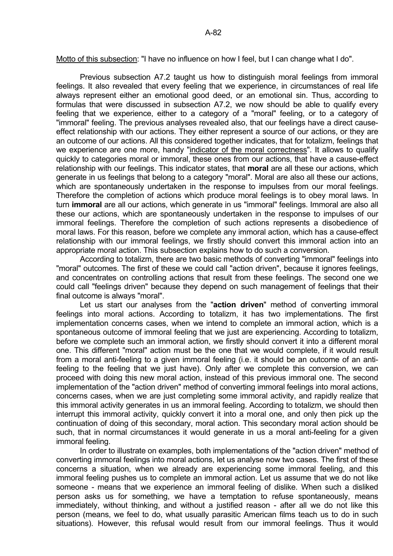Motto of this subsection: "I have no influence on how I feel, but I can change what I do".

 Previous subsection A7.2 taught us how to distinguish moral feelings from immoral feelings. It also revealed that every feeling that we experience, in circumstances of real life always represent either an emotional good deed, or an emotional sin. Thus, according to formulas that were discussed in subsection A7.2, we now should be able to qualify every feeling that we experience, either to a category of a "moral" feeling, or to a category of "immoral" feeling. The previous analyses revealed also, that our feelings have a direct causeeffect relationship with our actions. They either represent a source of our actions, or they are an outcome of our actions. All this considered together indicates, that for totalizm, feelings that we experience are one more, handy "indicator of the moral correctness". It allows to qualify quickly to categories moral or immoral, these ones from our actions, that have a cause-effect relationship with our feelings. This indicator states, that **moral** are all these our actions, which generate in us feelings that belong to a category "moral". Moral are also all these our actions, which are spontaneously undertaken in the response to impulses from our moral feelings. Therefore the completion of actions which produce moral feelings is to obey moral laws. In turn **immoral** are all our actions, which generate in us "immoral" feelings. Immoral are also all these our actions, which are spontaneously undertaken in the response to impulses of our immoral feelings. Therefore the completion of such actions represents a disobedience of moral laws. For this reason, before we complete any immoral action, which has a cause-effect relationship with our immoral feelings, we firstly should convert this immoral action into an appropriate moral action. This subsection explains how to do such a conversion.

 According to totalizm, there are two basic methods of converting "immoral" feelings into "moral" outcomes. The first of these we could call "action driven", because it ignores feelings, and concentrates on controlling actions that result from these feelings. The second one we could call "feelings driven" because they depend on such management of feelings that their final outcome is always "moral".

 Let us start our analyses from the "**action driven**" method of converting immoral feelings into moral actions. According to totalizm, it has two implementations. The first implementation concerns cases, when we intend to complete an immoral action, which is a spontaneous outcome of immoral feeling that we just are experiencing. According to totalizm, before we complete such an immoral action, we firstly should convert it into a different moral one. This different "moral" action must be the one that we would complete, if it would result from a moral anti-feeling to a given immoral feeling (i.e. it should be an outcome of an antifeeling to the feeling that we just have). Only after we complete this conversion, we can proceed with doing this new moral action, instead of this previous immoral one. The second implementation of the "action driven" method of converting immoral feelings into moral actions, concerns cases, when we are just completing some immoral activity, and rapidly realize that this immoral activity generates in us an immoral feeling. According to totalizm, we should then interrupt this immoral activity, quickly convert it into a moral one, and only then pick up the continuation of doing of this secondary, moral action. This secondary moral action should be such, that in normal circumstances it would generate in us a moral anti-feeling for a given immoral feeling.

 In order to illustrate on examples, both implementations of the "action driven" method of converting immoral feelings into moral actions, let us analyse now two cases. The first of these concerns a situation, when we already are experiencing some immoral feeling, and this immoral feeling pushes us to complete an immoral action. Let us assume that we do not like someone - means that we experience an immoral feeling of dislike. When such a disliked person asks us for something, we have a temptation to refuse spontaneously, means immediately, without thinking, and without a justified reason - after all we do not like this person (means, we feel to do, what usually parasitic American films teach us to do in such situations). However, this refusal would result from our immoral feelings. Thus it would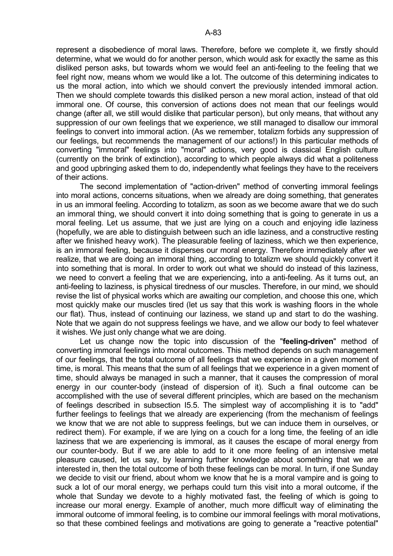represent a disobedience of moral laws. Therefore, before we complete it, we firstly should determine, what we would do for another person, which would ask for exactly the same as this disliked person asks, but towards whom we would feel an anti-feeling to the feeling that we feel right now, means whom we would like a lot. The outcome of this determining indicates to us the moral action, into which we should convert the previously intended immoral action. Then we should complete towards this disliked person a new moral action, instead of that old immoral one. Of course, this conversion of actions does not mean that our feelings would change (after all, we still would dislike that particular person), but only means, that without any

suppression of our own feelings that we experience, we still managed to disallow our immoral feelings to convert into immoral action. (As we remember, totalizm forbids any suppression of our feelings, but recommends the management of our actions!) In this particular methods of converting "immoral" feelings into "moral" actions, very good is classical English culture (currently on the brink of extinction), according to which people always did what a politeness and good upbringing asked them to do, independently what feelings they have to the receivers of their actions.

 The second implementation of "action-driven" method of converting immoral feelings into moral actions, concerns situations, when we already are doing something, that generates in us an immoral feeling. According to totalizm, as soon as we become aware that we do such an immoral thing, we should convert it into doing something that is going to generate in us a moral feeling. Let us assume, that we just are lying on a couch and enjoying idle laziness (hopefully, we are able to distinguish between such an idle laziness, and a constructive resting after we finished heavy work). The pleasurable feeling of laziness, which we then experience, is an immoral feeling, because it disperses our moral energy. Therefore immediately after we realize, that we are doing an immoral thing, according to totalizm we should quickly convert it into something that is moral. In order to work out what we should do instead of this laziness, we need to convert a feeling that we are experiencing, into a anti-feeling. As it turns out, an anti-feeling to laziness, is physical tiredness of our muscles. Therefore, in our mind, we should revise the list of physical works which are awaiting our completion, and choose this one, which most quickly make our muscles tired (let us say that this work is washing floors in the whole our flat). Thus, instead of continuing our laziness, we stand up and start to do the washing. Note that we again do not suppress feelings we have, and we allow our body to feel whatever it wishes. We just only change what we are doing.

 Let us change now the topic into discussion of the "**feeling-driven**" method of converting immoral feelings into moral outcomes. This method depends on such management of our feelings, that the total outcome of all feelings that we experience in a given moment of time, is moral. This means that the sum of all feelings that we experience in a given moment of time, should always be managed in such a manner, that it causes the compression of moral energy in our counter-body (instead of dispersion of it). Such a final outcome can be accomplished with the use of several different principles, which are based on the mechanism of feelings described in subsection I5.5. The simplest way of accomplishing it is to "add" further feelings to feelings that we already are experiencing (from the mechanism of feelings we know that we are not able to suppress feelings, but we can induce them in ourselves, or redirect them). For example, if we are lying on a couch for a long time, the feeling of an idle laziness that we are experiencing is immoral, as it causes the escape of moral energy from our counter-body. But if we are able to add to it one more feeling of an intensive metal pleasure caused, let us say, by learning further knowledge about something that we are interested in, then the total outcome of both these feelings can be moral. In turn, if one Sunday we decide to visit our friend, about whom we know that he is a moral vampire and is going to suck a lot of our moral energy, we perhaps could turn this visit into a moral outcome, if the whole that Sunday we devote to a highly motivated fast, the feeling of which is going to increase our moral energy. Example of another, much more difficult way of eliminating the immoral outcome of immoral feeling, is to combine our immoral feelings with moral motivations, so that these combined feelings and motivations are going to generate a "reactive potential"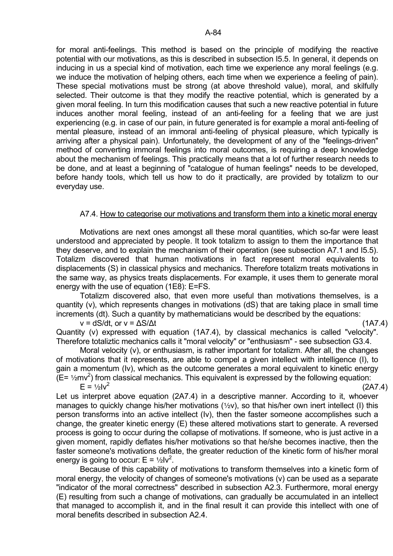for moral anti-feelings. This method is based on the principle of modifying the reactive potential with our motivations, as this is described in subsection I5.5. In general, it depends on inducing in us a special kind of motivation, each time we experience any moral feelings (e.g. we induce the motivation of helping others, each time when we experience a feeling of pain). These special motivations must be strong (at above threshold value), moral, and skilfully selected. Their outcome is that they modify the reactive potential, which is generated by a given moral feeling. In turn this modification causes that such a new reactive potential in future induces another moral feeling, instead of an anti-feeling for a feeling that we are just experiencing (e.g. in case of our pain, in future generated is for example a moral anti-feeling of mental pleasure, instead of an immoral anti-feeling of physical pleasure, which typically is arriving after a physical pain). Unfortunately, the development of any of the "feelings-driven" method of converting immoral feelings into moral outcomes, is requiring a deep knowledge about the mechanism of feelings. This practically means that a lot of further research needs to be done, and at least a beginning of "catalogue of human feelings" needs to be developed, before handy tools, which tell us how to do it practically, are provided by totalizm to our everyday use.

### A7.4. How to categorise our motivations and transform them into a kinetic moral energy

 Motivations are next ones amongst all these moral quantities, which so-far were least understood and appreciated by people. It took totalizm to assign to them the importance that they deserve, and to explain the mechanism of their operation (see subsection A7.1 and I5.5). Totalizm discovered that human motivations in fact represent moral equivalents to displacements (S) in classical physics and mechanics. Therefore totalizm treats motivations in the same way, as physics treats displacements. For example, it uses them to generate moral energy with the use of equation (1E8): E=FS.

 Totalizm discovered also, that even more useful than motivations themselves, is a quantity (v), which represents changes in motivations (dS) that are taking place in small time increments (dt). Such a quantity by mathematicians would be described by the equations:

 $v = dS/dt$ , or  $v = \Delta S/\Delta t$  (1A7.4)

Quantity (v) expressed with equation (1A7.4), by classical mechanics is called "velocity". Therefore totaliztic mechanics calls it "moral velocity" or "enthusiasm" - see subsection G3.4.

 Moral velocity (v), or enthusiasm, is rather important for totalizm. After all, the changes of motivations that it represents, are able to compel a given intellect with intelligence (I), to gain a momentum (Iv), which as the outcome generates a moral equivalent to kinetic energy  $(E = \frac{1}{2}mv^2)$  from classical mechanics. This equivalent is expressed by the following equation:  $E = \frac{1}{5}$ Iv<sup>2</sup>  $(2A7.4)$ 

Let us interpret above equation (2A7.4) in a descriptive manner. According to it, whoever manages to quickly change his/her motivations  $(1/2V)$ , so that his/her own inert intellect (I) this person transforms into an active intellect (Iv), then the faster someone accomplishes such a change, the greater kinetic energy (E) these altered motivations start to generate. A reversed process is going to occur during the collapse of motivations. If someone, who is just active in a given moment, rapidly deflates his/her motivations so that he/she becomes inactive, then the faster someone's motivations deflate, the greater reduction of the kinetic form of his/her moral energy is going to occur:  $E = \frac{1}{2}lv^2$ .

 Because of this capability of motivations to transform themselves into a kinetic form of moral energy, the velocity of changes of someone's motivations (v) can be used as a separate "indicator of the moral correctness" described in subsection A2.3. Furthermore, moral energy (E) resulting from such a change of motivations, can gradually be accumulated in an intellect that managed to accomplish it, and in the final result it can provide this intellect with one of moral benefits described in subsection A2.4.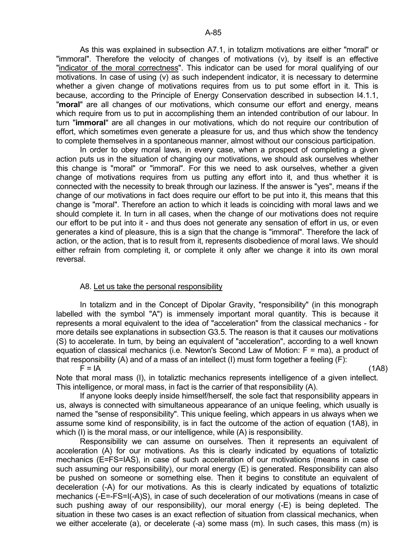As this was explained in subsection A7.1, in totalizm motivations are either "moral" or "immoral". Therefore the velocity of changes of motivations (v), by itself is an effective "indicator of the moral correctness". This indicator can be used for moral qualifying of our motivations. In case of using (v) as such independent indicator, it is necessary to determine whether a given change of motivations requires from us to put some effort in it. This is because, according to the Principle of Energy Conservation described in subsection I4.1.1, "**moral**" are all changes of our motivations, which consume our effort and energy, means which require from us to put in accomplishing them an intended contribution of our labour. In turn "**immoral**" are all changes in our motivations, which do not require our contribution of effort, which sometimes even generate a pleasure for us, and thus which show the tendency to complete themselves in a spontaneous manner, almost without our conscious participation.

In order to obey moral laws, in every case, when a prospect of completing a given action puts us in the situation of changing our motivations, we should ask ourselves whether this change is "moral" or "immoral". For this we need to ask ourselves, whether a given change of motivations requires from us putting any effort into it, and thus whether it is connected with the necessity to break through our laziness. If the answer is "yes", means if the change of our motivations in fact does require our effort to be put into it, this means that this change is "moral". Therefore an action to which it leads is coinciding with moral laws and we should complete it. In turn in all cases, when the change of our motivations does not require our effort to be put into it - and thus does not generate any sensation of effort in us, or even generates a kind of pleasure, this is a sign that the change is "immoral". Therefore the lack of action, or the action, that is to result from it, represents disobedience of moral laws. We should either refrain from completing it, or complete it only after we change it into its own moral reversal.

### A8. Let us take the personal responsibility

 In totalizm and in the Concept of Dipolar Gravity, "responsibility" (in this monograph labelled with the symbol "A") is immensely important moral quantity. This is because it represents a moral equivalent to the idea of "acceleration" from the classical mechanics - for more details see explanations in subsection G3.5. The reason is that it causes our motivations (S) to accelerate. In turn, by being an equivalent of "acceleration", according to a well known equation of classical mechanics (i.e. Newton's Second Law of Motion: F = ma), a product of that responsibility (A) and of a mass of an intellect (I) must form together a feeling (F):

 $F = IA$  (1A8)

Note that moral mass (I), in totaliztic mechanics represents intelligence of a given intellect. This intelligence, or moral mass, in fact is the carrier of that responsibility (A).

 If anyone looks deeply inside himself/herself, the sole fact that responsibility appears in us, always is connected with simultaneous appearance of an unique feeling, which usually is named the "sense of responsibility". This unique feeling, which appears in us always when we assume some kind of responsibility, is in fact the outcome of the action of equation (1A8), in which (I) is the moral mass, or our intelligence, while (A) is responsibility.

 Responsibility we can assume on ourselves. Then it represents an equivalent of acceleration (A) for our motivations. As this is clearly indicated by equations of totaliztic mechanics (E=FS=IAS), in case of such acceleration of our motivations (means in case of such assuming our responsibility), our moral energy (E) is generated. Responsibility can also be pushed on someone or something else. Then it begins to constitute an equivalent of deceleration (-A) for our motivations. As this is clearly indicated by equations of totaliztic mechanics (-E=-FS=I(-A)S), in case of such deceleration of our motivations (means in case of such pushing away of our responsibility), our moral energy (-E) is being depleted. The situation in these two cases is an exact reflection of situation from classical mechanics, when we either accelerate (a), or decelerate (-a) some mass (m). In such cases, this mass (m) is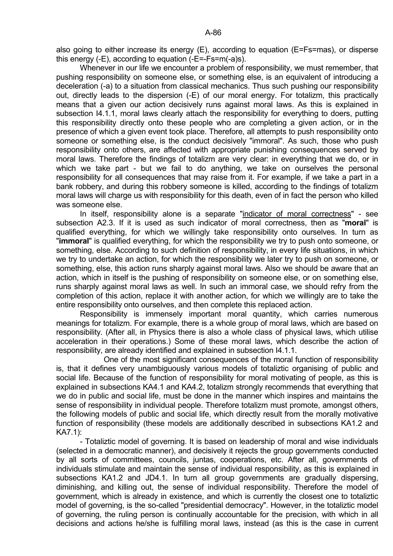also going to either increase its energy (E), according to equation (E=Fs=mas), or disperse this energy (-E), according to equation (-E=-Fs=m(-a)s).

 Whenever in our life we encounter a problem of responsibility, we must remember, that pushing responsibility on someone else, or something else, is an equivalent of introducing a deceleration (-a) to a situation from classical mechanics. Thus such pushing our responsibility out, directly leads to the dispersion (-E) of our moral energy. For totalizm, this practically means that a given our action decisively runs against moral laws. As this is explained in subsection I4.1.1, moral laws clearly attach the responsibility for everything to doers, putting this responsibility directly onto these people who are completing a given action, or in the presence of which a given event took place. Therefore, all attempts to push responsibility onto someone or something else, is the conduct decisively "immoral". As such, those who push responsibility onto others, are affected with appropriate punishing consequences served by moral laws. Therefore the findings of totalizm are very clear: in everything that we do, or in which we take part - but we fail to do anything, we take on ourselves the personal responsibility for all consequences that may raise from it. For example, if we take a part in a bank robbery, and during this robbery someone is killed, according to the findings of totalizm moral laws will charge us with responsibility for this death, even of in fact the person who killed was someone else.

 In itself, responsibility alone is a separate "indicator of moral correctness" - see subsection A2.3. If it is used as such indicator of moral correctness, then as "**moral**" is qualified everything, for which we willingly take responsibility onto ourselves. In turn as "**immoral**" is qualified everything, for which the responsibility we try to push onto someone, or something, else. According to such definition of responsibility, in every life situations, in which we try to undertake an action, for which the responsibility we later try to push on someone, or something, else, this action runs sharply against moral laws. Also we should be aware that an action, which in itself is the pushing of responsibility on someone else, or on something else, runs sharply against moral laws as well. In such an immoral case, we should refry from the completion of this action, replace it with another action, for which we willingly are to take the entire responsibility onto ourselves, and then complete this replaced action.

 Responsibility is immensely important moral quantity, which carries numerous meanings for totalizm. For example, there is a whole group of moral laws, which are based on responsibility. (After all, in Physics there is also a whole class of physical laws, which utilise acceleration in their operations.) Some of these moral laws, which describe the action of responsibility, are already identified and explained in subsection I4.1.1.

 One of the most significant consequences of the moral function of responsibility is, that it defines very unambiguously various models of totaliztic organising of public and social life. Because of the function of responsibility for moral motivating of people, as this is explained in subsections KA4.1 and KA4.2, totalizm strongly recommends that everything that we do in public and social life, must be done in the manner which inspires and maintains the sense of responsibility in individual people. Therefore totalizm must promote, amongst others, the following models of public and social life, which directly result from the morally motivative function of responsibility (these models are additionally described in subsections KA1.2 and KA7.1):

 - Totaliztic model of governing. It is based on leadership of moral and wise individuals (selected in a democratic manner), and decisively it rejects the group governments conducted by all sorts of committees, councils, juntas, cooperations, etc. After all, governments of individuals stimulate and maintain the sense of individual responsibility, as this is explained in subsections KA1.2 and JD4.1. In turn all group governments are gradually dispersing, diminishing, and killing out, the sense of individual responsibility. Therefore the model of government, which is already in existence, and which is currently the closest one to totaliztic model of governing, is the so-called "presidential democracy". However, in the totaliztic model of governing, the ruling person is continually accountable for the precision, with which in all decisions and actions he/she is fulfilling moral laws, instead (as this is the case in current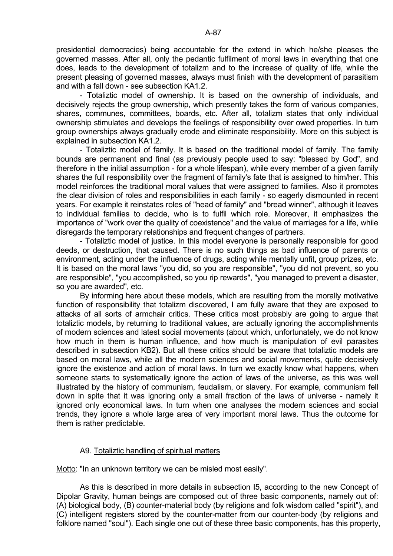presidential democracies) being accountable for the extend in which he/she pleases the governed masses. After all, only the pedantic fulfilment of moral laws in everything that one does, leads to the development of totalizm and to the increase of quality of life, while the present pleasing of governed masses, always must finish with the development of parasitism and with a fall down - see subsection KA1.2.

 - Totaliztic model of ownership. It is based on the ownership of individuals, and decisively rejects the group ownership, which presently takes the form of various companies, shares, communes, committees, boards, etc. After all, totalizm states that only individual ownership stimulates and develops the feelings of responsibility over owed properties. In turn group ownerships always gradually erode and eliminate responsibility. More on this subject is explained in subsection KA1.2.

 - Totaliztic model of family. It is based on the traditional model of family. The family bounds are permanent and final (as previously people used to say: "blessed by God", and therefore in the initial assumption - for a whole lifespan), while every member of a given family shares the full responsibility over the fragment of family's fate that is assigned to him/her. This model reinforces the traditional moral values that were assigned to families. Also it promotes the clear division of roles and responsibilities in each family - so eagerly dismounted in recent years. For example it reinstates roles of "head of family" and "bread winner", although it leaves to individual families to decide, who is to fulfil which role. Moreover, it emphasizes the importance of "work over the quality of coexistence" and the value of marriages for a life, while disregards the temporary relationships and frequent changes of partners.

 - Totaliztic model of justice. In this model everyone is personally responsible for good deeds, or destruction, that caused. There is no such things as bad influence of parents or environment, acting under the influence of drugs, acting while mentally unfit, group prizes, etc. It is based on the moral laws "you did, so you are responsible", "you did not prevent, so you are responsible", "you accomplished, so you rip rewards", "you managed to prevent a disaster, so you are awarded", etc.

 By informing here about these models, which are resulting from the morally motivative function of responsibility that totalizm discovered, I am fully aware that they are exposed to attacks of all sorts of armchair critics. These critics most probably are going to argue that totaliztic models, by returning to traditional values, are actually ignoring the accomplishments of modern sciences and latest social movements (about which, unfortunately, we do not know how much in them is human influence, and how much is manipulation of evil parasites described in subsection KB2). But all these critics should be aware that totaliztic models are based on moral laws, while all the modern sciences and social movements, quite decisively ignore the existence and action of moral laws. In turn we exactly know what happens, when someone starts to systematically ignore the action of laws of the universe, as this was well illustrated by the history of communism, feudalism, or slavery. For example, communism fell down in spite that it was ignoring only a small fraction of the laws of universe - namely it ignored only economical laws. In turn when one analyses the modern sciences and social trends, they ignore a whole large area of very important moral laws. Thus the outcome for them is rather predictable.

# A9. Totaliztic handling of spiritual matters

Motto: "In an unknown territory we can be misled most easily".

 As this is described in more details in subsection I5, according to the new Concept of Dipolar Gravity, human beings are composed out of three basic components, namely out of: (A) biological body, (B) counter-material body (by religions and folk wisdom called "spirit"), and (C) intelligent registers stored by the counter-matter from our counter-body (by religions and folklore named "soul"). Each single one out of these three basic components, has this property,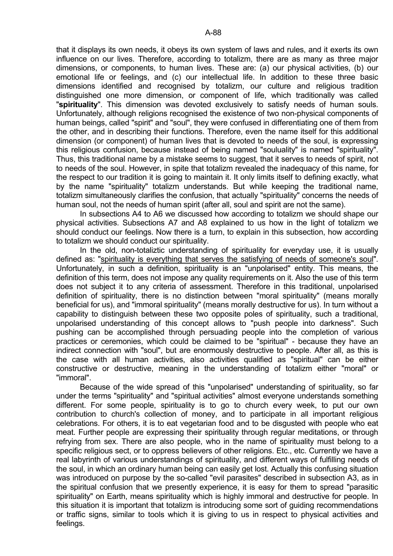that it displays its own needs, it obeys its own system of laws and rules, and it exerts its own influence on our lives. Therefore, according to totalizm, there are as many as three major dimensions, or components, to human lives. These are: (a) our physical activities, (b) our emotional life or feelings, and (c) our intellectual life. In addition to these three basic dimensions identified and recognised by totalizm, our culture and religious tradition distinguished one more dimension, or component of life, which traditionally was called "**spirituality**". This dimension was devoted exclusively to satisfy needs of human souls. Unfortunately, although religions recognised the existence of two non-physical components of human beings, called "spirit" and "soul", they were confused in differentiating one of them from the other, and in describing their functions. Therefore, even the name itself for this additional dimension (or component) of human lives that is devoted to needs of the soul, is expressing this religious confusion, because instead of being named "souluality" is named "spirituality". Thus, this traditional name by a mistake seems to suggest, that it serves to needs of spirit, not to needs of the soul. However, in spite that totalizm revealed the inadequacy of this name, for the respect to our tradition it is going to maintain it. It only limits itself to defining exactly, what by the name "spirituality" totalizm understands. But while keeping the traditional name, totalizm simultaneously clarifies the confusion, that actually "spirituality" concerns the needs of human soul, not the needs of human spirit (after all, soul and spirit are not the same).

 In subsections A4 to A6 we discussed how according to totalizm we should shape our physical activities. Subsections A7 and A8 explained to us how in the light of totalizm we should conduct our feelings. Now there is a turn, to explain in this subsection, how according to totalizm we should conduct our spirituality.

 In the old, non-totaliztic understanding of spirituality for everyday use, it is usually defined as: "spirituality is everything that serves the satisfying of needs of someone's soul". Unfortunately, in such a definition, spirituality is an "unpolarised" entity. This means, the definition of this term, does not impose any quality requirements on it. Also the use of this term does not subject it to any criteria of assessment. Therefore in this traditional, unpolarised definition of spirituality, there is no distinction between "moral spirituality" (means morally beneficial for us), and "immoral spirituality" (means morally destructive for us). In turn without a capability to distinguish between these two opposite poles of spirituality, such a traditional, unpolarised understanding of this concept allows to "push people into darkness". Such pushing can be accomplished through persuading people into the completion of various practices or ceremonies, which could be claimed to be "spiritual" - because they have an indirect connection with "soul", but are enormously destructive to people. After all, as this is the case with all human activities, also activities qualified as "spiritual" can be either constructive or destructive, meaning in the understanding of totalizm either "moral" or "immoral".

 Because of the wide spread of this "unpolarised" understanding of spirituality, so far under the terms "spirituality" and "spiritual activities" almost everyone understands something different. For some people, spirituality is to go to church every week, to put our own contribution to church's collection of money, and to participate in all important religious celebrations. For others, it is to eat vegetarian food and to be disgusted with people who eat meat. Further people are expressing their spirituality through regular meditations, or through refrying from sex. There are also people, who in the name of spirituality must belong to a specific religious sect, or to oppress believers of other religions. Etc., etc. Currently we have a real labyrinth of various understandings of spirituality, and different ways of fulfilling needs of the soul, in which an ordinary human being can easily get lost. Actually this confusing situation was introduced on purpose by the so-called "evil parasites" described in subsection A3, as in the spiritual confusion that we presently experience, it is easy for them to spread "parasitic spirituality" on Earth, means spirituality which is highly immoral and destructive for people. In this situation it is important that totalizm is introducing some sort of guiding recommendations or traffic signs, similar to tools which it is giving to us in respect to physical activities and feelings.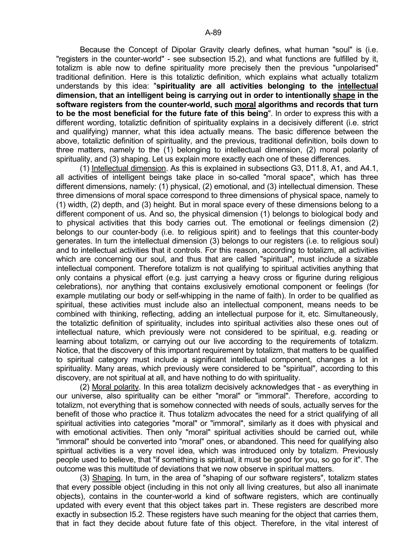Because the Concept of Dipolar Gravity clearly defines, what human "soul" is (i.e. "registers in the counter-world" - see subsection I5.2), and what functions are fulfilled by it, totalizm is able now to define spirituality more precisely then the previous "unpolarised" traditional definition. Here is this totaliztic definition, which explains what actually totalizm understands by this idea: "**spirituality are all activities belonging to the intellectual dimension, that an intelligent being is carrying out in order to intentionally shape in the software registers from the counter-world, such moral algorithms and records that turn to be the most beneficial for the future fate of this being**". In order to express this with a different wording, totaliztic definition of spirituality explains in a decisively different (i.e. strict and qualifying) manner, what this idea actually means. The basic difference between the above, totaliztic definition of spirituality, and the previous, traditional definition, boils down to three matters, namely to the (1) belonging to intellectual dimension, (2) moral polarity of spirituality, and (3) shaping. Let us explain more exactly each one of these differences.

 (1) Intellectual dimension. As this is explained in subsections G3, D11.8, A1, and A4.1, all activities of intelligent beings take place in so-called "moral space", which has three different dimensions, namely: (1) physical, (2) emotional, and (3) intellectual dimension. These three dimensions of moral space correspond to three dimensions of physical space, namely to (1) width, (2) depth, and (3) height. But in moral space every of these dimensions belong to a different component of us. And so, the physical dimension (1) belongs to biological body and to physical activities that this body carries out. The emotional or feelings dimension (2) belongs to our counter-body (i.e. to religious spirit) and to feelings that this counter-body generates. In turn the intellectual dimension (3) belongs to our registers (i.e. to religious soul) and to intellectual activities that it controls. For this reason, according to totalizm, all activities which are concerning our soul, and thus that are called "spiritual", must include a sizable intellectual component. Therefore totalizm is not qualifying to spiritual activities anything that only contains a physical effort (e.g. just carrying a heavy cross or figurine during religious celebrations), nor anything that contains exclusively emotional component or feelings (for example mutilating our body or self-whipping in the name of faith). In order to be qualified as spiritual, these activities must include also an intellectual component, means needs to be combined with thinking, reflecting, adding an intellectual purpose for it, etc. Simultaneously, the totaliztic definition of spirituality, includes into spiritual activities also these ones out of intellectual nature, which previously were not considered to be spiritual, e.g. reading or learning about totalizm, or carrying out our live according to the requirements of totalizm. Notice, that the discovery of this important requirement by totalizm, that matters to be qualified to spiritual category must include a significant intellectual component, changes a lot in spirituality. Many areas, which previously were considered to be "spiritual", according to this discovery, are not spiritual at all, and have nothing to do with spirituality.

 (2) Moral polarity. In this area totalizm decisively acknowledges that - as everything in our universe, also spirituality can be either "moral" or "immoral". Therefore, according to totalizm, not everything that is somehow connected with needs of souls, actually serves for the benefit of those who practice it. Thus totalizm advocates the need for a strict qualifying of all spiritual activities into categories "moral" or "immoral", similarly as it does with physical and with emotional activities. Then only "moral" spiritual activities should be carried out, while "immoral" should be converted into "moral" ones, or abandoned. This need for qualifying also spiritual activities is a very novel idea, which was introduced only by totalizm. Previously people used to believe, that "if something is spiritual, it must be good for you, so go for it". The outcome was this multitude of deviations that we now observe in spiritual matters.

 (3) Shaping. In turn, in the area of "shaping of our software registers", totalizm states that every possible object (including in this not only all living creatures, but also all inanimate objects), contains in the counter-world a kind of software registers, which are continually updated with every event that this object takes part in. These registers are described more exactly in subsection I5.2. These registers have such meaning for the object that carries them, that in fact they decide about future fate of this object. Therefore, in the vital interest of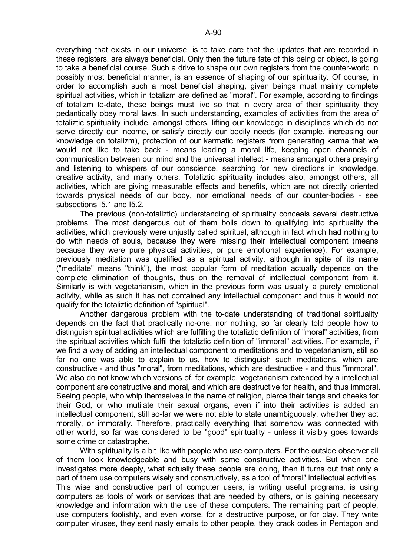everything that exists in our universe, is to take care that the updates that are recorded in these registers, are always beneficial. Only then the future fate of this being or object, is going to take a beneficial course. Such a drive to shape our own registers from the counter-world in possibly most beneficial manner, is an essence of shaping of our spirituality. Of course, in order to accomplish such a most beneficial shaping, given beings must mainly complete spiritual activities, which in totalizm are defined as "moral". For example, according to findings of totalizm to-date, these beings must live so that in every area of their spirituality they pedantically obey moral laws. In such understanding, examples of activities from the area of totaliztic spirituality include, amongst others, lifting our knowledge in disciplines which do not serve directly our income, or satisfy directly our bodily needs (for example, increasing our knowledge on totalizm), protection of our karmatic registers from generating karma that we would not like to take back - means leading a moral life, keeping open channels of communication between our mind and the universal intellect - means amongst others praying and listening to whispers of our conscience, searching for new directions in knowledge, creative activity, and many others. Totaliztic spirituality includes also, amongst others, all activities, which are giving measurable effects and benefits, which are not directly oriented towards physical needs of our body, nor emotional needs of our counter-bodies - see subsections I5.1 and I5.2.

 The previous (non-totaliztic) understanding of spirituality conceals several destructive problems. The most dangerous out of them boils down to qualifying into spirituality the activities, which previously were unjustly called spiritual, although in fact which had nothing to do with needs of souls, because they were missing their intellectual component (means because they were pure physical activities, or pure emotional experience). For example, previously meditation was qualified as a spiritual activity, although in spite of its name ("meditate" means "think"), the most popular form of meditation actually depends on the complete elimination of thoughts, thus on the removal of intellectual component from it. Similarly is with vegetarianism, which in the previous form was usually a purely emotional activity, while as such it has not contained any intellectual component and thus it would not qualify for the totaliztic definition of "spiritual".

 Another dangerous problem with the to-date understanding of traditional spirituality depends on the fact that practically no-one, nor nothing, so far clearly told people how to distinguish spiritual activities which are fulfilling the totaliztic definition of "moral" activities, from the spiritual activities which fulfil the totaliztic definition of "immoral" activities. For example, if we find a way of adding an intellectual component to meditations and to vegetarianism, still so far no one was able to explain to us, how to distinguish such meditations, which are constructive - and thus "moral", from meditations, which are destructive - and thus "immoral". We also do not know which versions of, for example, vegetarianism extended by a intellectual component are constructive and moral, and which are destructive for health, and thus immoral. Seeing people, who whip themselves in the name of religion, pierce their tangs and cheeks for their God, or who mutilate their sexual organs, even if into their activities is added an intellectual component, still so-far we were not able to state unambiguously, whether they act morally, or immorally. Therefore, practically everything that somehow was connected with other world, so far was considered to be "good" spirituality - unless it visibly goes towards some crime or catastrophe.

 With spirituality is a bit like with people who use computers. For the outside observer all of them look knowledgeable and busy with some constructive activities. But when one investigates more deeply, what actually these people are doing, then it turns out that only a part of them use computers wisely and constructively, as a tool of "moral" intellectual activities. This wise and constructive part of computer users, is writing useful programs, is using computers as tools of work or services that are needed by others, or is gaining necessary knowledge and information with the use of these computers. The remaining part of people, use computers foolishly, and even worse, for a destructive purpose, or for play. They write computer viruses, they sent nasty emails to other people, they crack codes in Pentagon and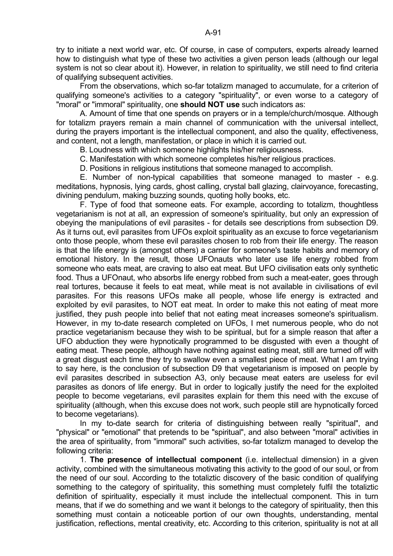try to initiate a next world war, etc. Of course, in case of computers, experts already learned how to distinguish what type of these two activities a given person leads (although our legal system is not so clear about it). However, in relation to spirituality, we still need to find criteria of qualifying subsequent activities.

 From the observations, which so-far totalizm managed to accumulate, for a criterion of qualifying someone's activities to a category "spirituality", or even worse to a category of "moral" or "immoral" spirituality, one **should NOT use** such indicators as:

 A. Amount of time that one spends on prayers or in a temple/church/mosque. Although for totalizm prayers remain a main channel of communication with the universal intellect, during the prayers important is the intellectual component, and also the quality, effectiveness, and content, not a length, manifestation, or place in which it is carried out.

B. Loudness with which someone highlights his/her religiousness.

C. Manifestation with which someone completes his/her religious practices.

D. Positions in religious institutions that someone managed to accomplish.

 E. Number of non-typical capabilities that someone managed to master - e.g. meditations, hypnosis, lying cards, ghost calling, crystal ball glazing, clairvoyance, forecasting, divining pendulum, making buzzing sounds, quoting holly books, etc.

 F. Type of food that someone eats. For example, according to totalizm, thoughtless vegetarianism is not at all, an expression of someone's spirituality, but only an expression of obeying the manipulations of evil parasites - for details see descriptions from subsection D9. As it turns out, evil parasites from UFOs exploit spirituality as an excuse to force vegetarianism onto those people, whom these evil parasites chosen to rob from their life energy. The reason is that the life energy is (amongst others) a carrier for someone's taste habits and memory of emotional history. In the result, those UFOnauts who later use life energy robbed from someone who eats meat, are craving to also eat meat. But UFO civilisation eats only synthetic food. Thus a UFOnaut, who absorbs life energy robbed from such a meat-eater, goes through real tortures, because it feels to eat meat, while meat is not available in civilisations of evil parasites. For this reasons UFOs make all people, whose life energy is extracted and exploited by evil parasites, to NOT eat meat. In order to make this not eating of meat more justified, they push people into belief that not eating meat increases someone's spiritualism. However, in my to-date research completed on UFOs, I met numerous people, who do not practice vegetarianism because they wish to be spiritual, but for a simple reason that after a UFO abduction they were hypnotically programmed to be disgusted with even a thought of eating meat. These people, although have nothing against eating meat, still are turned off with a great disgust each time they try to swallow even a smallest piece of meat. What I am trying to say here, is the conclusion of subsection D9 that vegetarianism is imposed on people by evil parasites described in subsection A3, only because meat eaters are useless for evil parasites as donors of life energy. But in order to logically justify the need for the exploited people to become vegetarians, evil parasites explain for them this need with the excuse of spirituality (although, when this excuse does not work, such people still are hypnotically forced to become vegetarians).

 In my to-date search for criteria of distinguishing between really "spiritual", and "physical" or "emotional" that pretends to be "spiritual", and also between "moral" activities in the area of spirituality, from "immoral" such activities, so-far totalizm managed to develop the following criteria:

 1. **The presence of intellectual component** (i.e. intellectual dimension) in a given activity, combined with the simultaneous motivating this activity to the good of our soul, or from the need of our soul. According to the totaliztic discovery of the basic condition of qualifying something to the category of spirituality, this something must completely fulfil the totaliztic definition of spirituality, especially it must include the intellectual component. This in turn means, that if we do something and we want it belongs to the category of spirituality, then this something must contain a noticeable portion of our own thoughts, understanding, mental justification, reflections, mental creativity, etc. According to this criterion, spirituality is not at all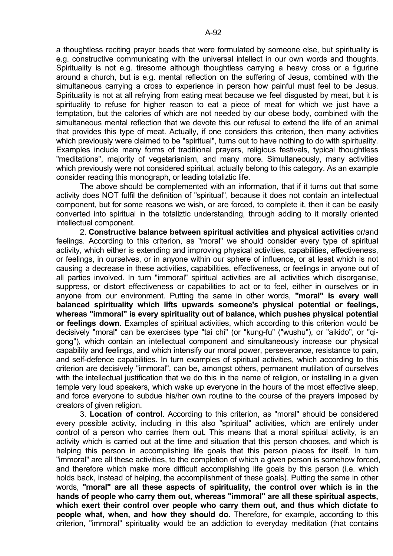a thoughtless reciting prayer beads that were formulated by someone else, but spirituality is e.g. constructive communicating with the universal intellect in our own words and thoughts. Spirituality is not e.g. tiresome although thoughtless carrying a heavy cross or a figurine around a church, but is e.g. mental reflection on the suffering of Jesus, combined with the simultaneous carrying a cross to experience in person how painful must feel to be Jesus. Spirituality is not at all refrying from eating meat because we feel disgusted by meat, but it is spirituality to refuse for higher reason to eat a piece of meat for which we just have a temptation, but the calories of which are not needed by our obese body, combined with the simultaneous mental reflection that we devote this our refusal to extend the life of an animal that provides this type of meat. Actually, if one considers this criterion, then many activities which previously were claimed to be "spiritual", turns out to have nothing to do with spirituality. Examples include many forms of traditional prayers, religious festivals, typical thoughtless "meditations", majority of vegetarianism, and many more. Simultaneously, many activities which previously were not considered spiritual, actually belong to this category. As an example consider reading this monograph, or leading totaliztic life.

 The above should be complemented with an information, that if it turns out that some activity does NOT fulfil the definition of "spiritual", because it does not contain an intellectual component, but for some reasons we wish, or are forced, to complete it, then it can be easily converted into spiritual in the totaliztic understanding, through adding to it morally oriented intellectual component.

 2. **Constructive balance between spiritual activities and physical activities** or/and feelings. According to this criterion, as "moral" we should consider every type of spiritual activity, which either is extending and improving physical activities, capabilities, effectiveness, or feelings, in ourselves, or in anyone within our sphere of influence, or at least which is not causing a decrease in these activities, capabilities, effectiveness, or feelings in anyone out of all parties involved. In turn "immoral" spiritual activities are all activities which disorganise, suppress, or distort effectiveness or capabilities to act or to feel, either in ourselves or in anyone from our environment. Putting the same in other words, **"moral" is every well balanced spirituality which lifts upwards someone's physical potential or feelings, whereas "immoral" is every spirituality out of balance, which pushes physical potential or feelings down**. Examples of spiritual activities, which according to this criterion would be decisively "moral" can be exercises type "tai chi" (or "kung-fu" ("wushu"), or "aikido", or "qigong"), which contain an intellectual component and simultaneously increase our physical capability and feelings, and which intensify our moral power, perseverance, resistance to pain, and self-defence capabilities. In turn examples of spiritual activities, which according to this criterion are decisively "immoral", can be, amongst others, permanent mutilation of ourselves with the intellectual justification that we do this in the name of religion, or installing in a given temple very loud speakers, which wake up everyone in the hours of the most effective sleep, and force everyone to subdue his/her own routine to the course of the prayers imposed by creators of given religion.

 3. **Location of control**. According to this criterion, as "moral" should be considered every possible activity, including in this also "spiritual" activities, which are entirely under control of a person who carries them out. This means that a moral spiritual activity, is an activity which is carried out at the time and situation that this person chooses, and which is helping this person in accomplishing life goals that this person places for itself. In turn "immoral" are all these activities, to the completion of which a given person is somehow forced, and therefore which make more difficult accomplishing life goals by this person (i.e. which holds back, instead of helping, the accomplishment of these goals). Putting the same in other words, **"moral" are all these aspects of spirituality, the control over which is in the hands of people who carry them out, whereas "immoral" are all these spiritual aspects, which exert their control over people who carry them out, and thus which dictate to people what, when, and how they should do**. Therefore, for example, according to this criterion, "immoral" spirituality would be an addiction to everyday meditation (that contains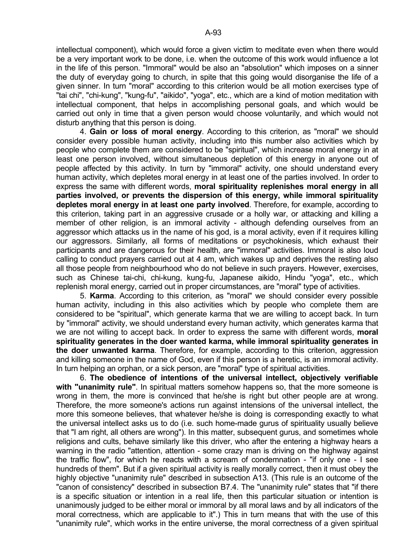intellectual component), which would force a given victim to meditate even when there would be a very important work to be done, i.e. when the outcome of this work would influence a lot in the life of this person. "Immoral" would be also an "absolution" which imposes on a sinner the duty of everyday going to church, in spite that this going would disorganise the life of a given sinner. In turn "moral" according to this criterion would be all motion exercises type of "tai chi", "chi-kung", "kung-fu", "aikido", "yoga", etc., which are a kind of motion meditation with intellectual component, that helps in accomplishing personal goals, and which would be carried out only in time that a given person would choose voluntarily, and which would not disturb anything that this person is doing.

 4. **Gain or loss of moral energy**. According to this criterion, as "moral" we should consider every possible human activity, including into this number also activities which by people who complete them are considered to be "spiritual", which increase moral energy in at least one person involved, without simultaneous depletion of this energy in anyone out of people affected by this activity. In turn by "immoral" activity, one should understand every human activity, which depletes moral energy in at least one of the parties involved. In order to express the same with different words, **moral spirituality replenishes moral energy in all parties involved, or prevents the dispersion of this energy, while immoral spirituality depletes moral energy in at least one party involved**. Therefore, for example, according to this criterion, taking part in an aggressive crusade or a holly war, or attacking and killing a member of other religion, is an immoral activity - although defending ourselves from an aggressor which attacks us in the name of his god, is a moral activity, even if it requires killing our aggressors. Similarly, all forms of meditations or psychokinesis, which exhaust their participants and are dangerous for their health, are "immoral" activities. Immoral is also loud calling to conduct prayers carried out at 4 am, which wakes up and deprives the resting also all those people from neighbourhood who do not believe in such prayers. However, exercises, such as Chinese tai-chi, chi-kung, kung-fu, Japanese aikido, Hindu "yoga", etc., which replenish moral energy, carried out in proper circumstances, are "moral" type of activities.

 5. **Karma**. According to this criterion, as "moral" we should consider every possible human activity, including in this also activities which by people who complete them are considered to be "spiritual", which generate karma that we are willing to accept back. In turn by "immoral" activity, we should understand every human activity, which generates karma that we are not willing to accept back. In order to express the same with different words, **moral spirituality generates in the doer wanted karma, while immoral spirituality generates in the doer unwanted karma**. Therefore, for example, according to this criterion, aggression and killing someone in the name of God, even if this person is a heretic, is an immoral activity. In turn helping an orphan, or a sick person, are "moral" type of spiritual activities.

 6. **The obedience of intentions of the universal intellect, objectively verifiable with "unanimity rule"**. In spiritual matters somehow happens so, that the more someone is wrong in them, the more is convinced that he/she is right but other people are at wrong. Therefore, the more someone's actions run against intensions of the universal intellect, the more this someone believes, that whatever he/she is doing is corresponding exactly to what the universal intellect asks us to do (i.e. such home-made gurus of spirituality usually believe that "I am right, all others are wrong"). In this matter, subsequent gurus, and sometimes whole religions and cults, behave similarly like this driver, who after the entering a highway hears a warning in the radio "attention, attention - some crazy man is driving on the highway against the traffic flow", for which he reacts with a scream of condemnation - "if only one - I see hundreds of them". But if a given spiritual activity is really morally correct, then it must obey the highly objective "unanimity rule" described in subsection A13. (This rule is an outcome of the "canon of consistency" described in subsection B7.4. The "unanimity rule" states that "if there is a specific situation or intention in a real life, then this particular situation or intention is unanimously judged to be either moral or immoral by all moral laws and by all indicators of the moral correctness, which are applicable to it".) This in turn means that with the use of this "unanimity rule", which works in the entire universe, the moral correctness of a given spiritual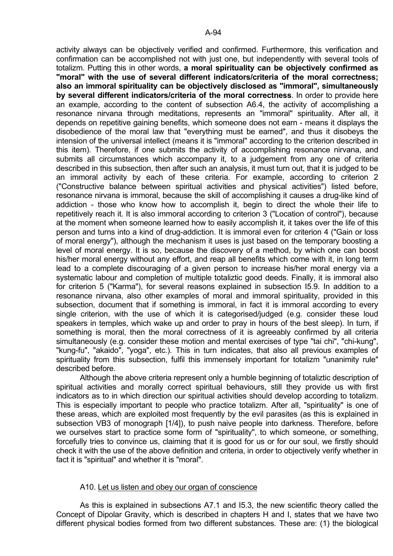activity always can be objectively verified and confirmed. Furthermore, this verification and confirmation can be accomplished not with just one, but independently with several tools of totalizm. Putting this in other words, **a moral spirituality can be objectively confirmed as "moral" with the use of several different indicators/criteria of the moral correctness; also an immoral spirituality can be objectively disclosed as "immoral", simultaneously by several different indicators/criteria of the moral correctness**. In order to provide here an example, according to the content of subsection A6.4, the activity of accomplishing a resonance nirvana through meditations, represents an "immoral" spirituality. After all, it depends on repetitive gaining benefits, which someone does not earn - means it displays the disobedience of the moral law that "everything must be earned", and thus it disobeys the intension of the universal intellect (means it is "immoral" according to the criterion described in this item). Therefore, if one submits the activity of accomplishing resonance nirvana, and submits all circumstances which accompany it, to a judgement from any one of criteria described in this subsection, then after such an analysis, it must turn out, that it is judged to be an immoral activity by each of these criteria. For example, according to criterion 2 ("Constructive balance between spiritual activities and physical activities") listed before, resonance nirvana is immoral, because the skill of accomplishing it causes a drug-like kind of addiction - those who know how to accomplish it, begin to direct the whole their life to repetitively reach it. It is also immoral according to criterion 3 ("Location of control"), because at the moment when someone learned how to easily accomplish it, it takes over the life of this person and turns into a kind of drug-addiction. It is immoral even for criterion 4 ("Gain or loss of moral energy"), although the mechanism it uses is just based on the temporary boosting a level of moral energy. It is so, because the discovery of a method, by which one can boost his/her moral energy without any effort, and reap all benefits which come with it, in long term lead to a complete discouraging of a given person to increase his/her moral energy via a systematic labour and completion of multiple totaliztic good deeds. Finally, it is immoral also for criterion 5 ("Karma"), for several reasons explained in subsection I5.9. In addition to a resonance nirvana, also other examples of moral and immoral spirituality, provided in this subsection, document that if something is immoral, in fact it is immoral according to every single criterion, with the use of which it is categorised/judged (e.g. consider these loud speakers in temples, which wake up and order to pray in hours of the best sleep). In turn, if something is moral, then the moral correctness of it is agreeably confirmed by all criteria simultaneously (e.g. consider these motion and mental exercises of type "tai chi", "chi-kung", "kung-fu", "akaido", "yoga", etc.). This in turn indicates, that also all previous examples of spirituality from this subsection, fulfil this immensely important for totalizm "unanimity rule" described before.

 Although the above criteria represent only a humble beginning of totaliztic description of spiritual activities and morally correct spiritual behaviours, still they provide us with first indicators as to in which direction our spiritual activities should develop according to totalizm. This is especially important to people who practice totalizm. After all, "spirituality" is one of these areas, which are exploited most frequently by the evil parasites (as this is explained in subsection VB3 of monograph [1/4]), to push naive people into darkness. Therefore, before we ourselves start to practice some form of "spirituality", to which someone, or something, forcefully tries to convince us, claiming that it is good for us or for our soul, we firstly should check it with the use of the above definition and criteria, in order to objectively verify whether in fact it is "spiritual" and whether it is "moral".

# A10. Let us listen and obey our organ of conscience

 As this is explained in subsections A7.1 and I5.3, the new scientific theory called the Concept of Dipolar Gravity, which is described in chapters H and I, states that we have two different physical bodies formed from two different substances. These are: (1) the biological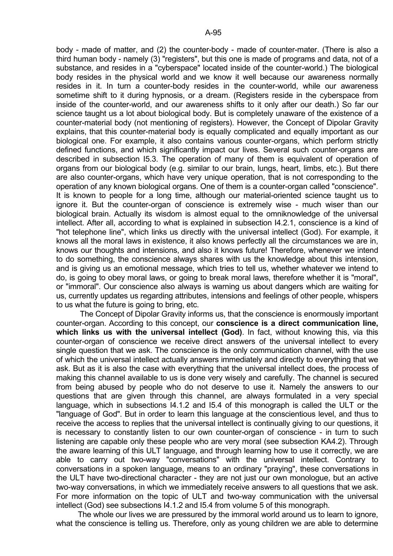body - made of matter, and (2) the counter-body - made of counter-mater. (There is also a third human body - namely (3) "registers", but this one is made of programs and data, not of a substance, and resides in a "cyberspace" located inside of the counter-world.) The biological body resides in the physical world and we know it well because our awareness normally resides in it. In turn a counter-body resides in the counter-world, while our awareness sometime shift to it during hypnosis, or a dream. (Registers reside in the cyberspace from inside of the counter-world, and our awareness shifts to it only after our death.) So far our science taught us a lot about biological body. But is completely unaware of the existence of a counter-material body (not mentioning of registers). However, the Concept of Dipolar Gravity explains, that this counter-material body is equally complicated and equally important as our biological one. For example, it also contains various counter-organs, which perform strictly defined functions, and which significantly impact our lives. Several such counter-organs are described in subsection I5.3. The operation of many of them is equivalent of operation of organs from our biological body (e.g. similar to our brain, lungs, heart, limbs, etc.). But there are also counter-organs, which have very unique operation, that is not corresponding to the operation of any known biological organs. One of them is a counter-organ called "conscience". It is known to people for a long time, although our material-oriented science taught us to ignore it. But the counter-organ of conscience is extremely wise - much wiser than our biological brain. Actually its wisdom is almost equal to the omniknowledge of the universal intellect. After all, according to what is explained in subsection I4.2.1, conscience is a kind of "hot telephone line", which links us directly with the universal intellect (God). For example, it knows all the moral laws in existence, it also knows perfectly all the circumstances we are in, knows our thoughts and intensions, and also it knows future! Therefore, whenever we intend to do something, the conscience always shares with us the knowledge about this intension, and is giving us an emotional message, which tries to tell us, whether whatever we intend to do, is going to obey moral laws, or going to break moral laws, therefore whether it is "moral", or "immoral". Our conscience also always is warning us about dangers which are waiting for us, currently updates us regarding attributes, intensions and feelings of other people, whispers to us what the future is going to bring, etc.

 The Concept of Dipolar Gravity informs us, that the conscience is enormously important counter-organ. According to this concept, our **conscience is a direct communication line, which links us with the universal intellect (God)**. In fact, without knowing this, via this counter-organ of conscience we receive direct answers of the universal intellect to every single question that we ask. The conscience is the only communication channel, with the use of which the universal intellect actually answers immediately and directly to everything that we ask. But as it is also the case with everything that the universal intellect does, the process of making this channel available to us is done very wisely and carefully. The channel is secured from being abused by people who do not deserve to use it. Namely the answers to our questions that are given through this channel, are always formulated in a very special language, which in subsections I4.1.2 and I5.4 of this monograph is called the ULT or the "language of God". But in order to learn this language at the conscientious level, and thus to receive the access to replies that the universal intellect is continually giving to our questions, it is necessary to constantly listen to our own counter-organ of conscience - in turn to such listening are capable only these people who are very moral (see subsection KA4.2). Through the aware learning of this ULT language, and through learning how to use it correctly, we are able to carry out two-way "conversations" with the universal intellect. Contrary to conversations in a spoken language, means to an ordinary "praying", these conversations in the ULT have two-directional character - they are not just our own monologue, but an active two-way conversations, in which we immediately receive answers to all questions that we ask. For more information on the topic of ULT and two-way communication with the universal intellect (God) see subsections I4.1.2 and I5.4 from volume 5 of this monograph.

 The whole our lives we are pressured by the immoral world around us to learn to ignore, what the conscience is telling us. Therefore, only as young children we are able to determine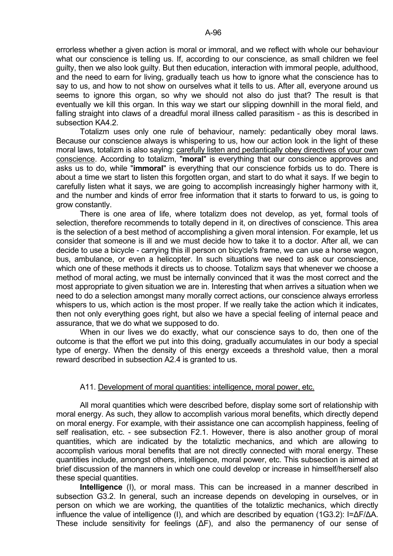errorless whether a given action is moral or immoral, and we reflect with whole our behaviour what our conscience is telling us. If, according to our conscience, as small children we feel guilty, then we also look guilty. But then education, interaction with immoral people, adulthood, and the need to earn for living, gradually teach us how to ignore what the conscience has to say to us, and how to not show on ourselves what it tells to us. After all, everyone around us seems to ignore this organ, so why we should not also do just that? The result is that eventually we kill this organ. In this way we start our slipping downhill in the moral field, and falling straight into claws of a dreadful moral illness called parasitism - as this is described in subsection KA4.2

 Totalizm uses only one rule of behaviour, namely: pedantically obey moral laws. Because our conscience always is whispering to us, how our action look in the light of these moral laws, totalizm is also saying: carefully listen and pedantically obey directives of your own conscience. According to totalizm, "**moral**" is everything that our conscience approves and asks us to do, while "**immoral**" is everything that our conscience forbids us to do. There is about a time we start to listen this forgotten organ, and start to do what it says. If we begin to carefully listen what it says, we are going to accomplish increasingly higher harmony with it, and the number and kinds of error free information that it starts to forward to us, is going to grow constantly.

 There is one area of life, where totalizm does not develop, as yet, formal tools of selection, therefore recommends to totally depend in it, on directives of conscience. This area is the selection of a best method of accomplishing a given moral intension. For example, let us consider that someone is ill and we must decide how to take it to a doctor. After all, we can decide to use a bicycle - carrying this ill person on bicycle's frame, we can use a horse wagon, bus, ambulance, or even a helicopter. In such situations we need to ask our conscience, which one of these methods it directs us to choose. Totalizm says that whenever we choose a method of moral acting, we must be internally convinced that it was the most correct and the most appropriate to given situation we are in. Interesting that when arrives a situation when we need to do a selection amongst many morally correct actions, our conscience always errorless whispers to us, which action is the most proper. If we really take the action which it indicates, then not only everything goes right, but also we have a special feeling of internal peace and assurance, that we do what we supposed to do.

 When in our lives we do exactly, what our conscience says to do, then one of the outcome is that the effort we put into this doing, gradually accumulates in our body a special type of energy. When the density of this energy exceeds a threshold value, then a moral reward described in subsection A2.4 is granted to us.

# A11. Development of moral quantities: intelligence, moral power, etc.

 All moral quantities which were described before, display some sort of relationship with moral energy. As such, they allow to accomplish various moral benefits, which directly depend on moral energy. For example, with their assistance one can accomplish happiness, feeling of self realisation, etc. - see subsection F2.1. However, there is also another group of moral quantities, which are indicated by the totaliztic mechanics, and which are allowing to accomplish various moral benefits that are not directly connected with moral energy. These quantities include, amongst others, intelligence, moral power, etc. This subsection is aimed at brief discussion of the manners in which one could develop or increase in himself/herself also these special quantities.

**Intelligence** (I), or moral mass. This can be increased in a manner described in subsection G3.2. In general, such an increase depends on developing in ourselves, or in person on which we are working, the quantities of the totaliztic mechanics, which directly influence the value of intelligence (I), and which are described by equation (1G3.2): I=∆F/∆A. These include sensitivity for feelings (∆F), and also the permanency of our sense of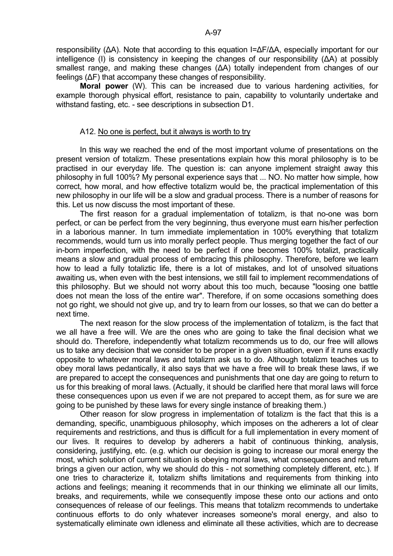responsibility (∆A). Note that according to this equation I=∆F/∆A, especially important for our intelligence (I) is consistency in keeping the changes of our responsibility (∆A) at possibly smallest range, and making these changes (ΔA) totally independent from changes of our feelings (∆F) that accompany these changes of responsibility.

 **Moral power** (W). This can be increased due to various hardening activities, for example thorough physical effort, resistance to pain, capability to voluntarily undertake and withstand fasting, etc. - see descriptions in subsection D1.

### A12. No one is perfect, but it always is worth to try

 In this way we reached the end of the most important volume of presentations on the present version of totalizm. These presentations explain how this moral philosophy is to be practised in our everyday life. The question is: can anyone implement straight away this philosophy in full 100%? My personal experience says that ... NO. No matter how simple, how correct, how moral, and how effective totalizm would be, the practical implementation of this new philosophy in our life will be a slow and gradual process. There is a number of reasons for this. Let us now discuss the most important of these.

 The first reason for a gradual implementation of totalizm, is that no-one was born perfect, or can be perfect from the very beginning, thus everyone must earn his/her perfection in a laborious manner. In turn immediate implementation in 100% everything that totalizm recommends, would turn us into morally perfect people. Thus merging together the fact of our in-born imperfection, with the need to be perfect if one becomes 100% totalizt, practically means a slow and gradual process of embracing this philosophy. Therefore, before we learn how to lead a fully totaliztic life, there is a lot of mistakes, and lot of unsolved situations awaiting us, when even with the best intensions, we still fail to implement recommendations of this philosophy. But we should not worry about this too much, because "loosing one battle does not mean the loss of the entire war". Therefore, if on some occasions something does not go right, we should not give up, and try to learn from our losses, so that we can do better a next time.

 The next reason for the slow process of the implementation of totalizm, is the fact that we all have a free will. We are the ones who are going to take the final decision what we should do. Therefore, independently what totalizm recommends us to do, our free will allows us to take any decision that we consider to be proper in a given situation, even if it runs exactly opposite to whatever moral laws and totalizm ask us to do. Although totalizm teaches us to obey moral laws pedantically, it also says that we have a free will to break these laws, if we are prepared to accept the consequences and punishments that one day are going to return to us for this breaking of moral laws. (Actually, it should be clarified here that moral laws will force these consequences upon us even if we are not prepared to accept them, as for sure we are going to be punished by these laws for every single instance of breaking them.)

 Other reason for slow progress in implementation of totalizm is the fact that this is a demanding, specific, unambiguous philosophy, which imposes on the adherers a lot of clear requirements and restrictions, and thus is difficult for a full implementation in every moment of our lives. It requires to develop by adherers a habit of continuous thinking, analysis, considering, justifying, etc. (e.g. which our decision is going to increase our moral energy the most, which solution of current situation is obeying moral laws, what consequences and return brings a given our action, why we should do this - not something completely different, etc.). If one tries to characterize it, totalizm shifts limitations and requirements from thinking into actions and feelings; meaning it recommends that in our thinking we eliminate all our limits, breaks, and requirements, while we consequently impose these onto our actions and onto consequences of release of our feelings. This means that totalizm recommends to undertake continuous efforts to do only whatever increases someone's moral energy, and also to systematically eliminate own idleness and eliminate all these activities, which are to decrease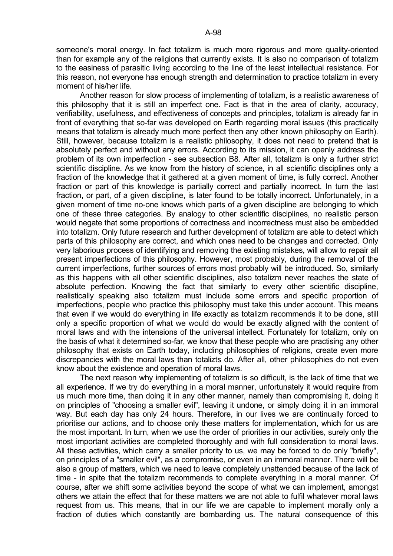someone's moral energy. In fact totalizm is much more rigorous and more quality-oriented than for example any of the religions that currently exists. It is also no comparison of totalizm to the easiness of parasitic living according to the line of the least intellectual resistance. For this reason, not everyone has enough strength and determination to practice totalizm in every moment of his/her life.

 Another reason for slow process of implementing of totalizm, is a realistic awareness of this philosophy that it is still an imperfect one. Fact is that in the area of clarity, accuracy, verifiability, usefulness, and effectiveness of concepts and principles, totalizm is already far in front of everything that so-far was developed on Earth regarding moral issues (this practically means that totalizm is already much more perfect then any other known philosophy on Earth). Still, however, because totalizm is a realistic philosophy, it does not need to pretend that is absolutely perfect and without any errors. According to its mission, it can openly address the problem of its own imperfection - see subsection B8. After all, totalizm is only a further strict scientific discipline. As we know from the history of science, in all scientific disciplines only a fraction of the knowledge that it gathered at a given moment of time, is fully correct. Another fraction or part of this knowledge is partially correct and partially incorrect. In turn the last fraction, or part, of a given discipline, is later found to be totally incorrect. Unfortunately, in a given moment of time no-one knows which parts of a given discipline are belonging to which one of these three categories. By analogy to other scientific disciplines, no realistic person would negate that some proportions of correctness and incorrectness must also be embedded into totalizm. Only future research and further development of totalizm are able to detect which parts of this philosophy are correct, and which ones need to be changes and corrected. Only very laborious process of identifying and removing the existing mistakes, will allow to repair all present imperfections of this philosophy. However, most probably, during the removal of the current imperfections, further sources of errors most probably will be introduced. So, similarly as this happens with all other scientific disciplines, also totalizm never reaches the state of absolute perfection. Knowing the fact that similarly to every other scientific discipline, realistically speaking also totalizm must include some errors and specific proportion of imperfections, people who practice this philosophy must take this under account. This means that even if we would do everything in life exactly as totalizm recommends it to be done, still only a specific proportion of what we would do would be exactly aligned with the content of moral laws and with the intensions of the universal intellect. Fortunately for totalizm, only on the basis of what it determined so-far, we know that these people who are practising any other philosophy that exists on Earth today, including philosophies of religions, create even more discrepancies with the moral laws than totalizts do. After all, other philosophies do not even know about the existence and operation of moral laws.

 The next reason why implementing of totalizm is so difficult, is the lack of time that we all experience. If we try do everything in a moral manner, unfortunately it would require from us much more time, than doing it in any other manner, namely than compromising it, doing it on principles of "choosing a smaller evil", leaving it undone, or simply doing it in an immoral way. But each day has only 24 hours. Therefore, in our lives we are continually forced to prioritise our actions, and to choose only these matters for implementation, which for us are the most important. In turn, when we use the order of priorities in our activities, surely only the most important activities are completed thoroughly and with full consideration to moral laws. All these activities, which carry a smaller priority to us, we may be forced to do only "briefly", on principles of a "smaller evil", as a compromise, or even in an immoral manner. There will be also a group of matters, which we need to leave completely unattended because of the lack of time - in spite that the totalizm recommends to complete everything in a moral manner. Of course, after we shift some activities beyond the scope of what we can implement, amongst others we attain the effect that for these matters we are not able to fulfil whatever moral laws request from us. This means, that in our life we are capable to implement morally only a fraction of duties which constantly are bombarding us. The natural consequence of this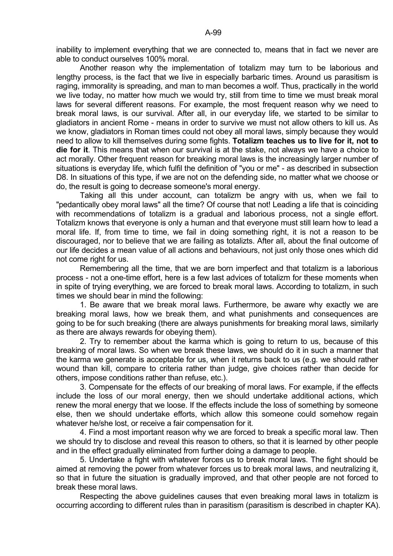inability to implement everything that we are connected to, means that in fact we never are able to conduct ourselves 100% moral.

 Another reason why the implementation of totalizm may turn to be laborious and lengthy process, is the fact that we live in especially barbaric times. Around us parasitism is raging, immorality is spreading, and man to man becomes a wolf. Thus, practically in the world we live today, no matter how much we would try, still from time to time we must break moral laws for several different reasons. For example, the most frequent reason why we need to break moral laws, is our survival. After all, in our everyday life, we started to be similar to gladiators in ancient Rome - means in order to survive we must not allow others to kill us. As we know, gladiators in Roman times could not obey all moral laws, simply because they would need to allow to kill themselves during some fights. **Totalizm teaches us to live for it, not to die for it**. This means that when our survival is at the stake, not always we have a choice to act morally. Other frequent reason for breaking moral laws is the increasingly larger number of situations is everyday life, which fulfil the definition of "you or me" - as described in subsection D8. In situations of this type, if we are not on the defending side, no matter what we choose or do, the result is going to decrease someone's moral energy.

 Taking all this under account, can totalizm be angry with us, when we fail to "pedantically obey moral laws" all the time? Of course that not! Leading a life that is coinciding with recommendations of totalizm is a gradual and laborious process, not a single effort. Totalizm knows that everyone is only a human and that everyone must still learn how to lead a moral life. If, from time to time, we fail in doing something right, it is not a reason to be discouraged, nor to believe that we are failing as totalizts. After all, about the final outcome of our life decides a mean value of all actions and behaviours, not just only those ones which did not come right for us.

 Remembering all the time, that we are born imperfect and that totalizm is a laborious process - not a one-time effort, here is a few last advices of totalizm for these moments when in spite of trying everything, we are forced to break moral laws. According to totalizm, in such times we should bear in mind the following:

 1. Be aware that we break moral laws. Furthermore, be aware why exactly we are breaking moral laws, how we break them, and what punishments and consequences are going to be for such breaking (there are always punishments for breaking moral laws, similarly as there are always rewards for obeying them).

 2. Try to remember about the karma which is going to return to us, because of this breaking of moral laws. So when we break these laws, we should do it in such a manner that the karma we generate is acceptable for us, when it returns back to us (e.g. we should rather wound than kill, compare to criteria rather than judge, give choices rather than decide for others, impose conditions rather than refuse, etc.).

 3. Compensate for the effects of our breaking of moral laws. For example, if the effects include the loss of our moral energy, then we should undertake additional actions, which renew the moral energy that we loose. If the effects include the loss of something by someone else, then we should undertake efforts, which allow this someone could somehow regain whatever he/she lost, or receive a fair compensation for it.

 4. Find a most important reason why we are forced to break a specific moral law. Then we should try to disclose and reveal this reason to others, so that it is learned by other people and in the effect gradually eliminated from further doing a damage to people.

 5. Undertake a fight with whatever forces us to break moral laws. The fight should be aimed at removing the power from whatever forces us to break moral laws, and neutralizing it, so that in future the situation is gradually improved, and that other people are not forced to break these moral laws.

 Respecting the above guidelines causes that even breaking moral laws in totalizm is occurring according to different rules than in parasitism (parasitism is described in chapter KA).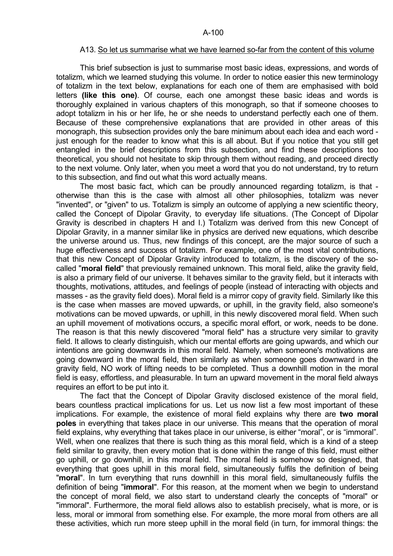#### A13. So let us summarise what we have learned so-far from the content of this volume

 This brief subsection is just to summarise most basic ideas, expressions, and words of totalizm, which we learned studying this volume. In order to notice easier this new terminology of totalizm in the text below, explanations for each one of them are emphasised with bold letters **(like this one)**. Of course, each one amongst these basic ideas and words is thoroughly explained in various chapters of this monograph, so that if someone chooses to adopt totalizm in his or her life, he or she needs to understand perfectly each one of them. Because of these comprehensive explanations that are provided in other areas of this monograph, this subsection provides only the bare minimum about each idea and each word just enough for the reader to know what this is all about. But if you notice that you still get entangled in the brief descriptions from this subsection, and find these descriptions too theoretical, you should not hesitate to skip through them without reading, and proceed directly to the next volume. Only later, when you meet a word that you do not understand, try to return to this subsection, and find out what this word actually means.

 The most basic fact, which can be proudly announced regarding totalizm, is that otherwise than this is the case with almost all other philosophies, totalizm was never "invented", or "given" to us. Totalizm is simply an outcome of applying a new scientific theory, called the Concept of Dipolar Gravity, to everyday life situations. (The Concept of Dipolar Gravity is described in chapters H and I.) Totalizm was derived from this new Concept of Dipolar Gravity, in a manner similar like in physics are derived new equations, which describe the universe around us. Thus, new findings of this concept, are the major source of such a huge effectiveness and success of totalizm. For example, one of the most vital contributions, that this new Concept of Dipolar Gravity introduced to totalizm, is the discovery of the socalled "**moral field**" that previously remained unknown. This moral field, alike the gravity field, is also a primary field of our universe. It behaves similar to the gravity field, but it interacts with thoughts, motivations, attitudes, and feelings of people (instead of interacting with objects and masses - as the gravity field does). Moral field is a mirror copy of gravity field. Similarly like this is the case when masses are moved upwards, or uphill, in the gravity field, also someone's motivations can be moved upwards, or uphill, in this newly discovered moral field. When such an uphill movement of motivations occurs, a specific moral effort, or work, needs to be done. The reason is that this newly discovered "moral field" has a structure very similar to gravity field. It allows to clearly distinguish, which our mental efforts are going upwards, and which our intentions are going downwards in this moral field. Namely, when someone's motivations are going downward in the moral field, then similarly as when someone goes downward in the gravity field, NO work of lifting needs to be completed. Thus a downhill motion in the moral field is easy, effortless, and pleasurable. In turn an upward movement in the moral field always requires an effort to be put into it.

 The fact that the Concept of Dipolar Gravity disclosed existence of the moral field, bears countless practical implications for us. Let us now list a few most important of these implications. For example, the existence of moral field explains why there are **two moral poles** in everything that takes place in our universe. This means that the operation of moral field explains, why everything that takes place in our universe, is either "moral", or is "immoral". Well, when one realizes that there is such thing as this moral field, which is a kind of a steep field similar to gravity, then every motion that is done within the range of this field, must either go uphill, or go downhill, in this moral field. The moral field is somehow so designed, that everything that goes uphill in this moral field, simultaneously fulfils the definition of being "**moral**". In turn everything that runs downhill in this moral field, simultaneously fulfils the definition of being "**immoral**". For this reason, at the moment when we begin to understand the concept of moral field, we also start to understand clearly the concepts of "moral" or "immoral". Furthermore, the moral field allows also to establish precisely, what is more, or is less, moral or immoral from something else. For example, the more moral from others are all these activities, which run more steep uphill in the moral field (in turn, for immoral things: the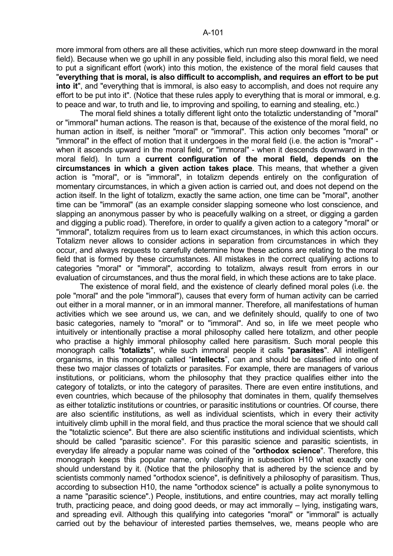more immoral from others are all these activities, which run more steep downward in the moral field). Because when we go uphill in any possible field, including also this moral field, we need to put a significant effort (work) into this motion, the existence of the moral field causes that "**everything that is moral, is also difficult to accomplish, and requires an effort to be put into it**", and "everything that is immoral, is also easy to accomplish, and does not require any effort to be put into it". (Notice that these rules apply to everything that is moral or immoral, e.g. to peace and war, to truth and lie, to improving and spoiling, to earning and stealing, etc.)

 The moral field shines a totally different light onto the totaliztic understanding of "moral" or "immoral" human actions. The reason is that, because of the existence of the moral field, no human action in itself, is neither "moral" or "immoral". This action only becomes "moral" or "immoral" in the effect of motion that it undergoes in the moral field (i.e. the action is "moral" when it ascends upward in the moral field, or "immoral" - when it descends downward in the moral field). In turn a **current configuration of the moral field, depends on the circumstances in which a given action takes place**. This means, that whether a given action is "moral", or is "immoral", in totalizm depends entirely on the configuration of momentary circumstances, in which a given action is carried out, and does not depend on the action itself. In the light of totalizm, exactly the same action, one time can be "moral", another time can be "immoral" (as an example consider slapping someone who lost conscience, and slapping an anonymous passer by who is peacefully walking on a street, or digging a garden and digging a public road). Therefore, in order to qualify a given action to a category "moral" or "immoral", totalizm requires from us to learn exact circumstances, in which this action occurs. Totalizm never allows to consider actions in separation from circumstances in which they occur, and always requests to carefully determine how these actions are relating to the moral field that is formed by these circumstances. All mistakes in the correct qualifying actions to categories "moral" or "immoral", according to totalizm, always result from errors in our evaluation of circumstances, and thus the moral field, in which these actions are to take place.

 The existence of moral field, and the existence of clearly defined moral poles (i.e. the pole "moral" and the pole "immoral"), causes that every form of human activity can be carried out either in a moral manner, or in an immoral manner. Therefore, all manifestations of human activities which we see around us, we can, and we definitely should, qualify to one of two basic categories, namely to "moral" or to "immoral". And so, in life we meet people who intuitively or intentionally practise a moral philosophy called here totalizm, and other people who practise a highly immoral philosophy called here parasitism. Such moral people this monograph calls "**totalizts**", while such immoral people it calls "**parasites**". All intelligent organisms, in this monograph called "**intellects**", can and should be classified into one of these two major classes of totalizts or parasites. For example, there are managers of various institutions, or politicians, whom the philosophy that they practice qualifies either into the category of totalizts, or into the category of parasites. There are even entire institutions, and even countries, which because of the philosophy that dominates in them, qualify themselves as either totaliztic institutions or countries, or parasitic institutions or countries. Of course, there are also scientific institutions, as well as individual scientists, which in every their activity intuitively climb uphill in the moral field, and thus practice the moral science that we should call the "totaliztic science". But there are also scientific institutions and individual scientists, which should be called "parasitic science". For this parasitic science and parasitic scientists, in everyday life already a popular name was coined of the "**orthodox science**". Therefore, this monograph keeps this popular name, only clarifying in subsection H10 what exactly one should understand by it. (Notice that the philosophy that is adhered by the science and by scientists commonly named "orthodox science", is definitively a philosophy of parasitism. Thus, according to subsection H10, the name "orthodox science" is actually a polite synonymous to a name "parasitic science".) People, institutions, and entire countries, may act morally telling truth, practicing peace, and doing good deeds, or may act immorally – lying, instigating wars, and spreading evil. Although this qualifying into categories "moral" or "immoral" is actually carried out by the behaviour of interested parties themselves, we, means people who are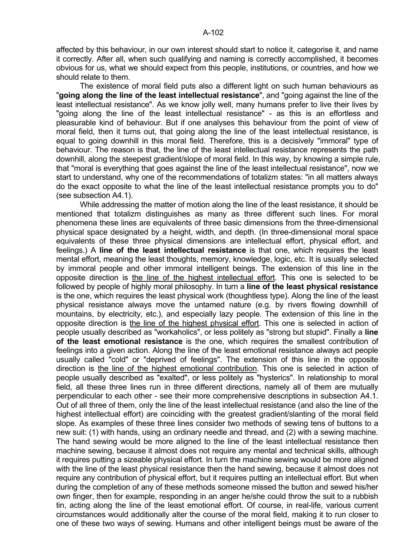affected by this behaviour, in our own interest should start to notice it, categorise it, and name it correctly. After all, when such qualifying and naming is correctly accomplished, it becomes obvious for us, what we should expect from this people, institutions, or countries, and how we should relate to them.

 The existence of moral field puts also a different light on such human behaviours as "**going along the line of the least intellectual resistance**", and "going against the line of the least intellectual resistance". As we know jolly well, many humans prefer to live their lives by "going along the line of the least intellectual resistance" - as this is an effortless and pleasurable kind of behaviour. But if one analyses this behaviour from the point of view of moral field, then it turns out, that going along the line of the least intellectual resistance, is equal to going downhill in this moral field. Therefore, this is a decisively "immoral" type of behaviour. The reason is that, the line of the least intellectual resistance represents the path downhill, along the steepest gradient/slope of moral field. In this way, by knowing a simple rule, that "moral is everything that goes against the line of the least intellectual resistance", now we start to understand, why one of the recommendations of totalizm states: "in all matters always do the exact opposite to what the line of the least intellectual resistance prompts you to do" (see subsection A4.1).

 While addressing the matter of motion along the line of the least resistance, it should be mentioned that totalizm distinguishes as many as three different such lines. For moral phenomena these lines are equivalents of three basic dimensions from the three-dimensional physical space designated by a height, width, and depth. (In three-dimensional moral space equivalents of these three physical dimensions are intellectual effort, physical effort, and feelings.) A **line of the least intellectual resistance** is that one, which requires the least mental effort, meaning the least thoughts, memory, knowledge, logic, etc. It is usually selected by immoral people and other immoral intelligent beings. The extension of this line in the opposite direction is the line of the highest intellectual effort. This one is selected to be followed by people of highly moral philosophy. In turn a **line of the least physical resistance** is the one, which requires the least physical work (thoughtless type). Along the line of the least physical resistance always move the untamed nature (e.g. by rivers flowing downhill of mountains, by electricity, etc.), and especially lazy people. The extension of this line in the opposite direction is the line of the highest physical effort. This one is selected in action of people usually described as "workaholics", or less politely as "strong but stupid". Finally a **line of the least emotional resistance** is the one, which requires the smallest contribution of feelings into a given action. Along the line of the least emotional resistance always act people usually called "cold" or "deprived of feelings". The extension of this line in the opposite direction is the line of the highest emotional contribution. This one is selected in action of people usually described as "exalted", or less politely as "hysterics". In relationship to moral field, all these three lines run in three different directions, namely all of them are mutually perpendicular to each other - see their more comprehensive descriptions in subsection A4.1. Out of all three of them, only the line of the least intellectual resistance (and also the line of the highest intellectual effort) are coinciding with the greatest gradient/slanting of the moral field slope. As examples of these three lines consider two methods of sewing tens of buttons to a new suit: (1) with hands, using an ordinary needle and thread, and (2) with a sewing machine. The hand sewing would be more aligned to the line of the least intellectual resistance then machine sewing, because it almost does not require any mental and technical skills, although it requires putting a sizeable physical effort. In turn the machine sewing would be more aligned with the line of the least physical resistance then the hand sewing, because it almost does not require any contribution of physical effort, but it requires putting an intellectual effort. But when during the completion of any of these methods someone missed the button and sewed his/her own finger, then for example, responding in an anger he/she could throw the suit to a rubbish tin, acting along the line of the least emotional effort. Of course, in real-life, various current circumstances would additionally alter the course of the moral field, making it to run closer to one of these two ways of sewing. Humans and other intelligent beings must be aware of the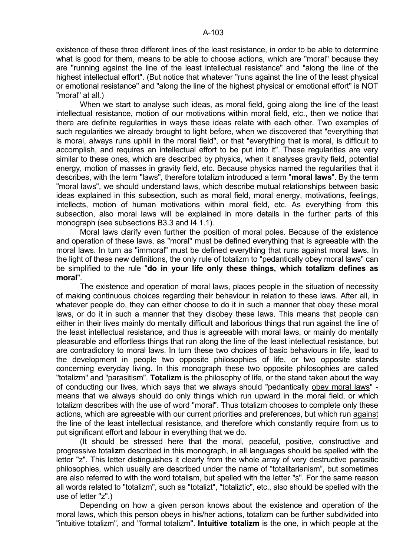existence of these three different lines of the least resistance, in order to be able to determine what is good for them, means to be able to choose actions, which are "moral" because they are "running against the line of the least intellectual resistance" and "along the line of the highest intellectual effort". (But notice that whatever "runs against the line of the least physical or emotional resistance" and "along the line of the highest physical or emotional effort" is NOT "moral" at all.)

When we start to analyse such ideas, as moral field, going along the line of the least intellectual resistance, motion of our motivations within moral field, etc., then we notice that there are definite regularities in ways these ideas relate with each other. Two examples of such regularities we already brought to light before, when we discovered that "everything that is moral, always runs uphill in the moral field", or that "everything that is moral, is difficult to accomplish, and requires an intellectual effort to be put into it". These regularities are very similar to these ones, which are described by physics, when it analyses gravity field, potential energy, motion of masses in gravity field, etc. Because physics named the regularities that it describes, with the term "laws", therefore totalizm introduced a term "**moral laws**". By the term "moral laws", we should understand laws, which describe mutual relationships between basic ideas explained in this subsection, such as moral field, moral energy, motivations, feelings, intellects, motion of human motivations within moral field, etc. As everything from this subsection, also moral laws will be explained in more details in the further parts of this monograph (see subsections B3.3 and I4.1.1).

 Moral laws clarify even further the position of moral poles. Because of the existence and operation of these laws, as "moral" must be defined everything that is agreeable with the moral laws. In turn as "immoral" must be defined everything that runs against moral laws. In the light of these new definitions, the only rule of totalizm to "pedantically obey moral laws" can be simplified to the rule "**do in your life only these things, which totalizm defines as moral**".

 The existence and operation of moral laws, places people in the situation of necessity of making continuous choices regarding their behaviour in relation to these laws. After all, in whatever people do, they can either choose to do it in such a manner that obey these moral laws, or do it in such a manner that they disobey these laws. This means that people can either in their lives mainly do mentally difficult and laborious things that run against the line of the least intellectual resistance, and thus is agreeable with moral laws, or mainly do mentally pleasurable and effortless things that run along the line of the least intellectual resistance, but are contradictory to moral laws. In turn these two choices of basic behaviours in life, lead to the development in people two opposite philosophies of life, or two opposite stands concerning everyday living. In this monograph these two opposite philosophies are called "totalizm" and "parasitism". **Totalizm** is the philosophy of life, or the stand taken about the way of conducting our lives, which says that we always should "pedantically obey moral laws" means that we always should do only things which run upward in the moral field, or which totalizm describes with the use of word "moral". Thus totalizm chooses to complete only these actions, which are agreeable with our current priorities and preferences, but which run against the line of the least intellectual resistance, and therefore which constantly require from us to put significant effort and labour in everything that we do.

 (It should be stressed here that the moral, peaceful, positive, constructive and progressive totali**z**m described in this monograph, in all languages should be spelled with the letter "z". This letter distinguishes it clearly from the whole array of very destructive parasitic philosophies, which usually are described under the name of "totalitarianism", but sometimes are also referred to with the word totali**s**m, but spelled with the letter "s". For the same reason all words related to "totalizm", such as "totalizt", "totaliztic", etc., also should be spelled with the use of letter "z".)

 Depending on how a given person knows about the existence and operation of the moral laws, which this person obeys in his/her actions, totalizm can be further subdivided into "intuitive totalizm", and "formal totalizm". **Intuitive totalizm** is the one, in which people at the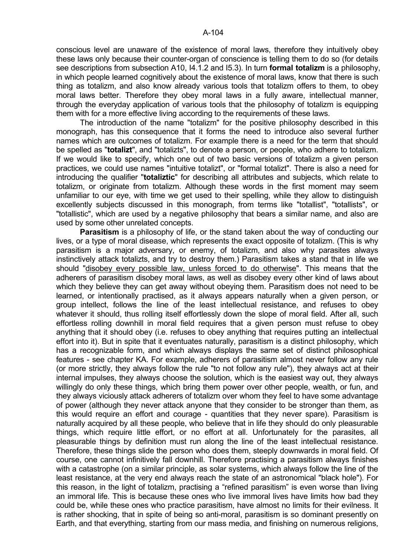conscious level are unaware of the existence of moral laws, therefore they intuitively obey these laws only because their counter-organ of conscience is telling them to do so (for details see descriptions from subsection A10, I4.1.2 and I5.3). In turn **formal totalizm** is a philosophy, in which people learned cognitively about the existence of moral laws, know that there is such thing as totalizm, and also know already various tools that totalizm offers to them, to obey moral laws better. Therefore they obey moral laws in a fully aware, intellectual manner, through the everyday application of various tools that the philosophy of totalizm is equipping them with for a more effective living according to the requirements of these laws.

 The introduction of the name "totalizm" for the positive philosophy described in this monograph, has this consequence that it forms the need to introduce also several further names which are outcomes of totalizm. For example there is a need for the term that should be spelled as "**totalizt**", and "totalizts", to denote a person, or people, who adhere to totalizm. If we would like to specify, which one out of two basic versions of totalizm a given person practices, we could use names "intuitive totalizt", or "formal totalizt". There is also a need for introducing the qualifier "**totaliztic**" for describing all attributes and subjects, which relate to totalizm, or originate from totalizm. Although these words in the first moment may seem unfamiliar to our eye, with time we get used to their spelling, while they allow to distinguish excellently subjects discussed in this monograph, from terms like "totallist", "totallists", or "totallistic", which are used by a negative philosophy that bears a similar name, and also are used by some other unrelated concepts.

**Parasitism** is a philosophy of life, or the stand taken about the way of conducting our lives, or a type of moral disease, which represents the exact opposite of totalizm. (This is why parasitism is a major adversary, or enemy, of totalizm, and also why parasites always instinctively attack totalizts, and try to destroy them.) Parasitism takes a stand that in life we should "disobey every possible law, unless forced to do otherwise". This means that the adherers of parasitism disobey moral laws, as well as disobey every other kind of laws about which they believe they can get away without obeying them. Parasitism does not need to be learned, or intentionally practised, as it always appears naturally when a given person, or group intellect, follows the line of the least intellectual resistance, and refuses to obey whatever it should, thus rolling itself effortlessly down the slope of moral field. After all, such effortless rolling downhill in moral field requires that a given person must refuse to obey anything that it should obey (i.e. refuses to obey anything that requires putting an intellectual effort into it). But in spite that it eventuates naturally, parasitism is a distinct philosophy, which has a recognizable form, and which always displays the same set of distinct philosophical features - see chapter KA. For example, adherers of parasitism almost never follow any rule (or more strictly, they always follow the rule "to not follow any rule"), they always act at their internal impulses, they always choose the solution, which is the easiest way out, they always willingly do only these things, which bring them power over other people, wealth, or fun, and they always viciously attack adherers of totalizm over whom they feel to have some advantage of power (although they never attack anyone that they consider to be stronger than them, as this would require an effort and courage - quantities that they never spare). Parasitism is naturally acquired by all these people, who believe that in life they should do only pleasurable things, which require little effort, or no effort at all. Unfortunately for the parasites, all pleasurable things by definition must run along the line of the least intellectual resistance. Therefore, these things slide the person who does them, steeply downwards in moral field. Of course, one cannot infinitively fall downhill. Therefore practising a parasitism always finishes with a catastrophe (on a similar principle, as solar systems, which always follow the line of the least resistance, at the very end always reach the state of an astronomical "black hole"). For this reason, in the light of totalizm, practising a "refined parasitism" is even worse than living an immoral life. This is because these ones who live immoral lives have limits how bad they could be, while these ones who practice parasitism, have almost no limits for their evilness. It is rather shocking, that in spite of being so anti-moral, parasitism is so dominant presently on Earth, and that everything, starting from our mass media, and finishing on numerous religions,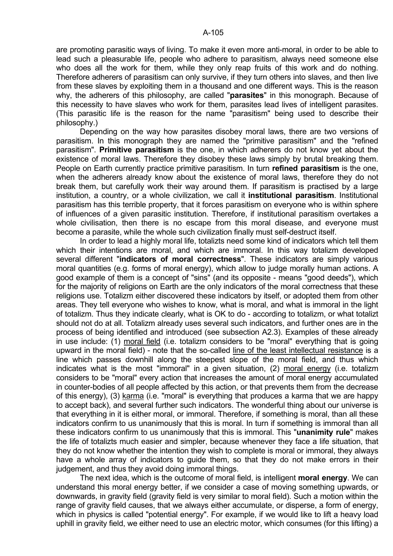are promoting parasitic ways of living. To make it even more anti-moral, in order to be able to lead such a pleasurable life, people who adhere to parasitism, always need someone else who does all the work for them, while they only reap fruits of this work and do nothing. Therefore adherers of parasitism can only survive, if they turn others into slaves, and then live from these slaves by exploiting them in a thousand and one different ways. This is the reason why, the adherers of this philosophy, are called "**parasites**" in this monograph. Because of this necessity to have slaves who work for them, parasites lead lives of intelligent parasites. (This parasitic life is the reason for the name "parasitism" being used to describe their philosophy.)

 Depending on the way how parasites disobey moral laws, there are two versions of parasitism. In this monograph they are named the "primitive parasitism" and the "refined parasitism". **Primitive parasitism** is the one, in which adherers do not know yet about the existence of moral laws. Therefore they disobey these laws simply by brutal breaking them. People on Earth currently practice primitive parasitism. In turn **refined parasitism** is the one, when the adherers already know about the existence of moral laws, therefore they do not break them, but carefully work their way around them. If parasitism is practised by a large institution, a country, or a whole civilization, we call it **institutional parasitism**. Institutional parasitism has this terrible property, that it forces parasitism on everyone who is within sphere of influences of a given parasitic institution. Therefore, if institutional parasitism overtakes a whole civilisation, then there is no escape from this moral disease, and everyone must become a parasite, while the whole such civilization finally must self-destruct itself.

 In order to lead a highly moral life, totalizts need some kind of indicators which tell them which their intentions are moral, and which are immoral. In this way totalizm developed several different "**indicators of moral correctness**". These indicators are simply various moral quantities (e.g. forms of moral energy), which allow to judge morally human actions. A good example of them is a concept of "sins" (and its opposite - means "good deeds"), which for the majority of religions on Earth are the only indicators of the moral correctness that these religions use. Totalizm either discovered these indicators by itself, or adopted them from other areas. They tell everyone who wishes to know, what is moral, and what is immoral in the light of totalizm. Thus they indicate clearly, what is OK to do - according to totalizm, or what totalizt should not do at all. Totalizm already uses several such indicators, and further ones are in the process of being identified and introduced (see subsection A2.3). Examples of these already in use include: (1) moral field (i.e. totalizm considers to be "moral" everything that is going upward in the moral field) - note that the so-called line of the least intellectual resistance is a line which passes downhill along the steepest slope of the moral field, and thus which indicates what is the most "immoral" in a given situation, (2) moral energy (i.e. totalizm considers to be "moral" every action that increases the amount of moral energy accumulated in counter-bodies of all people affected by this action, or that prevents them from the decrease of this energy), (3) karma (i.e. "moral" is everything that produces a karma that we are happy to accept back), and several further such indicators. The wonderful thing about our universe is that everything in it is either moral, or immoral. Therefore, if something is moral, than all these indicators confirm to us unanimously that this is moral. In turn if something is immoral than all these indicators confirm to us unanimously that this is immoral. This "**unanimity rule**" makes the life of totalizts much easier and simpler, because whenever they face a life situation, that they do not know whether the intention they wish to complete is moral or immoral, they always have a whole array of indicators to guide them, so that they do not make errors in their judgement, and thus they avoid doing immoral things.

 The next idea, which is the outcome of moral field, is intelligent **moral energy**. We can understand this moral energy better, if we consider a case of moving something upwards, or downwards, in gravity field (gravity field is very similar to moral field). Such a motion within the range of gravity field causes, that we always either accumulate, or disperse, a form of energy, which in physics is called "potential energy". For example, if we would like to lift a heavy load uphill in gravity field, we either need to use an electric motor, which consumes (for this lifting) a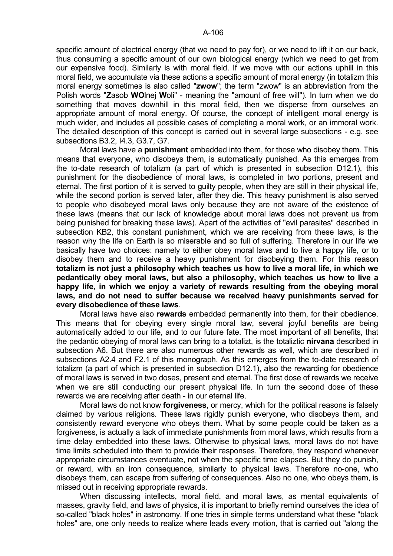specific amount of electrical energy (that we need to pay for), or we need to lift it on our back, thus consuming a specific amount of our own biological energy (which we need to get from our expensive food). Similarly is with moral field. If we move with our actions uphill in this moral field, we accumulate via these actions a specific amount of moral energy (in totalizm this moral energy sometimes is also called "**zwow**"; the term "zwow" is an abbreviation from the Polish words "**Z**asob **WO**lnej **W**oli" - meaning the "amount of free will"). In turn when we do something that moves downhill in this moral field, then we disperse from ourselves an appropriate amount of moral energy. Of course, the concept of intelligent moral energy is much wider, and includes all possible cases of completing a moral work, or an immoral work. The detailed description of this concept is carried out in several large subsections - e.g. see subsections B3.2, I4.3, G3.7, G7.

 Moral laws have a **punishment** embedded into them, for those who disobey them. This means that everyone, who disobeys them, is automatically punished. As this emerges from the to-date research of totalizm (a part of which is presented in subsection D12.1), this punishment for the disobedience of moral laws, is completed in two portions, present and eternal. The first portion of it is served to guilty people, when they are still in their physical life, while the second portion is served later, after they die. This heavy punishment is also served to people who disobeyed moral laws only because they are not aware of the existence of these laws (means that our lack of knowledge about moral laws does not prevent us from being punished for breaking these laws). Apart of the activities of "evil parasites" described in subsection KB2, this constant punishment, which we are receiving from these laws, is the reason why the life on Earth is so miserable and so full of suffering. Therefore in our life we basically have two choices: namely to either obey moral laws and to live a happy life, or to disobey them and to receive a heavy punishment for disobeying them. For this reason **totalizm is not just a philosophy which teaches us how to live a moral life, in which we pedantically obey moral laws, but also a philosophy, which teaches us how to live a happy life, in which we enjoy a variety of rewards resulting from the obeying moral laws, and do not need to suffer because we received heavy punishments served for every disobedience of these laws**.

 Moral laws have also **rewards** embedded permanently into them, for their obedience. This means that for obeying every single moral law, several joyful benefits are being automatically added to our life, and to our future fate. The most important of all benefits, that the pedantic obeying of moral laws can bring to a totalizt, is the totaliztic **nirvana** described in subsection A6. But there are also numerous other rewards as well, which are described in subsections A2.4 and F2.1 of this monograph. As this emerges from the to-date research of totalizm (a part of which is presented in subsection D12.1), also the rewarding for obedience of moral laws is served in two doses, present and eternal. The first dose of rewards we receive when we are still conducting our present physical life. In turn the second dose of these rewards we are receiving after death - in our eternal life.

 Moral laws do not know **forgiveness**, or mercy, which for the political reasons is falsely claimed by various religions. These laws rigidly punish everyone, who disobeys them, and consistently reward everyone who obeys them. What by some people could be taken as a forgiveness, is actually a lack of immediate punishments from moral laws, which results from a time delay embedded into these laws. Otherwise to physical laws, moral laws do not have time limits scheduled into them to provide their responses. Therefore, they respond whenever appropriate circumstances eventuate, not when the specific time elapses. But they do punish, or reward, with an iron consequence, similarly to physical laws. Therefore no-one, who disobeys them, can escape from suffering of consequences. Also no one, who obeys them, is missed out in receiving appropriate rewards.

When discussing intellects, moral field, and moral laws, as mental equivalents of masses, gravity field, and laws of physics, it is important to briefly remind ourselves the idea of so-called "black holes" in astronomy. If one tries in simple terms understand what these "black holes" are, one only needs to realize where leads every motion, that is carried out "along the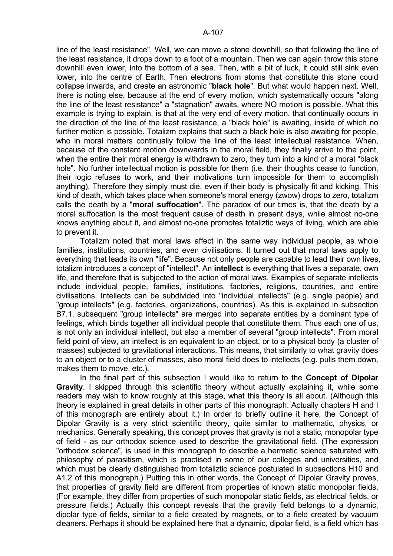line of the least resistance". Well, we can move a stone downhill, so that following the line of the least resistance, it drops down to a foot of a mountain. Then we can again throw this stone downhill even lower, into the bottom of a sea. Then, with a bit of luck, it could still sink even lower, into the centre of Earth. Then electrons from atoms that constitute this stone could collapse inwards, and create an astronomic "**black hole**". But what would happen next. Well, there is noting else, because at the end of every motion, which systematically occurs "along the line of the least resistance" a "stagnation" awaits, where NO motion is possible. What this example is trying to explain, is that at the very end of every motion, that continually occurs in the direction of the line of the least resistance, a "black hole" is awaiting, inside of which no further motion is possible. Totalizm explains that such a black hole is also awaiting for people, who in moral matters continually follow the line of the least intellectual resistance. When, because of the constant motion downwards in the moral field, they finally arrive to the point, when the entire their moral energy is withdrawn to zero, they turn into a kind of a moral "black hole". No further intellectual motion is possible for them (i.e. their thoughts cease to function, their logic refuses to work, and their motivations turn impossible for them to accomplish anything). Therefore they simply must die, even if their body is physically fit and kicking. This kind of death, which takes place when someone's moral energy (zwow) drops to zero, totalizm calls the death by a "**moral suffocation**". The paradox of our times is, that the death by a moral suffocation is the most frequent cause of death in present days, while almost no-one knows anything about it, and almost no-one promotes totaliztic ways of living, which are able to prevent it.

 Totalizm noted that moral laws affect in the same way individual people, as whole families, institutions, countries, and even civilisations. It turned out that moral laws apply to everything that leads its own "life". Because not only people are capable to lead their own lives, totalizm introduces a concept of "intellect". An **intellect** is everything that lives a separate, own life, and therefore that is subjected to the action of moral laws. Examples of separate intellects include individual people, families, institutions, factories, religions, countries, and entire civilisations. Intellects can be subdivided into "individual intellects" (e.g. single people) and "group intellects" (e.g. factories, organizations, countries). As this is explained in subsection B7.1, subsequent "group intellects" are merged into separate entities by a dominant type of feelings, which binds together all individual people that constitute them. Thus each one of us, is not only an individual intellect, but also a member of several "group intellects". From moral field point of view, an intellect is an equivalent to an object, or to a physical body (a cluster of masses) subjected to gravitational interactions. This means, that similarly to what gravity does to an object or to a cluster of masses, also moral field does to intellects (e.g. pulls them down, makes them to move, etc.).

 In the final part of this subsection I would like to return to the **Concept of Dipolar Gravity**. I skipped through this scientific theory without actually explaining it, while some readers may wish to know roughly at this stage, what this theory is all about. (Although this theory is explained in great details in other parts of this monograph. Actually chapters H and I of this monograph are entirely about it.) In order to briefly outline it here, the Concept of Dipolar Gravity is a very strict scientific theory, quite similar to mathematic, physics, or mechanics. Generally speaking, this concept proves that gravity is not a static, monopolar type of field - as our orthodox science used to describe the gravitational field. (The expression "orthodox science", is used in this monograph to describe a hermetic science saturated with philosophy of parasitism, which is practised in some of our colleges and universities, and which must be clearly distinguished from totaliztic science postulated in subsections H10 and A1.2 of this monograph.) Putting this in other words, the Concept of Dipolar Gravity proves, that properties of gravity field are different from properties of known static monopolar fields. (For example, they differ from properties of such monopolar static fields, as electrical fields, or pressure fields.) Actually this concept reveals that the gravity field belongs to a dynamic, dipolar type of fields, similar to a field created by magnets, or to a field created by vacuum cleaners. Perhaps it should be explained here that a dynamic, dipolar field, is a field which has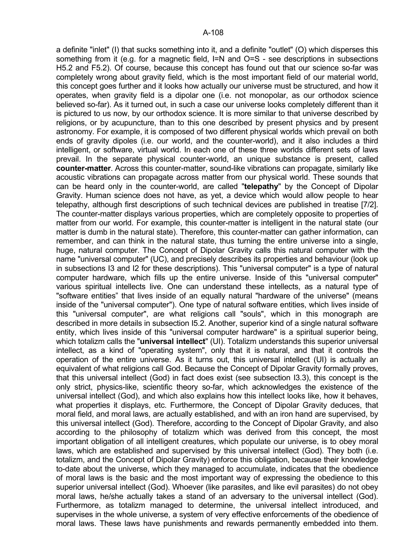a definite "inlet" (I) that sucks something into it, and a definite "outlet" (O) which disperses this something from it (e.g. for a magnetic field, I=N and O=S - see descriptions in subsections H5.2 and F5.2). Of course, because this concept has found out that our science so-far was completely wrong about gravity field, which is the most important field of our material world, this concept goes further and it looks how actually our universe must be structured, and how it operates, when gravity field is a dipolar one (i.e. not monopolar, as our orthodox science believed so-far). As it turned out, in such a case our universe looks completely different than it is pictured to us now, by our orthodox science. It is more similar to that universe described by religions, or by acupuncture, than to this one described by present physics and by present astronomy. For example, it is composed of two different physical worlds which prevail on both ends of gravity dipoles (i.e. our world, and the counter-world), and it also includes a third intelligent, or software, virtual world. In each one of these three worlds different sets of laws prevail. In the separate physical counter-world, an unique substance is present, called **counter-matter**. Across this counter-matter, sound-like vibrations can propagate, similarly like acoustic vibrations can propagate across matter from our physical world. These sounds that can be heard only in the counter-world, are called "**telepathy**" by the Concept of Dipolar Gravity. Human science does not have, as yet, a device which would allow people to hear telepathy, although first descriptions of such technical devices are published in treatise [7/2]. The counter-matter displays various properties, which are completely opposite to properties of matter from our world. For example, this counter-matter is intelligent in the natural state (our matter is dumb in the natural state). Therefore, this counter-matter can gather information, can remember, and can think in the natural state, thus turning the entire universe into a single, huge, natural computer. The Concept of Dipolar Gravity calls this natural computer with the name "universal computer" (UC), and precisely describes its properties and behaviour (look up in subsections I3 and I2 for these descriptions). This "universal computer" is a type of natural computer hardware, which fills up the entire universe. Inside of this "universal computer" various spiritual intellects live. One can understand these intellects, as a natural type of "software entities" that lives inside of an equally natural "hardware of the universe" (means inside of the "universal computer"). One type of natural software entities, which lives inside of this "universal computer", are what religions call "souls", which in this monograph are described in more details in subsection I5.2. Another, superior kind of a single natural software entity, which lives inside of this "universal computer hardware" is a spiritual superior being, which totalizm calls the "**universal intellect**" (UI). Totalizm understands this superior universal intellect, as a kind of "operating system", only that it is natural, and that it controls the operation of the entire universe. As it turns out, this universal intellect (UI) is actually an equivalent of what religions call God. Because the Concept of Dipolar Gravity formally proves, that this universal intellect (God) in fact does exist (see subsection I3.3), this concept is the only strict, physics-like, scientific theory so-far, which acknowledges the existence of the universal intellect (God), and which also explains how this intellect looks like, how it behaves, what properties it displays, etc. Furthermore, the Concept of Dipolar Gravity deduces, that moral field, and moral laws, are actually established, and with an iron hand are supervised, by this universal intellect (God). Therefore, according to the Concept of Dipolar Gravity, and also according to the philosophy of totalizm which was derived from this concept, the most important obligation of all intelligent creatures, which populate our universe, is to obey moral laws, which are established and supervised by this universal intellect (God). They both (i.e. totalizm, and the Concept of Dipolar Gravity) enforce this obligation, because their knowledge to-date about the universe, which they managed to accumulate, indicates that the obedience of moral laws is the basic and the most important way of expressing the obedience to this superior universal intellect (God). Whoever (like parasites, and like evil parasites) do not obey moral laws, he/she actually takes a stand of an adversary to the universal intellect (God). Furthermore, as totalizm managed to determine, the universal intellect introduced, and supervises in the whole universe, a system of very effective enforcements of the obedience of moral laws. These laws have punishments and rewards permanently embedded into them.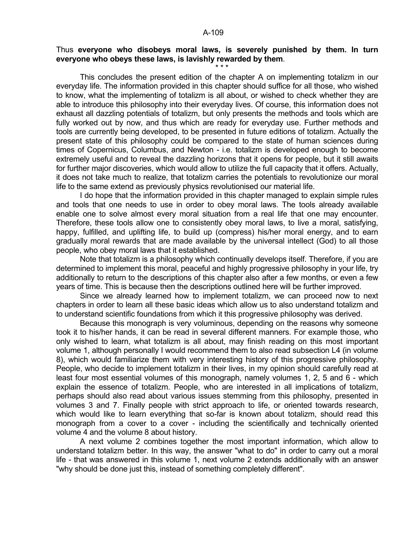# Thus **everyone who disobeys moral laws, is severely punished by them. In turn everyone who obeys these laws, is lavishly rewarded by them**.

 $\star \star \star$ 

 This concludes the present edition of the chapter A on implementing totalizm in our everyday life. The information provided in this chapter should suffice for all those, who wished to know, what the implementing of totalizm is all about, or wished to check whether they are able to introduce this philosophy into their everyday lives. Of course, this information does not exhaust all dazzling potentials of totalizm, but only presents the methods and tools which are fully worked out by now, and thus which are ready for everyday use. Further methods and tools are currently being developed, to be presented in future editions of totalizm. Actually the present state of this philosophy could be compared to the state of human sciences during times of Copernicus, Columbus, and Newton - i.e. totalizm is developed enough to become extremely useful and to reveal the dazzling horizons that it opens for people, but it still awaits for further major discoveries, which would allow to utilize the full capacity that it offers. Actually, it does not take much to realize, that totalizm carries the potentials to revolutionize our moral life to the same extend as previously physics revolutionised our material life.

 I do hope that the information provided in this chapter managed to explain simple rules and tools that one needs to use in order to obey moral laws. The tools already available enable one to solve almost every moral situation from a real life that one may encounter. Therefore, these tools allow one to consistently obey moral laws, to live a moral, satisfying, happy, fulfilled, and uplifting life, to build up (compress) his/her moral energy, and to earn gradually moral rewards that are made available by the universal intellect (God) to all those people, who obey moral laws that it established.

 Note that totalizm is a philosophy which continually develops itself. Therefore, if you are determined to implement this moral, peaceful and highly progressive philosophy in your life, try additionally to return to the descriptions of this chapter also after a few months, or even a few years of time. This is because then the descriptions outlined here will be further improved.

 Since we already learned how to implement totalizm, we can proceed now to next chapters in order to learn all these basic ideas which allow us to also understand totalizm and to understand scientific foundations from which it this progressive philosophy was derived.

 Because this monograph is very voluminous, depending on the reasons why someone took it to his/her hands, it can be read in several different manners. For example those, who only wished to learn, what totalizm is all about, may finish reading on this most important volume 1, although personally I would recommend them to also read subsection L4 (in volume 8), which would familiarize them with very interesting history of this progressive philosophy. People, who decide to implement totalizm in their lives, in my opinion should carefully read at least four most essential volumes of this monograph, namely volumes 1, 2, 5 and 6 - which explain the essence of totalizm. People, who are interested in all implications of totalizm, perhaps should also read about various issues stemming from this philosophy, presented in volumes 3 and 7. Finally people with strict approach to life, or oriented towards research, which would like to learn everything that so-far is known about totalizm, should read this monograph from a cover to a cover - including the scientifically and technically oriented volume 4 and the volume 8 about history.

 A next volume 2 combines together the most important information, which allow to understand totalizm better. In this way, the answer "what to do" in order to carry out a moral life - that was answered in this volume 1, next volume 2 extends additionally with an answer "why should be done just this, instead of something completely different".